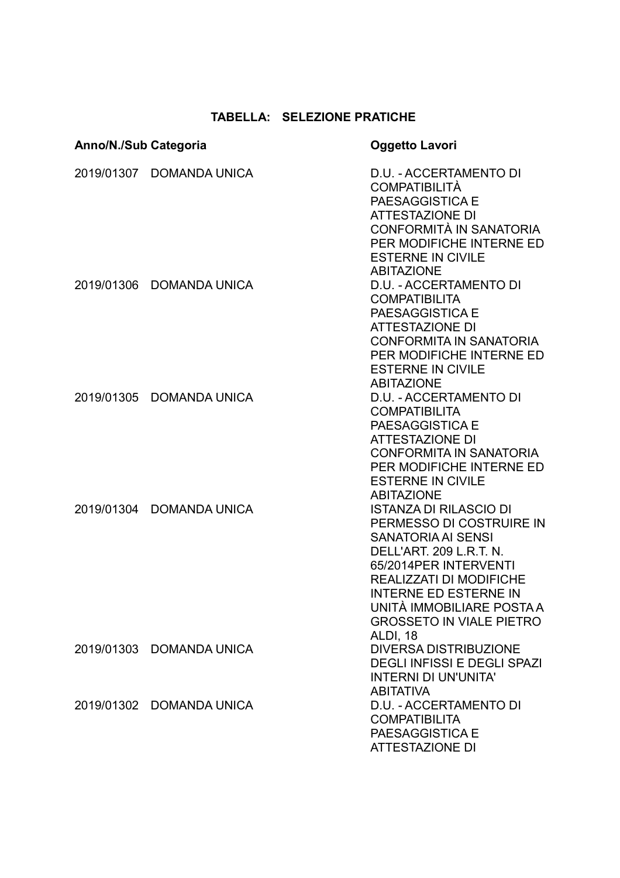## **TABELLA: SELEZIONE PRATICHE**

| Anno/N./Sub Categoria |                          | <b>Oggetto Lavori</b>                                                                                                                                                                                                                                                                    |  |
|-----------------------|--------------------------|------------------------------------------------------------------------------------------------------------------------------------------------------------------------------------------------------------------------------------------------------------------------------------------|--|
|                       | 2019/01307 DOMANDA UNICA | D.U. - ACCERTAMENTO DI<br><b>COMPATIBILITÀ</b><br>PAESAGGISTICA E<br><b>ATTESTAZIONE DI</b><br>CONFORMITÀ IN SANATORIA<br>PER MODIFICHE INTERNE ED<br><b>ESTERNE IN CIVILE</b><br><b>ABITAZIONE</b>                                                                                      |  |
|                       | 2019/01306 DOMANDA UNICA | D.U. - ACCERTAMENTO DI<br><b>COMPATIBILITA</b><br>PAESAGGISTICA E<br><b>ATTESTAZIONE DI</b><br><b>CONFORMITA IN SANATORIA</b><br>PER MODIFICHE INTERNE ED<br><b>ESTERNE IN CIVILE</b><br><b>ABITAZIONE</b>                                                                               |  |
|                       | 2019/01305 DOMANDA UNICA | D.U. - ACCERTAMENTO DI<br><b>COMPATIBILITA</b><br>PAESAGGISTICA E<br><b>ATTESTAZIONE DI</b><br><b>CONFORMITA IN SANATORIA</b><br>PER MODIFICHE INTERNE ED<br><b>ESTERNE IN CIVILE</b><br><b>ABITAZIONE</b>                                                                               |  |
|                       | 2019/01304 DOMANDA UNICA | <b>ISTANZA DI RILASCIO DI</b><br>PERMESSO DI COSTRUIRE IN<br><b>SANATORIA AI SENSI</b><br>DELL'ART. 209 L.R.T. N.<br>65/2014PER INTERVENTI<br><b>REALIZZATI DI MODIFICHE</b><br><b>INTERNE ED ESTERNE IN</b><br>UNITÀ IMMOBILIARE POSTA A<br><b>GROSSETO IN VIALE PIETRO</b><br>ALDI, 18 |  |
|                       | 2019/01303 DOMANDA UNICA | <b>DIVERSA DISTRIBUZIONE</b><br><b>DEGLI INFISSI E DEGLI SPAZI</b><br><b>INTERNI DI UN'UNITA'</b><br><b>ABITATIVA</b>                                                                                                                                                                    |  |
|                       | 2019/01302 DOMANDA UNICA | D.U. - ACCERTAMENTO DI<br><b>COMPATIBILITA</b><br>PAESAGGISTICA E<br><b>ATTESTAZIONE DI</b>                                                                                                                                                                                              |  |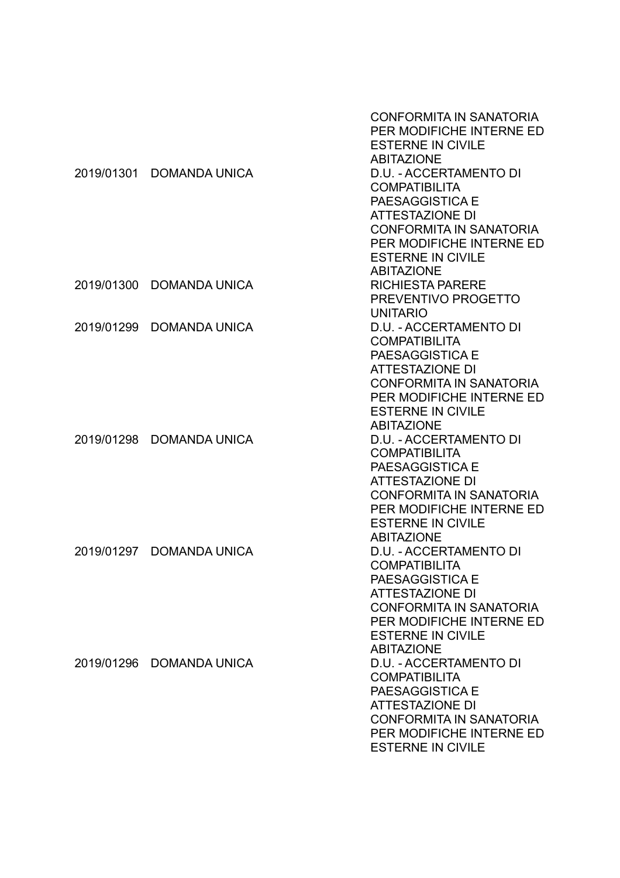|            |                          | <b>CONFORMITA IN SANATORIA</b><br>PER MODIFICHE INTERNE ED<br><b>ESTERNE IN CIVILE</b><br><b>ABITAZIONE</b> |
|------------|--------------------------|-------------------------------------------------------------------------------------------------------------|
|            | 2019/01301 DOMANDA UNICA | D.U. - ACCERTAMENTO DI                                                                                      |
|            |                          | <b>COMPATIBILITA</b>                                                                                        |
|            |                          | <b>PAESAGGISTICA E</b>                                                                                      |
|            |                          | <b>ATTESTAZIONE DI</b>                                                                                      |
|            |                          | <b>CONFORMITA IN SANATORIA</b>                                                                              |
|            |                          | PER MODIFICHE INTERNE ED                                                                                    |
|            |                          | <b>ESTERNE IN CIVILE</b>                                                                                    |
|            |                          | <b>ABITAZIONE</b>                                                                                           |
|            | 2019/01300 DOMANDA UNICA | <b>RICHIESTA PARERE</b><br>PREVENTIVO PROGETTO                                                              |
|            |                          | <b>UNITARIO</b>                                                                                             |
| 2019/01299 | <b>DOMANDA UNICA</b>     | D.U. - ACCERTAMENTO DI                                                                                      |
|            |                          | <b>COMPATIBILITA</b>                                                                                        |
|            |                          | PAESAGGISTICA E                                                                                             |
|            |                          | <b>ATTESTAZIONE DI</b>                                                                                      |
|            |                          | <b>CONFORMITA IN SANATORIA</b>                                                                              |
|            |                          | PER MODIFICHE INTERNE ED                                                                                    |
|            |                          | <b>ESTERNE IN CIVILE</b>                                                                                    |
|            |                          | <b>ABITAZIONE</b>                                                                                           |
|            | 2019/01298 DOMANDA UNICA | D.U. - ACCERTAMENTO DI                                                                                      |
|            |                          | <b>COMPATIBILITA</b><br>PAESAGGISTICA E                                                                     |
|            |                          | <b>ATTESTAZIONE DI</b>                                                                                      |
|            |                          | CONFORMITA IN SANATORIA                                                                                     |
|            |                          | PER MODIFICHE INTERNE ED                                                                                    |
|            |                          | <b>ESTERNE IN CIVILE</b>                                                                                    |
|            |                          | <b>ABITAZIONE</b>                                                                                           |
|            | 2019/01297 DOMANDA UNICA | D.U. - ACCERTAMENTO DI                                                                                      |
|            |                          | <b>COMPATIBILITA</b>                                                                                        |
|            |                          | PAESAGGISTICA E                                                                                             |
|            |                          | <b>ATTESTAZIONE DI</b>                                                                                      |
|            |                          | <b>CONFORMITA IN SANATORIA</b><br>PER MODIFICHE INTERNE ED                                                  |
|            |                          | <b>ESTERNE IN CIVILE</b>                                                                                    |
|            |                          | <b>ABITAZIONE</b>                                                                                           |
|            | 2019/01296 DOMANDA UNICA | <b>D.U. - ACCERTAMENTO DI</b>                                                                               |
|            |                          | <b>COMPATIBILITA</b>                                                                                        |
|            |                          | PAESAGGISTICA E                                                                                             |
|            |                          | <b>ATTESTAZIONE DI</b>                                                                                      |
|            |                          | <b>CONFORMITA IN SANATORIA</b>                                                                              |
|            |                          | PER MODIFICHE INTERNE ED                                                                                    |
|            |                          | <b>ESTERNE IN CIVILE</b>                                                                                    |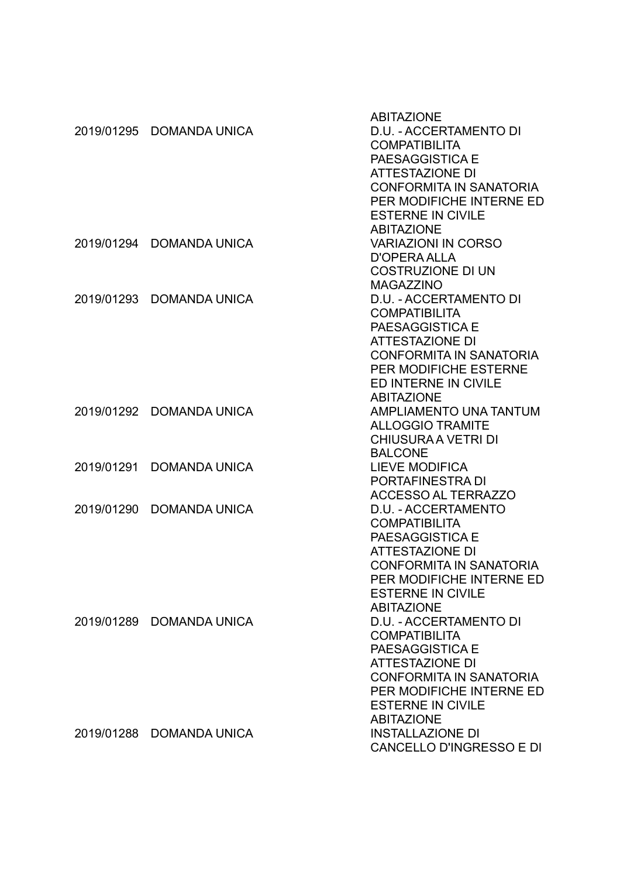|            |                          | <b>ABITAZIONE</b>               |
|------------|--------------------------|---------------------------------|
|            | 2019/01295 DOMANDA UNICA | D.U. - ACCERTAMENTO DI          |
|            |                          | <b>COMPATIBILITA</b>            |
|            |                          | PAESAGGISTICA E                 |
|            |                          | <b>ATTESTAZIONE DI</b>          |
|            |                          | <b>CONFORMITA IN SANATORIA</b>  |
|            |                          | PER MODIFICHE INTERNE ED        |
|            |                          | <b>ESTERNE IN CIVILE</b>        |
|            |                          | <b>ABITAZIONE</b>               |
|            | 2019/01294 DOMANDA UNICA | <b>VARIAZIONI IN CORSO</b>      |
|            |                          | <b>D'OPERA ALLA</b>             |
|            |                          | <b>COSTRUZIONE DI UN</b>        |
|            |                          | <b>MAGAZZINO</b>                |
|            | 2019/01293 DOMANDA UNICA | D.U. - ACCERTAMENTO DI          |
|            |                          | <b>COMPATIBILITA</b>            |
|            |                          | PAESAGGISTICA E                 |
|            |                          | <b>ATTESTAZIONE DI</b>          |
|            |                          | <b>CONFORMITA IN SANATORIA</b>  |
|            |                          | PER MODIFICHE ESTERNE           |
|            |                          | ED INTERNE IN CIVILE            |
|            |                          | <b>ABITAZIONE</b>               |
|            | 2019/01292 DOMANDA UNICA | AMPLIAMENTO UNA TANTUM          |
|            |                          | <b>ALLOGGIO TRAMITE</b>         |
|            |                          | <b>CHIUSURA A VETRI DI</b>      |
|            |                          | <b>BALCONE</b>                  |
| 2019/01291 | <b>DOMANDA UNICA</b>     | <b>LIEVE MODIFICA</b>           |
|            |                          | PORTAFINESTRA DI                |
|            |                          | <b>ACCESSO AL TERRAZZO</b>      |
| 2019/01290 | <b>DOMANDA UNICA</b>     | D.U. - ACCERTAMENTO             |
|            |                          | <b>COMPATIBILITA</b>            |
|            |                          | PAESAGGISTICA E                 |
|            |                          | <b>ATTESTAZIONE DI</b>          |
|            |                          | <b>CONFORMITA IN SANATORIA</b>  |
|            |                          | PER MODIFICHE INTERNE ED        |
|            |                          | <b>ESTERNE IN CIVILE</b>        |
|            |                          | <b>ABITAZIONE</b>               |
|            | 2019/01289 DOMANDA UNICA | D.U. - ACCERTAMENTO DI          |
|            |                          | <b>COMPATIBILITA</b>            |
|            |                          | PAESAGGISTICA E                 |
|            |                          | <b>ATTESTAZIONE DI</b>          |
|            |                          | CONFORMITA IN SANATORIA         |
|            |                          | PER MODIFICHE INTERNE ED        |
|            |                          | <b>ESTERNE IN CIVILE</b>        |
|            |                          | <b>ABITAZIONE</b>               |
|            | 2019/01288 DOMANDA UNICA | <b>INSTALLAZIONE DI</b>         |
|            |                          | <b>CANCELLO D'INGRESSO E DI</b> |
|            |                          |                                 |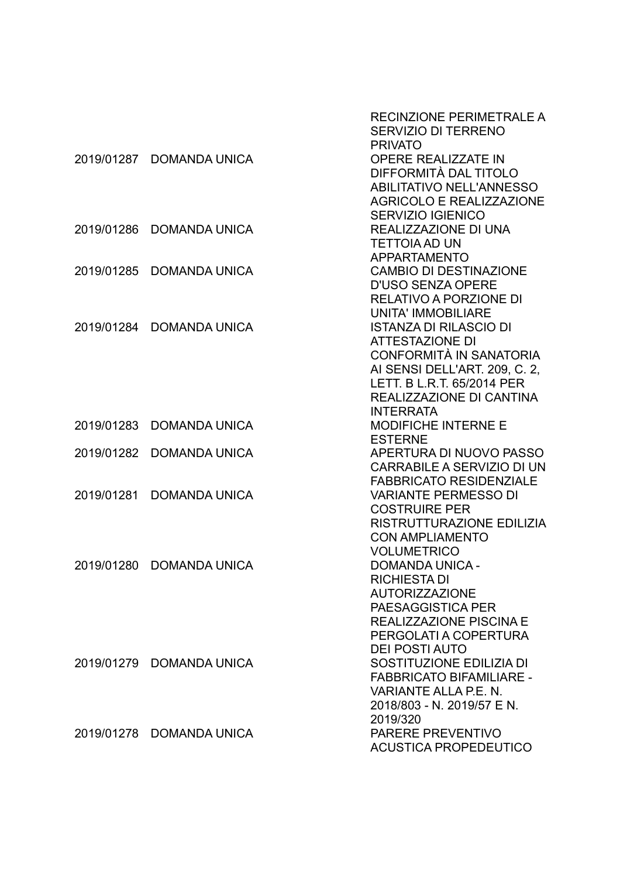|            |                          | RECINZIONE PERIMETRALE A<br>SERVIZIO DI TERRENO<br><b>PRIVATO</b> |
|------------|--------------------------|-------------------------------------------------------------------|
|            | 2019/01287 DOMANDA UNICA | <b>OPERE REALIZZATE IN</b>                                        |
|            |                          | DIFFORMITÀ DAL TITOLO                                             |
|            |                          | <b>ABILITATIVO NELL'ANNESSO</b>                                   |
|            |                          | <b>AGRICOLO E REALIZZAZIONE</b>                                   |
|            |                          | <b>SERVIZIO IGIENICO</b>                                          |
| 2019/01286 | <b>DOMANDA UNICA</b>     | REALIZZAZIONE DI UNA                                              |
|            |                          | <b>TETTOIA AD UN</b>                                              |
|            |                          | <b>APPARTAMENTO</b>                                               |
| 2019/01285 | <b>DOMANDA UNICA</b>     | <b>CAMBIO DI DESTINAZIONE</b>                                     |
|            |                          |                                                                   |
|            |                          | <b>D'USO SENZA OPERE</b>                                          |
|            |                          | <b>RELATIVO A PORZIONE DI</b>                                     |
|            |                          | <b>UNITA' IMMOBILIARE</b>                                         |
| 2019/01284 | <b>DOMANDA UNICA</b>     | <b>ISTANZA DI RILASCIO DI</b>                                     |
|            |                          | <b>ATTESTAZIONE DI</b>                                            |
|            |                          | CONFORMITÀ IN SANATORIA                                           |
|            |                          | AI SENSI DELL'ART. 209, C. 2,                                     |
|            |                          | LETT. B L.R.T. 65/2014 PER                                        |
|            |                          | REALIZZAZIONE DI CANTINA                                          |
|            |                          | <b>INTERRATA</b>                                                  |
| 2019/01283 | <b>DOMANDA UNICA</b>     | <b>MODIFICHE INTERNE E</b>                                        |
|            |                          | <b>ESTERNE</b>                                                    |
| 2019/01282 | <b>DOMANDA UNICA</b>     | APERTURA DI NUOVO PASSO                                           |
|            |                          | CARRABILE A SERVIZIO DI UN                                        |
|            |                          | <b>FABBRICATO RESIDENZIALE</b>                                    |
| 2019/01281 | <b>DOMANDA UNICA</b>     | <b>VARIANTE PERMESSO DI</b>                                       |
|            |                          | <b>COSTRUIRE PER</b>                                              |
|            |                          | RISTRUTTURAZIONE EDILIZIA                                         |
|            |                          | <b>CON AMPLIAMENTO</b><br><b>VOLUMETRICO</b>                      |
| 2019/01280 | <b>DOMANDA UNICA</b>     | <b>DOMANDA UNICA -</b>                                            |
|            |                          | <b>RICHIESTA DI</b>                                               |
|            |                          | <b>AUTORIZZAZIONE</b>                                             |
|            |                          | PAESAGGISTICA PER                                                 |
|            |                          | REALIZZAZIONE PISCINA E                                           |
|            |                          | PERGOLATI A COPERTURA                                             |
|            |                          | <b>DEI POSTI AUTO</b>                                             |
|            |                          |                                                                   |
|            | 2019/01279 DOMANDA UNICA | SOSTITUZIONE EDILIZIA DI<br><b>FABBRICATO BIFAMILIARE -</b>       |
|            |                          |                                                                   |
|            |                          | VARIANTE ALLA P.E. N.                                             |
|            |                          | 2018/803 - N. 2019/57 E N.                                        |
|            |                          | 2019/320                                                          |
|            | 2019/01278 DOMANDA UNICA | PARERE PREVENTIVO                                                 |
|            |                          | <b>ACUSTICA PROPEDEUTICO</b>                                      |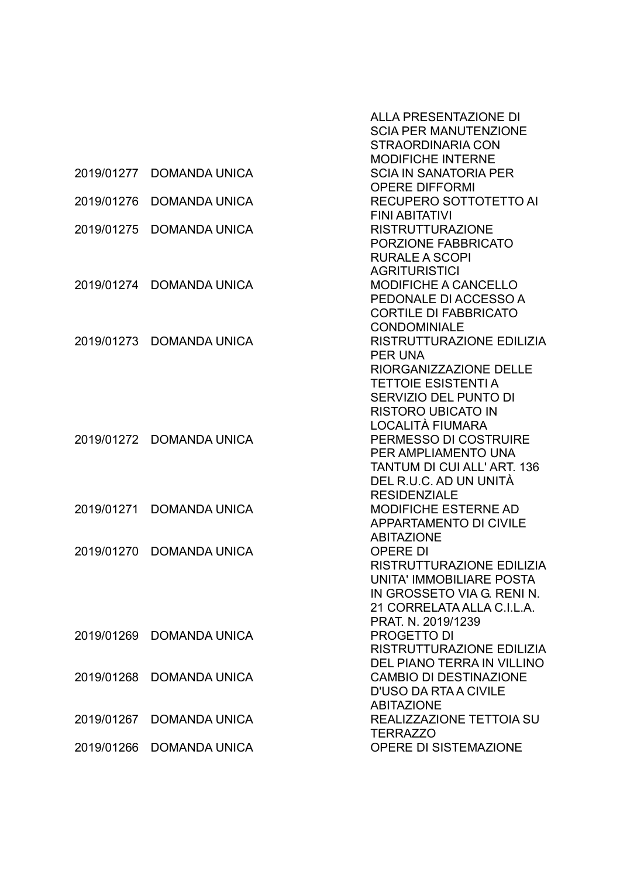|            |                      | <b>ALLA PRESENTAZIONE DI</b><br><b>SCIA PER MANUTENZIONE</b> |
|------------|----------------------|--------------------------------------------------------------|
|            |                      | <b>STRAORDINARIA CON</b>                                     |
|            |                      | <b>MODIFICHE INTERNE</b>                                     |
| 2019/01277 | <b>DOMANDA UNICA</b> | <b>SCIA IN SANATORIA PER</b>                                 |
|            |                      | <b>OPERE DIFFORMI</b>                                        |
| 2019/01276 | <b>DOMANDA UNICA</b> | RECUPERO SOTTOTETTO AI                                       |
|            |                      | <b>FINI ABITATIVI</b>                                        |
| 2019/01275 | <b>DOMANDA UNICA</b> | <b>RISTRUTTURAZIONE</b><br>PORZIONE FABBRICATO               |
|            |                      | <b>RURALE A SCOPI</b>                                        |
|            |                      | <b>AGRITURISTICI</b>                                         |
| 2019/01274 | <b>DOMANDA UNICA</b> | <b>MODIFICHE A CANCELLO</b>                                  |
|            |                      | PEDONALE DI ACCESSO A                                        |
|            |                      | <b>CORTILE DI FABBRICATO</b>                                 |
|            |                      | <b>CONDOMINIALE</b>                                          |
| 2019/01273 | <b>DOMANDA UNICA</b> | RISTRUTTURAZIONE EDILIZIA                                    |
|            |                      | <b>PER UNA</b>                                               |
|            |                      | RIORGANIZZAZIONE DELLE                                       |
|            |                      | <b>TETTOIE ESISTENTI A</b>                                   |
|            |                      | SERVIZIO DEL PUNTO DI                                        |
|            |                      | <b>RISTORO UBICATO IN</b>                                    |
| 2019/01272 | <b>DOMANDA UNICA</b> | LOCALITÀ FIUMARA<br>PERMESSO DI COSTRUIRE                    |
|            |                      | PER AMPLIAMENTO UNA                                          |
|            |                      | <b>TANTUM DI CUI ALL' ART. 136</b>                           |
|            |                      | DEL R.U.C. AD UN UNITÀ                                       |
|            |                      | <b>RESIDENZIALE</b>                                          |
| 2019/01271 | <b>DOMANDA UNICA</b> | <b>MODIFICHE ESTERNE AD</b>                                  |
|            |                      | <b>APPARTAMENTO DI CIVILE</b>                                |
|            |                      | <b>ABITAZIONE</b>                                            |
| 2019/01270 | <b>DOMANDA UNICA</b> | <b>OPERE DI</b>                                              |
|            |                      | RISTRUTTURAZIONE EDILIZIA                                    |
|            |                      | UNITA' IMMOBILIARE POSTA<br>IN GROSSETO VIA G. RENI N.       |
|            |                      | 21 CORRELATA ALLA C.I.L.A.                                   |
|            |                      | PRAT. N. 2019/1239                                           |
| 2019/01269 | <b>DOMANDA UNICA</b> | <b>PROGETTO DI</b>                                           |
|            |                      | RISTRUTTURAZIONE EDILIZIA                                    |
|            |                      | DEL PIANO TERRA IN VILLINO                                   |
| 2019/01268 | <b>DOMANDA UNICA</b> | <b>CAMBIO DI DESTINAZIONE</b>                                |
|            |                      | <b>D'USO DA RTA A CIVILE</b>                                 |
|            |                      | <b>ABITAZIONE</b>                                            |
| 2019/01267 | <b>DOMANDA UNICA</b> | REALIZZAZIONE TETTOIA SU                                     |
|            |                      | <b>TERRAZZO</b>                                              |
| 2019/01266 | <b>DOMANDA UNICA</b> | OPERE DI SISTEMAZIONE                                        |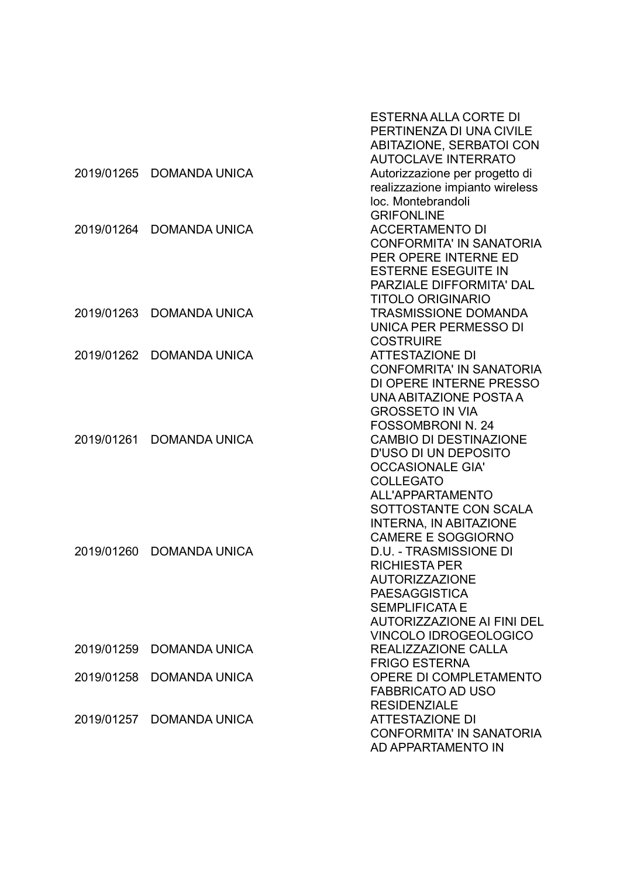|            |                          | <b>ESTERNA ALLA CORTE DI</b>                               |
|------------|--------------------------|------------------------------------------------------------|
|            |                          | PERTINENZA DI UNA CIVILE                                   |
|            |                          | ABITAZIONE, SERBATOI CON                                   |
|            |                          | <b>AUTOCLAVE INTERRATO</b>                                 |
| 2019/01265 | <b>DOMANDA UNICA</b>     | Autorizzazione per progetto di                             |
|            |                          | realizzazione impianto wireless                            |
|            |                          | loc. Montebrandoli                                         |
|            |                          | <b>GRIFONLINE</b>                                          |
| 2019/01264 | <b>DOMANDA UNICA</b>     | <b>ACCERTAMENTO DI</b>                                     |
|            |                          | <b>CONFORMITA' IN SANATORIA</b>                            |
|            |                          | PER OPERE INTERNE ED                                       |
|            |                          | <b>ESTERNE ESEGUITE IN</b>                                 |
|            |                          | PARZIALE DIFFORMITA' DAL                                   |
|            |                          | <b>TITOLO ORIGINARIO</b>                                   |
| 2019/01263 | <b>DOMANDA UNICA</b>     | <b>TRASMISSIONE DOMANDA</b>                                |
|            |                          | UNICA PER PERMESSO DI                                      |
|            |                          | <b>COSTRUIRE</b>                                           |
| 2019/01262 | <b>DOMANDA UNICA</b>     | <b>ATTESTAZIONE DI</b>                                     |
|            |                          | <b>CONFOMRITA' IN SANATORIA</b>                            |
|            |                          | DI OPERE INTERNE PRESSO                                    |
|            |                          | UNA ABITAZIONE POSTA A                                     |
|            |                          | <b>GROSSETO IN VIA</b>                                     |
|            |                          | <b>FOSSOMBRONI N. 24</b>                                   |
| 2019/01261 | <b>DOMANDA UNICA</b>     | <b>CAMBIO DI DESTINAZIONE</b>                              |
|            |                          | D'USO DI UN DEPOSITO                                       |
|            |                          | <b>OCCASIONALE GIA'</b>                                    |
|            |                          | <b>COLLEGATO</b>                                           |
|            |                          | <b>ALL'APPARTAMENTO</b>                                    |
|            |                          | SOTTOSTANTE CON SCALA                                      |
|            |                          | <b>INTERNA, IN ABITAZIONE</b>                              |
|            | <b>DOMANDA UNICA</b>     | <b>CAMERE E SOGGIORNO</b><br><b>D.U. - TRASMISSIONE DI</b> |
| 2019/01260 |                          | <b>RICHIESTA PER</b>                                       |
|            |                          | <b>AUTORIZZAZIONE</b>                                      |
|            |                          | <b>PAESAGGISTICA</b>                                       |
|            |                          | <b>SEMPLIFICATA E</b>                                      |
|            |                          | <b>AUTORIZZAZIONE AI FINI DEL</b>                          |
|            |                          | <b>VINCOLO IDROGEOLOGICO</b>                               |
| 2019/01259 | <b>DOMANDA UNICA</b>     | REALIZZAZIONE CALLA                                        |
|            |                          | <b>FRIGO ESTERNA</b>                                       |
| 2019/01258 | <b>DOMANDA UNICA</b>     | OPERE DI COMPLETAMENTO                                     |
|            |                          | <b>FABBRICATO AD USO</b>                                   |
|            |                          |                                                            |
|            |                          | <b>RESIDENZIALE</b><br><b>ATTESTAZIONE DI</b>              |
|            | 2019/01257 DOMANDA UNICA | <b>CONFORMITA' IN SANATORIA</b>                            |
|            |                          | AD APPARTAMENTO IN                                         |
|            |                          |                                                            |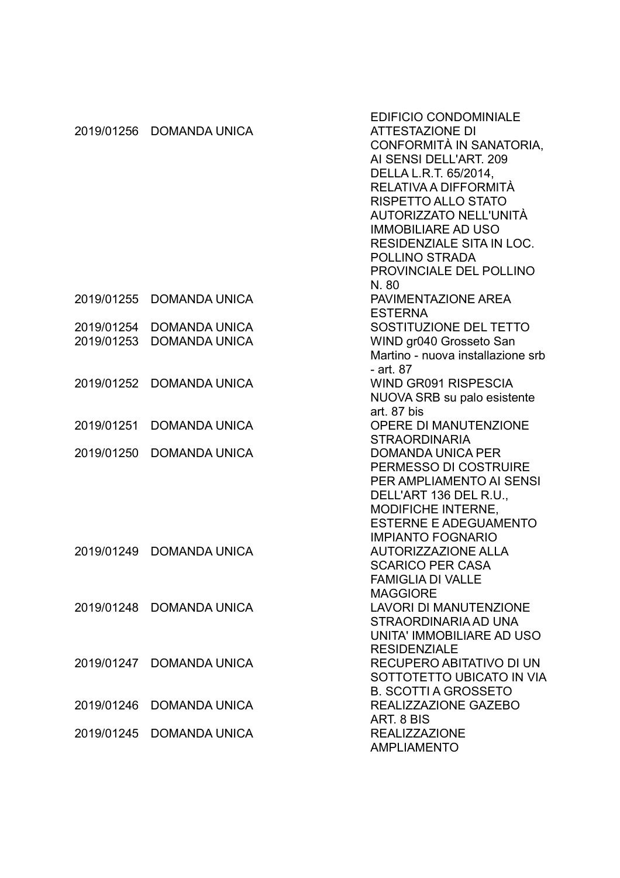|            |                          | <b>EDIFICIO CONDOMINIALE</b>      |
|------------|--------------------------|-----------------------------------|
| 2019/01256 | <b>DOMANDA UNICA</b>     | <b>ATTESTAZIONE DI</b>            |
|            |                          | CONFORMITÀ IN SANATORIA,          |
|            |                          | AI SENSI DELL'ART. 209            |
|            |                          | DELLA L.R.T. 65/2014,             |
|            |                          | RELATIVA A DIFFORMITÀ             |
|            |                          | RISPETTO ALLO STATO               |
|            |                          | AUTORIZZATO NELL'UNITÀ            |
|            |                          | <b>IMMOBILIARE AD USO</b>         |
|            |                          | RESIDENZIALE SITA IN LOC.         |
|            |                          | POLLINO STRADA                    |
|            |                          | PROVINCIALE DEL POLLINO           |
|            |                          | N.80                              |
|            | 2019/01255 DOMANDA UNICA | PAVIMENTAZIONE AREA               |
|            |                          |                                   |
|            |                          | <b>ESTERNA</b>                    |
| 2019/01254 | <b>DOMANDA UNICA</b>     | SOSTITUZIONE DEL TETTO            |
| 2019/01253 | <b>DOMANDA UNICA</b>     | WIND gr040 Grosseto San           |
|            |                          | Martino - nuova installazione srb |
|            |                          | - art. 87                         |
| 2019/01252 | <b>DOMANDA UNICA</b>     | <b>WIND GR091 RISPESCIA</b>       |
|            |                          | NUOVA SRB su palo esistente       |
|            |                          | art. 87 bis                       |
| 2019/01251 | <b>DOMANDA UNICA</b>     | OPERE DI MANUTENZIONE             |
|            |                          | <b>STRAORDINARIA</b>              |
| 2019/01250 | <b>DOMANDA UNICA</b>     | <b>DOMANDA UNICA PER</b>          |
|            |                          | PERMESSO DI COSTRUIRE             |
|            |                          | PER AMPLIAMENTO AI SENSI          |
|            |                          | DELL'ART 136 DEL R.U.,            |
|            |                          | MODIFICHE INTERNE,                |
|            |                          | <b>ESTERNE E ADEGUAMENTO</b>      |
|            |                          | <b>IMPIANTO FOGNARIO</b>          |
| 2019/01249 | <b>DOMANDA UNICA</b>     | <b>AUTORIZZAZIONE ALLA</b>        |
|            |                          | <b>SCARICO PER CASA</b>           |
|            |                          | <b>FAMIGLIA DI VALLE</b>          |
|            |                          | <b>MAGGIORE</b>                   |
|            | 2019/01248 DOMANDA UNICA | <b>LAVORI DI MANUTENZIONE</b>     |
|            |                          | STRAORDINARIA AD UNA              |
|            |                          | UNITA' IMMOBILIARE AD USO         |
|            |                          | <b>RESIDENZIALE</b>               |
|            | 2019/01247 DOMANDA UNICA | RECUPERO ABITATIVO DI UN          |
|            |                          | SOTTOTETTO UBICATO IN VIA         |
|            |                          | <b>B. SCOTTI A GROSSETO</b>       |
| 2019/01246 | <b>DOMANDA UNICA</b>     | REALIZZAZIONE GAZEBO              |
|            |                          | ART. 8 BIS                        |
| 2019/01245 | <b>DOMANDA UNICA</b>     | <b>REALIZZAZIONE</b>              |
|            |                          | <b>AMPLIAMENTO</b>                |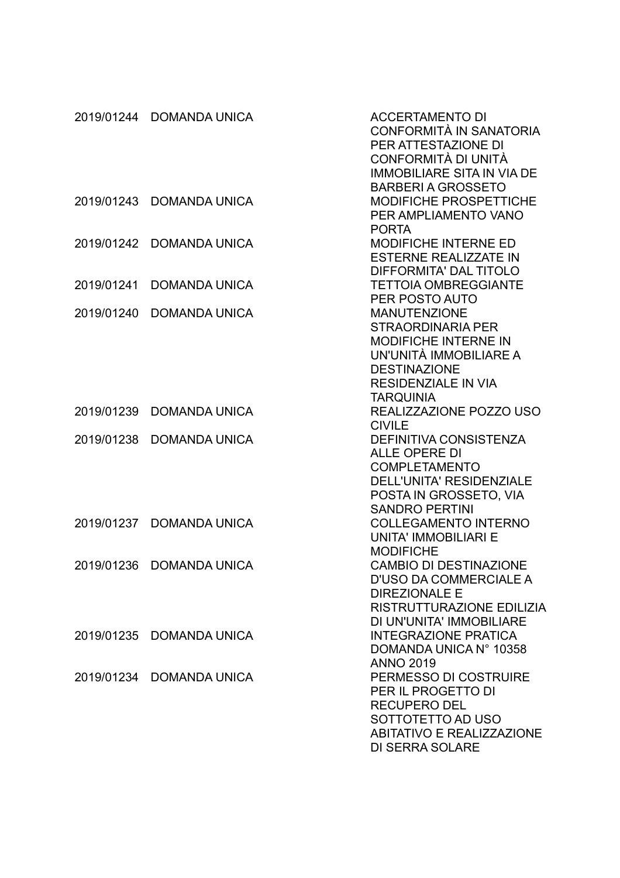|            | 2019/01244 DOMANDA UNICA | <b>ACCERTAMENTO DI</b><br>CONFORMITÀ IN SANATORIA<br>PER ATTESTAZIONE DI<br>CONFORMITÀ DI UNITÀ<br><b>IMMOBILIARE SITA IN VIA DE</b>                                              |
|------------|--------------------------|-----------------------------------------------------------------------------------------------------------------------------------------------------------------------------------|
| 2019/01243 | <b>DOMANDA UNICA</b>     | <b>BARBERIA GROSSETO</b><br><b>MODIFICHE PROSPETTICHE</b><br>PER AMPLIAMENTO VANO                                                                                                 |
| 2019/01242 | <b>DOMANDA UNICA</b>     | <b>PORTA</b><br>MODIFICHE INTERNE ED<br><b>ESTERNE REALIZZATE IN</b><br>DIFFORMITA' DAL TITOLO                                                                                    |
| 2019/01241 | <b>DOMANDA UNICA</b>     | <b>TETTOIA OMBREGGIANTE</b><br>PER POSTO AUTO                                                                                                                                     |
| 2019/01240 | <b>DOMANDA UNICA</b>     | <b>MANUTENZIONE</b><br><b>STRAORDINARIA PER</b><br><b>MODIFICHE INTERNE IN</b><br>UN'UNITÀ IMMOBILIARE A<br><b>DESTINAZIONE</b><br><b>RESIDENZIALE IN VIA</b><br><b>TARQUINIA</b> |
| 2019/01239 | <b>DOMANDA UNICA</b>     | REALIZZAZIONE POZZO USO<br><b>CIVILE</b>                                                                                                                                          |
| 2019/01238 | <b>DOMANDA UNICA</b>     | <b>DEFINITIVA CONSISTENZA</b><br><b>ALLE OPERE DI</b><br><b>COMPLETAMENTO</b><br><b>DELL'UNITA' RESIDENZIALE</b><br>POSTA IN GROSSETO, VIA<br><b>SANDRO PERTINI</b>               |
| 2019/01237 | <b>DOMANDA UNICA</b>     | <b>COLLEGAMENTO INTERNO</b><br><b>UNITA' IMMOBILIARI E</b><br><b>MODIFICHE</b>                                                                                                    |
| 2019/01236 | <b>DOMANDA UNICA</b>     | <b>CAMBIO DI DESTINAZIONE</b><br><b>D'USO DA COMMERCIALE A</b><br><b>DIREZIONALE E</b><br>RISTRUTTURAZIONE EDILIZIA<br>DI UN'UNITA' IMMOBILIARE                                   |
| 2019/01235 | <b>DOMANDA UNICA</b>     | <b>INTEGRAZIONE PRATICA</b><br>DOMANDA UNICA N° 10358<br><b>ANNO 2019</b>                                                                                                         |
|            | 2019/01234 DOMANDA UNICA | PERMESSO DI COSTRUIRE<br>PER IL PROGETTO DI<br><b>RECUPERO DEL</b><br>SOTTOTETTO AD USO<br><b>ABITATIVO E REALIZZAZIONE</b><br><b>DI SERRA SOLARE</b>                             |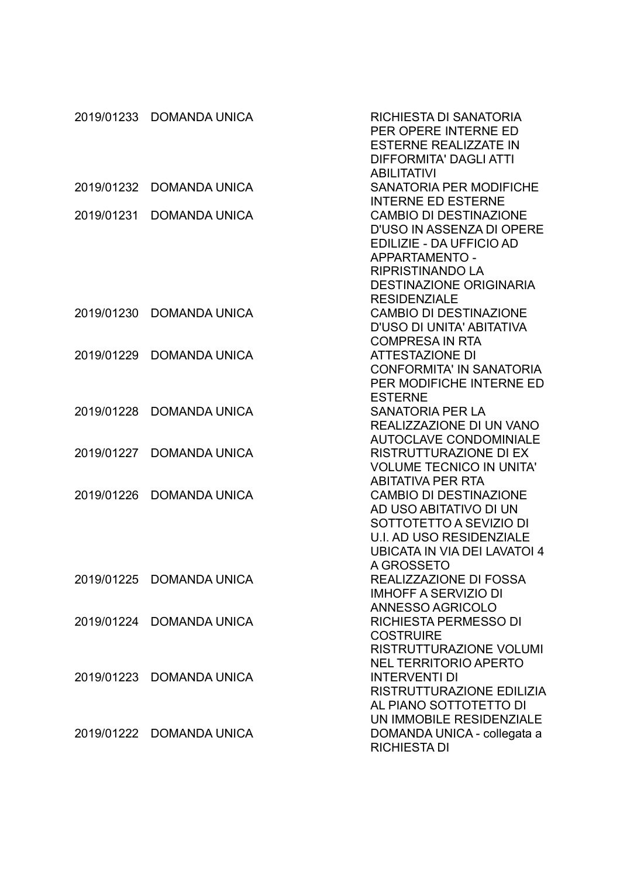|            | 2019/01233 DOMANDA UNICA | RICHIESTA DI SANATORIA<br>PER OPERE INTERNE ED<br><b>ESTERNE REALIZZATE IN</b><br><b>DIFFORMITA' DAGLI ATTI</b>                                                                              |
|------------|--------------------------|----------------------------------------------------------------------------------------------------------------------------------------------------------------------------------------------|
| 2019/01232 | <b>DOMANDA UNICA</b>     | <b>ABILITATIVI</b><br><b>SANATORIA PER MODIFICHE</b><br><b>INTERNE ED ESTERNE</b>                                                                                                            |
| 2019/01231 | <b>DOMANDA UNICA</b>     | <b>CAMBIO DI DESTINAZIONE</b><br>D'USO IN ASSENZA DI OPERE<br>EDILIZIE - DA UFFICIO AD<br>APPARTAMENTO -<br><b>RIPRISTINANDO LA</b><br><b>DESTINAZIONE ORIGINARIA</b><br><b>RESIDENZIALE</b> |
| 2019/01230 | <b>DOMANDA UNICA</b>     | <b>CAMBIO DI DESTINAZIONE</b><br>D'USO DI UNITA' ABITATIVA<br><b>COMPRESA IN RTA</b>                                                                                                         |
| 2019/01229 | <b>DOMANDA UNICA</b>     | <b>ATTESTAZIONE DI</b><br><b>CONFORMITA' IN SANATORIA</b><br>PER MODIFICHE INTERNE ED<br><b>ESTERNE</b>                                                                                      |
| 2019/01228 | <b>DOMANDA UNICA</b>     | <b>SANATORIA PER LA</b><br>REALIZZAZIONE DI UN VANO<br><b>AUTOCLAVE CONDOMINIALE</b>                                                                                                         |
| 2019/01227 | <b>DOMANDA UNICA</b>     | <b>RISTRUTTURAZIONE DI EX</b><br><b>VOLUME TECNICO IN UNITA'</b><br><b>ABITATIVA PER RTA</b>                                                                                                 |
| 2019/01226 | <b>DOMANDA UNICA</b>     | <b>CAMBIO DI DESTINAZIONE</b><br>AD USO ABITATIVO DI UN<br>SOTTOTETTO A SEVIZIO DI<br><b>U.I. AD USO RESIDENZIALE</b><br>UBICATA IN VIA DEI LAVATOI 4                                        |
|            | 2019/01225 DOMANDA UNICA | A GROSSETO<br>REALIZZAZIONE DI FOSSA<br><b>IMHOFF A SERVIZIO DI</b>                                                                                                                          |
|            | 2019/01224 DOMANDA UNICA | ANNESSO AGRICOLO<br>RICHIESTA PERMESSO DI<br><b>COSTRUIRE</b><br><b>RISTRUTTURAZIONE VOLUMI</b>                                                                                              |
| 2019/01223 | <b>DOMANDA UNICA</b>     | <b>NEL TERRITORIO APERTO</b><br><b>INTERVENTI DI</b><br>RISTRUTTURAZIONE EDILIZIA<br>AL PIANO SOTTOTETTO DI<br>UN IMMOBILE RESIDENZIALE                                                      |
|            | 2019/01222 DOMANDA UNICA | DOMANDA UNICA - collegata a<br><b>RICHIESTA DI</b>                                                                                                                                           |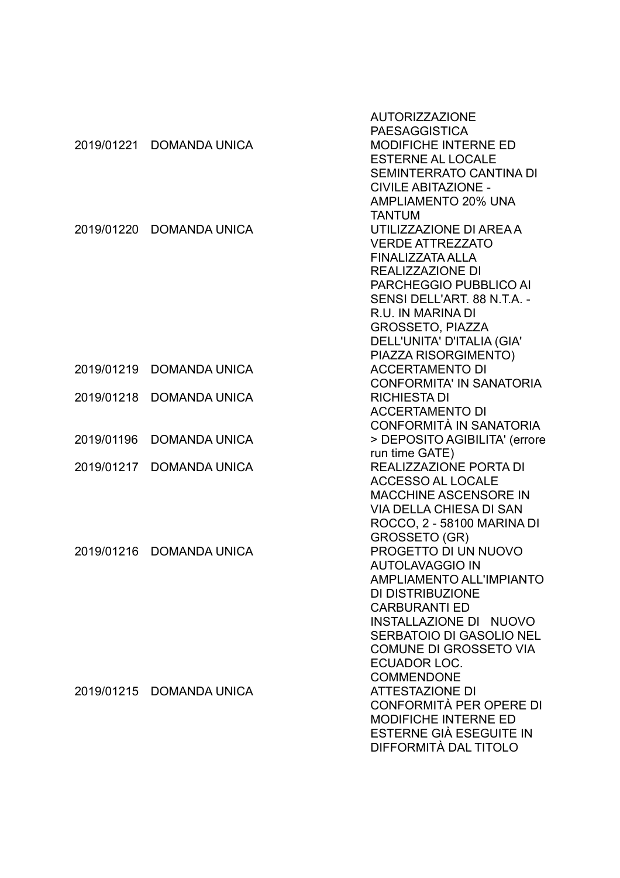|            |                          | <b>AUTORIZZAZIONE</b>           |
|------------|--------------------------|---------------------------------|
|            |                          | <b>PAESAGGISTICA</b>            |
|            | 2019/01221 DOMANDA UNICA | <b>MODIFICHE INTERNE ED</b>     |
|            |                          | <b>ESTERNE AL LOCALE</b>        |
|            |                          | SEMINTERRATO CANTINA DI         |
|            |                          | <b>CIVILE ABITAZIONE -</b>      |
|            |                          | AMPLIAMENTO 20% UNA             |
|            |                          | <b>TANTUM</b>                   |
|            | 2019/01220 DOMANDA UNICA | UTILIZZAZIONE DI AREA A         |
|            |                          | <b>VERDE ATTREZZATO</b>         |
|            |                          | <b>FINALIZZATA ALLA</b>         |
|            |                          | REALIZZAZIONE DI                |
|            |                          | PARCHEGGIO PUBBLICO AI          |
|            |                          | SENSI DELL'ART. 88 N.T.A. -     |
|            |                          | R.U. IN MARINA DI               |
|            |                          | <b>GROSSETO, PIAZZA</b>         |
|            |                          | DELL'UNITA' D'ITALIA (GIA'      |
|            |                          | PIAZZA RISORGIMENTO)            |
| 2019/01219 | <b>DOMANDA UNICA</b>     | <b>ACCERTAMENTO DI</b>          |
|            |                          | <b>CONFORMITA' IN SANATORIA</b> |
| 2019/01218 | <b>DOMANDA UNICA</b>     | <b>RICHIESTA DI</b>             |
|            |                          | <b>ACCERTAMENTO DI</b>          |
|            |                          | <b>CONFORMITÀ IN SANATORIA</b>  |
|            |                          |                                 |
| 2019/01196 | <b>DOMANDA UNICA</b>     | > DEPOSITO AGIBILITA' (errore   |
|            |                          | run time GATE)                  |
| 2019/01217 | <b>DOMANDA UNICA</b>     | REALIZZAZIONE PORTA DI          |
|            |                          | <b>ACCESSO AL LOCALE</b>        |
|            |                          | <b>MACCHINE ASCENSORE IN</b>    |
|            |                          | <b>VIA DELLA CHIESA DI SAN</b>  |
|            |                          | ROCCO, 2 - 58100 MARINA DI      |
|            |                          | <b>GROSSETO (GR)</b>            |
|            | 2019/01216 DOMANDA UNICA | PROGETTO DI UN NUOVO            |
|            |                          | <b>AUTOLAVAGGIO IN</b>          |
|            |                          | AMPLIAMENTO ALL'IMPIANTO        |
|            |                          | DI DISTRIBUZIONE                |
|            |                          | <b>CARBURANTI ED</b>            |
|            |                          | INSTALLAZIONE DI NUOVO          |
|            |                          | SERBATOIO DI GASOLIO NEL        |
|            |                          | <b>COMUNE DI GROSSETO VIA</b>   |
|            |                          | ECUADOR LOC.                    |
|            |                          | <b>COMMENDONE</b>               |
|            | 2019/01215 DOMANDA UNICA | <b>ATTESTAZIONE DI</b>          |
|            |                          | CONFORMITÀ PER OPERE DI         |
|            |                          | <b>MODIFICHE INTERNE ED</b>     |
|            |                          | ESTERNE GIÀ ESEGUITE IN         |
|            |                          | DIFFORMITÀ DAL TITOLO           |
|            |                          |                                 |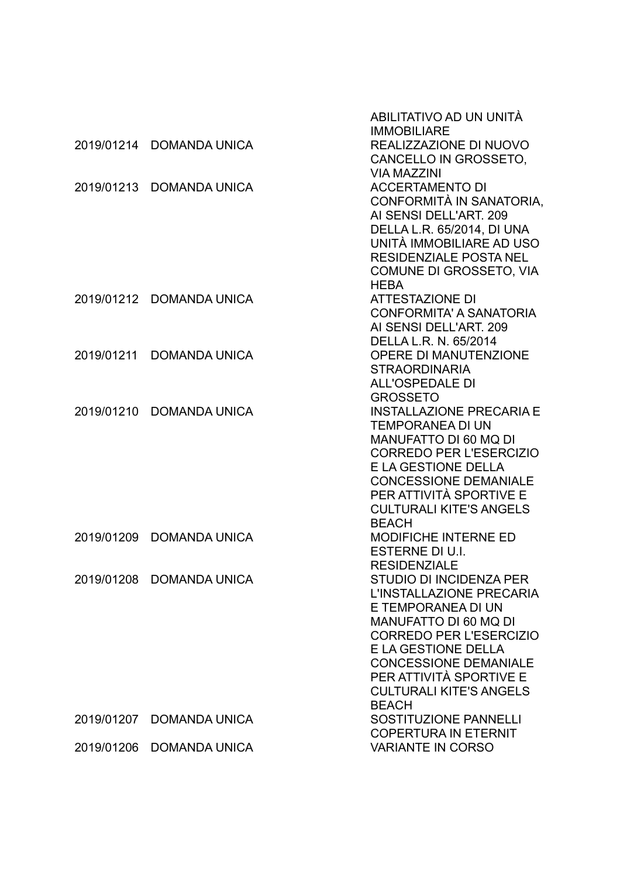|            |                          | ABILITATIVO AD UN UNITÀ                                                                                                                                                                                                                                                         |
|------------|--------------------------|---------------------------------------------------------------------------------------------------------------------------------------------------------------------------------------------------------------------------------------------------------------------------------|
| 2019/01214 | <b>DOMANDA UNICA</b>     | <b>IMMOBILIARE</b><br>REALIZZAZIONE DI NUOVO<br>CANCELLO IN GROSSETO,                                                                                                                                                                                                           |
| 2019/01213 | <b>DOMANDA UNICA</b>     | <b>VIA MAZZINI</b><br><b>ACCERTAMENTO DI</b><br>CONFORMITÀ IN SANATORIA,<br>AI SENSI DELL'ART. 209<br>DELLA L.R. 65/2014, DI UNA                                                                                                                                                |
|            |                          | UNITÀ IMMOBILIARE AD USO<br><b>RESIDENZIALE POSTA NEL</b><br>COMUNE DI GROSSETO, VIA<br><b>HEBA</b>                                                                                                                                                                             |
|            | 2019/01212 DOMANDA UNICA | <b>ATTESTAZIONE DI</b><br><b>CONFORMITA' A SANATORIA</b><br>AI SENSI DELL'ART. 209<br>DELLA L.R. N. 65/2014                                                                                                                                                                     |
| 2019/01211 | <b>DOMANDA UNICA</b>     | <b>OPERE DI MANUTENZIONE</b><br><b>STRAORDINARIA</b><br><b>ALL'OSPEDALE DI</b><br><b>GROSSETO</b>                                                                                                                                                                               |
| 2019/01210 | <b>DOMANDA UNICA</b>     | <b>INSTALLAZIONE PRECARIA E</b><br><b>TEMPORANEA DI UN</b><br>MANUFATTO DI 60 MQ DI<br><b>CORREDO PER L'ESERCIZIO</b><br><b>E LA GESTIONE DELLA</b><br><b>CONCESSIONE DEMANIALE</b><br>PER ATTIVITÀ SPORTIVE E<br><b>CULTURALI KITE'S ANGELS</b><br><b>BEACH</b>                |
| 2019/01209 | <b>DOMANDA UNICA</b>     | <b>MODIFICHE INTERNE ED</b><br>ESTERNE DI U.I.<br><b>RESIDENZIALE</b>                                                                                                                                                                                                           |
| 2019/01208 | <b>DOMANDA UNICA</b>     | <b>STUDIO DI INCIDENZA PER</b><br>L'INSTALLAZIONE PRECARIA<br>E TEMPORANEA DI UN<br>MANUFATTO DI 60 MQ DI<br><b>CORREDO PER L'ESERCIZIO</b><br>E LA GESTIONE DELLA<br><b>CONCESSIONE DEMANIALE</b><br>PER ATTIVITÀ SPORTIVE E<br><b>CULTURALI KITE'S ANGELS</b><br><b>BEACH</b> |
| 2019/01207 | <b>DOMANDA UNICA</b>     | <b>SOSTITUZIONE PANNELLI</b><br><b>COPERTURA IN ETERNIT</b>                                                                                                                                                                                                                     |
| 2019/01206 | <b>DOMANDA UNICA</b>     | <b>VARIANTE IN CORSO</b>                                                                                                                                                                                                                                                        |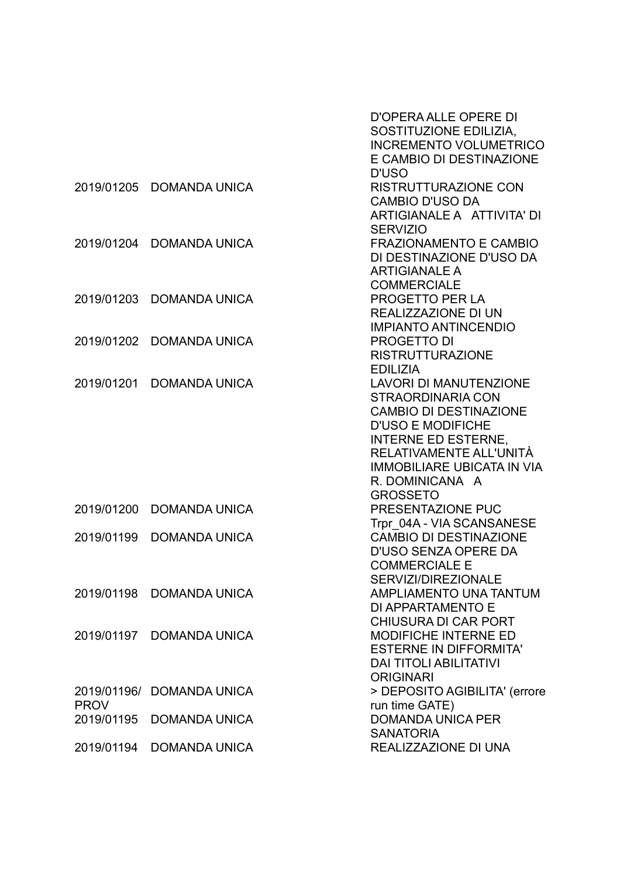|             |                           | <b>D'OPERA ALLE OPERE DI</b>      |
|-------------|---------------------------|-----------------------------------|
|             |                           | SOSTITUZIONE EDILIZIA,            |
|             |                           | <b>INCREMENTO VOLUMETRICO</b>     |
|             |                           | E CAMBIO DI DESTINAZIONE          |
|             |                           | <b>D'USO</b>                      |
| 2019/01205  | <b>DOMANDA UNICA</b>      | <b>RISTRUTTURAZIONE CON</b>       |
|             |                           | <b>CAMBIO D'USO DA</b>            |
|             |                           | ARTIGIANALE A ATTIVITA' DI        |
|             |                           | <b>SERVIZIO</b>                   |
| 2019/01204  | <b>DOMANDA UNICA</b>      | <b>FRAZIONAMENTO E CAMBIO</b>     |
|             |                           | DI DESTINAZIONE D'USO DA          |
|             |                           | <b>ARTIGIANALE A</b>              |
|             |                           | <b>COMMERCIALE</b>                |
| 2019/01203  | <b>DOMANDA UNICA</b>      | PROGETTO PER LA                   |
|             |                           | <b>REALIZZAZIONE DI UN</b>        |
|             |                           | <b>IMPIANTO ANTINCENDIO</b>       |
| 2019/01202  | <b>DOMANDA UNICA</b>      | <b>PROGETTO DI</b>                |
|             |                           | <b>RISTRUTTURAZIONE</b>           |
|             |                           | <b>EDILIZIA</b>                   |
| 2019/01201  | <b>DOMANDA UNICA</b>      | <b>LAVORI DI MANUTENZIONE</b>     |
|             |                           | <b>STRAORDINARIA CON</b>          |
|             |                           | <b>CAMBIO DI DESTINAZIONE</b>     |
|             |                           | <b>D'USO E MODIFICHE</b>          |
|             |                           | <b>INTERNE ED ESTERNE,</b>        |
|             |                           | RELATIVAMENTE ALL'UNITÀ           |
|             |                           | <b>IMMOBILIARE UBICATA IN VIA</b> |
|             |                           | R. DOMINICANA A                   |
|             |                           | <b>GROSSETO</b>                   |
| 2019/01200  | <b>DOMANDA UNICA</b>      | PRESENTAZIONE PUC                 |
|             |                           | Trpr 04A - VIA SCANSANESE         |
| 2019/01199  | <b>DOMANDA UNICA</b>      | <b>CAMBIO DI DESTINAZIONE</b>     |
|             |                           | D'USO SENZA OPERE DA              |
|             |                           | <b>COMMERCIALE E</b>              |
|             |                           | SERVIZI/DIREZIONALE               |
| 2019/01198  | <b>DOMANDA UNICA</b>      | <b>AMPLIAMENTO UNA TANTUM</b>     |
|             |                           | DI APPARTAMENTO E                 |
|             |                           | <b>CHIUSURA DI CAR PORT</b>       |
| 2019/01197  | DOMANDA UNICA             | <b>MODIFICHE INTERNE ED</b>       |
|             |                           | <b>ESTERNE IN DIFFORMITA'</b>     |
|             |                           | <b>DAI TITOLI ABILITATIVI</b>     |
|             |                           | <b>ORIGINARI</b>                  |
|             | 2019/01196/ DOMANDA UNICA | > DEPOSITO AGIBILITA' (errore     |
| <b>PROV</b> |                           | run time GATE)                    |
| 2019/01195  | <b>DOMANDA UNICA</b>      | <b>DOMANDA UNICA PER</b>          |
|             |                           | <b>SANATORIA</b>                  |
| 2019/01194  | DOMANDA UNICA             | REALIZZAZIONE DI UNA              |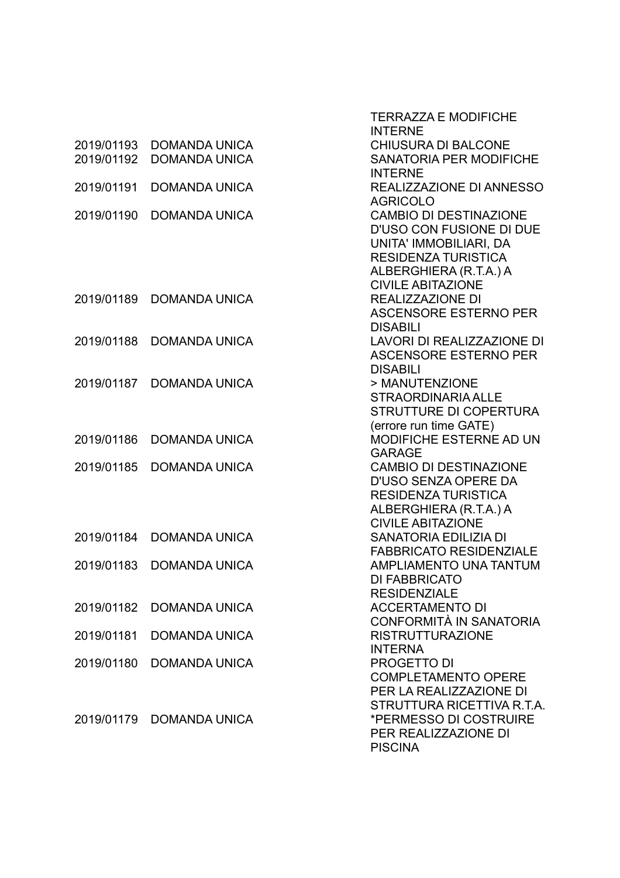|            |                          | <b>TERRAZZA E MODIFICHE</b><br><b>INTERNE</b>         |
|------------|--------------------------|-------------------------------------------------------|
| 2019/01193 | <b>DOMANDA UNICA</b>     | <b>CHIUSURA DI BALCONE</b>                            |
| 2019/01192 | <b>DOMANDA UNICA</b>     | <b>SANATORIA PER MODIFICHE</b>                        |
|            |                          | <b>INTERNE</b>                                        |
| 2019/01191 | <b>DOMANDA UNICA</b>     | REALIZZAZIONE DI ANNESSO<br><b>AGRICOLO</b>           |
| 2019/01190 | <b>DOMANDA UNICA</b>     | <b>CAMBIO DI DESTINAZIONE</b>                         |
|            |                          | <b>D'USO CON FUSIONE DI DUE</b>                       |
|            |                          | UNITA' IMMOBILIARI, DA                                |
|            |                          | <b>RESIDENZA TURISTICA</b>                            |
|            |                          | ALBERGHIERA (R.T.A.) A                                |
| 2019/01189 | <b>DOMANDA UNICA</b>     | <b>CIVILE ABITAZIONE</b><br><b>REALIZZAZIONE DI</b>   |
|            |                          | <b>ASCENSORE ESTERNO PER</b>                          |
|            |                          | <b>DISABILI</b>                                       |
| 2019/01188 | <b>DOMANDA UNICA</b>     | LAVORI DI REALIZZAZIONE DI                            |
|            |                          | <b>ASCENSORE ESTERNO PER</b>                          |
|            |                          | <b>DISABILI</b>                                       |
| 2019/01187 | <b>DOMANDA UNICA</b>     | > MANUTENZIONE<br><b>STRAORDINARIA ALLE</b>           |
|            |                          | <b>STRUTTURE DI COPERTURA</b>                         |
|            |                          | (errore run time GATE)                                |
| 2019/01186 | <b>DOMANDA UNICA</b>     | <b>MODIFICHE ESTERNE AD UN</b>                        |
|            |                          | <b>GARAGE</b>                                         |
| 2019/01185 | <b>DOMANDA UNICA</b>     | <b>CAMBIO DI DESTINAZIONE</b>                         |
|            |                          | D'USO SENZA OPERE DA<br><b>RESIDENZA TURISTICA</b>    |
|            |                          | ALBERGHIERA (R.T.A.) A                                |
|            |                          | <b>CIVILE ABITAZIONE</b>                              |
| 2019/01184 | <b>DOMANDA UNICA</b>     | <b>SANATORIA EDILIZIA DI</b>                          |
|            |                          | <b>FABBRICATO RESIDENZIALE</b>                        |
| 2019/01183 | <b>DOMANDA UNICA</b>     | <b>AMPLIAMENTO UNA TANTUM</b><br><b>DI FABBRICATO</b> |
|            |                          | <b>RESIDENZIALE</b>                                   |
| 2019/01182 | <b>DOMANDA UNICA</b>     | <b>ACCERTAMENTO DI</b>                                |
|            |                          | CONFORMITÀ IN SANATORIA                               |
| 2019/01181 | <b>DOMANDA UNICA</b>     | <b>RISTRUTTURAZIONE</b>                               |
| 2019/01180 | <b>DOMANDA UNICA</b>     | <b>INTERNA</b><br>PROGETTO DI                         |
|            |                          | <b>COMPLETAMENTO OPERE</b>                            |
|            |                          | PER LA REALIZZAZIONE DI                               |
|            |                          | STRUTTURA RICETTIVA R.T.A.                            |
|            | 2019/01179 DOMANDA UNICA | *PERMESSO DI COSTRUIRE                                |
|            |                          | PER REALIZZAZIONE DI                                  |
|            |                          | <b>PISCINA</b>                                        |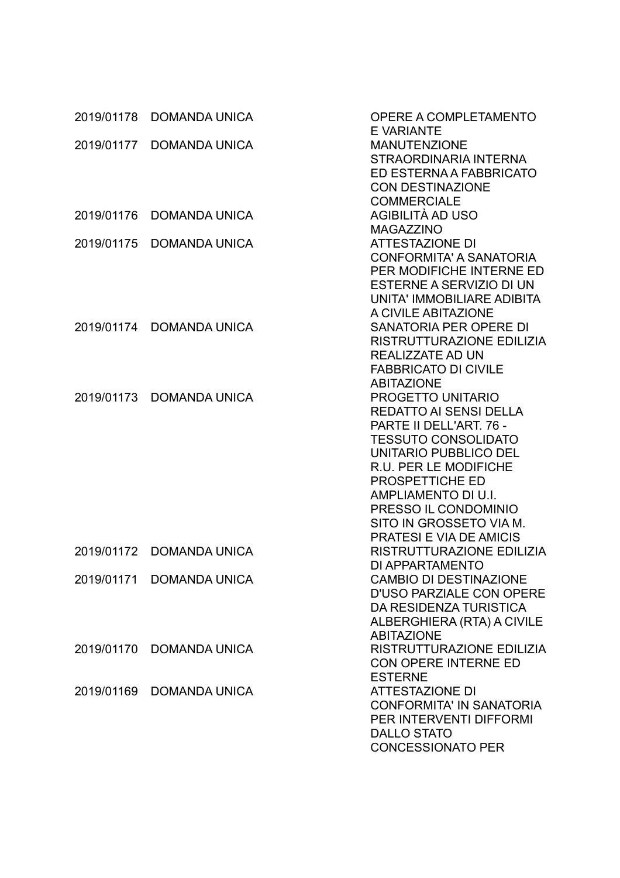|            | 2019/01178 DOMANDA UNICA | OPERE A COMPLETAMENTO<br><b>EVARIANTE</b> |
|------------|--------------------------|-------------------------------------------|
| 2019/01177 | <b>DOMANDA UNICA</b>     | <b>MANUTENZIONE</b>                       |
|            |                          | STRAORDINARIA INTERNA                     |
|            |                          | ED ESTERNA A FABBRICATO                   |
|            |                          |                                           |
|            |                          | <b>CON DESTINAZIONE</b>                   |
|            |                          | <b>COMMERCIALE</b>                        |
| 2019/01176 | <b>DOMANDA UNICA</b>     | AGIBILITÀ AD USO                          |
|            |                          | <b>MAGAZZINO</b>                          |
| 2019/01175 | <b>DOMANDA UNICA</b>     | <b>ATTESTAZIONE DI</b>                    |
|            |                          | <b>CONFORMITA' A SANATORIA</b>            |
|            |                          | PER MODIFICHE INTERNE ED                  |
|            |                          | ESTERNE A SERVIZIO DI UN                  |
|            |                          | UNITA' IMMOBILIARE ADIBITA                |
|            |                          | A CIVILE ABITAZIONE                       |
|            | 2019/01174 DOMANDA UNICA | SANATORIA PER OPERE DI                    |
|            |                          | RISTRUTTURAZIONE EDILIZIA                 |
|            |                          | REALIZZATE AD UN                          |
|            |                          | <b>FABBRICATO DI CIVILE</b>               |
|            |                          | <b>ABITAZIONE</b>                         |
| 2019/01173 | <b>DOMANDA UNICA</b>     | PROGETTO UNITARIO                         |
|            |                          | <b>REDATTO AI SENSI DELLA</b>             |
|            |                          | PARTE II DELL'ART. 76 -                   |
|            |                          | <b>TESSUTO CONSOLIDATO</b>                |
|            |                          | UNITARIO PUBBLICO DEL                     |
|            |                          | R.U. PER LE MODIFICHE                     |
|            |                          | PROSPETTICHE ED                           |
|            |                          | AMPLIAMENTO DI U.I.                       |
|            |                          | PRESSO IL CONDOMINIO                      |
|            |                          | SITO IN GROSSETO VIA M.                   |
|            |                          | <b>PRATESI E VIA DE AMICIS</b>            |
|            | 2019/01172 DOMANDA UNICA | RISTRUTTURAZIONE EDILIZIA                 |
|            |                          | DI APPARTAMENTO                           |
|            | 2019/01171 DOMANDA UNICA | <b>CAMBIO DI DESTINAZIONE</b>             |
|            |                          | <b>D'USO PARZIALE CON OPERE</b>           |
|            |                          | DA RESIDENZA TURISTICA                    |
|            |                          | ALBERGHIERA (RTA) A CIVILE                |
|            |                          | <b>ABITAZIONE</b>                         |
|            | 2019/01170 DOMANDA UNICA | RISTRUTTURAZIONE EDILIZIA                 |
|            |                          | CON OPERE INTERNE ED                      |
|            |                          | <b>ESTERNE</b>                            |
| 2019/01169 | <b>DOMANDA UNICA</b>     | <b>ATTESTAZIONE DI</b>                    |
|            |                          | <b>CONFORMITA' IN SANATORIA</b>           |
|            |                          | PER INTERVENTI DIFFORMI                   |
|            |                          | <b>DALLO STATO</b>                        |
|            |                          | <b>CONCESSIONATO PER</b>                  |
|            |                          |                                           |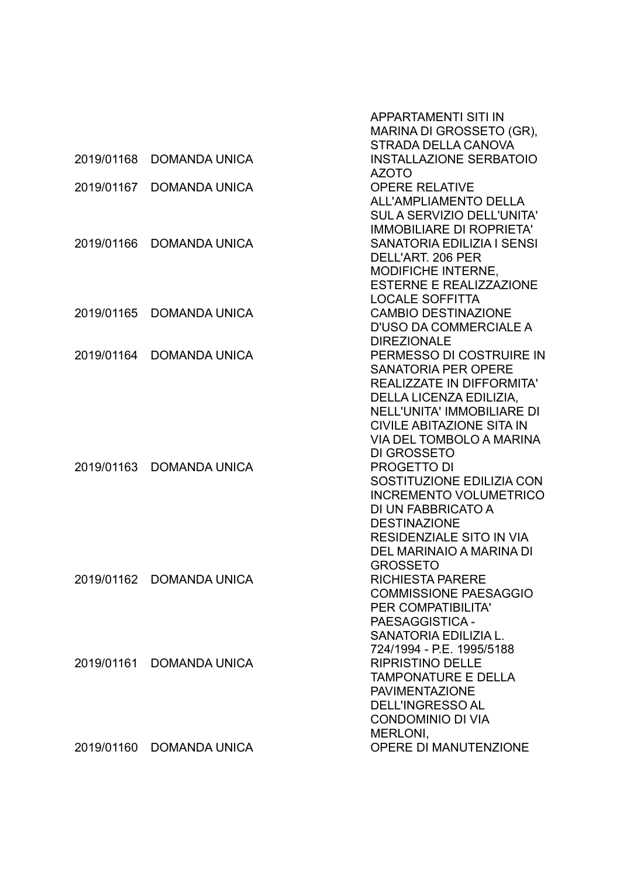|            |                          | <b>APPARTAMENTI SITI IN</b><br>MARINA DI GROSSETO (GR),                                                                                                                                                                                   |
|------------|--------------------------|-------------------------------------------------------------------------------------------------------------------------------------------------------------------------------------------------------------------------------------------|
| 2019/01168 | <b>DOMANDA UNICA</b>     | STRADA DELLA CANOVA<br><b>INSTALLAZIONE SERBATOIO</b><br><b>AZOTO</b>                                                                                                                                                                     |
| 2019/01167 | <b>DOMANDA UNICA</b>     | <b>OPERE RELATIVE</b><br><b>ALL'AMPLIAMENTO DELLA</b><br><b>SUL A SERVIZIO DELL'UNITA'</b><br><b>IMMOBILIARE DI ROPRIETA'</b>                                                                                                             |
| 2019/01166 | <b>DOMANDA UNICA</b>     | <b>SANATORIA EDILIZIA I SENSI</b><br>DELL'ART. 206 PER<br>MODIFICHE INTERNE,<br><b>ESTERNE E REALIZZAZIONE</b><br><b>LOCALE SOFFITTA</b>                                                                                                  |
| 2019/01165 | <b>DOMANDA UNICA</b>     | <b>CAMBIO DESTINAZIONE</b><br><b>D'USO DA COMMERCIALE A</b><br><b>DIREZIONALE</b>                                                                                                                                                         |
| 2019/01164 | <b>DOMANDA UNICA</b>     | PERMESSO DI COSTRUIRE IN<br><b>SANATORIA PER OPERE</b><br><b>REALIZZATE IN DIFFORMITA'</b><br>DELLA LICENZA EDILIZIA,<br><b>NELL'UNITA' IMMOBILIARE DI</b><br><b>CIVILE ABITAZIONE SITA IN</b><br>VIA DEL TOMBOLO A MARINA<br>DI GROSSETO |
| 2019/01163 | <b>DOMANDA UNICA</b>     | PROGETTO DI<br>SOSTITUZIONE EDILIZIA CON<br><b>INCREMENTO VOLUMETRICO</b><br>DI UN FABBRICATO A<br><b>DESTINAZIONE</b><br><b>RESIDENZIALE SITO IN VIA</b><br>DEL MARINAIO A MARINA DI<br><b>GROSSETO</b>                                  |
|            | 2019/01162 DOMANDA UNICA | <b>RICHIESTA PARERE</b><br><b>COMMISSIONE PAESAGGIO</b><br>PER COMPATIBILITA'<br>PAESAGGISTICA -<br>SANATORIA EDILIZIA L.<br>724/1994 - P.E. 1995/5188                                                                                    |
| 2019/01161 | <b>DOMANDA UNICA</b>     | <b>RIPRISTINO DELLE</b><br><b>TAMPONATURE E DELLA</b><br><b>PAVIMENTAZIONE</b><br><b>DELL'INGRESSO AL</b><br><b>CONDOMINIO DI VIA</b><br>MERLONI,                                                                                         |
| 2019/01160 | DOMANDA UNICA            | OPERE DI MANUTENZIONE                                                                                                                                                                                                                     |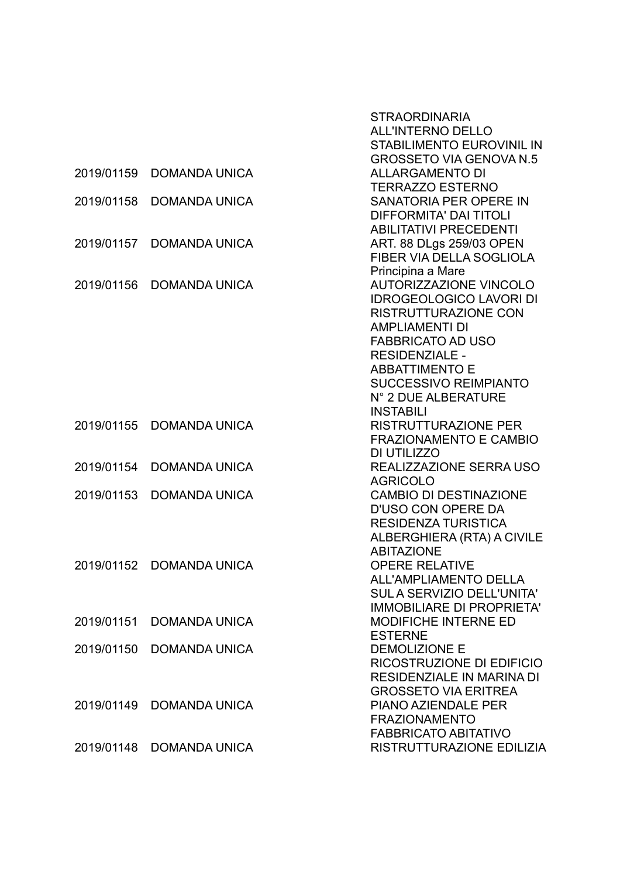|            |                      | <b>STRAORDINARIA</b>              |
|------------|----------------------|-----------------------------------|
|            |                      | <b>ALL'INTERNO DELLO</b>          |
|            |                      | <b>STABILIMENTO EUROVINIL IN</b>  |
|            |                      | <b>GROSSETO VIA GENOVA N.5</b>    |
| 2019/01159 | <b>DOMANDA UNICA</b> | <b>ALLARGAMENTO DI</b>            |
|            |                      | <b>TERRAZZO ESTERNO</b>           |
| 2019/01158 | <b>DOMANDA UNICA</b> | SANATORIA PER OPERE IN            |
|            |                      | <b>DIFFORMITA' DAI TITOLI</b>     |
|            |                      | <b>ABILITATIVI PRECEDENTI</b>     |
| 2019/01157 | <b>DOMANDA UNICA</b> | ART. 88 DLgs 259/03 OPEN          |
|            |                      | FIBER VIA DELLA SOGLIOLA          |
|            |                      | Principina a Mare                 |
| 2019/01156 | <b>DOMANDA UNICA</b> | <b>AUTORIZZAZIONE VINCOLO</b>     |
|            |                      | <b>IDROGEOLOGICO LAVORI DI</b>    |
|            |                      | <b>RISTRUTTURAZIONE CON</b>       |
|            |                      | <b>AMPLIAMENTI DI</b>             |
|            |                      | <b>FABBRICATO AD USO</b>          |
|            |                      | <b>RESIDENZIALE -</b>             |
|            |                      | <b>ABBATTIMENTO E</b>             |
|            |                      | <b>SUCCESSIVO REIMPIANTO</b>      |
|            |                      | N° 2 DUE ALBERATURE               |
|            |                      | <b>INSTABILI</b>                  |
| 2019/01155 | <b>DOMANDA UNICA</b> | <b>RISTRUTTURAZIONE PER</b>       |
|            |                      | <b>FRAZIONAMENTO E CAMBIO</b>     |
|            |                      | DI UTILIZZO                       |
| 2019/01154 | <b>DOMANDA UNICA</b> | REALIZZAZIONE SERRA USO           |
|            |                      | <b>AGRICOLO</b>                   |
| 2019/01153 | <b>DOMANDA UNICA</b> | <b>CAMBIO DI DESTINAZIONE</b>     |
|            |                      | <b>D'USO CON OPERE DA</b>         |
|            |                      | <b>RESIDENZA TURISTICA</b>        |
|            |                      | ALBERGHIERA (RTA) A CIVILE        |
|            |                      | <b>ABITAZIONE</b>                 |
| 2019/01152 | <b>DOMANDA UNICA</b> | <b>OPERE RELATIVE</b>             |
|            |                      | <b>ALL'AMPLIAMENTO DELLA</b>      |
|            |                      | <b>SUL A SERVIZIO DELL'UNITA'</b> |
|            |                      | <b>IMMOBILIARE DI PROPRIETA'</b>  |
| 2019/01151 | <b>DOMANDA UNICA</b> | <b>MODIFICHE INTERNE ED</b>       |
|            |                      | <b>ESTERNE</b>                    |
| 2019/01150 | <b>DOMANDA UNICA</b> | <b>DEMOLIZIONE E</b>              |
|            |                      | RICOSTRUZIONE DI EDIFICIO         |
|            |                      | RESIDENZIALE IN MARINA DI         |
|            |                      | <b>GROSSETO VIA ERITREA</b>       |
| 2019/01149 | <b>DOMANDA UNICA</b> | <b>PIANO AZIENDALE PER</b>        |
|            |                      | <b>FRAZIONAMENTO</b>              |
|            |                      | <b>FABBRICATO ABITATIVO</b>       |
| 2019/01148 | <b>DOMANDA UNICA</b> | RISTRUTTURAZIONE EDILIZIA         |
|            |                      |                                   |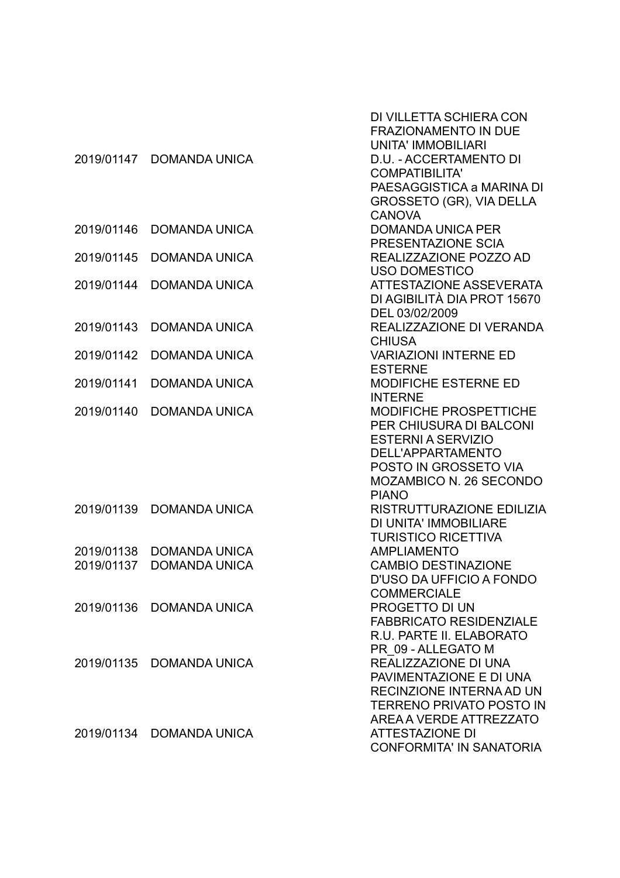| 2019/01147 | <b>DOMANDA UNICA</b>     | DI VILLETTA SCHIERA CON<br><b>FRAZIONAMENTO IN DUE</b><br><b>UNITA' IMMOBILIARI</b><br>D.U. - ACCERTAMENTO DI<br><b>COMPATIBILITA'</b><br>PAESAGGISTICA a MARINA DI<br>GROSSETO (GR), VIA DELLA |
|------------|--------------------------|-------------------------------------------------------------------------------------------------------------------------------------------------------------------------------------------------|
| 2019/01146 | <b>DOMANDA UNICA</b>     | <b>CANOVA</b><br><b>DOMANDA UNICA PER</b><br>PRESENTAZIONE SCIA                                                                                                                                 |
| 2019/01145 | <b>DOMANDA UNICA</b>     | REALIZZAZIONE POZZO AD<br><b>USO DOMESTICO</b>                                                                                                                                                  |
| 2019/01144 | <b>DOMANDA UNICA</b>     | <b>ATTESTAZIONE ASSEVERATA</b><br>DI AGIBILITÀ DIA PROT 15670<br>DEL 03/02/2009                                                                                                                 |
| 2019/01143 | <b>DOMANDA UNICA</b>     | REALIZZAZIONE DI VERANDA<br><b>CHIUSA</b>                                                                                                                                                       |
| 2019/01142 | <b>DOMANDA UNICA</b>     | <b>VARIAZIONI INTERNE ED</b><br><b>ESTERNE</b>                                                                                                                                                  |
| 2019/01141 | <b>DOMANDA UNICA</b>     | <b>MODIFICHE ESTERNE ED</b><br><b>INTERNE</b>                                                                                                                                                   |
| 2019/01140 | <b>DOMANDA UNICA</b>     | <b>MODIFICHE PROSPETTICHE</b><br>PER CHIUSURA DI BALCONI<br><b>ESTERNI A SERVIZIO</b><br>DELL'APPARTAMENTO<br>POSTO IN GROSSETO VIA<br><b>MOZAMBICO N. 26 SECONDO</b><br><b>PIANO</b>           |
| 2019/01139 | <b>DOMANDA UNICA</b>     | RISTRUTTURAZIONE EDILIZIA<br>DI UNITA' IMMOBILIARE<br><b>TURISTICO RICETTIVA</b>                                                                                                                |
| 2019/01138 | <b>DOMANDA UNICA</b>     | <b>AMPLIAMENTO</b>                                                                                                                                                                              |
| 2019/01137 | <b>DOMANDA UNICA</b>     | <b>CAMBIO DESTINAZIONE</b><br>D'USO DA UFFICIO A FONDO<br><b>COMMERCIALE</b>                                                                                                                    |
| 2019/01136 | <b>DOMANDA UNICA</b>     | <b>PROGETTO DI UN</b><br><b>FABBRICATO RESIDENZIALE</b><br>R.U. PARTE II. ELABORATO<br>PR 09 - ALLEGATO M                                                                                       |
|            | 2019/01135 DOMANDA UNICA | REALIZZAZIONE DI UNA<br>PAVIMENTAZIONE E DI UNA<br>RECINZIONE INTERNA AD UN<br><b>TERRENO PRIVATO POSTO IN</b><br>AREA A VERDE ATTREZZATO                                                       |
|            | 2019/01134 DOMANDA UNICA | <b>ATTESTAZIONE DI</b><br><b>CONFORMITA' IN SANATORIA</b>                                                                                                                                       |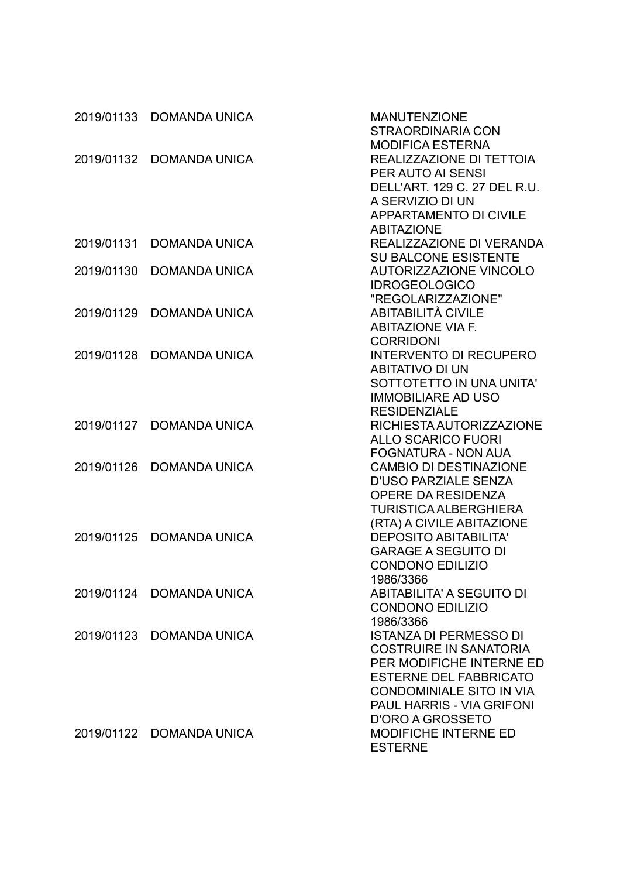| 2019/01133 | <b>DOMANDA UNICA</b>     | <b>MANUTENZIONE</b><br><b>STRAORDINARIA CON</b>                |
|------------|--------------------------|----------------------------------------------------------------|
|            |                          | <b>MODIFICA ESTERNA</b>                                        |
| 2019/01132 | <b>DOMANDA UNICA</b>     | REALIZZAZIONE DI TETTOIA                                       |
|            |                          | <b>PER AUTO AI SENSI</b>                                       |
|            |                          | DELL'ART. 129 C. 27 DEL R.U.                                   |
|            |                          | A SERVIZIO DI UN                                               |
|            |                          | <b>APPARTAMENTO DI CIVILE</b>                                  |
|            |                          | <b>ABITAZIONE</b>                                              |
| 2019/01131 | <b>DOMANDA UNICA</b>     | REALIZZAZIONE DI VERANDA                                       |
|            |                          | <b>SU BALCONE ESISTENTE</b>                                    |
| 2019/01130 | <b>DOMANDA UNICA</b>     | <b>AUTORIZZAZIONE VINCOLO</b>                                  |
|            |                          | <b>IDROGEOLOGICO</b>                                           |
|            |                          | "REGOLARIZZAZIONE"                                             |
| 2019/01129 | <b>DOMANDA UNICA</b>     | <b>ABITABILITÀ CIVILE</b>                                      |
|            |                          | <b>ABITAZIONE VIA F.</b>                                       |
|            |                          | <b>CORRIDONI</b>                                               |
| 2019/01128 | <b>DOMANDA UNICA</b>     | <b>INTERVENTO DI RECUPERO</b>                                  |
|            |                          | <b>ABITATIVO DI UN</b>                                         |
|            |                          | SOTTOTETTO IN UNA UNITA'                                       |
|            |                          | <b>IMMOBILIARE AD USO</b>                                      |
|            |                          | <b>RESIDENZIALE</b>                                            |
| 2019/01127 | <b>DOMANDA UNICA</b>     | RICHIESTA AUTORIZZAZIONE                                       |
|            |                          | <b>ALLO SCARICO FUORI</b>                                      |
|            |                          | <b>FOGNATURA - NON AUA</b>                                     |
| 2019/01126 | <b>DOMANDA UNICA</b>     | <b>CAMBIO DI DESTINAZIONE</b>                                  |
|            |                          | <b>D'USO PARZIALE SENZA</b>                                    |
|            |                          | <b>OPERE DA RESIDENZA</b>                                      |
|            |                          | <b>TURISTICA ALBERGHIERA</b>                                   |
|            |                          | (RTA) A CIVILE ABITAZIONE                                      |
| 2019/01125 | <b>DOMANDA UNICA</b>     | <b>DEPOSITO ABITABILITA'</b>                                   |
|            |                          | <b>GARAGE A SEGUITO DI</b>                                     |
|            |                          | <b>CONDONO EDILIZIO</b>                                        |
|            |                          | 1986/3366                                                      |
|            | 2019/01124 DOMANDA UNICA | <b>ABITABILITA' A SEGUITO DI</b>                               |
|            |                          | <b>CONDONO EDILIZIO</b>                                        |
|            |                          | 1986/3366                                                      |
|            | 2019/01123 DOMANDA UNICA | <b>ISTANZA DI PERMESSO DI</b><br><b>COSTRUIRE IN SANATORIA</b> |
|            |                          | PER MODIFICHE INTERNE ED                                       |
|            |                          | <b>ESTERNE DEL FABBRICATO</b>                                  |
|            |                          | <b>CONDOMINIALE SITO IN VIA</b>                                |
|            |                          | PAUL HARRIS - VIA GRIFONI                                      |
|            |                          | D'ORO A GROSSETO                                               |
|            | 2019/01122 DOMANDA UNICA | <b>MODIFICHE INTERNE ED</b>                                    |
|            |                          | <b>ESTERNE</b>                                                 |
|            |                          |                                                                |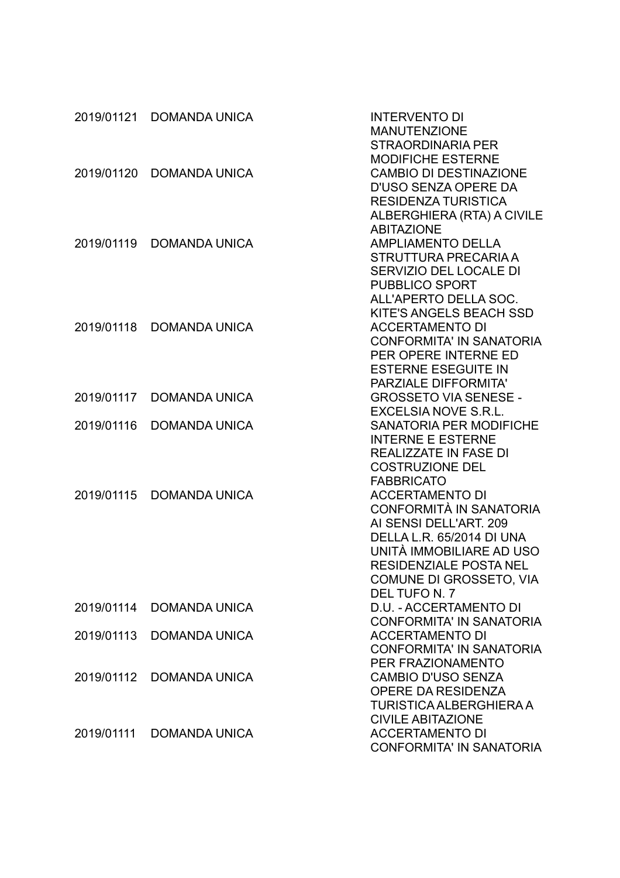| <b>STRAORDINARIA PER</b><br><b>MODIFICHE ESTERNE</b><br><b>DOMANDA UNICA</b><br><b>CAMBIO DI DESTINAZIONE</b><br>D'USO SENZA OPERE DA<br><b>RESIDENZA TURISTICA</b><br>ALBERGHIERA (RTA) A CIVILE<br><b>ABITAZIONE</b><br><b>AMPLIAMENTO DELLA</b><br><b>DOMANDA UNICA</b><br>STRUTTURA PRECARIA A<br>SERVIZIO DEL LOCALE DI<br><b>PUBBLICO SPORT</b><br>ALL'APERTO DELLA SOC.<br>KITE'S ANGELS BEACH SSD<br><b>ACCERTAMENTO DI</b><br>2019/01118<br><b>DOMANDA UNICA</b><br><b>CONFORMITA' IN SANATORIA</b><br>PER OPERE INTERNE ED<br><b>ESTERNE ESEGUITE IN</b><br><b>PARZIALE DIFFORMITA'</b><br><b>DOMANDA UNICA</b><br><b>GROSSETO VIA SENESE -</b><br><b>EXCELSIA NOVE S.R.L.</b><br><b>SANATORIA PER MODIFICHE</b><br><b>DOMANDA UNICA</b><br><b>INTERNE E ESTERNE</b><br><b>REALIZZATE IN FASE DI</b><br><b>COSTRUZIONE DEL</b><br><b>FABBRICATO</b><br>2019/01115<br><b>DOMANDA UNICA</b><br><b>ACCERTAMENTO DI</b><br>CONFORMITÀ IN SANATORIA<br>AI SENSI DELL'ART. 209<br><b>DELLA L.R. 65/2014 DI UNA</b><br>UNITÀ IMMOBILIARE AD USO<br><b>RESIDENZIALE POSTA NEL</b><br>COMUNE DI GROSSETO, VIA<br>DEL TUFO N. 7<br>2019/01114<br>D.U. - ACCERTAMENTO DI<br><b>DOMANDA UNICA</b><br><b>CONFORMITA' IN SANATORIA</b><br>2019/01113<br><b>DOMANDA UNICA</b><br><b>ACCERTAMENTO DI</b><br><b>CONFORMITA' IN SANATORIA</b><br>PER FRAZIONAMENTO<br><b>CAMBIO D'USO SENZA</b><br>2019/01112<br><b>DOMANDA UNICA</b><br>OPERE DA RESIDENZA<br>TURISTICA ALBERGHIERA A |            | 2019/01121 DOMANDA UNICA | <b>INTERVENTO DI</b><br><b>MANUTENZIONE</b> |
|--------------------------------------------------------------------------------------------------------------------------------------------------------------------------------------------------------------------------------------------------------------------------------------------------------------------------------------------------------------------------------------------------------------------------------------------------------------------------------------------------------------------------------------------------------------------------------------------------------------------------------------------------------------------------------------------------------------------------------------------------------------------------------------------------------------------------------------------------------------------------------------------------------------------------------------------------------------------------------------------------------------------------------------------------------------------------------------------------------------------------------------------------------------------------------------------------------------------------------------------------------------------------------------------------------------------------------------------------------------------------------------------------------------------------------------------------------------------------------|------------|--------------------------|---------------------------------------------|
|                                                                                                                                                                                                                                                                                                                                                                                                                                                                                                                                                                                                                                                                                                                                                                                                                                                                                                                                                                                                                                                                                                                                                                                                                                                                                                                                                                                                                                                                                |            |                          |                                             |
|                                                                                                                                                                                                                                                                                                                                                                                                                                                                                                                                                                                                                                                                                                                                                                                                                                                                                                                                                                                                                                                                                                                                                                                                                                                                                                                                                                                                                                                                                |            |                          |                                             |
|                                                                                                                                                                                                                                                                                                                                                                                                                                                                                                                                                                                                                                                                                                                                                                                                                                                                                                                                                                                                                                                                                                                                                                                                                                                                                                                                                                                                                                                                                | 2019/01120 |                          |                                             |
|                                                                                                                                                                                                                                                                                                                                                                                                                                                                                                                                                                                                                                                                                                                                                                                                                                                                                                                                                                                                                                                                                                                                                                                                                                                                                                                                                                                                                                                                                |            |                          |                                             |
|                                                                                                                                                                                                                                                                                                                                                                                                                                                                                                                                                                                                                                                                                                                                                                                                                                                                                                                                                                                                                                                                                                                                                                                                                                                                                                                                                                                                                                                                                |            |                          |                                             |
|                                                                                                                                                                                                                                                                                                                                                                                                                                                                                                                                                                                                                                                                                                                                                                                                                                                                                                                                                                                                                                                                                                                                                                                                                                                                                                                                                                                                                                                                                |            |                          |                                             |
|                                                                                                                                                                                                                                                                                                                                                                                                                                                                                                                                                                                                                                                                                                                                                                                                                                                                                                                                                                                                                                                                                                                                                                                                                                                                                                                                                                                                                                                                                |            |                          |                                             |
|                                                                                                                                                                                                                                                                                                                                                                                                                                                                                                                                                                                                                                                                                                                                                                                                                                                                                                                                                                                                                                                                                                                                                                                                                                                                                                                                                                                                                                                                                | 2019/01119 |                          |                                             |
|                                                                                                                                                                                                                                                                                                                                                                                                                                                                                                                                                                                                                                                                                                                                                                                                                                                                                                                                                                                                                                                                                                                                                                                                                                                                                                                                                                                                                                                                                |            |                          |                                             |
|                                                                                                                                                                                                                                                                                                                                                                                                                                                                                                                                                                                                                                                                                                                                                                                                                                                                                                                                                                                                                                                                                                                                                                                                                                                                                                                                                                                                                                                                                |            |                          |                                             |
|                                                                                                                                                                                                                                                                                                                                                                                                                                                                                                                                                                                                                                                                                                                                                                                                                                                                                                                                                                                                                                                                                                                                                                                                                                                                                                                                                                                                                                                                                |            |                          |                                             |
|                                                                                                                                                                                                                                                                                                                                                                                                                                                                                                                                                                                                                                                                                                                                                                                                                                                                                                                                                                                                                                                                                                                                                                                                                                                                                                                                                                                                                                                                                |            |                          |                                             |
|                                                                                                                                                                                                                                                                                                                                                                                                                                                                                                                                                                                                                                                                                                                                                                                                                                                                                                                                                                                                                                                                                                                                                                                                                                                                                                                                                                                                                                                                                |            |                          |                                             |
|                                                                                                                                                                                                                                                                                                                                                                                                                                                                                                                                                                                                                                                                                                                                                                                                                                                                                                                                                                                                                                                                                                                                                                                                                                                                                                                                                                                                                                                                                |            |                          |                                             |
|                                                                                                                                                                                                                                                                                                                                                                                                                                                                                                                                                                                                                                                                                                                                                                                                                                                                                                                                                                                                                                                                                                                                                                                                                                                                                                                                                                                                                                                                                |            |                          |                                             |
|                                                                                                                                                                                                                                                                                                                                                                                                                                                                                                                                                                                                                                                                                                                                                                                                                                                                                                                                                                                                                                                                                                                                                                                                                                                                                                                                                                                                                                                                                |            |                          |                                             |
|                                                                                                                                                                                                                                                                                                                                                                                                                                                                                                                                                                                                                                                                                                                                                                                                                                                                                                                                                                                                                                                                                                                                                                                                                                                                                                                                                                                                                                                                                |            |                          |                                             |
|                                                                                                                                                                                                                                                                                                                                                                                                                                                                                                                                                                                                                                                                                                                                                                                                                                                                                                                                                                                                                                                                                                                                                                                                                                                                                                                                                                                                                                                                                |            |                          |                                             |
|                                                                                                                                                                                                                                                                                                                                                                                                                                                                                                                                                                                                                                                                                                                                                                                                                                                                                                                                                                                                                                                                                                                                                                                                                                                                                                                                                                                                                                                                                | 2019/01117 |                          |                                             |
|                                                                                                                                                                                                                                                                                                                                                                                                                                                                                                                                                                                                                                                                                                                                                                                                                                                                                                                                                                                                                                                                                                                                                                                                                                                                                                                                                                                                                                                                                |            |                          |                                             |
|                                                                                                                                                                                                                                                                                                                                                                                                                                                                                                                                                                                                                                                                                                                                                                                                                                                                                                                                                                                                                                                                                                                                                                                                                                                                                                                                                                                                                                                                                | 2019/01116 |                          |                                             |
|                                                                                                                                                                                                                                                                                                                                                                                                                                                                                                                                                                                                                                                                                                                                                                                                                                                                                                                                                                                                                                                                                                                                                                                                                                                                                                                                                                                                                                                                                |            |                          |                                             |
|                                                                                                                                                                                                                                                                                                                                                                                                                                                                                                                                                                                                                                                                                                                                                                                                                                                                                                                                                                                                                                                                                                                                                                                                                                                                                                                                                                                                                                                                                |            |                          |                                             |
|                                                                                                                                                                                                                                                                                                                                                                                                                                                                                                                                                                                                                                                                                                                                                                                                                                                                                                                                                                                                                                                                                                                                                                                                                                                                                                                                                                                                                                                                                |            |                          |                                             |
|                                                                                                                                                                                                                                                                                                                                                                                                                                                                                                                                                                                                                                                                                                                                                                                                                                                                                                                                                                                                                                                                                                                                                                                                                                                                                                                                                                                                                                                                                |            |                          |                                             |
|                                                                                                                                                                                                                                                                                                                                                                                                                                                                                                                                                                                                                                                                                                                                                                                                                                                                                                                                                                                                                                                                                                                                                                                                                                                                                                                                                                                                                                                                                |            |                          |                                             |
|                                                                                                                                                                                                                                                                                                                                                                                                                                                                                                                                                                                                                                                                                                                                                                                                                                                                                                                                                                                                                                                                                                                                                                                                                                                                                                                                                                                                                                                                                |            |                          |                                             |
|                                                                                                                                                                                                                                                                                                                                                                                                                                                                                                                                                                                                                                                                                                                                                                                                                                                                                                                                                                                                                                                                                                                                                                                                                                                                                                                                                                                                                                                                                |            |                          |                                             |
|                                                                                                                                                                                                                                                                                                                                                                                                                                                                                                                                                                                                                                                                                                                                                                                                                                                                                                                                                                                                                                                                                                                                                                                                                                                                                                                                                                                                                                                                                |            |                          |                                             |
|                                                                                                                                                                                                                                                                                                                                                                                                                                                                                                                                                                                                                                                                                                                                                                                                                                                                                                                                                                                                                                                                                                                                                                                                                                                                                                                                                                                                                                                                                |            |                          |                                             |
|                                                                                                                                                                                                                                                                                                                                                                                                                                                                                                                                                                                                                                                                                                                                                                                                                                                                                                                                                                                                                                                                                                                                                                                                                                                                                                                                                                                                                                                                                |            |                          |                                             |
|                                                                                                                                                                                                                                                                                                                                                                                                                                                                                                                                                                                                                                                                                                                                                                                                                                                                                                                                                                                                                                                                                                                                                                                                                                                                                                                                                                                                                                                                                |            |                          |                                             |
|                                                                                                                                                                                                                                                                                                                                                                                                                                                                                                                                                                                                                                                                                                                                                                                                                                                                                                                                                                                                                                                                                                                                                                                                                                                                                                                                                                                                                                                                                |            |                          |                                             |
|                                                                                                                                                                                                                                                                                                                                                                                                                                                                                                                                                                                                                                                                                                                                                                                                                                                                                                                                                                                                                                                                                                                                                                                                                                                                                                                                                                                                                                                                                |            |                          |                                             |
|                                                                                                                                                                                                                                                                                                                                                                                                                                                                                                                                                                                                                                                                                                                                                                                                                                                                                                                                                                                                                                                                                                                                                                                                                                                                                                                                                                                                                                                                                |            |                          |                                             |
|                                                                                                                                                                                                                                                                                                                                                                                                                                                                                                                                                                                                                                                                                                                                                                                                                                                                                                                                                                                                                                                                                                                                                                                                                                                                                                                                                                                                                                                                                |            |                          |                                             |
|                                                                                                                                                                                                                                                                                                                                                                                                                                                                                                                                                                                                                                                                                                                                                                                                                                                                                                                                                                                                                                                                                                                                                                                                                                                                                                                                                                                                                                                                                |            |                          |                                             |
|                                                                                                                                                                                                                                                                                                                                                                                                                                                                                                                                                                                                                                                                                                                                                                                                                                                                                                                                                                                                                                                                                                                                                                                                                                                                                                                                                                                                                                                                                |            |                          |                                             |
|                                                                                                                                                                                                                                                                                                                                                                                                                                                                                                                                                                                                                                                                                                                                                                                                                                                                                                                                                                                                                                                                                                                                                                                                                                                                                                                                                                                                                                                                                |            |                          |                                             |
|                                                                                                                                                                                                                                                                                                                                                                                                                                                                                                                                                                                                                                                                                                                                                                                                                                                                                                                                                                                                                                                                                                                                                                                                                                                                                                                                                                                                                                                                                |            |                          |                                             |
|                                                                                                                                                                                                                                                                                                                                                                                                                                                                                                                                                                                                                                                                                                                                                                                                                                                                                                                                                                                                                                                                                                                                                                                                                                                                                                                                                                                                                                                                                |            |                          | <b>CIVILE ABITAZIONE</b>                    |
| <b>ACCERTAMENTO DI</b><br><b>DOMANDA UNICA</b>                                                                                                                                                                                                                                                                                                                                                                                                                                                                                                                                                                                                                                                                                                                                                                                                                                                                                                                                                                                                                                                                                                                                                                                                                                                                                                                                                                                                                                 | 2019/01111 |                          |                                             |
| <b>CONFORMITA' IN SANATORIA</b>                                                                                                                                                                                                                                                                                                                                                                                                                                                                                                                                                                                                                                                                                                                                                                                                                                                                                                                                                                                                                                                                                                                                                                                                                                                                                                                                                                                                                                                |            |                          |                                             |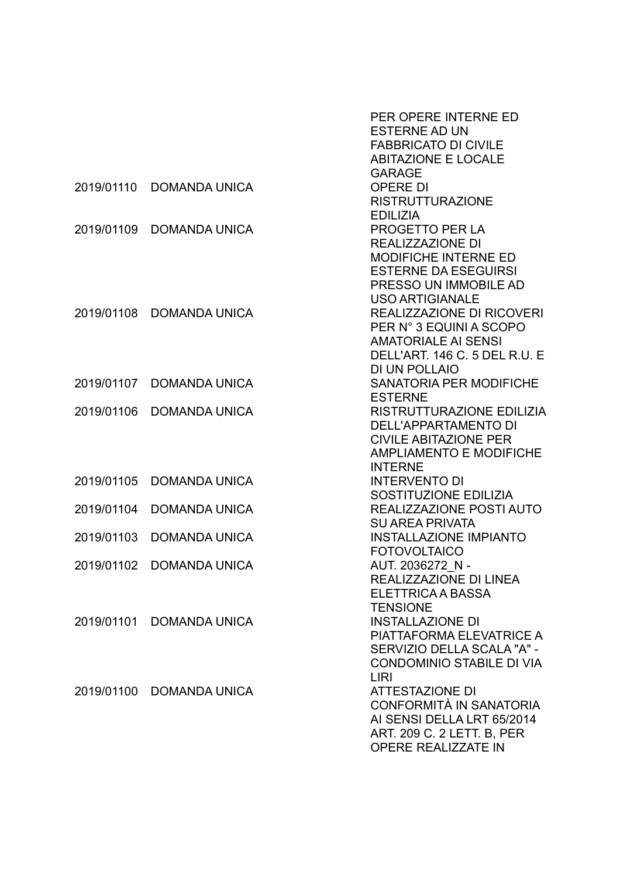|            |                          | PER OPERE INTERNE ED             |
|------------|--------------------------|----------------------------------|
|            |                          | <b>ESTERNE AD UN</b>             |
|            |                          | <b>FABBRICATO DI CIVILE</b>      |
|            |                          | <b>ABITAZIONE E LOCALE</b>       |
|            |                          | <b>GARAGE</b>                    |
| 2019/01110 | <b>DOMANDA UNICA</b>     | <b>OPERE DI</b>                  |
|            |                          | <b>RISTRUTTURAZIONE</b>          |
|            |                          | <b>EDILIZIA</b>                  |
| 2019/01109 | <b>DOMANDA UNICA</b>     | PROGETTO PER LA                  |
|            |                          | <b>REALIZZAZIONE DI</b>          |
|            |                          | <b>MODIFICHE INTERNE ED</b>      |
|            |                          | <b>ESTERNE DA ESEGUIRSI</b>      |
|            |                          | PRESSO UN IMMOBILE AD            |
|            |                          | <b>USO ARTIGIANALE</b>           |
| 2019/01108 | <b>DOMANDA UNICA</b>     | <b>REALIZZAZIONE DI RICOVERI</b> |
|            |                          | PER N° 3 EQUINI A SCOPO          |
|            |                          | <b>AMATORIALE AI SENSI</b>       |
|            |                          | DELL'ART. 146 C. 5 DEL R.U. E    |
|            |                          | <b>DI UN POLLAIO</b>             |
| 2019/01107 | <b>DOMANDA UNICA</b>     | SANATORIA PER MODIFICHE          |
|            |                          | <b>ESTERNE</b>                   |
| 2019/01106 | <b>DOMANDA UNICA</b>     | RISTRUTTURAZIONE EDILIZIA        |
|            |                          | <b>DELL'APPARTAMENTO DI</b>      |
|            |                          | <b>CIVILE ABITAZIONE PER</b>     |
|            |                          | <b>AMPLIAMENTO E MODIFICHE</b>   |
|            |                          | <b>INTERNE</b>                   |
| 2019/01105 | <b>DOMANDA UNICA</b>     | <b>INTERVENTO DI</b>             |
|            |                          | SOSTITUZIONE EDILIZIA            |
| 2019/01104 | <b>DOMANDA UNICA</b>     | REALIZZAZIONE POSTI AUTO         |
|            |                          | <b>SU AREA PRIVATA</b>           |
| 2019/01103 | <b>DOMANDA UNICA</b>     | <b>INSTALLAZIONE IMPIANTO</b>    |
|            |                          | <b>FOTOVOLTAICO</b>              |
| 2019/01102 | <b>DOMANDA UNICA</b>     | AUT. 2036272 N -                 |
|            |                          | REALIZZAZIONE DI LINEA           |
|            |                          | ELETTRICA A BASSA                |
|            |                          | <b>TENSIONE</b>                  |
| 2019/01101 | <b>DOMANDA UNICA</b>     | <b>INSTALLAZIONE DI</b>          |
|            |                          | PIATTAFORMA ELEVATRICE A         |
|            |                          | SERVIZIO DELLA SCALA "A" -       |
|            |                          | <b>CONDOMINIO STABILE DI VIA</b> |
|            |                          | LIRI                             |
|            | 2019/01100 DOMANDA UNICA | <b>ATTESTAZIONE DI</b>           |
|            |                          | <b>CONFORMITÀ IN SANATORIA</b>   |
|            |                          | AI SENSI DELLA LRT 65/2014       |
|            |                          | ART. 209 C. 2 LETT. B, PER       |
|            |                          | <b>OPERE REALIZZATE IN</b>       |
|            |                          |                                  |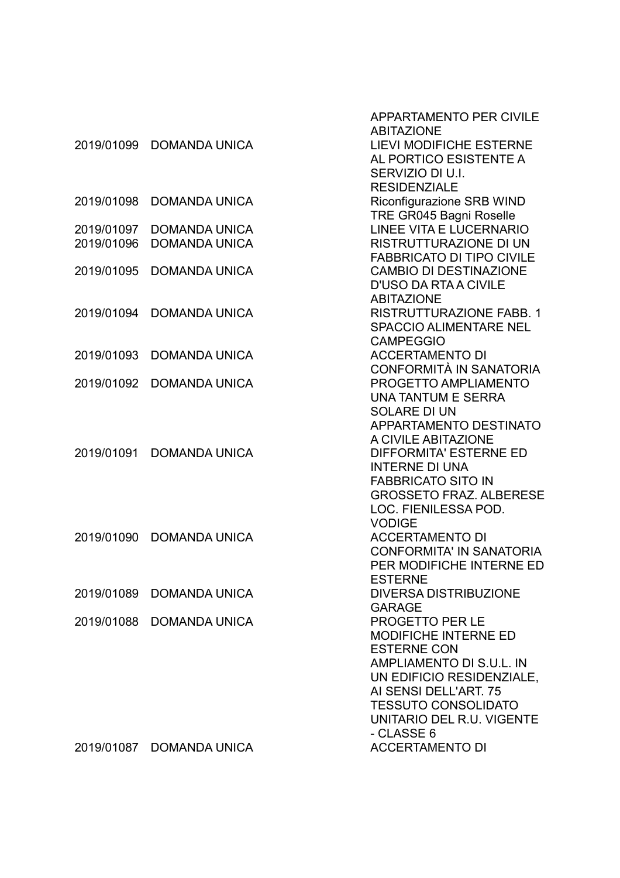|            |                          | <b>APPARTAMENTO PER CIVILE</b><br><b>ABITAZIONE</b>      |
|------------|--------------------------|----------------------------------------------------------|
| 2019/01099 | <b>DOMANDA UNICA</b>     | <b>LIEVI MODIFICHE ESTERNE</b><br>AL PORTICO ESISTENTE A |
|            |                          | SERVIZIO DI U.I.                                         |
|            |                          | <b>RESIDENZIALE</b>                                      |
| 2019/01098 | <b>DOMANDA UNICA</b>     | Riconfigurazione SRB WIND                                |
|            |                          | TRE GR045 Bagni Roselle                                  |
| 2019/01097 | <b>DOMANDA UNICA</b>     | <b>LINEE VITA E LUCERNARIO</b>                           |
| 2019/01096 | <b>DOMANDA UNICA</b>     | <b>RISTRUTTURAZIONE DI UN</b>                            |
|            |                          | <b>FABBRICATO DI TIPO CIVILE</b>                         |
| 2019/01095 | <b>DOMANDA UNICA</b>     | <b>CAMBIO DI DESTINAZIONE</b>                            |
|            |                          | <b>D'USO DA RTA A CIVILE</b>                             |
|            |                          | <b>ABITAZIONE</b>                                        |
| 2019/01094 | <b>DOMANDA UNICA</b>     | <b>RISTRUTTURAZIONE FABB. 1</b>                          |
|            |                          | <b>SPACCIO ALIMENTARE NEL</b>                            |
|            |                          | <b>CAMPEGGIO</b>                                         |
| 2019/01093 | <b>DOMANDA UNICA</b>     | <b>ACCERTAMENTO DI</b>                                   |
| 2019/01092 | <b>DOMANDA UNICA</b>     | CONFORMITÀ IN SANATORIA<br>PROGETTO AMPLIAMENTO          |
|            |                          | <b>UNA TANTUM E SERRA</b>                                |
|            |                          | <b>SOLARE DI UN</b>                                      |
|            |                          | APPARTAMENTO DESTINATO                                   |
|            |                          | A CIVILE ABITAZIONE                                      |
| 2019/01091 | <b>DOMANDA UNICA</b>     | <b>DIFFORMITA' ESTERNE ED</b>                            |
|            |                          | <b>INTERNE DI UNA</b>                                    |
|            |                          | <b>FABBRICATO SITO IN</b>                                |
|            |                          | <b>GROSSETO FRAZ, ALBERESE</b>                           |
|            |                          | LOC. FIENILESSA POD.                                     |
|            |                          | <b>VODIGE</b>                                            |
| 2019/01090 | <b>DOMANDA UNICA</b>     | <b>ACCERTAMENTO DI</b>                                   |
|            |                          | <b>CONFORMITA' IN SANATORIA</b>                          |
|            |                          | PER MODIFICHE INTERNE ED                                 |
| 2019/01089 | <b>DOMANDA UNICA</b>     | <b>ESTERNE</b><br><b>DIVERSA DISTRIBUZIONE</b>           |
|            |                          | <b>GARAGE</b>                                            |
|            | 2019/01088 DOMANDA UNICA | PROGETTO PER LE                                          |
|            |                          | <b>MODIFICHE INTERNE ED</b>                              |
|            |                          | <b>ESTERNE CON</b>                                       |
|            |                          | AMPLIAMENTO DI S.U.L. IN                                 |
|            |                          | UN EDIFICIO RESIDENZIALE,                                |
|            |                          | AI SENSI DELL'ART. 75                                    |
|            |                          | <b>TESSUTO CONSOLIDATO</b>                               |
|            |                          | UNITARIO DEL R.U. VIGENTE                                |
|            |                          | - CLASSE 6                                               |
|            | 2019/01087 DOMANDA UNICA | <b>ACCERTAMENTO DI</b>                                   |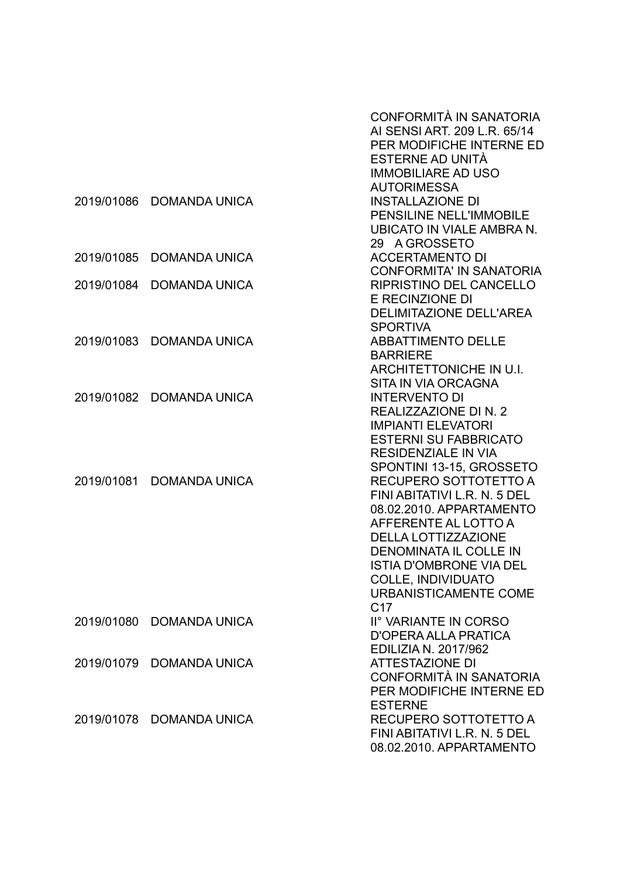|            |                      | CONFORMITÀ IN SANATORIA<br>AI SENSI ART, 209 L.R. 65/14<br>PER MODIFICHE INTERNE ED<br>ESTERNE AD UNITÀ<br><b>IMMOBILIARE AD USO</b>                                                                                                                                                       |
|------------|----------------------|--------------------------------------------------------------------------------------------------------------------------------------------------------------------------------------------------------------------------------------------------------------------------------------------|
| 2019/01086 | <b>DOMANDA UNICA</b> | <b>AUTORIMESSA</b><br><b>INSTALLAZIONE DI</b><br>PENSILINE NELL'IMMOBILE<br>UBICATO IN VIALE AMBRA N.<br>29 A GROSSETO                                                                                                                                                                     |
| 2019/01085 | <b>DOMANDA UNICA</b> | <b>ACCERTAMENTO DI</b><br><b>CONFORMITA' IN SANATORIA</b>                                                                                                                                                                                                                                  |
| 2019/01084 | <b>DOMANDA UNICA</b> | <b>RIPRISTINO DEL CANCELLO</b><br>E RECINZIONE DI<br><b>DELIMITAZIONE DELL'AREA</b><br><b>SPORTIVA</b>                                                                                                                                                                                     |
| 2019/01083 | <b>DOMANDA UNICA</b> | <b>ABBATTIMENTO DELLE</b><br><b>BARRIERE</b><br>ARCHITETTONICHE IN U.I.<br>SITA IN VIA ORCAGNA                                                                                                                                                                                             |
| 2019/01082 | <b>DOMANDA UNICA</b> | <b>INTERVENTO DI</b><br>REALIZZAZIONE DI N. 2<br><b>IMPIANTI ELEVATORI</b><br><b>ESTERNI SU FABBRICATO</b><br><b>RESIDENZIALE IN VIA</b><br>SPONTINI 13-15, GROSSETO                                                                                                                       |
| 2019/01081 | <b>DOMANDA UNICA</b> | RECUPERO SOTTOTETTO A<br>FINI ABITATIVI L.R. N. 5 DEL<br>08.02.2010. APPARTAMENTO<br>AFFERENTE AL LOTTO A<br><b>DELLA LOTTIZZAZIONE</b><br><b>DENOMINATA IL COLLE IN</b><br><b>ISTIA D'OMBRONE VIA DEL</b><br><b>COLLE, INDIVIDUATO</b><br><b>URBANISTICAMENTE COME</b><br>C <sub>17</sub> |
| 2019/01080 | <b>DOMANDA UNICA</b> | II° VARIANTE IN CORSO<br>D'OPERA ALLA PRATICA<br><b>EDILIZIA N. 2017/962</b>                                                                                                                                                                                                               |
| 2019/01079 | <b>DOMANDA UNICA</b> | <b>ATTESTAZIONE DI</b><br>CONFORMITÀ IN SANATORIA<br>PER MODIFICHE INTERNE ED<br><b>ESTERNE</b>                                                                                                                                                                                            |
| 2019/01078 | <b>DOMANDA UNICA</b> | RECUPERO SOTTOTETTO A<br>FINI ABITATIVI L.R. N. 5 DEL<br>08.02.2010. APPARTAMENTO                                                                                                                                                                                                          |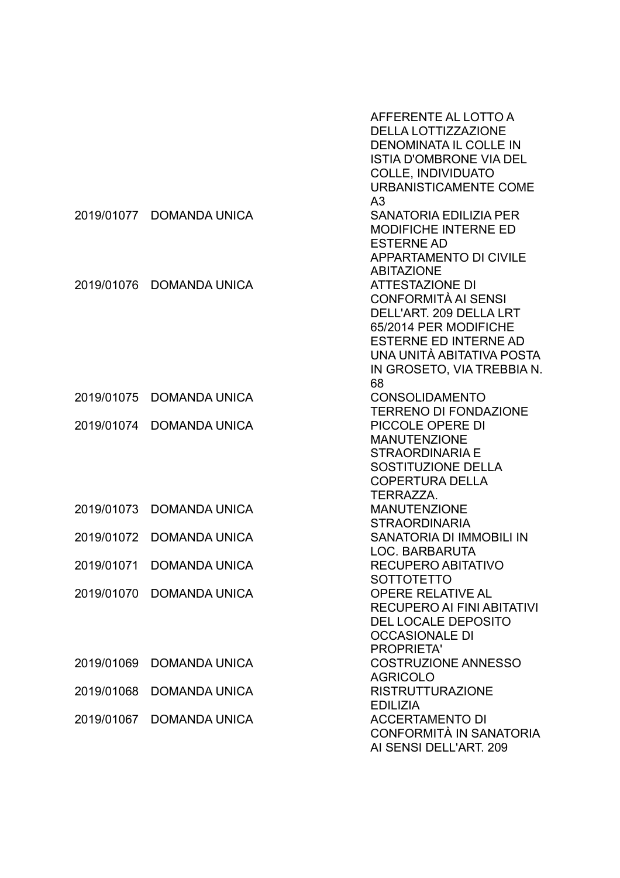|            |                      | AFFERENTE AL LOTTO A<br><b>DELLA LOTTIZZAZIONE</b><br><b>DENOMINATA IL COLLE IN</b><br><b>ISTIA D'OMBRONE VIA DEL</b><br><b>COLLE, INDIVIDUATO</b><br><b>URBANISTICAMENTE COME</b><br>A <sub>3</sub> |
|------------|----------------------|------------------------------------------------------------------------------------------------------------------------------------------------------------------------------------------------------|
| 2019/01077 | <b>DOMANDA UNICA</b> | <b>SANATORIA EDILIZIA PER</b><br><b>MODIFICHE INTERNE ED</b><br><b>ESTERNE AD</b><br><b>APPARTAMENTO DI CIVILE</b><br><b>ABITAZIONE</b>                                                              |
| 2019/01076 | <b>DOMANDA UNICA</b> | <b>ATTESTAZIONE DI</b><br>CONFORMITÀ AI SENSI<br>DELL'ART. 209 DELLA LRT<br>65/2014 PER MODIFICHE<br><b>ESTERNE ED INTERNE AD</b><br>UNA UNITÀ ABITATIVA POSTA<br>IN GROSETO, VIA TREBBIA N.<br>68   |
| 2019/01075 | <b>DOMANDA UNICA</b> | <b>CONSOLIDAMENTO</b><br><b>TERRENO DI FONDAZIONE</b>                                                                                                                                                |
| 2019/01074 | <b>DOMANDA UNICA</b> | PICCOLE OPERE DI<br><b>MANUTENZIONE</b><br><b>STRAORDINARIA E</b><br>SOSTITUZIONE DELLA<br><b>COPERTURA DELLA</b><br>TERRAZZA.                                                                       |
| 2019/01073 | <b>DOMANDA UNICA</b> | <b>MANUTENZIONE</b><br><b>STRAORDINARIA</b>                                                                                                                                                          |
| 2019/01072 | <b>DOMANDA UNICA</b> | SANATORIA DI IMMOBILI IN<br>LOC. BARBARUTA                                                                                                                                                           |
| 2019/01071 | <b>DOMANDA UNICA</b> | RECUPERO ABITATIVO                                                                                                                                                                                   |
| 2019/01070 | <b>DOMANDA UNICA</b> | SOTTOTETTO<br><b>OPERE RELATIVE AL</b><br><b>RECUPERO AI FINI ABITATIVI</b><br><b>DEL LOCALE DEPOSITO</b><br><b>OCCASIONALE DI</b><br><b>PROPRIETA'</b>                                              |
| 2019/01069 | <b>DOMANDA UNICA</b> | <b>COSTRUZIONE ANNESSO</b><br><b>AGRICOLO</b>                                                                                                                                                        |
| 2019/01068 | <b>DOMANDA UNICA</b> | <b>RISTRUTTURAZIONE</b>                                                                                                                                                                              |
| 2019/01067 | <b>DOMANDA UNICA</b> | <b>EDILIZIA</b><br><b>ACCERTAMENTO DI</b><br>CONFORMITÀ IN SANATORIA<br>AI SENSI DELL'ART. 209                                                                                                       |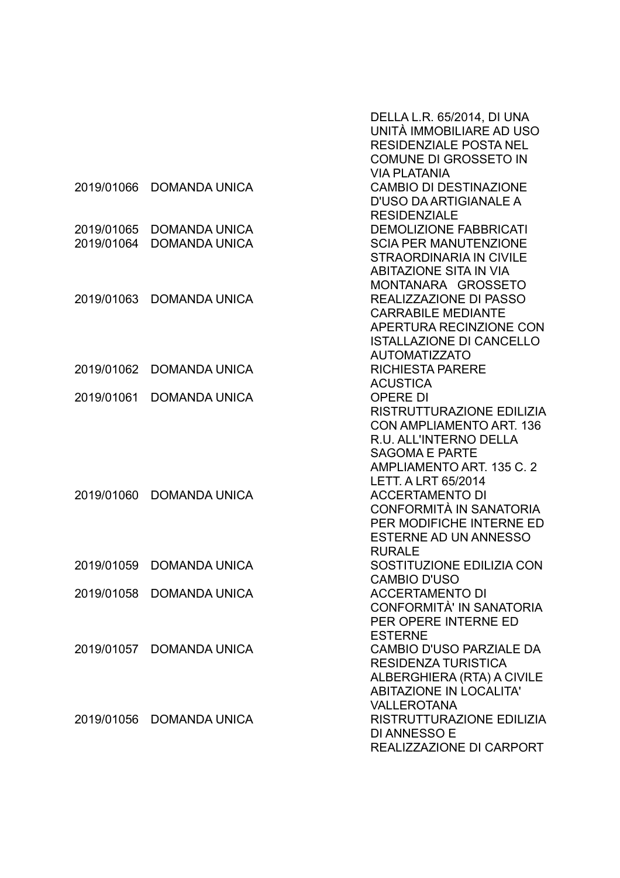|                          |                                              | DELLA L.R. 65/2014, DI UNA<br>UNITÀ IMMOBILIARE AD USO<br><b>RESIDENZIALE POSTA NEL</b><br><b>COMUNE DI GROSSETO IN</b>                                                                       |
|--------------------------|----------------------------------------------|-----------------------------------------------------------------------------------------------------------------------------------------------------------------------------------------------|
| 2019/01066               | <b>DOMANDA UNICA</b>                         | <b>VIA PLATANIA</b><br><b>CAMBIO DI DESTINAZIONE</b><br>D'USO DA ARTIGIANALE A                                                                                                                |
| 2019/01065<br>2019/01064 | <b>DOMANDA UNICA</b><br><b>DOMANDA UNICA</b> | <b>RESIDENZIALE</b><br><b>DEMOLIZIONE FABBRICATI</b><br><b>SCIA PER MANUTENZIONE</b><br><b>STRAORDINARIA IN CIVILE</b>                                                                        |
| 2019/01063               | <b>DOMANDA UNICA</b>                         | <b>ABITAZIONE SITA IN VIA</b><br>MONTANARA GROSSETO<br>REALIZZAZIONE DI PASSO<br><b>CARRABILE MEDIANTE</b><br>APERTURA RECINZIONE CON                                                         |
| 2019/01062               | <b>DOMANDA UNICA</b>                         | <b>ISTALLAZIONE DI CANCELLO</b><br><b>AUTOMATIZZATO</b><br><b>RICHIESTA PARERE</b><br><b>ACUSTICA</b>                                                                                         |
| 2019/01061               | <b>DOMANDA UNICA</b>                         | <b>OPERE DI</b><br>RISTRUTTURAZIONE EDILIZIA<br><b>CON AMPLIAMENTO ART. 136</b><br>R.U. ALL'INTERNO DELLA<br><b>SAGOMA E PARTE</b><br>AMPLIAMENTO ART. 135 C. 2<br><b>LETT. A LRT 65/2014</b> |
| 2019/01060               | <b>DOMANDA UNICA</b>                         | <b>ACCERTAMENTO DI</b><br>CONFORMITÀ IN SANATORIA<br>PER MODIFICHE INTERNE ED<br><b>ESTERNE AD UN ANNESSO</b><br><b>RURALE</b>                                                                |
| 2019/01059               | <b>DOMANDA UNICA</b>                         | SOSTITUZIONE EDILIZIA CON<br><b>CAMBIO D'USO</b>                                                                                                                                              |
|                          | 2019/01058 DOMANDA UNICA                     | <b>ACCERTAMENTO DI</b><br>CONFORMITÀ' IN SANATORIA<br>PER OPERE INTERNE ED                                                                                                                    |
|                          | 2019/01057 DOMANDA UNICA                     | <b>ESTERNE</b><br><b>CAMBIO D'USO PARZIALE DA</b><br><b>RESIDENZA TURISTICA</b><br>ALBERGHIERA (RTA) A CIVILE<br><b>ABITAZIONE IN LOCALITA'</b>                                               |
|                          | 2019/01056 DOMANDA UNICA                     | <b>VALLEROTANA</b><br>RISTRUTTURAZIONE EDILIZIA<br><b>DI ANNESSO E</b><br>REALIZZAZIONE DI CARPORT                                                                                            |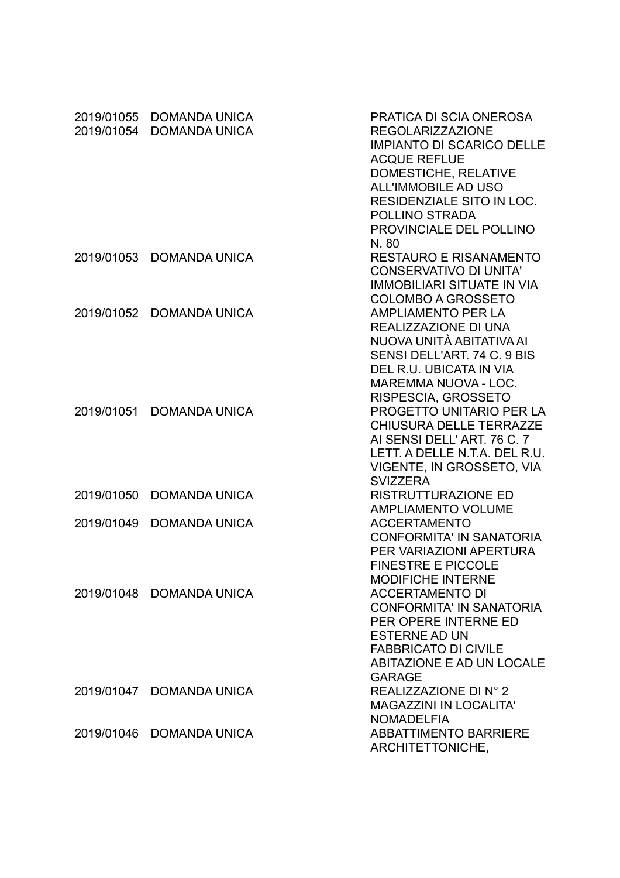| 2019/01055<br>2019/01054 | <b>DOMANDA UNICA</b><br><b>DOMANDA UNICA</b> | PRATICA DI SCIA ONEROSA<br><b>REGOLARIZZAZIONE</b><br><b>IMPIANTO DI SCARICO DELLE</b><br><b>ACQUE REFLUE</b><br>DOMESTICHE, RELATIVE<br>ALL'IMMOBILE AD USO<br>RESIDENZIALE SITO IN LOC.<br>POLLINO STRADA<br>PROVINCIALE DEL POLLINO |
|--------------------------|----------------------------------------------|----------------------------------------------------------------------------------------------------------------------------------------------------------------------------------------------------------------------------------------|
| 2019/01053               | <b>DOMANDA UNICA</b>                         | N.80<br><b>RESTAURO E RISANAMENTO</b><br><b>CONSERVATIVO DI UNITA'</b><br><b>IMMOBILIARI SITUATE IN VIA</b><br><b>COLOMBO A GROSSETO</b>                                                                                               |
| 2019/01052               | <b>DOMANDA UNICA</b>                         | <b>AMPLIAMENTO PER LA</b><br>REALIZZAZIONE DI UNA<br>NUOVA UNITÀ ABITATIVA AI<br>SENSI DELL'ART, 74 C. 9 BIS<br>DEL R.U. UBICATA IN VIA<br><b>MAREMMA NUOVA - LOC.</b>                                                                 |
| 2019/01051               | <b>DOMANDA UNICA</b>                         | RISPESCIA, GROSSETO<br><b>PROGETTO UNITARIO PER LA</b><br><b>CHIUSURA DELLE TERRAZZE</b><br>AI SENSI DELL'ART. 76 C. 7<br>LETT. A DELLE N.T.A. DEL R.U.<br>VIGENTE, IN GROSSETO, VIA<br><b>SVIZZERA</b>                                |
| 2019/01050               | <b>DOMANDA UNICA</b>                         | <b>RISTRUTTURAZIONE ED</b><br><b>AMPLIAMENTO VOLUME</b>                                                                                                                                                                                |
| 2019/01049               | <b>DOMANDA UNICA</b>                         | <b>ACCERTAMENTO</b><br><b>CONFORMITA' IN SANATORIA</b><br>PER VARIAZIONI APERTURA<br><b>FINESTRE E PICCOLE</b>                                                                                                                         |
|                          | 2019/01048 DOMANDA UNICA                     | <b>MODIFICHE INTERNE</b><br><b>ACCERTAMENTO DI</b><br><b>CONFORMITA' IN SANATORIA</b><br>PER OPERE INTERNE ED<br><b>ESTERNE AD UN</b><br><b>FABBRICATO DI CIVILE</b><br>ABITAZIONE E AD UN LOCALE<br><b>GARAGE</b>                     |
|                          | 2019/01047 DOMANDA UNICA                     | REALIZZAZIONE DI N° 2<br>MAGAZZINI IN LOCALITA'<br><b>NOMADELFIA</b>                                                                                                                                                                   |
|                          | 2019/01046 DOMANDA UNICA                     | <b>ABBATTIMENTO BARRIERE</b><br>ARCHITETTONICHE,                                                                                                                                                                                       |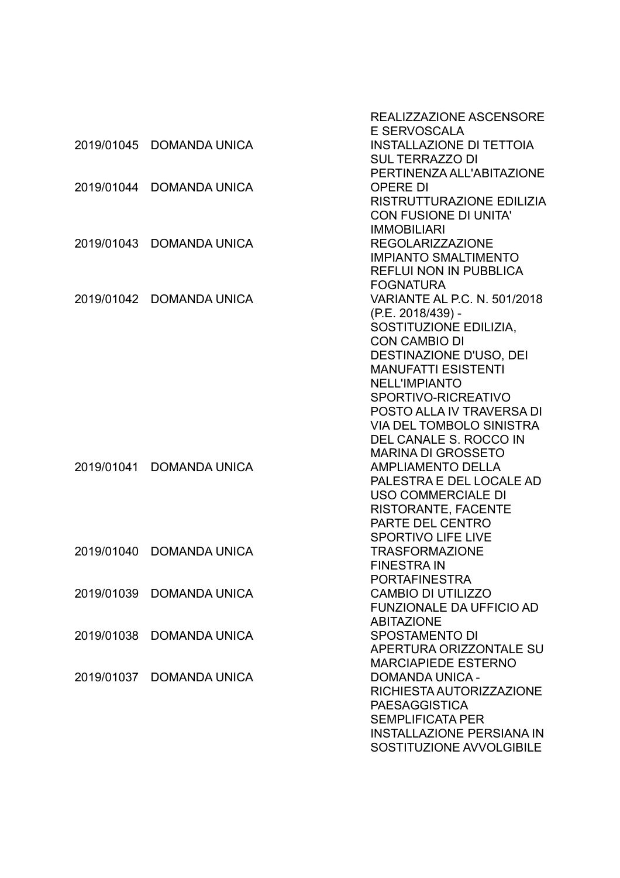| E SERVOSCALA<br><b>INSTALLAZIONE DI TETTOIA</b><br>2019/01045 DOMANDA UNICA<br><b>SUL TERRAZZO DI</b><br>PERTINENZA ALL'ABITAZIONE<br>2019/01044<br><b>DOMANDA UNICA</b><br><b>OPERE DI</b><br>RISTRUTTURAZIONE EDILIZIA<br><b>CON FUSIONE DI UNITA'</b><br><b>IMMOBILIARI</b><br>2019/01043 DOMANDA UNICA<br><b>REGOLARIZZAZIONE</b><br><b>IMPIANTO SMALTIMENTO</b><br><b>REFLUI NON IN PUBBLICA</b><br><b>FOGNATURA</b><br>VARIANTE AL P.C. N. 501/2018<br>2019/01042<br><b>DOMANDA UNICA</b><br>(P.E. 2018/439) -<br>SOSTITUZIONE EDILIZIA,<br><b>CON CAMBIO DI</b><br>DESTINAZIONE D'USO, DEI<br><b>MANUFATTI ESISTENTI</b><br><b>NELL'IMPIANTO</b><br>SPORTIVO-RICREATIVO<br>POSTO ALLA IV TRAVERSA DI<br><b>VIA DEL TOMBOLO SINISTRA</b><br>DEL CANALE S. ROCCO IN<br><b>MARINA DI GROSSETO</b><br>2019/01041<br><b>DOMANDA UNICA</b><br><b>AMPLIAMENTO DELLA</b><br>PALESTRA E DEL LOCALE AD<br><b>USO COMMERCIALE DI</b><br><b>RISTORANTE, FACENTE</b><br>PARTE DEL CENTRO<br><b>SPORTIVO LIFE LIVE</b><br><b>TRASFORMAZIONE</b><br>2019/01040<br><b>DOMANDA UNICA</b><br><b>FINESTRA IN</b><br>PORTAFINESTRA<br><b>CAMBIO DI UTILIZZO</b><br>2019/01039<br>DOMANDA UNICA<br><b>FUNZIONALE DA UFFICIO AD</b><br><b>ABITAZIONE</b><br><b>SPOSTAMENTO DI</b><br>2019/01038<br>DOMANDA UNICA<br>APERTURA ORIZZONTALE SU<br><b>MARCIAPIEDE ESTERNO</b><br>2019/01037<br><b>DOMANDA UNICA</b><br><b>DOMANDA UNICA -</b><br>RICHIESTA AUTORIZZAZIONE<br><b>PAESAGGISTICA</b><br><b>SEMPLIFICATA PER</b><br><b>INSTALLAZIONE PERSIANA IN</b> |  | <b>REALIZZAZIONE ASCENSORE</b> |
|-----------------------------------------------------------------------------------------------------------------------------------------------------------------------------------------------------------------------------------------------------------------------------------------------------------------------------------------------------------------------------------------------------------------------------------------------------------------------------------------------------------------------------------------------------------------------------------------------------------------------------------------------------------------------------------------------------------------------------------------------------------------------------------------------------------------------------------------------------------------------------------------------------------------------------------------------------------------------------------------------------------------------------------------------------------------------------------------------------------------------------------------------------------------------------------------------------------------------------------------------------------------------------------------------------------------------------------------------------------------------------------------------------------------------------------------------------------------------------------------------------------------------------------------------|--|--------------------------------|
|                                                                                                                                                                                                                                                                                                                                                                                                                                                                                                                                                                                                                                                                                                                                                                                                                                                                                                                                                                                                                                                                                                                                                                                                                                                                                                                                                                                                                                                                                                                                               |  |                                |
|                                                                                                                                                                                                                                                                                                                                                                                                                                                                                                                                                                                                                                                                                                                                                                                                                                                                                                                                                                                                                                                                                                                                                                                                                                                                                                                                                                                                                                                                                                                                               |  |                                |
|                                                                                                                                                                                                                                                                                                                                                                                                                                                                                                                                                                                                                                                                                                                                                                                                                                                                                                                                                                                                                                                                                                                                                                                                                                                                                                                                                                                                                                                                                                                                               |  |                                |
|                                                                                                                                                                                                                                                                                                                                                                                                                                                                                                                                                                                                                                                                                                                                                                                                                                                                                                                                                                                                                                                                                                                                                                                                                                                                                                                                                                                                                                                                                                                                               |  |                                |
|                                                                                                                                                                                                                                                                                                                                                                                                                                                                                                                                                                                                                                                                                                                                                                                                                                                                                                                                                                                                                                                                                                                                                                                                                                                                                                                                                                                                                                                                                                                                               |  |                                |
|                                                                                                                                                                                                                                                                                                                                                                                                                                                                                                                                                                                                                                                                                                                                                                                                                                                                                                                                                                                                                                                                                                                                                                                                                                                                                                                                                                                                                                                                                                                                               |  |                                |
|                                                                                                                                                                                                                                                                                                                                                                                                                                                                                                                                                                                                                                                                                                                                                                                                                                                                                                                                                                                                                                                                                                                                                                                                                                                                                                                                                                                                                                                                                                                                               |  |                                |
|                                                                                                                                                                                                                                                                                                                                                                                                                                                                                                                                                                                                                                                                                                                                                                                                                                                                                                                                                                                                                                                                                                                                                                                                                                                                                                                                                                                                                                                                                                                                               |  |                                |
|                                                                                                                                                                                                                                                                                                                                                                                                                                                                                                                                                                                                                                                                                                                                                                                                                                                                                                                                                                                                                                                                                                                                                                                                                                                                                                                                                                                                                                                                                                                                               |  |                                |
|                                                                                                                                                                                                                                                                                                                                                                                                                                                                                                                                                                                                                                                                                                                                                                                                                                                                                                                                                                                                                                                                                                                                                                                                                                                                                                                                                                                                                                                                                                                                               |  |                                |
|                                                                                                                                                                                                                                                                                                                                                                                                                                                                                                                                                                                                                                                                                                                                                                                                                                                                                                                                                                                                                                                                                                                                                                                                                                                                                                                                                                                                                                                                                                                                               |  |                                |
|                                                                                                                                                                                                                                                                                                                                                                                                                                                                                                                                                                                                                                                                                                                                                                                                                                                                                                                                                                                                                                                                                                                                                                                                                                                                                                                                                                                                                                                                                                                                               |  |                                |
|                                                                                                                                                                                                                                                                                                                                                                                                                                                                                                                                                                                                                                                                                                                                                                                                                                                                                                                                                                                                                                                                                                                                                                                                                                                                                                                                                                                                                                                                                                                                               |  |                                |
|                                                                                                                                                                                                                                                                                                                                                                                                                                                                                                                                                                                                                                                                                                                                                                                                                                                                                                                                                                                                                                                                                                                                                                                                                                                                                                                                                                                                                                                                                                                                               |  |                                |
|                                                                                                                                                                                                                                                                                                                                                                                                                                                                                                                                                                                                                                                                                                                                                                                                                                                                                                                                                                                                                                                                                                                                                                                                                                                                                                                                                                                                                                                                                                                                               |  |                                |
|                                                                                                                                                                                                                                                                                                                                                                                                                                                                                                                                                                                                                                                                                                                                                                                                                                                                                                                                                                                                                                                                                                                                                                                                                                                                                                                                                                                                                                                                                                                                               |  |                                |
|                                                                                                                                                                                                                                                                                                                                                                                                                                                                                                                                                                                                                                                                                                                                                                                                                                                                                                                                                                                                                                                                                                                                                                                                                                                                                                                                                                                                                                                                                                                                               |  |                                |
|                                                                                                                                                                                                                                                                                                                                                                                                                                                                                                                                                                                                                                                                                                                                                                                                                                                                                                                                                                                                                                                                                                                                                                                                                                                                                                                                                                                                                                                                                                                                               |  |                                |
|                                                                                                                                                                                                                                                                                                                                                                                                                                                                                                                                                                                                                                                                                                                                                                                                                                                                                                                                                                                                                                                                                                                                                                                                                                                                                                                                                                                                                                                                                                                                               |  |                                |
|                                                                                                                                                                                                                                                                                                                                                                                                                                                                                                                                                                                                                                                                                                                                                                                                                                                                                                                                                                                                                                                                                                                                                                                                                                                                                                                                                                                                                                                                                                                                               |  |                                |
|                                                                                                                                                                                                                                                                                                                                                                                                                                                                                                                                                                                                                                                                                                                                                                                                                                                                                                                                                                                                                                                                                                                                                                                                                                                                                                                                                                                                                                                                                                                                               |  |                                |
|                                                                                                                                                                                                                                                                                                                                                                                                                                                                                                                                                                                                                                                                                                                                                                                                                                                                                                                                                                                                                                                                                                                                                                                                                                                                                                                                                                                                                                                                                                                                               |  |                                |
|                                                                                                                                                                                                                                                                                                                                                                                                                                                                                                                                                                                                                                                                                                                                                                                                                                                                                                                                                                                                                                                                                                                                                                                                                                                                                                                                                                                                                                                                                                                                               |  |                                |
|                                                                                                                                                                                                                                                                                                                                                                                                                                                                                                                                                                                                                                                                                                                                                                                                                                                                                                                                                                                                                                                                                                                                                                                                                                                                                                                                                                                                                                                                                                                                               |  |                                |
|                                                                                                                                                                                                                                                                                                                                                                                                                                                                                                                                                                                                                                                                                                                                                                                                                                                                                                                                                                                                                                                                                                                                                                                                                                                                                                                                                                                                                                                                                                                                               |  |                                |
|                                                                                                                                                                                                                                                                                                                                                                                                                                                                                                                                                                                                                                                                                                                                                                                                                                                                                                                                                                                                                                                                                                                                                                                                                                                                                                                                                                                                                                                                                                                                               |  |                                |
|                                                                                                                                                                                                                                                                                                                                                                                                                                                                                                                                                                                                                                                                                                                                                                                                                                                                                                                                                                                                                                                                                                                                                                                                                                                                                                                                                                                                                                                                                                                                               |  |                                |
|                                                                                                                                                                                                                                                                                                                                                                                                                                                                                                                                                                                                                                                                                                                                                                                                                                                                                                                                                                                                                                                                                                                                                                                                                                                                                                                                                                                                                                                                                                                                               |  |                                |
|                                                                                                                                                                                                                                                                                                                                                                                                                                                                                                                                                                                                                                                                                                                                                                                                                                                                                                                                                                                                                                                                                                                                                                                                                                                                                                                                                                                                                                                                                                                                               |  |                                |
|                                                                                                                                                                                                                                                                                                                                                                                                                                                                                                                                                                                                                                                                                                                                                                                                                                                                                                                                                                                                                                                                                                                                                                                                                                                                                                                                                                                                                                                                                                                                               |  |                                |
|                                                                                                                                                                                                                                                                                                                                                                                                                                                                                                                                                                                                                                                                                                                                                                                                                                                                                                                                                                                                                                                                                                                                                                                                                                                                                                                                                                                                                                                                                                                                               |  |                                |
|                                                                                                                                                                                                                                                                                                                                                                                                                                                                                                                                                                                                                                                                                                                                                                                                                                                                                                                                                                                                                                                                                                                                                                                                                                                                                                                                                                                                                                                                                                                                               |  |                                |
|                                                                                                                                                                                                                                                                                                                                                                                                                                                                                                                                                                                                                                                                                                                                                                                                                                                                                                                                                                                                                                                                                                                                                                                                                                                                                                                                                                                                                                                                                                                                               |  |                                |
|                                                                                                                                                                                                                                                                                                                                                                                                                                                                                                                                                                                                                                                                                                                                                                                                                                                                                                                                                                                                                                                                                                                                                                                                                                                                                                                                                                                                                                                                                                                                               |  |                                |
|                                                                                                                                                                                                                                                                                                                                                                                                                                                                                                                                                                                                                                                                                                                                                                                                                                                                                                                                                                                                                                                                                                                                                                                                                                                                                                                                                                                                                                                                                                                                               |  |                                |
|                                                                                                                                                                                                                                                                                                                                                                                                                                                                                                                                                                                                                                                                                                                                                                                                                                                                                                                                                                                                                                                                                                                                                                                                                                                                                                                                                                                                                                                                                                                                               |  |                                |
|                                                                                                                                                                                                                                                                                                                                                                                                                                                                                                                                                                                                                                                                                                                                                                                                                                                                                                                                                                                                                                                                                                                                                                                                                                                                                                                                                                                                                                                                                                                                               |  |                                |
|                                                                                                                                                                                                                                                                                                                                                                                                                                                                                                                                                                                                                                                                                                                                                                                                                                                                                                                                                                                                                                                                                                                                                                                                                                                                                                                                                                                                                                                                                                                                               |  |                                |
|                                                                                                                                                                                                                                                                                                                                                                                                                                                                                                                                                                                                                                                                                                                                                                                                                                                                                                                                                                                                                                                                                                                                                                                                                                                                                                                                                                                                                                                                                                                                               |  |                                |
|                                                                                                                                                                                                                                                                                                                                                                                                                                                                                                                                                                                                                                                                                                                                                                                                                                                                                                                                                                                                                                                                                                                                                                                                                                                                                                                                                                                                                                                                                                                                               |  |                                |
|                                                                                                                                                                                                                                                                                                                                                                                                                                                                                                                                                                                                                                                                                                                                                                                                                                                                                                                                                                                                                                                                                                                                                                                                                                                                                                                                                                                                                                                                                                                                               |  |                                |
|                                                                                                                                                                                                                                                                                                                                                                                                                                                                                                                                                                                                                                                                                                                                                                                                                                                                                                                                                                                                                                                                                                                                                                                                                                                                                                                                                                                                                                                                                                                                               |  |                                |
| SOSTITUZIONE AVVOLGIBILE                                                                                                                                                                                                                                                                                                                                                                                                                                                                                                                                                                                                                                                                                                                                                                                                                                                                                                                                                                                                                                                                                                                                                                                                                                                                                                                                                                                                                                                                                                                      |  |                                |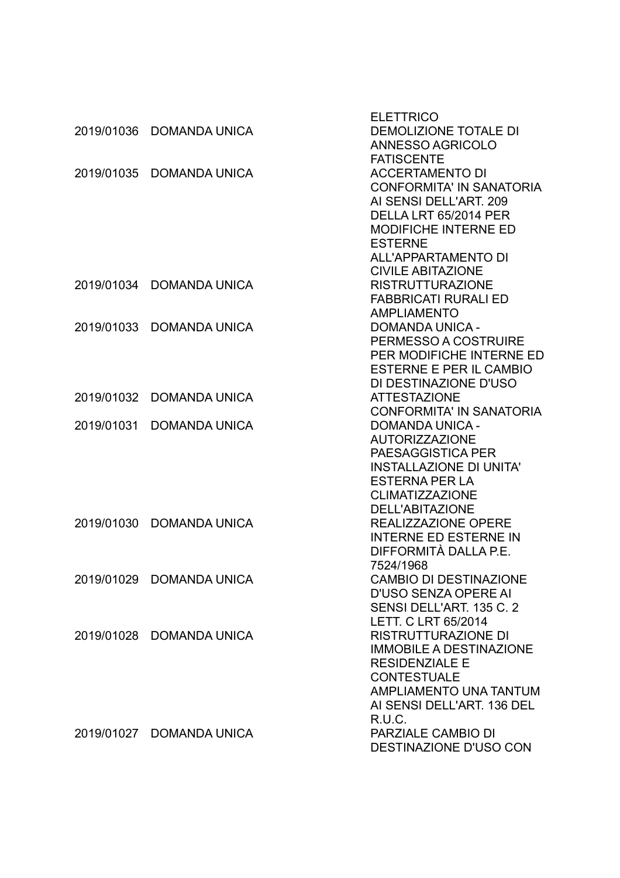|            |                          | <b>ELETTRICO</b>                |
|------------|--------------------------|---------------------------------|
|            | 2019/01036 DOMANDA UNICA | <b>DEMOLIZIONE TOTALE DI</b>    |
|            |                          | <b>ANNESSO AGRICOLO</b>         |
|            |                          | <b>FATISCENTE</b>               |
|            | 2019/01035 DOMANDA UNICA | <b>ACCERTAMENTO DI</b>          |
|            |                          | <b>CONFORMITA' IN SANATORIA</b> |
|            |                          | AI SENSI DELL'ART. 209          |
|            |                          | DELLA LRT 65/2014 PER           |
|            |                          | <b>MODIFICHE INTERNE ED</b>     |
|            |                          | <b>ESTERNE</b>                  |
|            |                          | ALL'APPARTAMENTO DI             |
|            |                          | <b>CIVILE ABITAZIONE</b>        |
|            | 2019/01034 DOMANDA UNICA | <b>RISTRUTTURAZIONE</b>         |
|            |                          | <b>FABBRICATI RURALI ED</b>     |
|            |                          | <b>AMPLIAMENTO</b>              |
| 2019/01033 | <b>DOMANDA UNICA</b>     | <b>DOMANDA UNICA -</b>          |
|            |                          | PERMESSO A COSTRUIRE            |
|            |                          | PER MODIFICHE INTERNE ED        |
|            |                          | ESTERNE E PER IL CAMBIO         |
|            |                          | DI DESTINAZIONE D'USO           |
|            | 2019/01032 DOMANDA UNICA | <b>ATTESTAZIONE</b>             |
|            |                          | <b>CONFORMITA' IN SANATORIA</b> |
| 2019/01031 | <b>DOMANDA UNICA</b>     | <b>DOMANDA UNICA -</b>          |
|            |                          | <b>AUTORIZZAZIONE</b>           |
|            |                          | PAESAGGISTICA PER               |
|            |                          | <b>INSTALLAZIONE DI UNITA'</b>  |
|            |                          | <b>ESTERNA PER LA</b>           |
|            |                          | <b>CLIMATIZZAZIONE</b>          |
|            |                          | DELL'ABITAZIONE                 |
|            | 2019/01030 DOMANDA UNICA | REALIZZAZIONE OPERE             |
|            |                          | <b>INTERNE ED ESTERNE IN</b>    |
|            |                          | DIFFORMITÀ DALLA P.E.           |
|            |                          | 7524/1968                       |
|            | 2019/01029 DOMANDA UNICA | <b>CAMBIO DI DESTINAZIONE</b>   |
|            |                          | <b>D'USO SENZA OPERE AI</b>     |
|            |                          | SENSI DELL'ART. 135 C. 2        |
|            |                          | <b>LETT. C LRT 65/2014</b>      |
|            | 2019/01028 DOMANDA UNICA | <b>RISTRUTTURAZIONE DI</b>      |
|            |                          | <b>IMMOBILE A DESTINAZIONE</b>  |
|            |                          | <b>RESIDENZIALE E</b>           |
|            |                          | <b>CONTESTUALE</b>              |
|            |                          | <b>AMPLIAMENTO UNA TANTUM</b>   |
|            |                          | AI SENSI DELL'ART. 136 DEL      |
|            |                          | R.U.C.                          |
|            | 2019/01027 DOMANDA UNICA | PARZIALE CAMBIO DI              |
|            |                          | <b>DESTINAZIONE D'USO CON</b>   |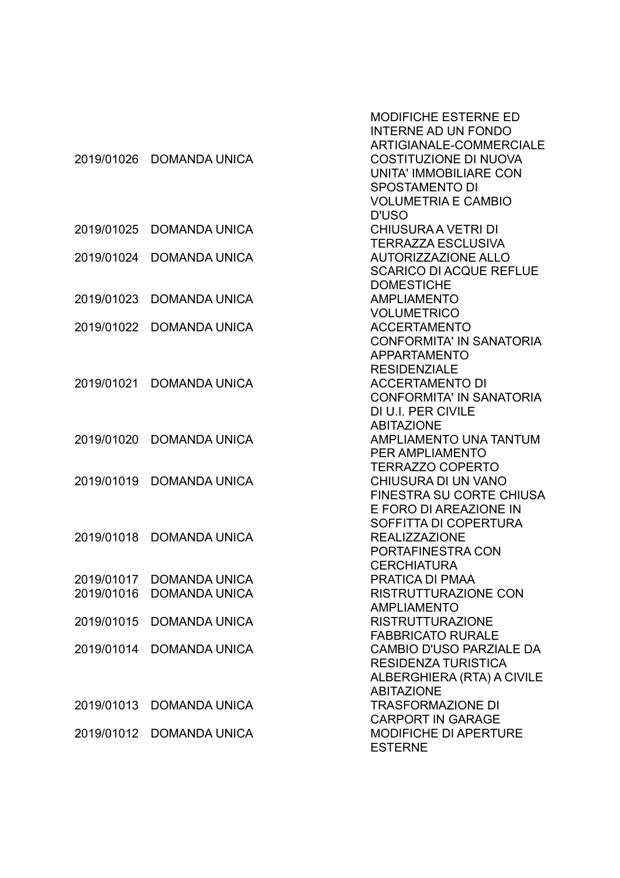|            | 2019/01026 DOMANDA UNICA                         | <b>MODIFICHE ESTERNE ED</b><br><b>INTERNE AD UN FONDO</b><br>ARTIGIANALE-COMMERCIALE<br><b>COSTITUZIONE DI NUOVA</b><br><b>UNITA' IMMOBILIARE CON</b><br><b>SPOSTAMENTO DI</b><br><b>VOLUMETRIA E CAMBIO</b> |
|------------|--------------------------------------------------|--------------------------------------------------------------------------------------------------------------------------------------------------------------------------------------------------------------|
| 2019/01025 | <b>DOMANDA UNICA</b>                             | D'USO<br><b>CHIUSURA A VETRI DI</b>                                                                                                                                                                          |
| 2019/01024 | <b>DOMANDA UNICA</b>                             | <b>TERRAZZA ESCLUSIVA</b><br><b>AUTORIZZAZIONE ALLO</b><br><b>SCARICO DI ACQUE REFLUE</b>                                                                                                                    |
| 2019/01023 | <b>DOMANDA UNICA</b>                             | <b>DOMESTICHE</b><br><b>AMPLIAMENTO</b><br><b>VOLUMETRICO</b>                                                                                                                                                |
| 2019/01022 | <b>DOMANDA UNICA</b>                             | <b>ACCERTAMENTO</b><br><b>CONFORMITA' IN SANATORIA</b><br><b>APPARTAMENTO</b>                                                                                                                                |
| 2019/01021 | <b>DOMANDA UNICA</b>                             | <b>RESIDENZIALE</b><br><b>ACCERTAMENTO DI</b><br><b>CONFORMITA' IN SANATORIA</b><br>DI U.I. PER CIVILE                                                                                                       |
| 2019/01020 | <b>DOMANDA UNICA</b>                             | <b>ABITAZIONE</b><br><b>AMPLIAMENTO UNA TANTUM</b><br>PER AMPLIAMENTO<br><b>TERRAZZO COPERTO</b>                                                                                                             |
| 2019/01019 | <b>DOMANDA UNICA</b>                             | <b>CHIUSURA DI UN VANO</b><br><b>FINESTRA SU CORTE CHIUSA</b><br>E FORO DI AREAZIONE IN<br>SOFFITTA DI COPERTURA                                                                                             |
| 2019/01018 | <b>DOMANDA UNICA</b>                             | <b>REALIZZAZIONE</b><br>PORTAFINESTRA CON<br><b>CERCHIATURA</b>                                                                                                                                              |
| 2019/01016 | 2019/01017 DOMANDA UNICA<br><b>DOMANDA UNICA</b> | PRATICA DI PMAA<br>RISTRUTTURAZIONE CON<br><b>AMPLIAMENTO</b>                                                                                                                                                |
| 2019/01015 | <b>DOMANDA UNICA</b>                             | <b>RISTRUTTURAZIONE</b><br><b>FABBRICATO RURALE</b>                                                                                                                                                          |
|            | 2019/01014 DOMANDA UNICA                         | CAMBIO D'USO PARZIALE DA<br><b>RESIDENZA TURISTICA</b><br>ALBERGHIERA (RTA) A CIVILE<br><b>ABITAZIONE</b>                                                                                                    |
| 2019/01013 | <b>DOMANDA UNICA</b>                             | <b>TRASFORMAZIONE DI</b><br><b>CARPORT IN GARAGE</b>                                                                                                                                                         |
|            | 2019/01012 DOMANDA UNICA                         | <b>MODIFICHE DI APERTURE</b><br><b>ESTERNE</b>                                                                                                                                                               |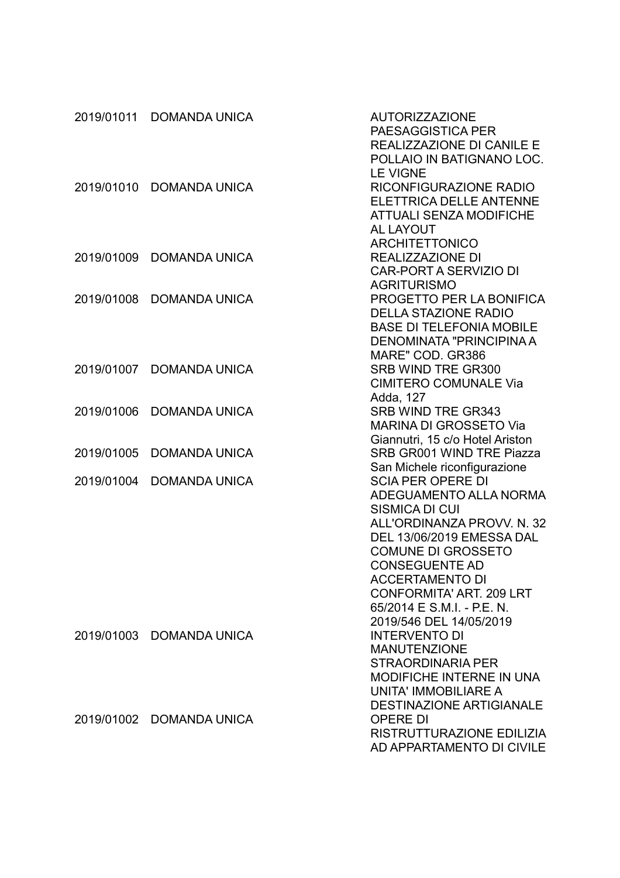|            | 2019/01011 DOMANDA UNICA | <b>AUTORIZZAZIONE</b><br>PAESAGGISTICA PER<br>REALIZZAZIONE DI CANILE E<br>POLLAIO IN BATIGNANO LOC.                                                                                                                                                                                                                    |
|------------|--------------------------|-------------------------------------------------------------------------------------------------------------------------------------------------------------------------------------------------------------------------------------------------------------------------------------------------------------------------|
| 2019/01010 | <b>DOMANDA UNICA</b>     | <b>LE VIGNE</b><br>RICONFIGURAZIONE RADIO<br><b>ELETTRICA DELLE ANTENNE</b><br><b>ATTUALI SENZA MODIFICHE</b>                                                                                                                                                                                                           |
| 2019/01009 | <b>DOMANDA UNICA</b>     | <b>AL LAYOUT</b><br><b>ARCHITETTONICO</b><br><b>REALIZZAZIONE DI</b><br><b>CAR-PORT A SERVIZIO DI</b><br><b>AGRITURISMO</b>                                                                                                                                                                                             |
| 2019/01008 | <b>DOMANDA UNICA</b>     | PROGETTO PER LA BONIFICA<br><b>DELLA STAZIONE RADIO</b><br><b>BASE DI TELEFONIA MOBILE</b><br>DENOMINATA "PRINCIPINA A                                                                                                                                                                                                  |
| 2019/01007 | <b>DOMANDA UNICA</b>     | MARE" COD. GR386<br>SRB WIND TRE GR300<br><b>CIMITERO COMUNALE Via</b>                                                                                                                                                                                                                                                  |
| 2019/01006 | <b>DOMANDA UNICA</b>     | Adda, 127<br>SRB WIND TRE GR343<br><b>MARINA DI GROSSETO Via</b>                                                                                                                                                                                                                                                        |
| 2019/01005 | <b>DOMANDA UNICA</b>     | Giannutri, 15 c/o Hotel Ariston<br>SRB GR001 WIND TRE Piazza                                                                                                                                                                                                                                                            |
| 2019/01004 | <b>DOMANDA UNICA</b>     | San Michele riconfigurazione<br><b>SCIA PER OPERE DI</b><br>ADEGUAMENTO ALLA NORMA<br><b>SISMICA DI CUI</b><br>ALL'ORDINANZA PROVV. N. 32<br>DEL 13/06/2019 EMESSA DAL<br><b>COMUNE DI GROSSETO</b><br><b>CONSEGUENTE AD</b><br><b>ACCERTAMENTO DI</b><br><b>CONFORMITA' ART. 209 LRT</b><br>65/2014 E S.M.I. - P.E. N. |
|            | 2019/01003 DOMANDA UNICA | 2019/546 DEL 14/05/2019<br><b>INTERVENTO DI</b><br><b>MANUTENZIONE</b><br><b>STRAORDINARIA PER</b><br><b>MODIFICHE INTERNE IN UNA</b><br><b>UNITA' IMMOBILIARE A</b>                                                                                                                                                    |
|            | 2019/01002 DOMANDA UNICA | <b>DESTINAZIONE ARTIGIANALE</b><br><b>OPERE DI</b><br>RISTRUTTURAZIONE EDILIZIA<br>AD APPARTAMENTO DI CIVILE                                                                                                                                                                                                            |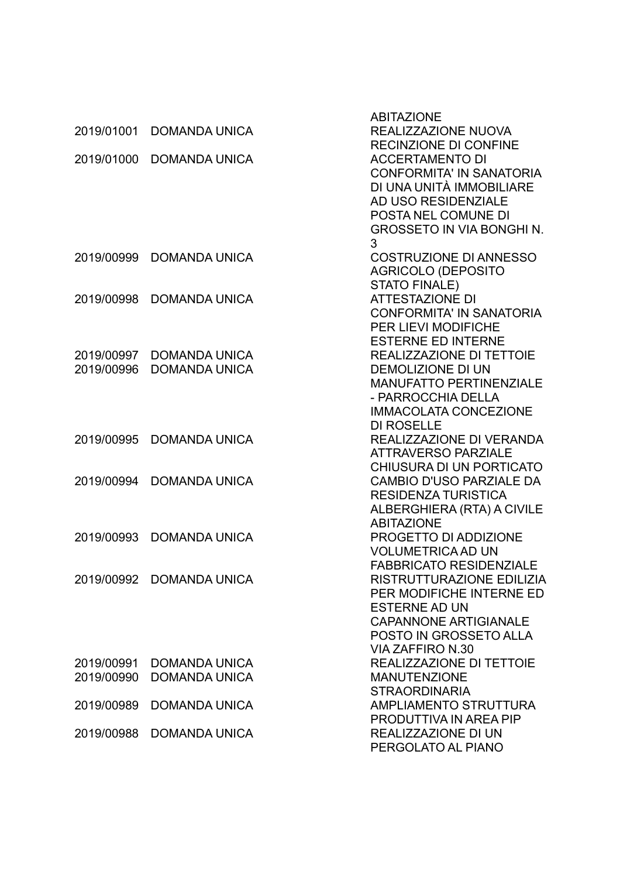|            |                          | <b>ABITAZIONE</b>                                      |
|------------|--------------------------|--------------------------------------------------------|
| 2019/01001 | <b>DOMANDA UNICA</b>     | REALIZZAZIONE NUOVA                                    |
|            |                          | <b>RECINZIONE DI CONFINE</b>                           |
| 2019/01000 | <b>DOMANDA UNICA</b>     | <b>ACCERTAMENTO DI</b>                                 |
|            |                          | <b>CONFORMITA' IN SANATORIA</b>                        |
|            |                          | DI UNA UNITÀ IMMOBILIARE                               |
|            |                          | AD USO RESIDENZIALE                                    |
|            |                          | POSTA NEL COMUNE DI                                    |
|            |                          | <b>GROSSETO IN VIA BONGHI N.</b>                       |
|            |                          | 3                                                      |
| 2019/00999 | <b>DOMANDA UNICA</b>     | <b>COSTRUZIONE DI ANNESSO</b>                          |
|            |                          | <b>AGRICOLO (DEPOSITO</b>                              |
|            |                          | <b>STATO FINALE)</b>                                   |
| 2019/00998 | <b>DOMANDA UNICA</b>     | <b>ATTESTAZIONE DI</b>                                 |
|            |                          | <b>CONFORMITA' IN SANATORIA</b>                        |
|            |                          | <b>PER LIEVI MODIFICHE</b>                             |
|            |                          | <b>ESTERNE ED INTERNE</b>                              |
| 2019/00997 | <b>DOMANDA UNICA</b>     | REALIZZAZIONE DI TETTOIE                               |
| 2019/00996 | <b>DOMANDA UNICA</b>     | <b>DEMOLIZIONE DI UN</b>                               |
|            |                          | <b>MANUFATTO PERTINENZIALE</b>                         |
|            |                          | - PARROCCHIA DELLA                                     |
|            |                          | <b>IMMACOLATA CONCEZIONE</b>                           |
|            |                          | <b>DI ROSELLE</b>                                      |
| 2019/00995 | <b>DOMANDA UNICA</b>     | REALIZZAZIONE DI VERANDA                               |
|            |                          | <b>ATTRAVERSO PARZIALE</b>                             |
|            |                          | CHIUSURA DI UN PORTICATO                               |
| 2019/00994 | <b>DOMANDA UNICA</b>     | <b>CAMBIO D'USO PARZIALE DA</b>                        |
|            |                          | <b>RESIDENZA TURISTICA</b>                             |
|            |                          | ALBERGHIERA (RTA) A CIVILE                             |
|            |                          | <b>ABITAZIONE</b>                                      |
| 2019/00993 | <b>DOMANDA UNICA</b>     | PROGETTO DI ADDIZIONE                                  |
|            |                          | <b>VOLUMETRICA AD UN</b>                               |
|            |                          | <b>FABBRICATO RESIDENZIALE</b>                         |
|            | 2019/00992 DOMANDA UNICA | RISTRUTTURAZIONE EDILIZIA<br>PER MODIFICHE INTERNE ED  |
|            |                          | <b>ESTERNE AD UN</b>                                   |
|            |                          |                                                        |
|            |                          | <b>CAPANNONE ARTIGIANALE</b><br>POSTO IN GROSSETO ALLA |
|            |                          | <b>VIA ZAFFIRO N.30</b>                                |
| 2019/00991 | <b>DOMANDA UNICA</b>     | REALIZZAZIONE DI TETTOIE                               |
| 2019/00990 | <b>DOMANDA UNICA</b>     | <b>MANUTENZIONE</b>                                    |
|            |                          | <b>STRAORDINARIA</b>                                   |
| 2019/00989 | <b>DOMANDA UNICA</b>     | AMPLIAMENTO STRUTTURA                                  |
|            |                          | PRODUTTIVA IN AREA PIP                                 |
| 2019/00988 | <b>DOMANDA UNICA</b>     | REALIZZAZIONE DI UN                                    |
|            |                          | PERGOLATO AL PIANO                                     |
|            |                          |                                                        |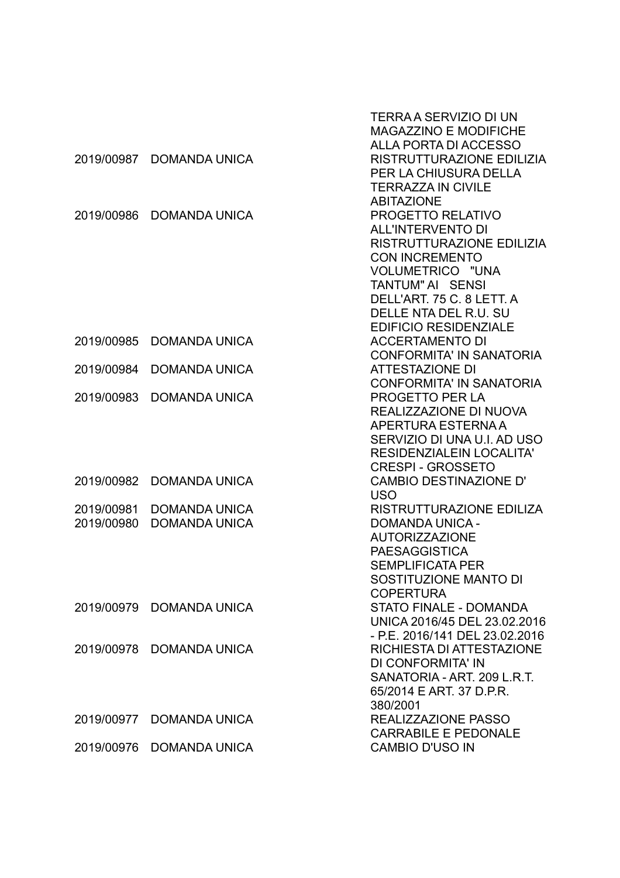|            |                          | TERRA A SERVIZIO DI UN          |
|------------|--------------------------|---------------------------------|
|            |                          | <b>MAGAZZINO E MODIFICHE</b>    |
|            |                          | ALLA PORTA DI ACCESSO           |
| 2019/00987 | <b>DOMANDA UNICA</b>     | RISTRUTTURAZIONE EDILIZIA       |
|            |                          | PER LA CHIUSURA DELLA           |
|            |                          | <b>TERRAZZA IN CIVILE</b>       |
|            |                          | <b>ABITAZIONE</b>               |
| 2019/00986 | <b>DOMANDA UNICA</b>     | PROGETTO RELATIVO               |
|            |                          | <b>ALL'INTERVENTO DI</b>        |
|            |                          | RISTRUTTURAZIONE EDILIZIA       |
|            |                          | <b>CON INCREMENTO</b>           |
|            |                          | VOLUMETRICO "UNA                |
|            |                          | <b>TANTUM" AI SENSI</b>         |
|            |                          | DELL'ART. 75 C. 8 LETT. A       |
|            |                          | DELLE NTA DEL R.U. SU           |
|            |                          | <b>EDIFICIO RESIDENZIALE</b>    |
| 2019/00985 | <b>DOMANDA UNICA</b>     | <b>ACCERTAMENTO DI</b>          |
|            |                          | <b>CONFORMITA' IN SANATORIA</b> |
| 2019/00984 | <b>DOMANDA UNICA</b>     | <b>ATTESTAZIONE DI</b>          |
|            |                          | <b>CONFORMITA' IN SANATORIA</b> |
| 2019/00983 | <b>DOMANDA UNICA</b>     | <b>PROGETTO PER LA</b>          |
|            |                          | REALIZZAZIONE DI NUOVA          |
|            |                          | APERTURA ESTERNA A              |
|            |                          | SERVIZIO DI UNA U.I. AD USO     |
|            |                          | <b>RESIDENZIALEIN LOCALITA'</b> |
|            |                          | <b>CRESPI - GROSSETO</b>        |
| 2019/00982 | <b>DOMANDA UNICA</b>     | <b>CAMBIO DESTINAZIONE D'</b>   |
|            |                          | <b>USO</b>                      |
| 2019/00981 | <b>DOMANDA UNICA</b>     | RISTRUTTURAZIONE EDILIZA        |
| 2019/00980 | <b>DOMANDA UNICA</b>     | <b>DOMANDA UNICA -</b>          |
|            |                          | <b>AUTORIZZAZIONE</b>           |
|            |                          | <b>PAESAGGISTICA</b>            |
|            |                          | <b>SEMPLIFICATA PER</b>         |
|            |                          | SOSTITUZIONE MANTO DI           |
|            |                          | <b>COPERTURA</b>                |
| 2019/00979 | <b>DOMANDA UNICA</b>     | <b>STATO FINALE - DOMANDA</b>   |
|            |                          | UNICA 2016/45 DEL 23.02.2016    |
|            |                          | - P.E. 2016/141 DEL 23.02.2016  |
| 2019/00978 | <b>DOMANDA UNICA</b>     | RICHIESTA DI ATTESTAZIONE       |
|            |                          | DI CONFORMITA' IN               |
|            |                          | SANATORIA - ART. 209 L.R.T.     |
|            |                          | 65/2014 E ART, 37 D.P.R.        |
|            |                          | 380/2001                        |
| 2019/00977 | <b>DOMANDA UNICA</b>     | REALIZZAZIONE PASSO             |
|            |                          | <b>CARRABILE E PEDONALE</b>     |
|            | 2019/00976 DOMANDA UNICA | <b>CAMBIO D'USO IN</b>          |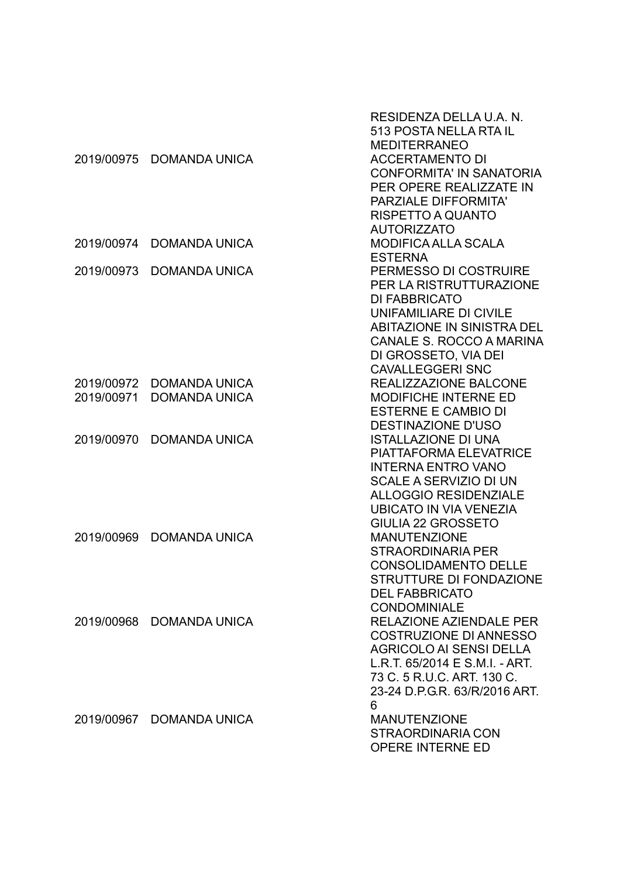| 2019/00975               | <b>DOMANDA UNICA</b>                         | RESIDENZA DELLA U.A. N.<br>513 POSTA NELLA RTA IL<br><b>MEDITERRANEO</b><br><b>ACCERTAMENTO DI</b><br><b>CONFORMITA' IN SANATORIA</b><br>PER OPERE REALIZZATE IN<br><b>PARZIALE DIFFORMITA'</b><br>RISPETTO A QUANTO    |
|--------------------------|----------------------------------------------|-------------------------------------------------------------------------------------------------------------------------------------------------------------------------------------------------------------------------|
| 2019/00974               | <b>DOMANDA UNICA</b>                         | <b>AUTORIZZATO</b><br><b>MODIFICA ALLA SCALA</b><br><b>ESTERNA</b>                                                                                                                                                      |
| 2019/00973               | <b>DOMANDA UNICA</b>                         | PERMESSO DI COSTRUIRE<br>PER LA RISTRUTTURAZIONE<br><b>DI FABBRICATO</b><br>UNIFAMILIARE DI CIVILE<br><b>ABITAZIONE IN SINISTRA DEL</b><br>CANALE S. ROCCO A MARINA<br>DI GROSSETO, VIA DEI<br><b>CAVALLEGGERI SNC</b>  |
| 2019/00972<br>2019/00971 | <b>DOMANDA UNICA</b><br><b>DOMANDA UNICA</b> | <b>REALIZZAZIONE BALCONE</b><br><b>MODIFICHE INTERNE ED</b><br><b>ESTERNE E CAMBIO DI</b><br><b>DESTINAZIONE D'USO</b>                                                                                                  |
| 2019/00970               | <b>DOMANDA UNICA</b>                         | <b>ISTALLAZIONE DI UNA</b><br><b>PIATTAFORMA ELEVATRICE</b><br><b>INTERNA ENTRO VANO</b><br><b>SCALE A SERVIZIO DI UN</b><br><b>ALLOGGIO RESIDENZIALE</b><br><b>UBICATO IN VIA VENEZIA</b><br><b>GIULIA 22 GROSSETO</b> |
| 2019/00969               | <b>DOMANDA UNICA</b>                         | <b>MANUTENZIONE</b><br><b>STRAORDINARIA PER</b><br><b>CONSOLIDAMENTO DELLE</b><br>STRUTTURE DI FONDAZIONE<br><b>DEL FABBRICATO</b><br><b>CONDOMINIALE</b>                                                               |
| 2019/00968               | <b>DOMANDA UNICA</b>                         | <b>RELAZIONE AZIENDALE PER</b><br><b>COSTRUZIONE DI ANNESSO</b><br><b>AGRICOLO AI SENSI DELLA</b><br>L.R.T. 65/2014 E S.M.I. - ART.<br>73 C. 5 R.U.C. ART. 130 C.<br>23-24 D.P.G.R. 63/R/2016 ART.<br>6                 |
|                          | 2019/00967 DOMANDA UNICA                     | <b>MANUTENZIONE</b><br><b>STRAORDINARIA CON</b><br><b>OPERE INTERNE ED</b>                                                                                                                                              |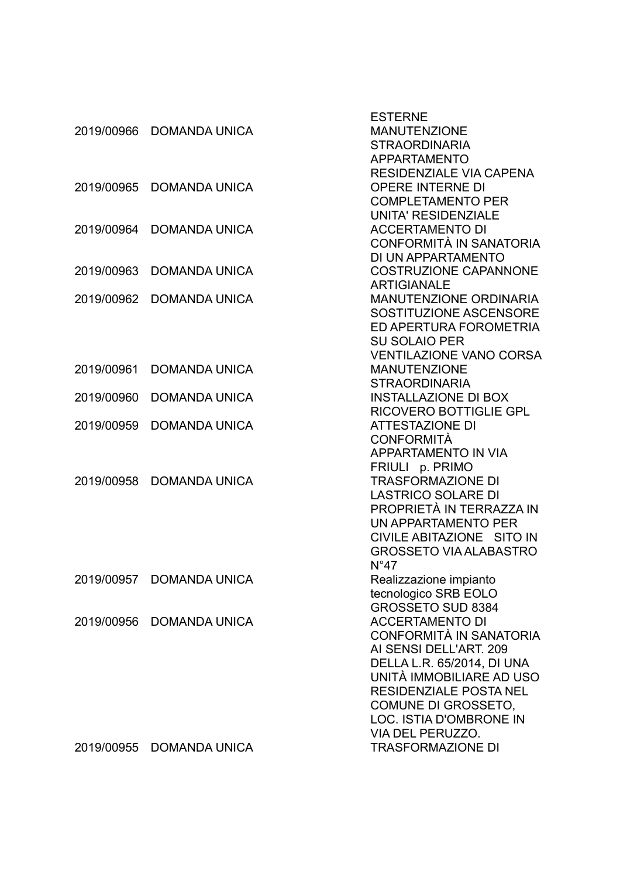|            |                          | <b>ESTERNE</b>                 |
|------------|--------------------------|--------------------------------|
| 2019/00966 | <b>DOMANDA UNICA</b>     | <b>MANUTENZIONE</b>            |
|            |                          | <b>STRAORDINARIA</b>           |
|            |                          | <b>APPARTAMENTO</b>            |
|            |                          | <b>RESIDENZIALE VIA CAPENA</b> |
| 2019/00965 | <b>DOMANDA UNICA</b>     | <b>OPERE INTERNE DI</b>        |
|            |                          | <b>COMPLETAMENTO PER</b>       |
|            |                          | <b>UNITA' RESIDENZIALE</b>     |
| 2019/00964 | <b>DOMANDA UNICA</b>     | <b>ACCERTAMENTO DI</b>         |
|            |                          | CONFORMITÀ IN SANATORIA        |
|            |                          | DI UN APPARTAMENTO             |
| 2019/00963 | <b>DOMANDA UNICA</b>     | <b>COSTRUZIONE CAPANNONE</b>   |
|            |                          | <b>ARTIGIANALE</b>             |
| 2019/00962 | <b>DOMANDA UNICA</b>     | MANUTENZIONE ORDINARIA         |
|            |                          | SOSTITUZIONE ASCENSORE         |
|            |                          | ED APERTURA FOROMETRIA         |
|            |                          | <b>SU SOLAIO PER</b>           |
|            |                          | <b>VENTILAZIONE VANO CORSA</b> |
| 2019/00961 | <b>DOMANDA UNICA</b>     | <b>MANUTENZIONE</b>            |
|            |                          | <b>STRAORDINARIA</b>           |
| 2019/00960 | <b>DOMANDA UNICA</b>     | <b>INSTALLAZIONE DI BOX</b>    |
|            |                          | <b>RICOVERO BOTTIGLIE GPL</b>  |
| 2019/00959 | <b>DOMANDA UNICA</b>     | <b>ATTESTAZIONE DI</b>         |
|            |                          | <b>CONFORMITÀ</b>              |
|            |                          | APPARTAMENTO IN VIA            |
|            |                          | FRIULI p. PRIMO                |
| 2019/00958 | <b>DOMANDA UNICA</b>     | <b>TRASFORMAZIONE DI</b>       |
|            |                          | <b>LASTRICO SOLARE DI</b>      |
|            |                          | PROPRIETÀ IN TERRAZZA IN       |
|            |                          | UN APPARTAMENTO PER            |
|            |                          | CIVILE ABITAZIONE SITO IN      |
|            |                          | <b>GROSSETO VIA ALABASTRO</b>  |
|            |                          | $N^{\circ}47$                  |
|            | 2019/00957 DOMANDA UNICA | Realizzazione impianto         |
|            |                          | tecnologico SRB EOLO           |
|            |                          | GROSSETO SUD 8384              |
| 2019/00956 | <b>DOMANDA UNICA</b>     | <b>ACCERTAMENTO DI</b>         |
|            |                          | CONFORMITÀ IN SANATORIA        |
|            |                          | AI SENSI DELL'ART. 209         |
|            |                          | DELLA L.R. 65/2014, DI UNA     |
|            |                          | UNITÀ IMMOBILIARE AD USO       |
|            |                          | <b>RESIDENZIALE POSTA NEL</b>  |
|            |                          | COMUNE DI GROSSETO,            |
|            |                          | <b>LOC. ISTIA D'OMBRONE IN</b> |
|            |                          | VIA DEL PERUZZO.               |
| 2019/00955 | <b>DOMANDA UNICA</b>     | <b>TRASFORMAZIONE DI</b>       |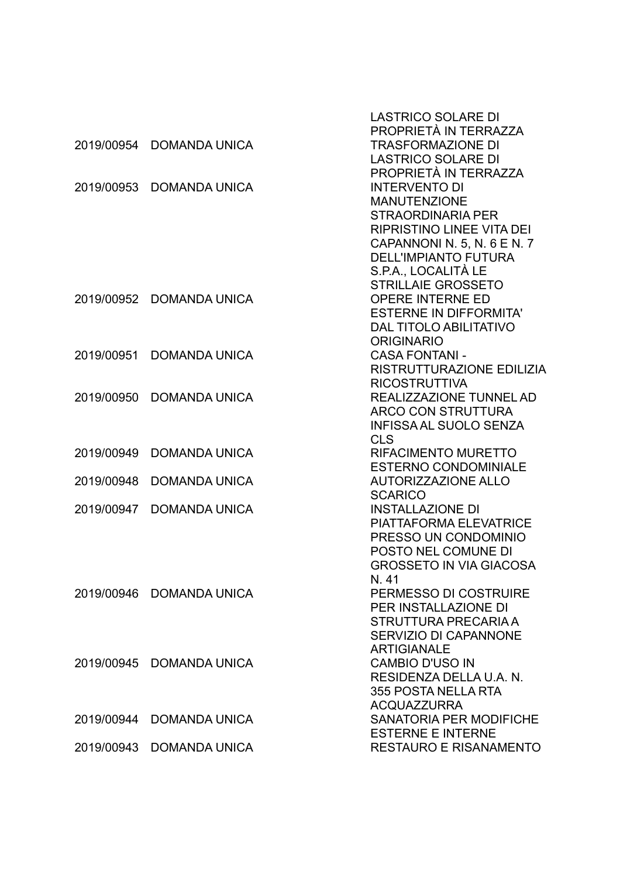|            |                          | <b>LASTRICO SOLARE DI</b><br>PROPRIETÀ IN TERRAZZA    |
|------------|--------------------------|-------------------------------------------------------|
| 2019/00954 | <b>DOMANDA UNICA</b>     | <b>TRASFORMAZIONE DI</b>                              |
|            |                          | <b>LASTRICO SOLARE DI</b>                             |
|            |                          | PROPRIETÀ IN TERRAZZA                                 |
| 2019/00953 | <b>DOMANDA UNICA</b>     | <b>INTERVENTO DI</b>                                  |
|            |                          | <b>MANUTENZIONE</b>                                   |
|            |                          | <b>STRAORDINARIA PER</b>                              |
|            |                          | <b>RIPRISTINO LINEE VITA DEI</b>                      |
|            |                          | CAPANNONI N. 5, N. 6 E N. 7                           |
|            |                          | <b>DELL'IMPIANTO FUTURA</b>                           |
|            |                          | S.P.A., LOCALITÀ LE                                   |
|            |                          | <b>STRILLAIE GROSSETO</b>                             |
| 2019/00952 | <b>DOMANDA UNICA</b>     | <b>OPERE INTERNE ED</b>                               |
|            |                          | <b>ESTERNE IN DIFFORMITA'</b>                         |
|            |                          | <b>DAL TITOLO ABILITATIVO</b>                         |
|            |                          | <b>ORIGINARIO</b>                                     |
| 2019/00951 | <b>DOMANDA UNICA</b>     | <b>CASA FONTANI -</b>                                 |
|            |                          | RISTRUTTURAZIONE EDILIZIA                             |
|            |                          | <b>RICOSTRUTTIVA</b>                                  |
| 2019/00950 | <b>DOMANDA UNICA</b>     | REALIZZAZIONE TUNNEL AD                               |
|            |                          | <b>ARCO CON STRUTTURA</b>                             |
|            |                          | <b>INFISSA AL SUOLO SENZA</b>                         |
|            |                          | <b>CLS</b>                                            |
| 2019/00949 | <b>DOMANDA UNICA</b>     | <b>RIFACIMENTO MURETTO</b>                            |
|            |                          | <b>ESTERNO CONDOMINIALE</b>                           |
| 2019/00948 | <b>DOMANDA UNICA</b>     | <b>AUTORIZZAZIONE ALLO</b>                            |
|            |                          | <b>SCARICO</b>                                        |
| 2019/00947 | <b>DOMANDA UNICA</b>     | <b>INSTALLAZIONE DI</b>                               |
|            |                          | <b>PIATTAFORMA ELEVATRICE</b>                         |
|            |                          | PRESSO UN CONDOMINIO                                  |
|            |                          | POSTO NEL COMUNE DI<br><b>GROSSETO IN VIA GIACOSA</b> |
|            |                          | N. 41                                                 |
|            | 2019/00946 DOMANDA UNICA | PERMESSO DI COSTRUIRE                                 |
|            |                          | PER INSTALLAZIONE DI                                  |
|            |                          | STRUTTURA PRECARIA A                                  |
|            |                          | <b>SERVIZIO DI CAPANNONE</b>                          |
|            |                          | <b>ARTIGIANALE</b>                                    |
| 2019/00945 | DOMANDA UNICA            | <b>CAMBIO D'USO IN</b>                                |
|            |                          | RESIDENZA DELLA U.A. N.                               |
|            |                          | 355 POSTA NELLA RTA                                   |
|            |                          | <b>ACQUAZZURRA</b>                                    |
| 2019/00944 | <b>DOMANDA UNICA</b>     | <b>SANATORIA PER MODIFICHE</b>                        |
|            |                          | <b>ESTERNE E INTERNE</b>                              |
| 2019/00943 | <b>DOMANDA UNICA</b>     | <b>RESTAURO E RISANAMENTO</b>                         |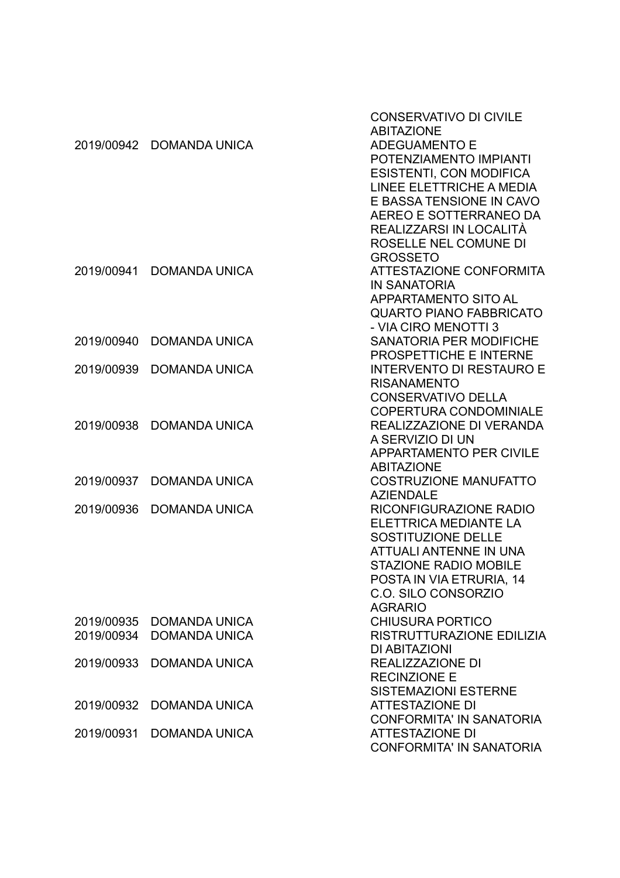|            |                          | <b>CONSERVATIVO DI CIVILE</b><br><b>ABITAZIONE</b> |
|------------|--------------------------|----------------------------------------------------|
|            | 2019/00942 DOMANDA UNICA | <b>ADEGUAMENTO E</b>                               |
|            |                          | POTENZIAMENTO IMPIANTI                             |
|            |                          | <b>ESISTENTI, CON MODIFICA</b>                     |
|            |                          | LINEE ELETTRICHE A MEDIA                           |
|            |                          | E BASSA TENSIONE IN CAVO                           |
|            |                          | AEREO E SOTTERRANEO DA                             |
|            |                          | REALIZZARSI IN LOCALITÀ                            |
|            |                          | ROSELLE NEL COMUNE DI                              |
|            |                          | <b>GROSSETO</b>                                    |
| 2019/00941 | <b>DOMANDA UNICA</b>     | ATTESTAZIONE CONFORMITA                            |
|            |                          | <b>IN SANATORIA</b>                                |
|            |                          | <b>APPARTAMENTO SITO AL</b>                        |
|            |                          | <b>QUARTO PIANO FABBRICATO</b>                     |
|            |                          | - VIA CIRO MENOTTI 3                               |
| 2019/00940 | <b>DOMANDA UNICA</b>     | <b>SANATORIA PER MODIFICHE</b>                     |
|            |                          | PROSPETTICHE E INTERNE                             |
| 2019/00939 | <b>DOMANDA UNICA</b>     | <b>INTERVENTO DI RESTAURO E</b>                    |
|            |                          | <b>RISANAMENTO</b>                                 |
|            |                          | <b>CONSERVATIVO DELLA</b>                          |
|            |                          | <b>COPERTURA CONDOMINIALE</b>                      |
| 2019/00938 | <b>DOMANDA UNICA</b>     | REALIZZAZIONE DI VERANDA                           |
|            |                          | A SERVIZIO DI UN                                   |
|            |                          | <b>APPARTAMENTO PER CIVILE</b>                     |
|            |                          | <b>ABITAZIONE</b>                                  |
| 2019/00937 | <b>DOMANDA UNICA</b>     | <b>COSTRUZIONE MANUFATTO</b>                       |
|            |                          | <b>AZIENDALE</b>                                   |
| 2019/00936 | <b>DOMANDA UNICA</b>     | RICONFIGURAZIONE RADIO                             |
|            |                          | ELETTRICA MEDIANTE LA                              |
|            |                          | SOSTITUZIONE DELLE                                 |
|            |                          | <b>ATTUALI ANTENNE IN UNA</b>                      |
|            |                          | <b>STAZIONE RADIO MOBILE</b>                       |
|            |                          | POSTA IN VIA ETRURIA, 14                           |
|            |                          | C.O. SILO CONSORZIO                                |
|            |                          | <b>AGRARIO</b>                                     |
| 2019/00935 | <b>DOMANDA UNICA</b>     | <b>CHIUSURA PORTICO</b>                            |
| 2019/00934 | <b>DOMANDA UNICA</b>     | RISTRUTTURAZIONE EDILIZIA                          |
|            |                          | DI ABITAZIONI                                      |
| 2019/00933 | <b>DOMANDA UNICA</b>     | <b>REALIZZAZIONE DI</b>                            |
|            |                          | <b>RECINZIONE E</b>                                |
|            |                          | <b>SISTEMAZIONI ESTERNE</b>                        |
| 2019/00932 | <b>DOMANDA UNICA</b>     | <b>ATTESTAZIONE DI</b>                             |
|            |                          | <b>CONFORMITA' IN SANATORIA</b>                    |
| 2019/00931 | <b>DOMANDA UNICA</b>     | <b>ATTESTAZIONE DI</b>                             |
|            |                          | <b>CONFORMITA' IN SANATORIA</b>                    |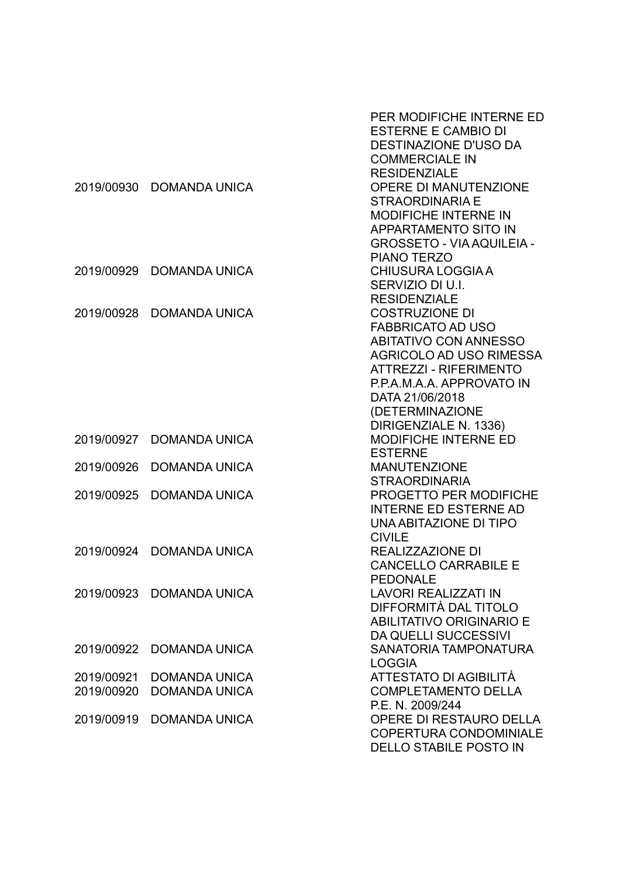|            |                          | PER MODIFICHE INTERNE ED<br><b>ESTERNE E CAMBIO DI</b><br><b>DESTINAZIONE D'USO DA</b><br><b>COMMERCIALE IN</b><br><b>RESIDENZIALE</b> |
|------------|--------------------------|----------------------------------------------------------------------------------------------------------------------------------------|
| 2019/00930 | <b>DOMANDA UNICA</b>     | <b>OPERE DI MANUTENZIONE</b>                                                                                                           |
|            |                          | <b>STRAORDINARIA E</b>                                                                                                                 |
|            |                          | <b>MODIFICHE INTERNE IN</b>                                                                                                            |
|            |                          | APPARTAMENTO SITO IN                                                                                                                   |
|            |                          | <b>GROSSETO - VIA AQUILEIA -</b>                                                                                                       |
|            |                          | <b>PIANO TERZO</b>                                                                                                                     |
| 2019/00929 | <b>DOMANDA UNICA</b>     | <b>CHIUSURA LOGGIA A</b>                                                                                                               |
|            |                          | SERVIZIO DI U.I.                                                                                                                       |
|            |                          | <b>RESIDENZIALE</b>                                                                                                                    |
| 2019/00928 | <b>DOMANDA UNICA</b>     | <b>COSTRUZIONE DI</b>                                                                                                                  |
|            |                          | <b>FABBRICATO AD USO</b>                                                                                                               |
|            |                          | <b>ABITATIVO CON ANNESSO</b>                                                                                                           |
|            |                          | <b>AGRICOLO AD USO RIMESSA</b>                                                                                                         |
|            |                          | <b>ATTREZZI - RIFERIMENTO</b>                                                                                                          |
|            |                          | P.P.A.M.A.A. APPROVATO IN<br>DATA 21/06/2018                                                                                           |
|            |                          | (DETERMINAZIONE                                                                                                                        |
|            |                          | DIRIGENZIALE N. 1336)                                                                                                                  |
| 2019/00927 | <b>DOMANDA UNICA</b>     | <b>MODIFICHE INTERNE ED</b>                                                                                                            |
|            |                          | <b>ESTERNE</b>                                                                                                                         |
| 2019/00926 | <b>DOMANDA UNICA</b>     | <b>MANUTENZIONE</b>                                                                                                                    |
|            |                          | <b>STRAORDINARIA</b>                                                                                                                   |
| 2019/00925 | <b>DOMANDA UNICA</b>     | <b>PROGETTO PER MODIFICHE</b>                                                                                                          |
|            |                          | <b>INTERNE ED ESTERNE AD</b>                                                                                                           |
|            |                          | UNA ABITAZIONE DI TIPO                                                                                                                 |
|            |                          | <b>CIVILE</b>                                                                                                                          |
| 2019/00924 | <b>DOMANDA UNICA</b>     | REALIZZAZIONE DI                                                                                                                       |
|            |                          | <b>CANCELLO CARRABILE E</b>                                                                                                            |
|            |                          | PEDONALE                                                                                                                               |
|            | 2019/00923 DOMANDA UNICA | <b>LAVORI REALIZZATI IN</b>                                                                                                            |
|            |                          | DIFFORMITÀ DAL TITOLO                                                                                                                  |
|            |                          | <b>ABILITATIVO ORIGINARIO E</b>                                                                                                        |
| 2019/00922 | <b>DOMANDA UNICA</b>     | <b>DA QUELLI SUCCESSIVI</b><br><b>SANATORIA TAMPONATURA</b>                                                                            |
|            |                          | <b>LOGGIA</b>                                                                                                                          |
| 2019/00921 | <b>DOMANDA UNICA</b>     | ATTESTATO DI AGIBILITÀ                                                                                                                 |
| 2019/00920 | <b>DOMANDA UNICA</b>     | <b>COMPLETAMENTO DELLA</b>                                                                                                             |
|            |                          | P.E. N. 2009/244                                                                                                                       |
| 2019/00919 | <b>DOMANDA UNICA</b>     | OPERE DI RESTAURO DELLA                                                                                                                |
|            |                          | <b>COPERTURA CONDOMINIALE</b>                                                                                                          |
|            |                          | DELLO STABILE POSTO IN                                                                                                                 |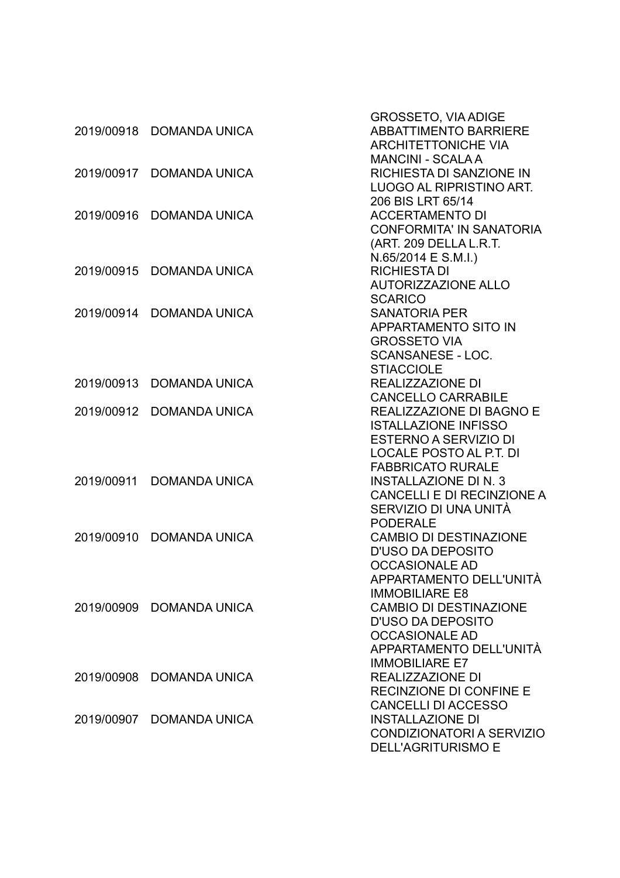|            |                      | <b>GROSSETO, VIA ADIGE</b>      |
|------------|----------------------|---------------------------------|
| 2019/00918 | <b>DOMANDA UNICA</b> | <b>ABBATTIMENTO BARRIERE</b>    |
|            |                      | <b>ARCHITETTONICHE VIA</b>      |
|            |                      | <b>MANCINI - SCALAA</b>         |
| 2019/00917 | <b>DOMANDA UNICA</b> | <b>RICHIESTA DI SANZIONE IN</b> |
|            |                      | LUOGO AL RIPRISTINO ART.        |
|            |                      | 206 BIS LRT 65/14               |
| 2019/00916 | <b>DOMANDA UNICA</b> | <b>ACCERTAMENTO DI</b>          |
|            |                      | <b>CONFORMITA' IN SANATORIA</b> |
|            |                      | (ART. 209 DELLA L.R.T.          |
|            |                      | $N.65/2014 \text{ E S.M.}$ l.)  |
| 2019/00915 | <b>DOMANDA UNICA</b> | <b>RICHIESTA DI</b>             |
|            |                      | <b>AUTORIZZAZIONE ALLO</b>      |
|            |                      | <b>SCARICO</b>                  |
| 2019/00914 | <b>DOMANDA UNICA</b> | <b>SANATORIA PER</b>            |
|            |                      | <b>APPARTAMENTO SITO IN</b>     |
|            |                      | <b>GROSSETO VIA</b>             |
|            |                      | <b>SCANSANESE - LOC.</b>        |
|            |                      | <b>STIACCIOLE</b>               |
| 2019/00913 | <b>DOMANDA UNICA</b> | <b>REALIZZAZIONE DI</b>         |
|            |                      | <b>CANCELLO CARRABILE</b>       |
| 2019/00912 | <b>DOMANDA UNICA</b> | REALIZZAZIONE DI BAGNO E        |
|            |                      | <b>ISTALLAZIONE INFISSO</b>     |
|            |                      | <b>ESTERNO A SERVIZIO DI</b>    |
|            |                      | <b>LOCALE POSTO AL P.T. DI</b>  |
|            |                      | <b>FABBRICATO RURALE</b>        |
| 2019/00911 | <b>DOMANDA UNICA</b> | <b>INSTALLAZIONE DI N. 3</b>    |
|            |                      | CANCELLI E DI RECINZIONE A      |
|            |                      | SERVIZIO DI UNA UNITÀ           |
|            |                      | <b>PODERALE</b>                 |
| 2019/00910 | <b>DOMANDA UNICA</b> | <b>CAMBIO DI DESTINAZIONE</b>   |
|            |                      | <b>D'USO DA DEPOSITO</b>        |
|            |                      | <b>OCCASIONALE AD</b>           |
|            |                      | APPARTAMENTO DELL'UNITÀ         |
|            |                      | <b>IMMOBILIARE E8</b>           |
| 2019/00909 | <b>DOMANDA UNICA</b> | <b>CAMBIO DI DESTINAZIONE</b>   |
|            |                      | <b>D'USO DA DEPOSITO</b>        |
|            |                      | <b>OCCASIONALE AD</b>           |
|            |                      | APPARTAMENTO DELL'UNITÀ         |
|            |                      | <b>IMMOBILIARE E7</b>           |
| 2019/00908 | DOMANDA UNICA        | REALIZZAZIONE DI                |
|            |                      | <b>RECINZIONE DI CONFINE E</b>  |
|            |                      | <b>CANCELLI DI ACCESSO</b>      |
| 2019/00907 | <b>DOMANDA UNICA</b> | <b>INSTALLAZIONE DI</b>         |
|            |                      | CONDIZIONATORI A SERVIZIO       |
|            |                      | <b>DELL'AGRITURISMO E</b>       |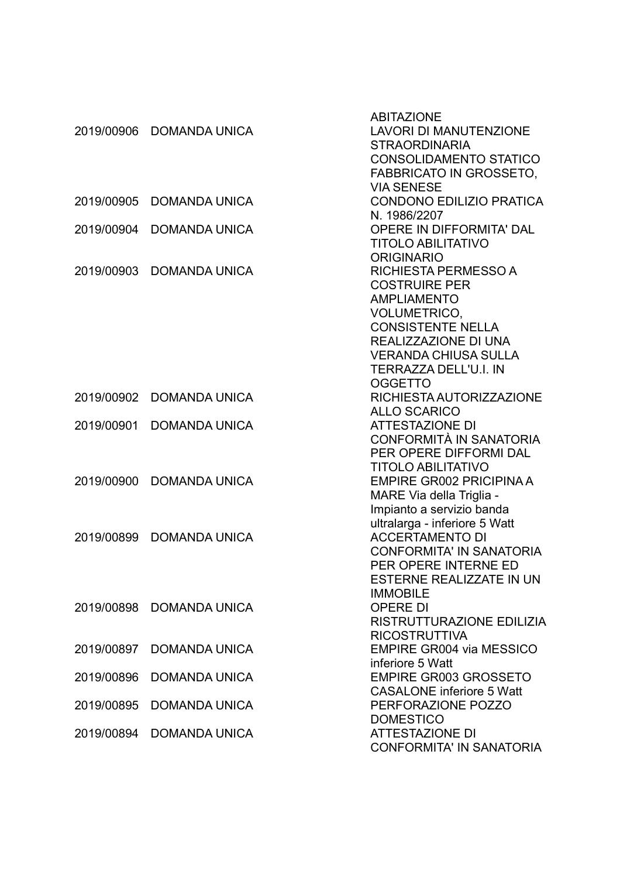|            |                      | <b>ABITAZIONE</b>                |
|------------|----------------------|----------------------------------|
| 2019/00906 | <b>DOMANDA UNICA</b> | <b>LAVORI DI MANUTENZIONE</b>    |
|            |                      | <b>STRAORDINARIA</b>             |
|            |                      | <b>CONSOLIDAMENTO STATICO</b>    |
|            |                      | <b>FABBRICATO IN GROSSETO,</b>   |
|            |                      | <b>VIA SENESE</b>                |
| 2019/00905 | <b>DOMANDA UNICA</b> | <b>CONDONO EDILIZIO PRATICA</b>  |
|            |                      | N. 1986/2207                     |
| 2019/00904 | <b>DOMANDA UNICA</b> | OPERE IN DIFFORMITA' DAL         |
|            |                      | <b>TITOLO ABILITATIVO</b>        |
|            |                      | <b>ORIGINARIO</b>                |
| 2019/00903 | <b>DOMANDA UNICA</b> | RICHIESTA PERMESSO A             |
|            |                      | <b>COSTRUIRE PER</b>             |
|            |                      | <b>AMPLIAMENTO</b>               |
|            |                      | <b>VOLUMETRICO,</b>              |
|            |                      | <b>CONSISTENTE NELLA</b>         |
|            |                      | REALIZZAZIONE DI UNA             |
|            |                      | <b>VERANDA CHIUSA SULLA</b>      |
|            |                      | <b>TERRAZZA DELL'U.I. IN</b>     |
|            |                      | <b>OGGETTO</b>                   |
| 2019/00902 | <b>DOMANDA UNICA</b> | RICHIESTA AUTORIZZAZIONE         |
|            |                      | <b>ALLO SCARICO</b>              |
| 2019/00901 | <b>DOMANDA UNICA</b> | <b>ATTESTAZIONE DI</b>           |
|            |                      | CONFORMITÀ IN SANATORIA          |
|            |                      | PER OPERE DIFFORMI DAL           |
|            |                      | <b>TITOLO ABILITATIVO</b>        |
| 2019/00900 | <b>DOMANDA UNICA</b> | <b>EMPIRE GR002 PRICIPINA A</b>  |
|            |                      | MARE Via della Triglia -         |
|            |                      | Impianto a servizio banda        |
|            |                      | ultralarga - inferiore 5 Watt    |
| 2019/00899 | <b>DOMANDA UNICA</b> | <b>ACCERTAMENTO DI</b>           |
|            |                      | <b>CONFORMITA' IN SANATORIA</b>  |
|            |                      | PER OPERE INTERNE ED             |
|            |                      | ESTERNE REALIZZATE IN UN         |
|            |                      | <b>IMMOBILE</b>                  |
| 2019/00898 | <b>DOMANDA UNICA</b> | <b>OPERE DI</b>                  |
|            |                      | RISTRUTTURAZIONE EDILIZIA        |
|            |                      | <b>RICOSTRUTTIVA</b>             |
| 2019/00897 | <b>DOMANDA UNICA</b> | <b>EMPIRE GR004 via MESSICO</b>  |
|            |                      | inferiore 5 Watt                 |
| 2019/00896 | <b>DOMANDA UNICA</b> | <b>EMPIRE GR003 GROSSETO</b>     |
|            |                      | <b>CASALONE</b> inferiore 5 Watt |
| 2019/00895 | <b>DOMANDA UNICA</b> | PERFORAZIONE POZZO               |
|            |                      | <b>DOMESTICO</b>                 |
| 2019/00894 | <b>DOMANDA UNICA</b> | <b>ATTESTAZIONE DI</b>           |
|            |                      | <b>CONFORMITA' IN SANATORIA</b>  |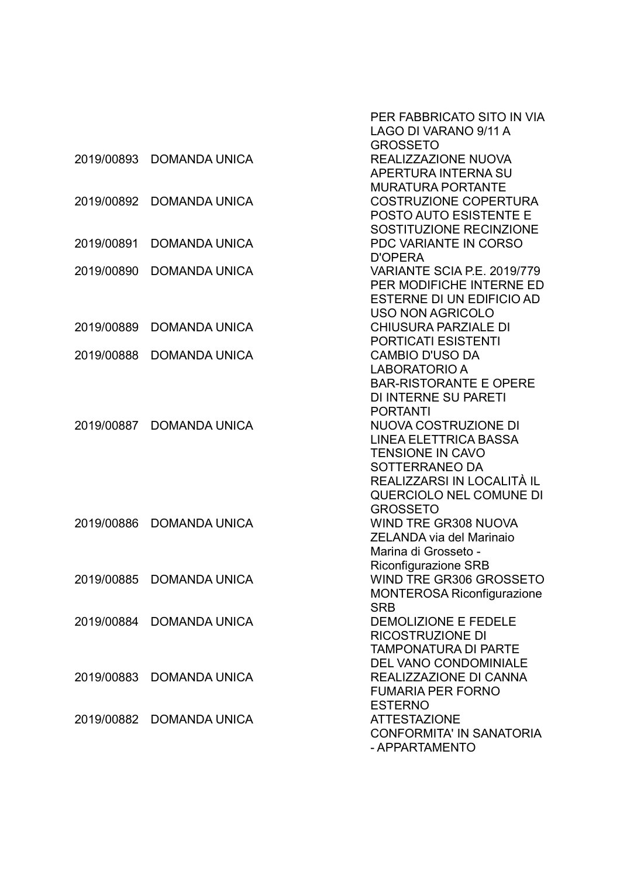|            |                          | PER FABBRICATO SITO IN VIA<br>LAGO DI VARANO 9/11 A |
|------------|--------------------------|-----------------------------------------------------|
|            |                          | <b>GROSSETO</b>                                     |
| 2019/00893 | <b>DOMANDA UNICA</b>     | REALIZZAZIONE NUOVA                                 |
|            |                          | <b>APERTURA INTERNA SU</b>                          |
|            |                          | <b>MURATURA PORTANTE</b>                            |
| 2019/00892 | <b>DOMANDA UNICA</b>     | <b>COSTRUZIONE COPERTURA</b>                        |
|            |                          | <b>POSTO AUTO ESISTENTE E</b>                       |
|            |                          | SOSTITUZIONE RECINZIONE                             |
| 2019/00891 | <b>DOMANDA UNICA</b>     | PDC VARIANTE IN CORSO                               |
|            |                          | <b>D'OPERA</b>                                      |
| 2019/00890 | <b>DOMANDA UNICA</b>     | VARIANTE SCIA P.E. 2019/779                         |
|            |                          | PER MODIFICHE INTERNE ED                            |
|            |                          | ESTERNE DI UN EDIFICIO AD                           |
|            |                          | <b>USO NON AGRICOLO</b>                             |
| 2019/00889 | <b>DOMANDA UNICA</b>     | <b>CHIUSURA PARZIALE DI</b>                         |
|            |                          | <b>PORTICATI ESISTENTI</b>                          |
| 2019/00888 | <b>DOMANDA UNICA</b>     | <b>CAMBIO D'USO DA</b>                              |
|            |                          | <b>LABORATORIO A</b>                                |
|            |                          | <b>BAR-RISTORANTE E OPERE</b>                       |
|            |                          | <b>DI INTERNE SU PARETI</b>                         |
|            |                          | <b>PORTANTI</b>                                     |
| 2019/00887 | <b>DOMANDA UNICA</b>     | NUOVA COSTRUZIONE DI                                |
|            |                          | <b>LINEA ELETTRICA BASSA</b>                        |
|            |                          | <b>TENSIONE IN CAVO</b>                             |
|            |                          | SOTTERRANEO DA                                      |
|            |                          | REALIZZARSI IN LOCALITÀ IL                          |
|            |                          | QUERCIOLO NEL COMUNE DI                             |
| 2019/00886 | <b>DOMANDA UNICA</b>     | <b>GROSSETO</b><br><b>WIND TRE GR308 NUOVA</b>      |
|            |                          | <b>ZELANDA via del Marinaio</b>                     |
|            |                          | Marina di Grosseto -                                |
|            |                          | <b>Riconfigurazione SRB</b>                         |
|            | 2019/00885 DOMANDA UNICA | WIND TRE GR306 GROSSETO                             |
|            |                          | <b>MONTEROSA Riconfigurazione</b>                   |
|            |                          | <b>SRB</b>                                          |
| 2019/00884 | <b>DOMANDA UNICA</b>     | DEMOLIZIONE E FEDELE                                |
|            |                          | <b>RICOSTRUZIONE DI</b>                             |
|            |                          | <b>TAMPONATURA DI PARTE</b>                         |
|            |                          | DEL VANO CONDOMINIALE                               |
| 2019/00883 | <b>DOMANDA UNICA</b>     | REALIZZAZIONE DI CANNA                              |
|            |                          | <b>FUMARIA PER FORNO</b>                            |
|            |                          | <b>ESTERNO</b>                                      |
| 2019/00882 | <b>DOMANDA UNICA</b>     | <b>ATTESTAZIONE</b>                                 |
|            |                          | <b>CONFORMITA' IN SANATORIA</b>                     |
|            |                          | - APPARTAMENTO                                      |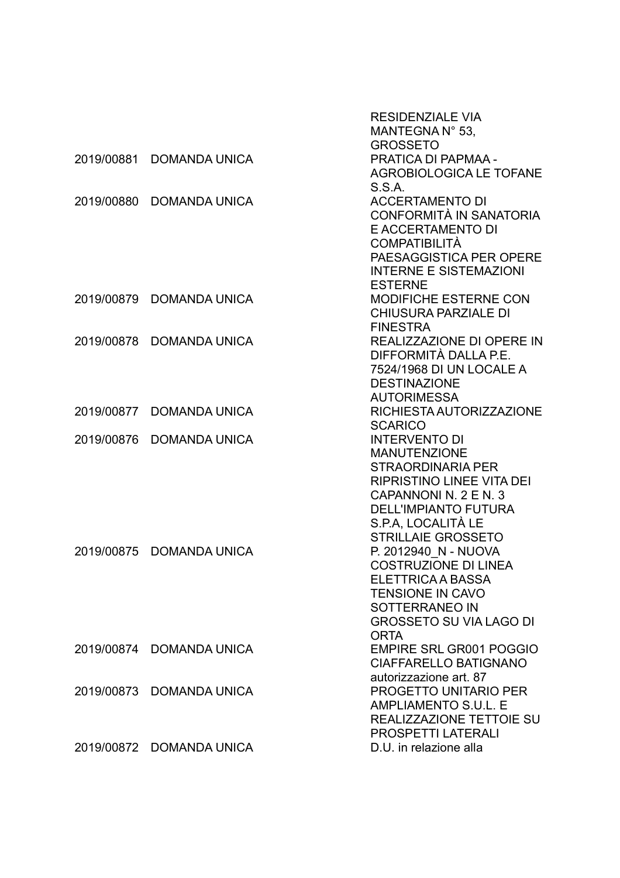|            |                          | <b>RESIDENZIALE VIA</b><br>MANTEGNA N° 53,             |
|------------|--------------------------|--------------------------------------------------------|
|            |                          | <b>GROSSETO</b>                                        |
| 2019/00881 | <b>DOMANDA UNICA</b>     | PRATICA DI PAPMAA -                                    |
|            |                          | <b>AGROBIOLOGICA LE TOFANE</b>                         |
|            |                          | S.S.A.                                                 |
| 2019/00880 | <b>DOMANDA UNICA</b>     | <b>ACCERTAMENTO DI</b>                                 |
|            |                          | CONFORMITÀ IN SANATORIA                                |
|            |                          | E ACCERTAMENTO DI                                      |
|            |                          | <b>COMPATIBILITÀ</b>                                   |
|            |                          | PAESAGGISTICA PER OPERE                                |
|            |                          | <b>INTERNE E SISTEMAZIONI</b>                          |
|            |                          | <b>ESTERNE</b>                                         |
| 2019/00879 | <b>DOMANDA UNICA</b>     | <b>MODIFICHE ESTERNE CON</b>                           |
|            |                          | <b>CHIUSURA PARZIALE DI</b>                            |
|            |                          | <b>FINESTRA</b>                                        |
| 2019/00878 | <b>DOMANDA UNICA</b>     | REALIZZAZIONE DI OPERE IN                              |
|            |                          | DIFFORMITÀ DALLA P.E.                                  |
|            |                          | 7524/1968 DI UN LOCALE A                               |
|            |                          | <b>DESTINAZIONE</b>                                    |
|            |                          | <b>AUTORIMESSA</b>                                     |
| 2019/00877 | <b>DOMANDA UNICA</b>     | RICHIESTA AUTORIZZAZIONE                               |
|            |                          | <b>SCARICO</b>                                         |
| 2019/00876 | <b>DOMANDA UNICA</b>     | <b>INTERVENTO DI</b>                                   |
|            |                          | <b>MANUTENZIONE</b>                                    |
|            |                          | <b>STRAORDINARIA PER</b>                               |
|            |                          | <b>RIPRISTINO LINEE VITA DEI</b>                       |
|            |                          | CAPANNONI N. 2 E N. 3                                  |
|            |                          | <b>DELL'IMPIANTO FUTURA</b>                            |
|            |                          | S.P.A. LOCALITÀ LE                                     |
|            |                          | <b>STRILLAIE GROSSETO</b>                              |
| 2019/00875 | <b>DOMANDA UNICA</b>     | P. 2012940 N - NUOVA                                   |
|            |                          | <b>COSTRUZIONE DI LINEA</b>                            |
|            |                          | ELETTRICA A BASSA                                      |
|            |                          | <b>TENSIONE IN CAVO</b>                                |
|            |                          | SOTTERRANEO IN                                         |
|            |                          | <b>GROSSETO SU VIA LAGO DI</b>                         |
|            |                          | <b>ORTA</b>                                            |
|            | 2019/00874 DOMANDA UNICA | <b>EMPIRE SRL GR001 POGGIO</b>                         |
|            |                          | <b>CIAFFARELLO BATIGNANO</b>                           |
| 2019/00873 | <b>DOMANDA UNICA</b>     | autorizzazione art. 87<br><b>PROGETTO UNITARIO PER</b> |
|            |                          | <b>AMPLIAMENTO S.U.L. E</b>                            |
|            |                          | <b>REALIZZAZIONE TETTOIE SU</b>                        |
|            |                          | <b>PROSPETTI LATERALI</b>                              |
|            | 2019/00872 DOMANDA UNICA | D.U. in relazione alla                                 |
|            |                          |                                                        |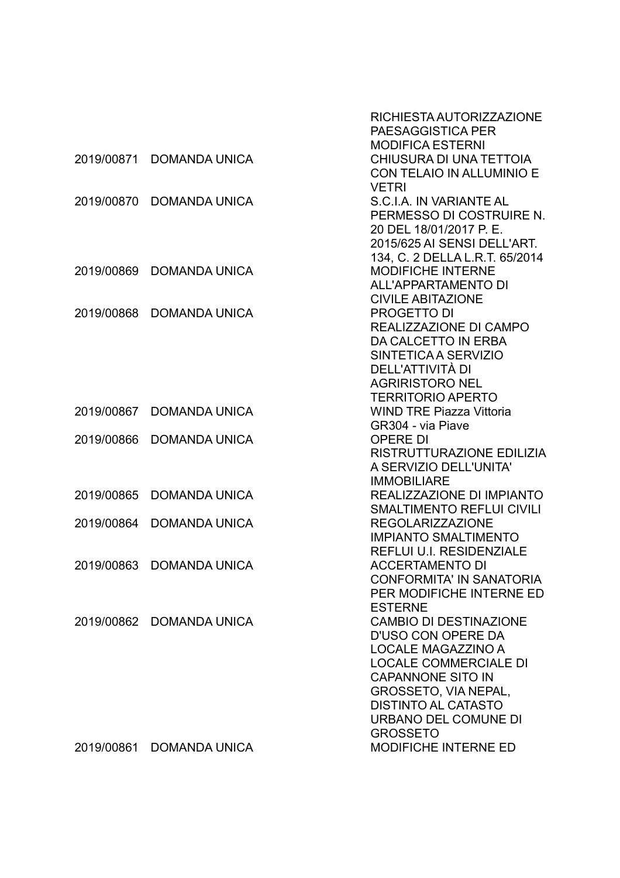|            |                      | RICHIESTA AUTORIZZAZIONE<br>PAESAGGISTICA PER               |
|------------|----------------------|-------------------------------------------------------------|
|            |                      | <b>MODIFICA ESTERNI</b>                                     |
| 2019/00871 | <b>DOMANDA UNICA</b> | CHIUSURA DI UNA TETTOIA                                     |
|            |                      | CON TELAIO IN ALLUMINIO E                                   |
|            |                      | <b>VETRI</b>                                                |
| 2019/00870 | <b>DOMANDA UNICA</b> | S.C.I.A. IN VARIANTE AL                                     |
|            |                      | PERMESSO DI COSTRUIRE N.                                    |
|            |                      | 20 DEL 18/01/2017 P. E.                                     |
|            |                      | 2015/625 AI SENSI DELL'ART.                                 |
|            |                      | 134, C. 2 DELLA L.R.T. 65/2014                              |
| 2019/00869 | <b>DOMANDA UNICA</b> | <b>MODIFICHE INTERNE</b>                                    |
|            |                      | ALL'APPARTAMENTO DI                                         |
|            |                      | <b>CIVILE ABITAZIONE</b>                                    |
| 2019/00868 | <b>DOMANDA UNICA</b> | <b>PROGETTO DI</b>                                          |
|            |                      | REALIZZAZIONE DI CAMPO                                      |
|            |                      | DA CALCETTO IN ERBA                                         |
|            |                      | SINTETICA A SERVIZIO                                        |
|            |                      | DELL'ATTIVITÀ DI                                            |
|            |                      | <b>AGRIRISTORO NEL</b>                                      |
|            |                      | <b>TERRITORIO APERTO</b>                                    |
| 2019/00867 | <b>DOMANDA UNICA</b> | <b>WIND TRE Piazza Vittoria</b>                             |
|            |                      | GR304 - via Piave                                           |
| 2019/00866 | <b>DOMANDA UNICA</b> | <b>OPERE DI</b>                                             |
|            |                      | RISTRUTTURAZIONE EDILIZIA                                   |
|            |                      | A SERVIZIO DELL'UNITA'                                      |
|            |                      | <b>IMMOBILIARE</b>                                          |
| 2019/00865 | <b>DOMANDA UNICA</b> | REALIZZAZIONE DI IMPIANTO                                   |
| 2019/00864 | <b>DOMANDA UNICA</b> | <b>SMALTIMENTO REFLUI CIVILI</b><br><b>REGOLARIZZAZIONE</b> |
|            |                      | <b>IMPIANTO SMALTIMENTO</b>                                 |
|            |                      | <b>REFLUI U.I. RESIDENZIALE</b>                             |
| 2019/00863 | <b>DOMANDA UNICA</b> | <b>ACCERTAMENTO DI</b>                                      |
|            |                      | <b>CONFORMITA' IN SANATORIA</b>                             |
|            |                      | PER MODIFICHE INTERNE ED                                    |
|            |                      | <b>ESTERNE</b>                                              |
| 2019/00862 | <b>DOMANDA UNICA</b> | <b>CAMBIO DI DESTINAZIONE</b>                               |
|            |                      | D'USO CON OPERE DA                                          |
|            |                      | <b>LOCALE MAGAZZINO A</b>                                   |
|            |                      | <b>LOCALE COMMERCIALE DI</b>                                |
|            |                      | <b>CAPANNONE SITO IN</b>                                    |
|            |                      | GROSSETO, VIA NEPAL,                                        |
|            |                      | <b>DISTINTO AL CATASTO</b>                                  |
|            |                      | <b>URBANO DEL COMUNE DI</b>                                 |
|            |                      | <b>GROSSETO</b>                                             |
| 2019/00861 | DOMANDA UNICA        | MODIFICHE INTERNE ED                                        |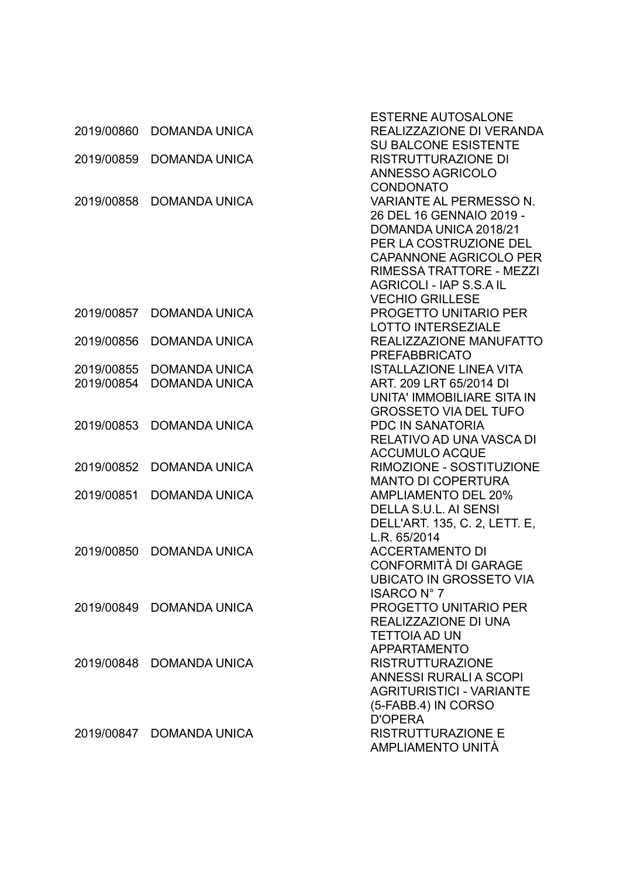|            |                          | <b>ESTERNE AUTOSALONE</b>                               |
|------------|--------------------------|---------------------------------------------------------|
| 2019/00860 | <b>DOMANDA UNICA</b>     | REALIZZAZIONE DI VERANDA<br><b>SU BALCONE ESISTENTE</b> |
| 2019/00859 | <b>DOMANDA UNICA</b>     | <b>RISTRUTTURAZIONE DI</b>                              |
|            |                          | ANNESSO AGRICOLO                                        |
|            |                          | <b>CONDONATO</b>                                        |
| 2019/00858 | <b>DOMANDA UNICA</b>     | <b>VARIANTE AL PERMESSO N.</b>                          |
|            |                          | 26 DEL 16 GENNAIO 2019 -                                |
|            |                          | DOMANDA UNICA 2018/21                                   |
|            |                          | PER LA COSTRUZIONE DEL                                  |
|            |                          | <b>CAPANNONE AGRICOLO PER</b>                           |
|            |                          | RIMESSA TRATTORE - MEZZI                                |
|            |                          | AGRICOLI - IAP S.S.A IL                                 |
|            |                          | <b>VECHIO GRILLESE</b>                                  |
| 2019/00857 | <b>DOMANDA UNICA</b>     | <b>PROGETTO UNITARIO PER</b>                            |
|            |                          | <b>LOTTO INTERSEZIALE</b>                               |
| 2019/00856 | <b>DOMANDA UNICA</b>     | REALIZZAZIONE MANUFATTO                                 |
|            |                          | <b>PREFABBRICATO</b>                                    |
| 2019/00855 | <b>DOMANDA UNICA</b>     | <b>ISTALLAZIONE LINEA VITA</b>                          |
| 2019/00854 | <b>DOMANDA UNICA</b>     | ART. 209 LRT 65/2014 DI                                 |
|            |                          | UNITA' IMMOBILIARE SITA IN                              |
|            |                          | <b>GROSSETO VIA DEL TUFO</b>                            |
| 2019/00853 | <b>DOMANDA UNICA</b>     | PDC IN SANATORIA                                        |
|            |                          | RELATIVO AD UNA VASCA DI                                |
|            |                          | <b>ACCUMULO ACQUE</b>                                   |
| 2019/00852 | <b>DOMANDA UNICA</b>     | RIMOZIONE - SOSTITUZIONE                                |
|            |                          | <b>MANTO DI COPERTURA</b>                               |
| 2019/00851 | <b>DOMANDA UNICA</b>     | <b>AMPLIAMENTO DEL 20%</b>                              |
|            |                          | DELLA S.U.L. AI SENSI                                   |
|            |                          | DELL'ART. 135, C. 2, LETT. E,                           |
| 2019/00850 | <b>DOMANDA UNICA</b>     | L.R. 65/2014<br><b>ACCERTAMENTO DI</b>                  |
|            |                          | CONFORMITÀ DI GARAGE                                    |
|            |                          | UBICATO IN GROSSETO VIA                                 |
|            |                          | <b>ISARCO N° 7</b>                                      |
| 2019/00849 | <b>DOMANDA UNICA</b>     | <b>PROGETTO UNITARIO PER</b>                            |
|            |                          | REALIZZAZIONE DI UNA                                    |
|            |                          | <b>TETTOIA AD UN</b>                                    |
|            |                          | <b>APPARTAMENTO</b>                                     |
|            | 2019/00848 DOMANDA UNICA | <b>RISTRUTTURAZIONE</b>                                 |
|            |                          | <b>ANNESSI RURALI A SCOPI</b>                           |
|            |                          | <b>AGRITURISTICI - VARIANTE</b>                         |
|            |                          | (5-FABB.4) IN CORSO                                     |
|            |                          | <b>D'OPERA</b>                                          |
|            | 2019/00847 DOMANDA UNICA | <b>RISTRUTTURAZIONE E</b>                               |
|            |                          | AMPLIAMENTO UNITÀ                                       |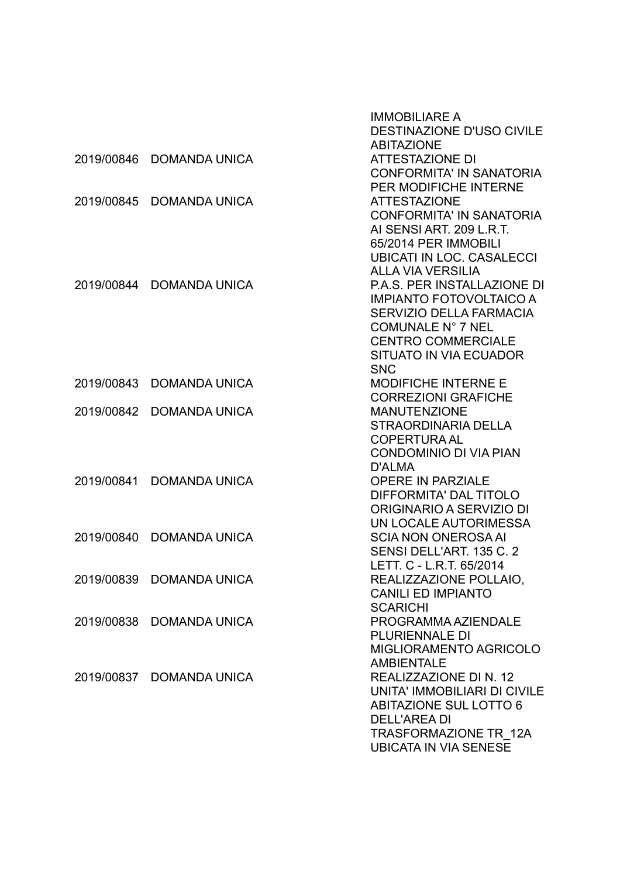|            |                          | <b>IMMOBILIARE A</b><br><b>DESTINAZIONE D'USO CIVILE</b><br><b>ABITAZIONE</b>                                               |
|------------|--------------------------|-----------------------------------------------------------------------------------------------------------------------------|
| 2019/00846 | <b>DOMANDA UNICA</b>     | <b>ATTESTAZIONE DI</b><br><b>CONFORMITA' IN SANATORIA</b>                                                                   |
| 2019/00845 | <b>DOMANDA UNICA</b>     | <b>PER MODIFICHE INTERNE</b><br><b>ATTESTAZIONE</b><br><b>CONFORMITA' IN SANATORIA</b>                                      |
|            |                          | AI SENSI ART. 209 L.R.T.<br>65/2014 PER IMMOBILI<br><b>UBICATI IN LOC. CASALECCI</b>                                        |
| 2019/00844 | <b>DOMANDA UNICA</b>     | <b>ALLA VIA VERSILIA</b><br><b>P.A.S. PER INSTALLAZIONE DI</b><br><b>IMPIANTO FOTOVOLTAICO A</b><br>SERVIZIO DELLA FARMACIA |
|            |                          | COMUNALE N° 7 NEL<br><b>CENTRO COMMERCIALE</b><br>SITUATO IN VIA ECUADOR                                                    |
| 2019/00843 | <b>DOMANDA UNICA</b>     | <b>SNC</b><br><b>MODIFICHE INTERNE E</b>                                                                                    |
| 2019/00842 | <b>DOMANDA UNICA</b>     | <b>CORREZIONI GRAFICHE</b><br><b>MANUTENZIONE</b><br><b>STRAORDINARIA DELLA</b>                                             |
|            |                          | <b>COPERTURA AL</b><br><b>CONDOMINIO DI VIA PIAN</b><br><b>D'ALMA</b>                                                       |
| 2019/00841 | <b>DOMANDA UNICA</b>     | <b>OPERE IN PARZIALE</b><br>DIFFORMITA' DAL TITOLO<br>ORIGINARIO A SERVIZIO DI                                              |
| 2019/00840 | <b>DOMANDA UNICA</b>     | UN LOCALE AUTORIMESSA<br><b>SCIA NON ONEROSA AI</b><br>SENSI DELL'ART. 135 C. 2                                             |
|            | 2019/00839 DOMANDA UNICA | LETT. C - L.R.T. 65/2014<br>REALIZZAZIONE POLLAIO,<br><b>CANILI ED IMPIANTO</b>                                             |
| 2019/00838 | <b>DOMANDA UNICA</b>     | <b>SCARICHI</b><br>PROGRAMMA AZIENDALE<br><b>PLURIENNALE DI</b><br><b>MIGLIORAMENTO AGRICOLO</b>                            |
| 2019/00837 | <b>DOMANDA UNICA</b>     | <b>AMBIENTALE</b><br>REALIZZAZIONE DI N. 12<br>UNITA' IMMOBILIARI DI CIVILE<br><b>ABITAZIONE SUL LOTTO 6</b>                |
|            |                          | <b>DELL'AREA DI</b><br>TRASFORMAZIONE TR 12A<br><b>UBICATA IN VIA SENESE</b>                                                |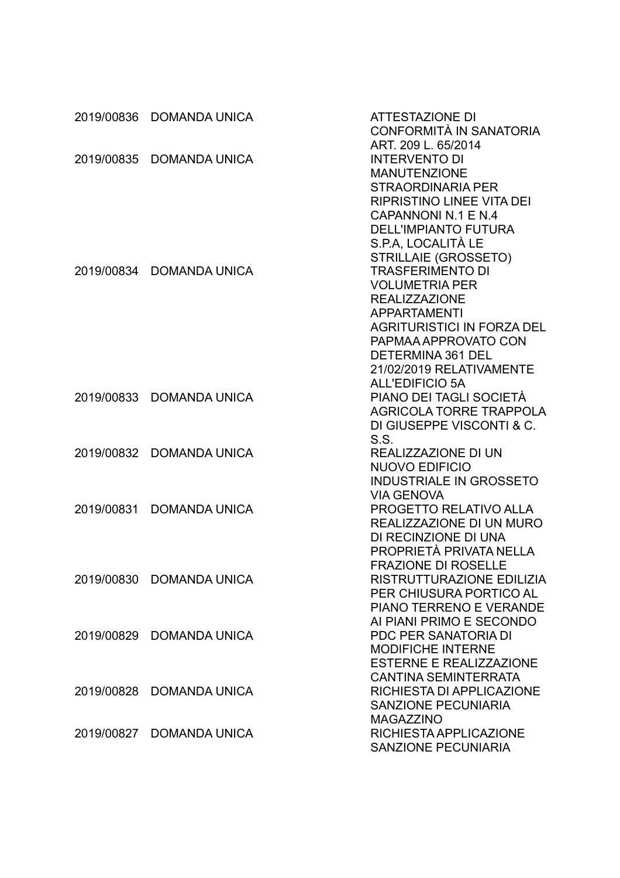| 2019/00836 | <b>DOMANDA UNICA</b>     | <b>ATTESTAZIONE DI</b><br><b>CONFORMITÀ IN SANATORIA</b>                                       |
|------------|--------------------------|------------------------------------------------------------------------------------------------|
| 2019/00835 | <b>DOMANDA UNICA</b>     | ART. 209 L. 65/2014<br><b>INTERVENTO DI</b><br><b>MANUTENZIONE</b><br><b>STRAORDINARIA PER</b> |
|            |                          | <b>RIPRISTINO LINEE VITA DEI</b><br>CAPANNONI N.1 E N.4                                        |
|            |                          | <b>DELL'IMPIANTO FUTURA</b><br>S.P.A, LOCALITÀ LE<br><b>STRILLAIE (GROSSETO)</b>               |
| 2019/00834 | <b>DOMANDA UNICA</b>     | <b>TRASFERIMENTO DI</b><br><b>VOLUMETRIA PER</b>                                               |
|            |                          | <b>REALIZZAZIONE</b><br><b>APPARTAMENTI</b>                                                    |
|            |                          | <b>AGRITURISTICI IN FORZA DEL</b><br>PAPMAA APPROVATO CON                                      |
|            |                          | DETERMINA 361 DEL<br>21/02/2019 RELATIVAMENTE                                                  |
|            |                          | <b>ALL'EDIFICIO 5A</b>                                                                         |
| 2019/00833 | <b>DOMANDA UNICA</b>     | PIANO DEI TAGLI SOCIETÀ                                                                        |
|            |                          | <b>AGRICOLA TORRE TRAPPOLA</b>                                                                 |
|            |                          | DI GIUSEPPE VISCONTI & C.                                                                      |
|            |                          | S.S.                                                                                           |
| 2019/00832 | <b>DOMANDA UNICA</b>     | REALIZZAZIONE DI UN<br><b>NUOVO EDIFICIO</b>                                                   |
|            |                          | <b>INDUSTRIALE IN GROSSETO</b>                                                                 |
|            |                          | <b>VIA GENOVA</b>                                                                              |
| 2019/00831 | <b>DOMANDA UNICA</b>     | PROGETTO RELATIVO ALLA                                                                         |
|            |                          | REALIZZAZIONE DI UN MURO                                                                       |
|            |                          | DI RECINZIONE DI UNA                                                                           |
|            |                          | PROPRIETÀ PRIVATA NELLA                                                                        |
|            |                          | <b>FRAZIONE DI ROSELLE</b>                                                                     |
|            | 2019/00830 DOMANDA UNICA | RISTRUTTURAZIONE EDILIZIA                                                                      |
|            |                          | PER CHIUSURA PORTICO AL                                                                        |
|            |                          | PIANO TERRENO E VERANDE                                                                        |
|            |                          | AI PIANI PRIMO E SECONDO                                                                       |
|            | 2019/00829 DOMANDA UNICA | PDC PER SANATORIA DI<br>MODIFICHE INTERNE                                                      |
|            |                          | <b>ESTERNE E REALIZZAZIONE</b>                                                                 |
|            |                          | <b>CANTINA SEMINTERRATA</b>                                                                    |
| 2019/00828 | <b>DOMANDA UNICA</b>     | RICHIESTA DI APPLICAZIONE                                                                      |
|            |                          | <b>SANZIONE PECUNIARIA</b>                                                                     |
|            |                          | <b>MAGAZZINO</b>                                                                               |
|            | 2019/00827 DOMANDA UNICA | RICHIESTA APPLICAZIONE                                                                         |
|            |                          | <b>SANZIONE PECUNIARIA</b>                                                                     |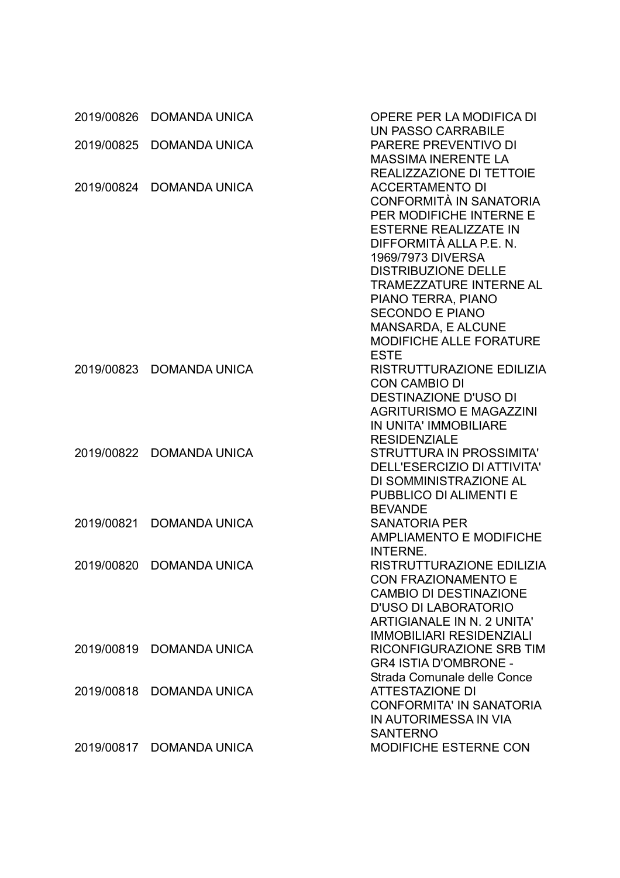| 2019/00826 | <b>DOMANDA UNICA</b> | OPERE PER LA MODIFICA DI<br><b>UN PASSO CARRABILE</b> |
|------------|----------------------|-------------------------------------------------------|
| 2019/00825 | <b>DOMANDA UNICA</b> | <b>PARERE PREVENTIVO DI</b>                           |
|            |                      | <b>MASSIMA INERENTE LA</b>                            |
|            |                      | <b>REALIZZAZIONE DI TETTOIE</b>                       |
| 2019/00824 | <b>DOMANDA UNICA</b> | <b>ACCERTAMENTO DI</b>                                |
|            |                      | CONFORMITÀ IN SANATORIA                               |
|            |                      | PER MODIFICHE INTERNE E                               |
|            |                      | <b>ESTERNE REALIZZATE IN</b>                          |
|            |                      | DIFFORMITÀ ALLA P.E. N.                               |
|            |                      | 1969/7973 DIVERSA                                     |
|            |                      | <b>DISTRIBUZIONE DELLE</b>                            |
|            |                      | <b>TRAMEZZATURE INTERNE AL</b>                        |
|            |                      | PIANO TERRA, PIANO                                    |
|            |                      | <b>SECONDO E PIANO</b>                                |
|            |                      | <b>MANSARDA, E ALCUNE</b>                             |
|            |                      | <b>MODIFICHE ALLE FORATURE</b>                        |
|            |                      | <b>ESTE</b>                                           |
| 2019/00823 | <b>DOMANDA UNICA</b> | RISTRUTTURAZIONE EDILIZIA                             |
|            |                      | <b>CON CAMBIO DI</b>                                  |
|            |                      | <b>DESTINAZIONE D'USO DI</b>                          |
|            |                      | <b>AGRITURISMO E MAGAZZINI</b>                        |
|            |                      | IN UNITA' IMMOBILIARE                                 |
|            |                      | <b>RESIDENZIALE</b>                                   |
| 2019/00822 | <b>DOMANDA UNICA</b> | <b>STRUTTURA IN PROSSIMITA'</b>                       |
|            |                      | DELL'ESERCIZIO DI ATTIVITA'                           |
|            |                      | DI SOMMINISTRAZIONE AL<br>PUBBLICO DI ALIMENTI E      |
|            |                      | <b>BEVANDE</b>                                        |
| 2019/00821 | <b>DOMANDA UNICA</b> | <b>SANATORIA PER</b>                                  |
|            |                      | <b>AMPLIAMENTO E MODIFICHE</b>                        |
|            |                      | <b>INTERNE.</b>                                       |
| 2019/00820 | <b>DOMANDA UNICA</b> | RISTRUTTURAZIONE EDILIZIA                             |
|            |                      | <b>CON FRAZIONAMENTO E</b>                            |
|            |                      | <b>CAMBIO DI DESTINAZIONE</b>                         |
|            |                      | D'USO DI LABORATORIO                                  |
|            |                      | <b>ARTIGIANALE IN N. 2 UNITA'</b>                     |
|            |                      | <b>IMMOBILIARI RESIDENZIALI</b>                       |
| 2019/00819 | <b>DOMANDA UNICA</b> | RICONFIGURAZIONE SRB TIM                              |
|            |                      | <b>GR4 ISTIA D'OMBRONE -</b>                          |
|            |                      | Strada Comunale delle Conce                           |
| 2019/00818 | <b>DOMANDA UNICA</b> | <b>ATTESTAZIONE DI</b>                                |
|            |                      | <b>CONFORMITA' IN SANATORIA</b>                       |
|            |                      | IN AUTORIMESSA IN VIA                                 |
|            |                      | <b>SANTERNO</b>                                       |
| 2019/00817 | DOMANDA UNICA        | <b>MODIFICHE ESTERNE CON</b>                          |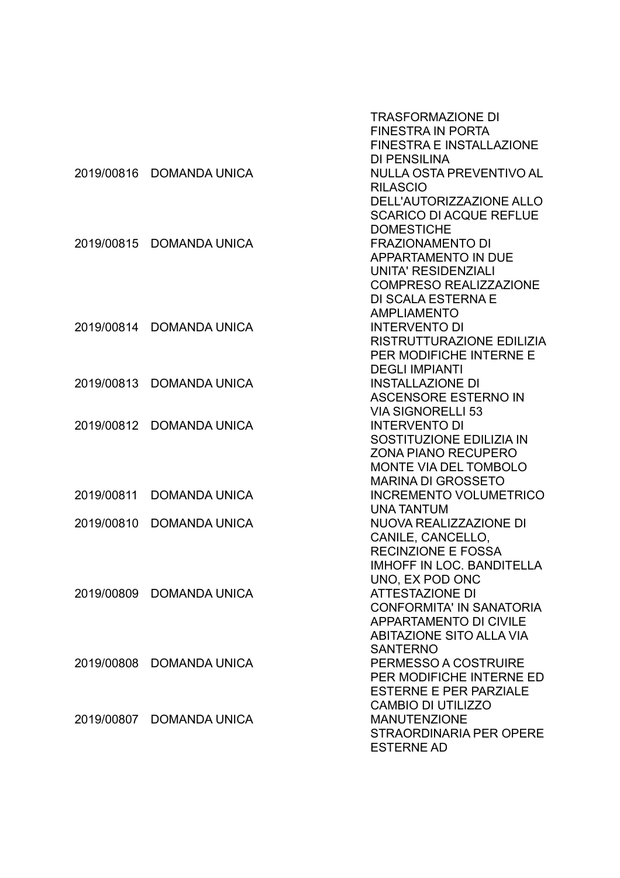|            |                          | TRASFORMAZIONE DI                |
|------------|--------------------------|----------------------------------|
|            |                          | <b>FINESTRA IN PORTA</b>         |
|            |                          | <b>FINESTRA E INSTALLAZIONE</b>  |
|            |                          | <b>DI PENSILINA</b>              |
| 2019/00816 | <b>DOMANDA UNICA</b>     | NULLA OSTA PREVENTIVO AL         |
|            |                          | <b>RILASCIO</b>                  |
|            |                          | DELL'AUTORIZZAZIONE ALLO         |
|            |                          | <b>SCARICO DI ACQUE REFLUE</b>   |
|            |                          | <b>DOMESTICHE</b>                |
| 2019/00815 | <b>DOMANDA UNICA</b>     | <b>FRAZIONAMENTO DI</b>          |
|            |                          | <b>APPARTAMENTO IN DUE</b>       |
|            |                          | <b>UNITA' RESIDENZIALI</b>       |
|            |                          | <b>COMPRESO REALIZZAZIONE</b>    |
|            |                          | <b>DI SCALA ESTERNA E</b>        |
|            |                          | <b>AMPLIAMENTO</b>               |
| 2019/00814 | <b>DOMANDA UNICA</b>     | <b>INTERVENTO DI</b>             |
|            |                          | RISTRUTTURAZIONE EDILIZIA        |
|            |                          | PER MODIFICHE INTERNE E          |
|            |                          | <b>DEGLI IMPIANTI</b>            |
| 2019/00813 | <b>DOMANDA UNICA</b>     | <b>INSTALLAZIONE DI</b>          |
|            |                          | <b>ASCENSORE ESTERNO IN</b>      |
|            |                          | <b>VIA SIGNORELLI 53</b>         |
| 2019/00812 | <b>DOMANDA UNICA</b>     | <b>INTERVENTO DI</b>             |
|            |                          | SOSTITUZIONE EDILIZIA IN         |
|            |                          | <b>ZONA PIANO RECUPERO</b>       |
|            |                          | MONTE VIA DEL TOMBOLO            |
|            |                          | <b>MARINA DI GROSSETO</b>        |
| 2019/00811 | <b>DOMANDA UNICA</b>     | <b>INCREMENTO VOLUMETRICO</b>    |
|            |                          | <b>UNA TANTUM</b>                |
| 2019/00810 | <b>DOMANDA UNICA</b>     | NUOVA REALIZZAZIONE DI           |
|            |                          | CANILE, CANCELLO,                |
|            |                          | <b>RECINZIONE E FOSSA</b>        |
|            |                          | <b>IMHOFF IN LOC. BANDITELLA</b> |
|            |                          | UNO, EX POD ONC                  |
|            | 2019/00809 DOMANDA UNICA | <b>ATTESTAZIONE DI</b>           |
|            |                          | <b>CONFORMITA' IN SANATORIA</b>  |
|            |                          | <b>APPARTAMENTO DI CIVILE</b>    |
|            |                          | <b>ABITAZIONE SITO ALLA VIA</b>  |
|            |                          | <b>SANTERNO</b>                  |
|            | 2019/00808 DOMANDA UNICA | PERMESSO A COSTRUIRE             |
|            |                          | PER MODIFICHE INTERNE ED         |
|            |                          | <b>ESTERNE E PER PARZIALE</b>    |
|            |                          | <b>CAMBIO DI UTILIZZO</b>        |
|            | 2019/00807 DOMANDA UNICA | <b>MANUTENZIONE</b>              |
|            |                          | STRAORDINARIA PER OPERE          |
|            |                          | <b>ESTERNE AD</b>                |
|            |                          |                                  |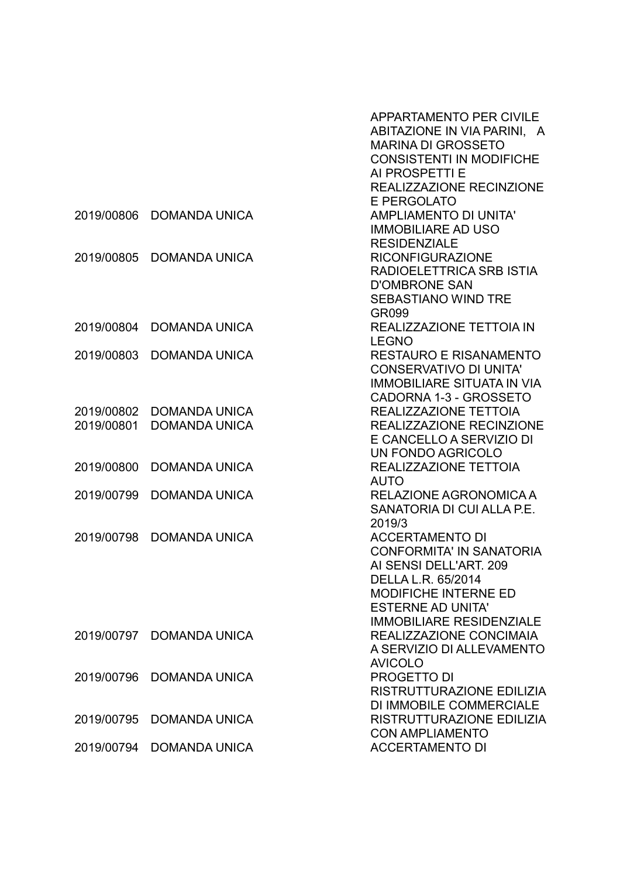|            |                      | <b>APPARTAMENTO PER CIVILE</b>    |
|------------|----------------------|-----------------------------------|
|            |                      | ABITAZIONE IN VIA PARINI, A       |
|            |                      | <b>MARINA DI GROSSETO</b>         |
|            |                      | <b>CONSISTENTI IN MODIFICHE</b>   |
|            |                      | AI PROSPETTI E                    |
|            |                      | REALIZZAZIONE RECINZIONE          |
|            |                      |                                   |
|            |                      | <b>E PERGOLATO</b>                |
| 2019/00806 | <b>DOMANDA UNICA</b> | <b>AMPLIAMENTO DI UNITA'</b>      |
|            |                      | <b>IMMOBILIARE AD USO</b>         |
|            |                      | <b>RESIDENZIALE</b>               |
| 2019/00805 | <b>DOMANDA UNICA</b> | <b>RICONFIGURAZIONE</b>           |
|            |                      | RADIOELETTRICA SRB ISTIA          |
|            |                      | <b>D'OMBRONE SAN</b>              |
|            |                      | <b>SEBASTIANO WIND TRE</b>        |
|            |                      | GR099                             |
| 2019/00804 | <b>DOMANDA UNICA</b> | <b>REALIZZAZIONE TETTOIA IN</b>   |
|            |                      | <b>LEGNO</b>                      |
| 2019/00803 | <b>DOMANDA UNICA</b> | <b>RESTAURO E RISANAMENTO</b>     |
|            |                      | <b>CONSERVATIVO DI UNITA'</b>     |
|            |                      | <b>IMMOBILIARE SITUATA IN VIA</b> |
|            |                      | CADORNA 1-3 - GROSSETO            |
| 2019/00802 | <b>DOMANDA UNICA</b> | REALIZZAZIONE TETTOIA             |
| 2019/00801 | <b>DOMANDA UNICA</b> | REALIZZAZIONE RECINZIONE          |
|            |                      | E CANCELLO A SERVIZIO DI          |
|            |                      | UN FONDO AGRICOLO                 |
| 2019/00800 | <b>DOMANDA UNICA</b> | REALIZZAZIONE TETTOIA             |
|            |                      | <b>AUTO</b>                       |
| 2019/00799 | <b>DOMANDA UNICA</b> | RELAZIONE AGRONOMICA A            |
|            |                      | SANATORIA DI CUI ALLA P.E.        |
|            |                      |                                   |
|            |                      | 2019/3                            |
| 2019/00798 | <b>DOMANDA UNICA</b> | <b>ACCERTAMENTO DI</b>            |
|            |                      | <b>CONFORMITA' IN SANATORIA</b>   |
|            |                      | AI SENSI DELL'ART. 209            |
|            |                      | DELLA L.R. 65/2014                |
|            |                      | <b>MODIFICHE INTERNE ED</b>       |
|            |                      | <b>ESTERNE AD UNITA'</b>          |
|            |                      | <b>IMMOBILIARE RESIDENZIALE</b>   |
| 2019/00797 | <b>DOMANDA UNICA</b> | REALIZZAZIONE CONCIMAIA           |
|            |                      | A SERVIZIO DI ALLEVAMENTO         |
|            |                      | <b>AVICOLO</b>                    |
| 2019/00796 | <b>DOMANDA UNICA</b> | PROGETTO DI                       |
|            |                      | RISTRUTTURAZIONE EDILIZIA         |
|            |                      | DI IMMOBILE COMMERCIALE           |
| 2019/00795 | <b>DOMANDA UNICA</b> | RISTRUTTURAZIONE EDILIZIA         |
|            |                      | <b>CON AMPLIAMENTO</b>            |
| 2019/00794 | <b>DOMANDA UNICA</b> | <b>ACCERTAMENTO DI</b>            |
|            |                      |                                   |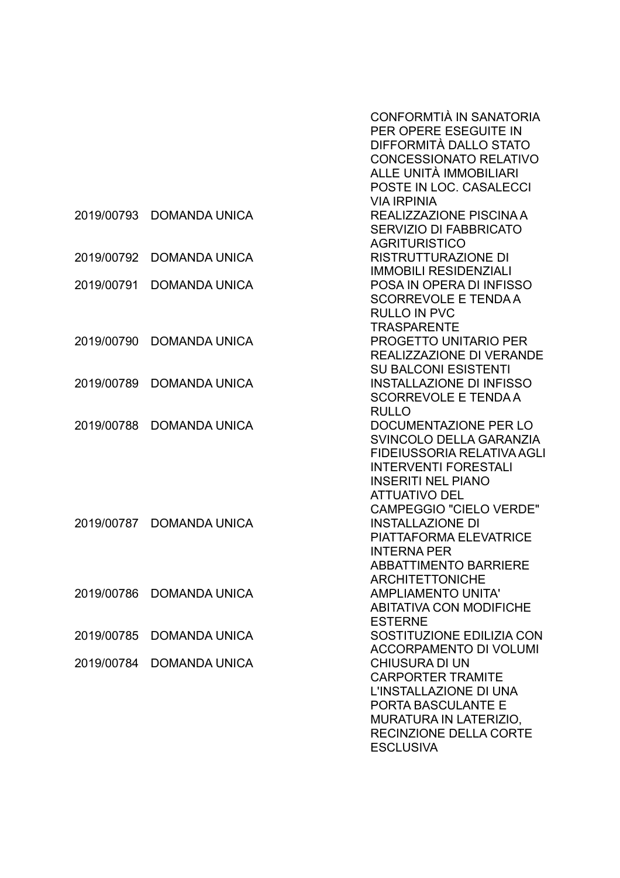|            |                      | CONFORMTIÀ IN SANATORIA<br>PER OPERE ESEGUITE IN<br>DIFFORMITÀ DALLO STATO<br><b>CONCESSIONATO RELATIVO</b><br>ALLE UNITÀ IMMOBILIARI<br>POSTE IN LOC. CASALECCI                                            |
|------------|----------------------|-------------------------------------------------------------------------------------------------------------------------------------------------------------------------------------------------------------|
| 2019/00793 | <b>DOMANDA UNICA</b> | <b>VIA IRPINIA</b><br>REALIZZAZIONE PISCINA A<br>SERVIZIO DI FABBRICATO<br><b>AGRITURISTICO</b>                                                                                                             |
| 2019/00792 | <b>DOMANDA UNICA</b> | <b>RISTRUTTURAZIONE DI</b><br><b>IMMOBILI RESIDENZIALI</b>                                                                                                                                                  |
| 2019/00791 | <b>DOMANDA UNICA</b> | POSA IN OPERA DI INFISSO<br><b>SCORREVOLE E TENDA A</b><br><b>RULLO IN PVC</b><br><b>TRASPARENTE</b>                                                                                                        |
| 2019/00790 | <b>DOMANDA UNICA</b> | <b>PROGETTO UNITARIO PER</b><br>REALIZZAZIONE DI VERANDE<br><b>SU BALCONI ESISTENTI</b>                                                                                                                     |
| 2019/00789 | <b>DOMANDA UNICA</b> | <b>INSTALLAZIONE DI INFISSO</b><br><b>SCORREVOLE E TENDAA</b><br><b>RULLO</b>                                                                                                                               |
| 2019/00788 | <b>DOMANDA UNICA</b> | DOCUMENTAZIONE PER LO<br>SVINCOLO DELLA GARANZIA<br><b>FIDEIUSSORIA RELATIVA AGLI</b><br><b>INTERVENTI FORESTALI</b><br><b>INSERITI NEL PIANO</b><br><b>ATTUATIVO DEL</b><br><b>CAMPEGGIO "CIELO VERDE"</b> |
| 2019/00787 | <b>DOMANDA UNICA</b> | <b>INSTALLAZIONE DI</b><br><b>PIATTAFORMA ELEVATRICE</b><br><b>INTERNA PER</b><br><b>ABBATTIMENTO BARRIERE</b><br><b>ARCHITETTONICHE</b>                                                                    |
| 2019/00786 | <b>DOMANDA UNICA</b> | <b>AMPLIAMENTO UNITA'</b><br><b>ABITATIVA CON MODIFICHE</b><br><b>ESTERNE</b>                                                                                                                               |
| 2019/00785 | <b>DOMANDA UNICA</b> | SOSTITUZIONE EDILIZIA CON<br><b>ACCORPAMENTO DI VOLUMI</b>                                                                                                                                                  |
| 2019/00784 | <b>DOMANDA UNICA</b> | <b>CHIUSURA DI UN</b><br><b>CARPORTER TRAMITE</b><br>L'INSTALLAZIONE DI UNA<br>PORTA BASCULANTE E<br>MURATURA IN LATERIZIO,<br>RECINZIONE DELLA CORTE<br><b>ESCLUSIVA</b>                                   |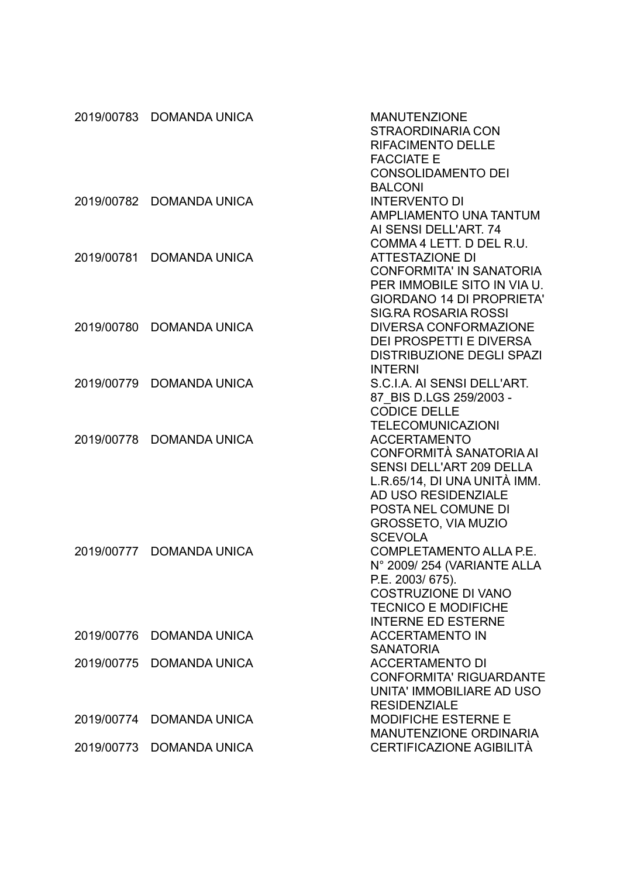|            | 2019/00783 DOMANDA UNICA | <b>MANUTENZIONE</b><br><b>STRAORDINARIA CON</b><br><b>RIFACIMENTO DELLE</b><br><b>FACCIATE E</b> |
|------------|--------------------------|--------------------------------------------------------------------------------------------------|
|            |                          | <b>CONSOLIDAMENTO DEI</b>                                                                        |
|            |                          | <b>BALCONI</b>                                                                                   |
| 2019/00782 | <b>DOMANDA UNICA</b>     | <b>INTERVENTO DI</b>                                                                             |
|            |                          | <b>AMPLIAMENTO UNA TANTUM</b>                                                                    |
|            |                          | AI SENSI DELL'ART. 74                                                                            |
| 2019/00781 | <b>DOMANDA UNICA</b>     | COMMA 4 LETT. D DEL R.U.<br><b>ATTESTAZIONE DI</b>                                               |
|            |                          | <b>CONFORMITA' IN SANATORIA</b>                                                                  |
|            |                          | PER IMMOBILE SITO IN VIA U.                                                                      |
|            |                          | <b>GIORDANO 14 DI PROPRIETA'</b>                                                                 |
|            |                          | <b>SIG.RA ROSARIA ROSSI</b>                                                                      |
| 2019/00780 | <b>DOMANDA UNICA</b>     | <b>DIVERSA CONFORMAZIONE</b>                                                                     |
|            |                          | <b>DEI PROSPETTI E DIVERSA</b>                                                                   |
|            |                          | <b>DISTRIBUZIONE DEGLI SPAZI</b>                                                                 |
|            |                          | <b>INTERNI</b>                                                                                   |
| 2019/00779 | <b>DOMANDA UNICA</b>     | S.C.I.A. AI SENSI DELL'ART.                                                                      |
|            |                          | 87 BIS D.LGS 259/2003 -                                                                          |
|            |                          | <b>CODICE DELLE</b>                                                                              |
|            |                          | <b>TELECOMUNICAZIONI</b>                                                                         |
| 2019/00778 | <b>DOMANDA UNICA</b>     | <b>ACCERTAMENTO</b>                                                                              |
|            |                          | CONFORMITÀ SANATORIA AI                                                                          |
|            |                          | <b>SENSI DELL'ART 209 DELLA</b>                                                                  |
|            |                          | L.R.65/14, DI UNA UNITÀ IMM.                                                                     |
|            |                          | AD USO RESIDENZIALE                                                                              |
|            |                          | POSTA NEL COMUNE DI                                                                              |
|            |                          | <b>GROSSETO, VIA MUZIO</b>                                                                       |
| 2019/00777 | <b>DOMANDA UNICA</b>     | <b>SCEVOLA</b><br>COMPLETAMENTO ALLA P.E.                                                        |
|            |                          | N° 2009/254 (VARIANTE ALLA                                                                       |
|            |                          | P.E. 2003/675).                                                                                  |
|            |                          | <b>COSTRUZIONE DI VANO</b>                                                                       |
|            |                          | <b>TECNICO E MODIFICHE</b>                                                                       |
|            |                          | <b>INTERNE ED ESTERNE</b>                                                                        |
| 2019/00776 | <b>DOMANDA UNICA</b>     | <b>ACCERTAMENTO IN</b>                                                                           |
|            |                          | <b>SANATORIA</b>                                                                                 |
| 2019/00775 | <b>DOMANDA UNICA</b>     | <b>ACCERTAMENTO DI</b>                                                                           |
|            |                          | <b>CONFORMITA' RIGUARDANTE</b>                                                                   |
|            |                          | UNITA' IMMOBILIARE AD USO                                                                        |
|            |                          | <b>RESIDENZIALE</b>                                                                              |
| 2019/00774 | <b>DOMANDA UNICA</b>     | <b>MODIFICHE ESTERNE E</b>                                                                       |
|            |                          | <b>MANUTENZIONE ORDINARIA</b>                                                                    |
| 2019/00773 | <b>DOMANDA UNICA</b>     | CERTIFICAZIONE AGIBILITÀ                                                                         |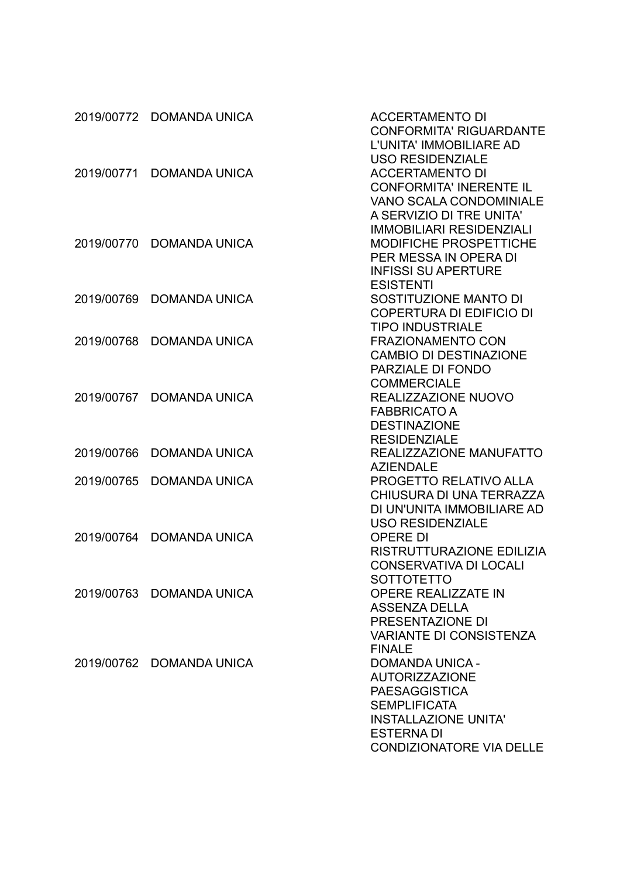|            | 2019/00772 DOMANDA UNICA | <b>ACCERTAMENTO DI</b><br><b>CONFORMITA' RIGUARDANTE</b><br>L'UNITA' IMMOBILIARE AD                                                                                                            |
|------------|--------------------------|------------------------------------------------------------------------------------------------------------------------------------------------------------------------------------------------|
| 2019/00771 | <b>DOMANDA UNICA</b>     | <b>USO RESIDENZIALE</b><br><b>ACCERTAMENTO DI</b><br><b>CONFORMITA' INERENTE IL</b><br><b>VANO SCALA CONDOMINIALE</b>                                                                          |
| 2019/00770 | <b>DOMANDA UNICA</b>     | A SERVIZIO DI TRE UNITA'<br><b>IMMOBILIARI RESIDENZIALI</b><br><b>MODIFICHE PROSPETTICHE</b><br>PER MESSA IN OPERA DI<br><b>INFISSI SU APERTURE</b>                                            |
| 2019/00769 | <b>DOMANDA UNICA</b>     | <b>ESISTENTI</b><br>SOSTITUZIONE MANTO DI<br><b>COPERTURA DI EDIFICIO DI</b>                                                                                                                   |
| 2019/00768 | <b>DOMANDA UNICA</b>     | <b>TIPO INDUSTRIALE</b><br><b>FRAZIONAMENTO CON</b><br><b>CAMBIO DI DESTINAZIONE</b><br>PARZIALE DI FONDO                                                                                      |
| 2019/00767 | <b>DOMANDA UNICA</b>     | <b>COMMERCIALE</b><br>REALIZZAZIONE NUOVO<br><b>FABBRICATO A</b><br><b>DESTINAZIONE</b>                                                                                                        |
| 2019/00766 | <b>DOMANDA UNICA</b>     | <b>RESIDENZIALE</b><br>REALIZZAZIONE MANUFATTO                                                                                                                                                 |
| 2019/00765 | <b>DOMANDA UNICA</b>     | <b>AZIENDALE</b><br><b>PROGETTO RELATIVO ALLA</b><br>CHIUSURA DI UNA TERRAZZA<br>DI UN'UNITA IMMOBILIARE AD                                                                                    |
| 2019/00764 | <b>DOMANDA UNICA</b>     | <b>USO RESIDENZIALE</b><br><b>OPERE DI</b><br>RISTRUTTURAZIONE EDILIZIA<br><b>CONSERVATIVA DI LOCALI</b>                                                                                       |
|            | 2019/00763 DOMANDA UNICA | <b>SOTTOTETTO</b><br><b>OPERE REALIZZATE IN</b><br><b>ASSENZA DELLA</b><br>PRESENTAZIONE DI<br><b>VARIANTE DI CONSISTENZA</b>                                                                  |
|            | 2019/00762 DOMANDA UNICA | <b>FINALE</b><br><b>DOMANDA UNICA -</b><br><b>AUTORIZZAZIONE</b><br><b>PAESAGGISTICA</b><br><b>SEMPLIFICATA</b><br><b>INSTALLAZIONE UNITA'</b><br><b>ESTERNADI</b><br>CONDIZIONATORE VIA DELLE |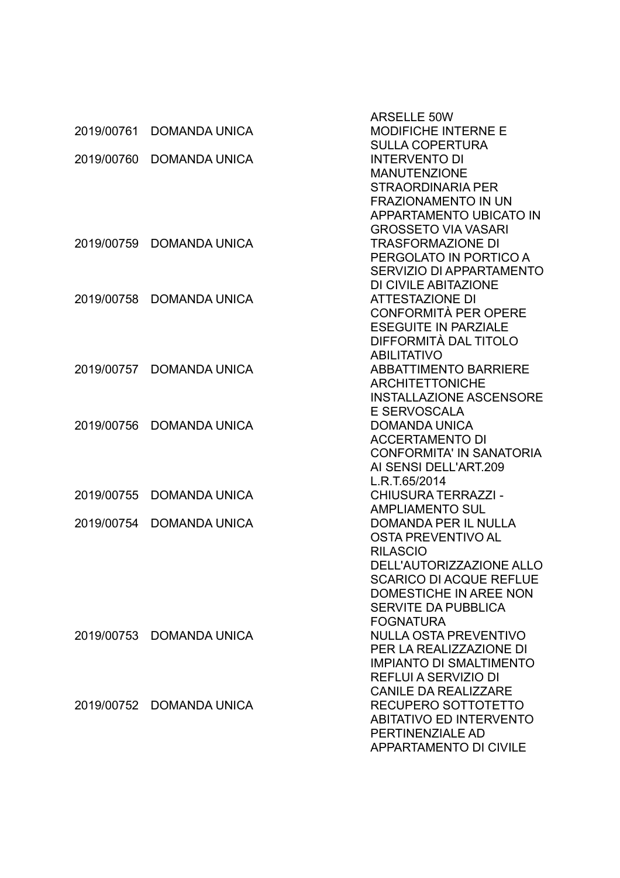|            |                          | <b>ARSELLE 50W</b>              |
|------------|--------------------------|---------------------------------|
| 2019/00761 | <b>DOMANDA UNICA</b>     | MODIFICHE INTERNE E             |
|            |                          | <b>SULLA COPERTURA</b>          |
| 2019/00760 | <b>DOMANDA UNICA</b>     | <b>INTERVENTO DI</b>            |
|            |                          | <b>MANUTENZIONE</b>             |
|            |                          | <b>STRAORDINARIA PER</b>        |
|            |                          | <b>FRAZIONAMENTO IN UN</b>      |
|            |                          | <b>APPARTAMENTO UBICATO IN</b>  |
|            |                          | <b>GROSSETO VIA VASARI</b>      |
| 2019/00759 | <b>DOMANDA UNICA</b>     | <b>TRASFORMAZIONE DI</b>        |
|            |                          | PERGOLATO IN PORTICO A          |
|            |                          | SERVIZIO DI APPARTAMENTO        |
|            |                          | DI CIVILE ABITAZIONE            |
| 2019/00758 | <b>DOMANDA UNICA</b>     | <b>ATTESTAZIONE DI</b>          |
|            |                          | CONFORMITÀ PER OPERE            |
|            |                          | <b>ESEGUITE IN PARZIALE</b>     |
|            |                          | DIFFORMITÀ DAL TITOLO           |
|            |                          | <b>ABILITATIVO</b>              |
| 2019/00757 | <b>DOMANDA UNICA</b>     | <b>ABBATTIMENTO BARRIERE</b>    |
|            |                          | <b>ARCHITETTONICHE</b>          |
|            |                          | <b>INSTALLAZIONE ASCENSORE</b>  |
|            |                          | E SERVOSCALA                    |
| 2019/00756 | <b>DOMANDA UNICA</b>     | <b>DOMANDA UNICA</b>            |
|            |                          | <b>ACCERTAMENTO DI</b>          |
|            |                          | <b>CONFORMITA' IN SANATORIA</b> |
|            |                          | AI SENSI DELL'ART.209           |
|            |                          | L.R.T.65/2014                   |
| 2019/00755 | <b>DOMANDA UNICA</b>     | <b>CHIUSURA TERRAZZI -</b>      |
|            |                          | <b>AMPLIAMENTO SUL</b>          |
| 2019/00754 | <b>DOMANDA UNICA</b>     | <b>DOMANDA PER IL NULLA</b>     |
|            |                          | OSTA PREVENTIVO AL              |
|            |                          | <b>RILASCIO</b>                 |
|            |                          | DELL'AUTORIZZAZIONE ALLO        |
|            |                          | <b>SCARICO DI ACQUE REFLUE</b>  |
|            |                          | DOMESTICHE IN AREE NON          |
|            |                          | <b>SERVITE DA PUBBLICA</b>      |
|            |                          | <b>FOGNATURA</b>                |
|            | 2019/00753 DOMANDA UNICA | <b>NULLA OSTA PREVENTIVO</b>    |
|            |                          | PER LA REALIZZAZIONE DI         |
|            |                          | <b>IMPIANTO DI SMALTIMENTO</b>  |
|            |                          | <b>REFLUI A SERVIZIO DI</b>     |
|            |                          | <b>CANILE DA REALIZZARE</b>     |
|            | 2019/00752 DOMANDA UNICA | RECUPERO SOTTOTETTO             |
|            |                          | <b>ABITATIVO ED INTERVENTO</b>  |
|            |                          | PERTINENZIALE AD                |
|            |                          | <b>APPARTAMENTO DI CIVILE</b>   |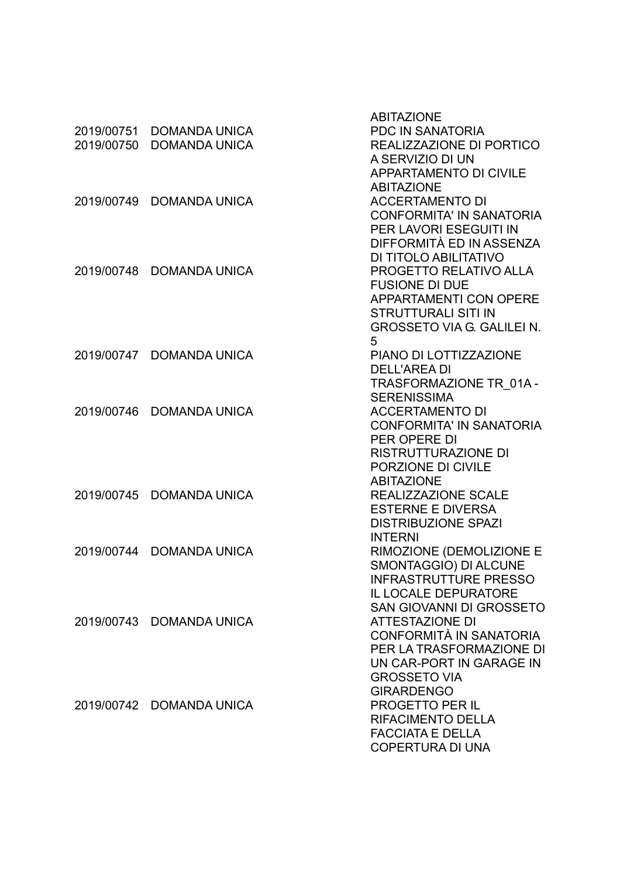|            |                          | <b>ABITAZIONE</b>                 |
|------------|--------------------------|-----------------------------------|
| 2019/00751 | <b>DOMANDA UNICA</b>     | <b>PDC IN SANATORIA</b>           |
| 2019/00750 | <b>DOMANDA UNICA</b>     | REALIZZAZIONE DI PORTICO          |
|            |                          | A SERVIZIO DI UN                  |
|            |                          | <b>APPARTAMENTO DI CIVILE</b>     |
|            |                          | <b>ABITAZIONE</b>                 |
| 2019/00749 | <b>DOMANDA UNICA</b>     | <b>ACCERTAMENTO DI</b>            |
|            |                          | <b>CONFORMITA' IN SANATORIA</b>   |
|            |                          | PER LAVORI ESEGUITI IN            |
|            |                          | DIFFORMITÀ ED IN ASSENZA          |
|            |                          | DI TITOLO ABILITATIVO             |
|            | 2019/00748 DOMANDA UNICA | PROGETTO RELATIVO ALLA            |
|            |                          | <b>FUSIONE DI DUE</b>             |
|            |                          | <b>APPARTAMENTI CON OPERE</b>     |
|            |                          | <b>STRUTTURALI SITI IN</b>        |
|            |                          | <b>GROSSETO VIA G. GALILEI N.</b> |
|            |                          | 5                                 |
|            | 2019/00747 DOMANDA UNICA | PIANO DI LOTTIZZAZIONE            |
|            |                          | <b>DELL'AREA DI</b>               |
|            |                          | TRASFORMAZIONE TR 01A -           |
|            |                          | <b>SERENISSIMA</b>                |
| 2019/00746 | <b>DOMANDA UNICA</b>     | <b>ACCERTAMENTO DI</b>            |
|            |                          | <b>CONFORMITA' IN SANATORIA</b>   |
|            |                          | PER OPERE DI                      |
|            |                          | <b>RISTRUTTURAZIONE DI</b>        |
|            |                          | PORZIONE DI CIVILE                |
|            |                          | <b>ABITAZIONE</b>                 |
|            | 2019/00745 DOMANDA UNICA | REALIZZAZIONE SCALE               |
|            |                          | <b>ESTERNE E DIVERSA</b>          |
|            |                          | <b>DISTRIBUZIONE SPAZI</b>        |
|            |                          | <b>INTERNI</b>                    |
| 2019/00744 | <b>DOMANDA UNICA</b>     | RIMOZIONE (DEMOLIZIONE E          |
|            |                          | SMONTAGGIO) DI ALCUNE             |
|            |                          | <b>INFRASTRUTTURE PRESSO</b>      |
|            |                          | <b>IL LOCALE DEPURATORE</b>       |
|            |                          | <b>SAN GIOVANNI DI GROSSETO</b>   |
|            | 2019/00743 DOMANDA UNICA | <b>ATTESTAZIONE DI</b>            |
|            |                          | CONFORMITÀ IN SANATORIA           |
|            |                          | PER LA TRASFORMAZIONE DI          |
|            |                          | UN CAR-PORT IN GARAGE IN          |
|            |                          | <b>GROSSETO VIA</b>               |
|            |                          | <b>GIRARDENGO</b>                 |
|            | 2019/00742 DOMANDA UNICA | <b>PROGETTO PER IL</b>            |
|            |                          | <b>RIFACIMENTO DELLA</b>          |
|            |                          | <b>FACCIATA E DELLA</b>           |
|            |                          | <b>COPERTURA DI UNA</b>           |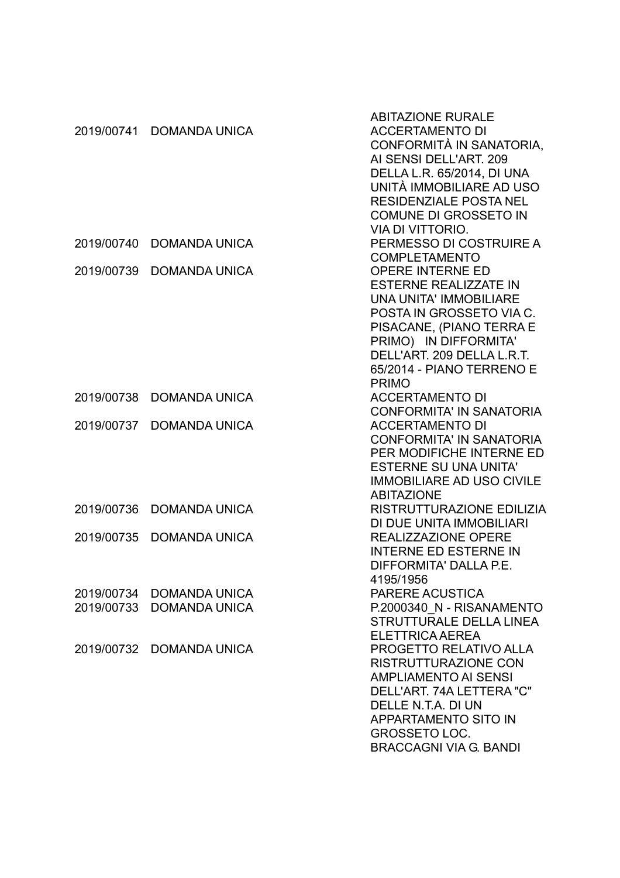|            |                      | <b>ABITAZIONE RURALE</b>         |
|------------|----------------------|----------------------------------|
| 2019/00741 | <b>DOMANDA UNICA</b> | <b>ACCERTAMENTO DI</b>           |
|            |                      | CONFORMITÀ IN SANATORIA,         |
|            |                      | AI SENSI DELL'ART. 209           |
|            |                      | DELLA L.R. 65/2014, DI UNA       |
|            |                      | UNITÀ IMMOBILIARE AD USO         |
|            |                      | <b>RESIDENZIALE POSTA NEL</b>    |
|            |                      | <b>COMUNE DI GROSSETO IN</b>     |
|            |                      |                                  |
|            |                      | <b>VIA DI VITTORIO.</b>          |
| 2019/00740 | <b>DOMANDA UNICA</b> | PERMESSO DI COSTRUIRE A          |
|            |                      | <b>COMPLETAMENTO</b>             |
| 2019/00739 | <b>DOMANDA UNICA</b> | <b>OPERE INTERNE ED</b>          |
|            |                      | <b>ESTERNE REALIZZATE IN</b>     |
|            |                      | <b>UNA UNITA' IMMOBILIARE</b>    |
|            |                      | POSTA IN GROSSETO VIA C.         |
|            |                      | PISACANE, (PIANO TERRA E         |
|            |                      | PRIMO) IN DIFFORMITA'            |
|            |                      | DELL'ART. 209 DELLA L.R.T.       |
|            |                      | 65/2014 - PIANO TERRENO E        |
|            |                      | <b>PRIMO</b>                     |
| 2019/00738 | <b>DOMANDA UNICA</b> | <b>ACCERTAMENTO DI</b>           |
|            |                      | <b>CONFORMITA' IN SANATORIA</b>  |
| 2019/00737 | <b>DOMANDA UNICA</b> | <b>ACCERTAMENTO DI</b>           |
|            |                      | <b>CONFORMITA' IN SANATORIA</b>  |
|            |                      |                                  |
|            |                      | PER MODIFICHE INTERNE ED         |
|            |                      | <b>ESTERNE SU UNA UNITA'</b>     |
|            |                      | <b>IMMOBILIARE AD USO CIVILE</b> |
|            |                      | <b>ABITAZIONE</b>                |
| 2019/00736 | <b>DOMANDA UNICA</b> | RISTRUTTURAZIONE EDILIZIA        |
|            |                      | DI DUE UNITA IMMOBILIARI         |
| 2019/00735 | <b>DOMANDA UNICA</b> | REALIZZAZIONE OPERE              |
|            |                      | <b>INTERNE ED ESTERNE IN</b>     |
|            |                      | DIFFORMITA' DALLA P.E.           |
|            |                      | 4195/1956                        |
| 2019/00734 | <b>DOMANDA UNICA</b> | <b>PARERE ACUSTICA</b>           |
| 2019/00733 | <b>DOMANDA UNICA</b> | P.2000340 N - RISANAMENTO        |
|            |                      | <b>STRUTTURALE DELLA LINEA</b>   |
|            |                      | <b>ELETTRICA AEREA</b>           |
| 2019/00732 | <b>DOMANDA UNICA</b> | <b>PROGETTO RELATIVO ALLA</b>    |
|            |                      | <b>RISTRUTTURAZIONE CON</b>      |
|            |                      | <b>AMPLIAMENTO AI SENSI</b>      |
|            |                      | DELL'ART. 74A LETTERA "C"        |
|            |                      | DELLE N.T.A. DI UN               |
|            |                      |                                  |
|            |                      | <b>APPARTAMENTO SITO IN</b>      |
|            |                      | <b>GROSSETO LOC.</b>             |
|            |                      | <b>BRACCAGNI VIA G. BANDI</b>    |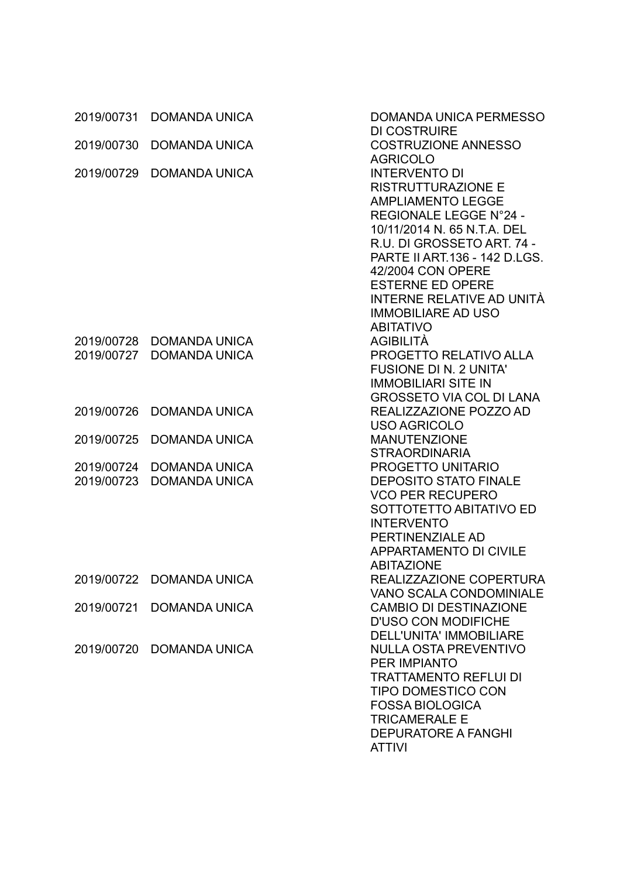|            | 2019/00731 DOMANDA UNICA | <b>DOMANDA UNICA PERMESSO</b><br><b>DI COSTRUIRE</b>      |
|------------|--------------------------|-----------------------------------------------------------|
| 2019/00730 | <b>DOMANDA UNICA</b>     | <b>COSTRUZIONE ANNESSO</b><br><b>AGRICOLO</b>             |
| 2019/00729 | <b>DOMANDA UNICA</b>     | <b>INTERVENTO DI</b>                                      |
|            |                          | <b>RISTRUTTURAZIONE E</b>                                 |
|            |                          | <b>AMPLIAMENTO LEGGE</b>                                  |
|            |                          | REGIONALE LEGGE N°24 -                                    |
|            |                          | 10/11/2014 N. 65 N.T.A. DEL                               |
|            |                          | R.U. DI GROSSETO ART. 74 -                                |
|            |                          | PARTE II ART.136 - 142 D.LGS.                             |
|            |                          | 42/2004 CON OPERE                                         |
|            |                          | <b>ESTERNE ED OPERE</b>                                   |
|            |                          | INTERNE RELATIVE AD UNITÀ                                 |
|            |                          | <b>IMMOBILIARE AD USO</b>                                 |
|            |                          | <b>ABITATIVO</b>                                          |
|            | 2019/00728 DOMANDA UNICA | <b>AGIBILITÀ</b>                                          |
| 2019/00727 | <b>DOMANDA UNICA</b>     | PROGETTO RELATIVO ALLA                                    |
|            |                          | <b>FUSIONE DI N. 2 UNITA'</b>                             |
|            |                          | <b>IMMOBILIARI SITE IN</b>                                |
|            |                          | <b>GROSSETO VIA COL DI LANA</b>                           |
| 2019/00726 | <b>DOMANDA UNICA</b>     | REALIZZAZIONE POZZO AD                                    |
|            |                          | USO AGRICOLO                                              |
| 2019/00725 | <b>DOMANDA UNICA</b>     | <b>MANUTENZIONE</b>                                       |
|            |                          | <b>STRAORDINARIA</b>                                      |
| 2019/00724 | <b>DOMANDA UNICA</b>     | PROGETTO UNITARIO                                         |
| 2019/00723 | <b>DOMANDA UNICA</b>     | <b>DEPOSITO STATO FINALE</b>                              |
|            |                          | <b>VCO PER RECUPERO</b>                                   |
|            |                          | SOTTOTETTO ABITATIVO ED                                   |
|            |                          | <b>INTERVENTO</b>                                         |
|            |                          | PERTINENZIALE AD                                          |
|            |                          | <b>APPARTAMENTO DI CIVILE</b>                             |
|            |                          | <b>ABITAZIONE</b>                                         |
|            | 2019/00722 DOMANDA UNICA | REALIZZAZIONE COPERTURA<br><b>VANO SCALA CONDOMINIALE</b> |
| 2019/00721 | <b>DOMANDA UNICA</b>     | <b>CAMBIO DI DESTINAZIONE</b>                             |
|            |                          | <b>D'USO CON MODIFICHE</b>                                |
|            |                          | <b>DELL'UNITA' IMMOBILIARE</b>                            |
| 2019/00720 | <b>DOMANDA UNICA</b>     | <b>NULLA OSTA PREVENTIVO</b>                              |
|            |                          | <b>PER IMPIANTO</b>                                       |
|            |                          | <b>TRATTAMENTO REFLUI DI</b>                              |
|            |                          | <b>TIPO DOMESTICO CON</b>                                 |
|            |                          | <b>FOSSA BIOLOGICA</b>                                    |
|            |                          | <b>TRICAMERALE E</b>                                      |
|            |                          | <b>DEPURATORE A FANGHI</b>                                |
|            |                          | <b>ATTIVI</b>                                             |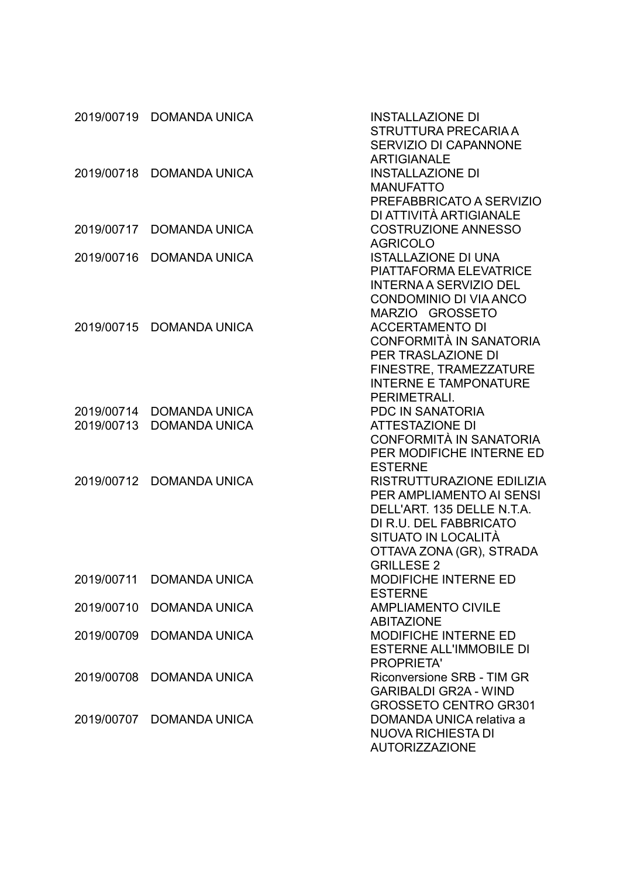|                          | 2019/00719 DOMANDA UNICA                     | <b>INSTALLAZIONE DI</b><br>STRUTTURA PRECARIA A<br><b>SERVIZIO DI CAPANNONE</b><br><b>ARTIGIANALE</b>                                                                                        |
|--------------------------|----------------------------------------------|----------------------------------------------------------------------------------------------------------------------------------------------------------------------------------------------|
| 2019/00718               | <b>DOMANDA UNICA</b>                         | <b>INSTALLAZIONE DI</b><br><b>MANUFATTO</b><br>PREFABBRICATO A SERVIZIO<br>DI ATTIVITÀ ARTIGIANALE                                                                                           |
| 2019/00717               | <b>DOMANDA UNICA</b>                         | <b>COSTRUZIONE ANNESSO</b><br><b>AGRICOLO</b>                                                                                                                                                |
| 2019/00716               | <b>DOMANDA UNICA</b>                         | <b>ISTALLAZIONE DI UNA</b><br><b>PIATTAFORMA ELEVATRICE</b><br><b>INTERNA A SERVIZIO DEL</b><br><b>CONDOMINIO DI VIA ANCO</b><br>MARZIO GROSSETO                                             |
| 2019/00715               | <b>DOMANDA UNICA</b>                         | <b>ACCERTAMENTO DI</b><br>CONFORMITÀ IN SANATORIA<br>PER TRASLAZIONE DI<br>FINESTRE, TRAMEZZATURE<br><b>INTERNE E TAMPONATURE</b><br>PERIMETRALI.                                            |
| 2019/00714<br>2019/00713 | <b>DOMANDA UNICA</b><br><b>DOMANDA UNICA</b> | <b>PDC IN SANATORIA</b><br><b>ATTESTAZIONE DI</b><br>CONFORMITÀ IN SANATORIA<br>PER MODIFICHE INTERNE ED<br><b>ESTERNE</b>                                                                   |
| 2019/00712               | <b>DOMANDA UNICA</b>                         | <b>RISTRUTTURAZIONE EDILIZIA</b><br>PER AMPLIAMENTO AI SENSI<br>DELL'ART. 135 DELLE N.T.A.<br>DI R.U. DEL FABBRICATO<br>SITUATO IN LOCALITÀ<br>OTTAVA ZONA (GR), STRADA<br><b>GRILLESE 2</b> |
| 2019/00711               | <b>DOMANDA UNICA</b>                         | <b>MODIFICHE INTERNE ED</b><br><b>ESTERNE</b>                                                                                                                                                |
| 2019/00710               | <b>DOMANDA UNICA</b>                         | <b>AMPLIAMENTO CIVILE</b><br><b>ABITAZIONE</b>                                                                                                                                               |
| 2019/00709               | <b>DOMANDA UNICA</b>                         | MODIFICHE INTERNE ED<br><b>ESTERNE ALL'IMMOBILE DI</b><br><b>PROPRIETA'</b>                                                                                                                  |
| 2019/00708               | <b>DOMANDA UNICA</b>                         | Riconversione SRB - TIM GR<br><b>GARIBALDI GR2A - WIND</b><br><b>GROSSETO CENTRO GR301</b>                                                                                                   |
|                          | 2019/00707 DOMANDA UNICA                     | DOMANDA UNICA relativa a<br><b>NUOVA RICHIESTA DI</b><br><b>AUTORIZZAZIONE</b>                                                                                                               |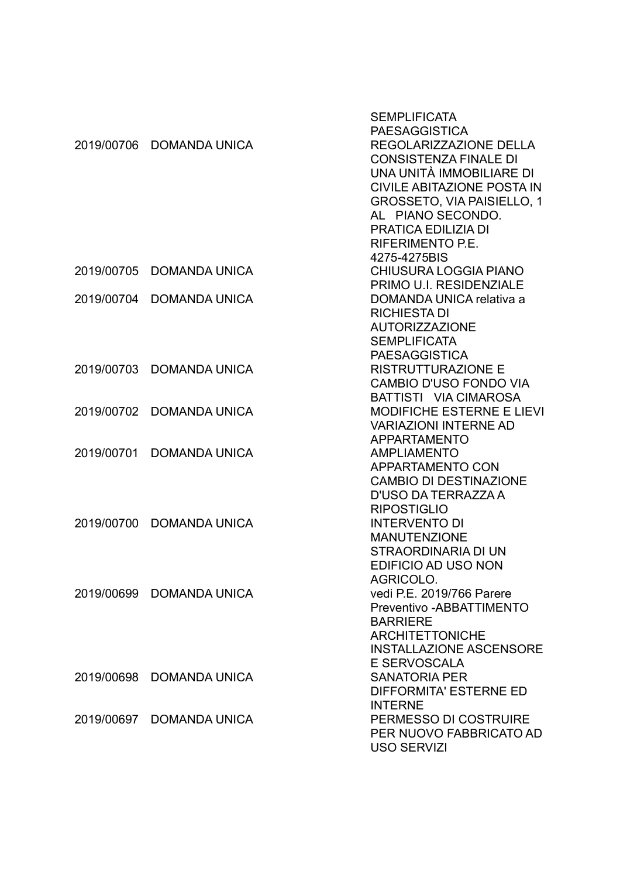|            |                      | <b>SEMPLIFICATA</b>               |
|------------|----------------------|-----------------------------------|
|            |                      | <b>PAESAGGISTICA</b>              |
| 2019/00706 | <b>DOMANDA UNICA</b> | REGOLARIZZAZIONE DELLA            |
|            |                      | <b>CONSISTENZA FINALE DI</b>      |
|            |                      | UNA UNITÀ IMMOBILIARE DI          |
|            |                      | <b>CIVILE ABITAZIONE POSTA IN</b> |
|            |                      | <b>GROSSETO, VIA PAISIELLO, 1</b> |
|            |                      | AL PIANO SECONDO.                 |
|            |                      | PRATICA EDILIZIA DI               |
|            |                      | RIFERIMENTO P.E.                  |
|            |                      | 4275-4275BIS                      |
| 2019/00705 | <b>DOMANDA UNICA</b> | CHIUSURA LOGGIA PIANO             |
|            |                      | PRIMO U.I. RESIDENZIALE           |
| 2019/00704 | <b>DOMANDA UNICA</b> | DOMANDA UNICA relativa a          |
|            |                      | <b>RICHIESTA DI</b>               |
|            |                      | <b>AUTORIZZAZIONE</b>             |
|            |                      | <b>SEMPLIFICATA</b>               |
|            |                      | <b>PAESAGGISTICA</b>              |
| 2019/00703 | <b>DOMANDA UNICA</b> | <b>RISTRUTTURAZIONE E</b>         |
|            |                      | <b>CAMBIO D'USO FONDO VIA</b>     |
|            |                      | BATTISTI VIA CIMAROSA             |
| 2019/00702 | <b>DOMANDA UNICA</b> | <b>MODIFICHE ESTERNE E LIEVI</b>  |
|            |                      | <b>VARIAZIONI INTERNE AD</b>      |
|            |                      | <b>APPARTAMENTO</b>               |
| 2019/00701 | <b>DOMANDA UNICA</b> | <b>AMPLIAMENTO</b>                |
|            |                      | APPARTAMENTO CON                  |
|            |                      | <b>CAMBIO DI DESTINAZIONE</b>     |
|            |                      | D'USO DA TERRAZZA A               |
|            |                      | <b>RIPOSTIGLIO</b>                |
| 2019/00700 | <b>DOMANDA UNICA</b> | <b>INTERVENTO DI</b>              |
|            |                      | <b>MANUTENZIONE</b>               |
|            |                      | STRAORDINARIA DI UN               |
|            |                      | EDIFICIO AD USO NON               |
|            |                      | AGRICOLO.                         |
| 2019/00699 | DOMANDA UNICA        | vedi P.E. 2019/766 Parere         |
|            |                      | Preventivo - ABBATTIMENTO         |
|            |                      | <b>BARRIERE</b>                   |
|            |                      | <b>ARCHITETTONICHE</b>            |
|            |                      | <b>INSTALLAZIONE ASCENSORE</b>    |
|            |                      | E SERVOSCALA                      |
| 2019/00698 | <b>DOMANDA UNICA</b> | <b>SANATORIA PER</b>              |
|            |                      | <b>DIFFORMITA' ESTERNE ED</b>     |
|            |                      | <b>INTERNE</b>                    |
| 2019/00697 | <b>DOMANDA UNICA</b> | PERMESSO DI COSTRUIRE             |
|            |                      | PER NUOVO FABBRICATO AD           |
|            |                      | <b>USO SERVIZI</b>                |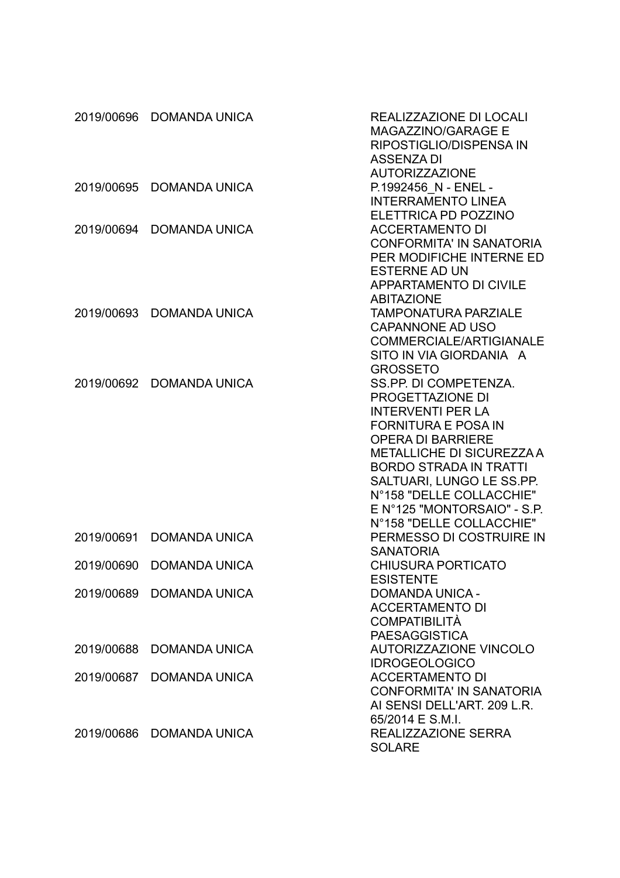|            | 2019/00696 DOMANDA UNICA | REALIZZAZIONE DI LOCALI<br><b>MAGAZZINO/GARAGE E</b><br>RIPOSTIGLIO/DISPENSA IN<br><b>ASSENZA DI</b>                                                                                                                                                                                                                     |
|------------|--------------------------|--------------------------------------------------------------------------------------------------------------------------------------------------------------------------------------------------------------------------------------------------------------------------------------------------------------------------|
| 2019/00695 | <b>DOMANDA UNICA</b>     | <b>AUTORIZZAZIONE</b><br>P.1992456 N - ENEL -<br><b>INTERRAMENTO LINEA</b><br>ELETTRICA PD POZZINO                                                                                                                                                                                                                       |
| 2019/00694 | <b>DOMANDA UNICA</b>     | <b>ACCERTAMENTO DI</b><br><b>CONFORMITA' IN SANATORIA</b><br>PER MODIFICHE INTERNE ED<br><b>ESTERNE AD UN</b><br><b>APPARTAMENTO DI CIVILE</b><br><b>ABITAZIONE</b>                                                                                                                                                      |
| 2019/00693 | <b>DOMANDA UNICA</b>     | <b>TAMPONATURA PARZIALE</b><br><b>CAPANNONE AD USO</b><br><b>COMMERCIALE/ARTIGIANALE</b><br>SITO IN VIA GIORDANIA A<br><b>GROSSETO</b>                                                                                                                                                                                   |
| 2019/00692 | <b>DOMANDA UNICA</b>     | SS.PP. DI COMPETENZA.<br>PROGETTAZIONE DI<br><b>INTERVENTI PER LA</b><br><b>FORNITURA E POSA IN</b><br><b>OPERA DI BARRIERE</b><br><b>METALLICHE DI SICUREZZA A</b><br><b>BORDO STRADA IN TRATTI</b><br>SALTUARI, LUNGO LE SS.PP.<br>N°158 "DELLE COLLACCHIE"<br>E N°125 "MONTORSAIO" - S.P.<br>N°158 "DELLE COLLACCHIE" |
| 2019/00691 | <b>DOMANDA UNICA</b>     | PERMESSO DI COSTRUIRE IN<br><b>SANATORIA</b>                                                                                                                                                                                                                                                                             |
| 2019/00690 | <b>DOMANDA UNICA</b>     | <b>CHIUSURA PORTICATO</b><br><b>ESISTENTE</b>                                                                                                                                                                                                                                                                            |
|            | 2019/00689 DOMANDA UNICA | <b>DOMANDA UNICA -</b><br><b>ACCERTAMENTO DI</b><br><b>COMPATIBILITÀ</b><br><b>PAESAGGISTICA</b>                                                                                                                                                                                                                         |
| 2019/00688 | <b>DOMANDA UNICA</b>     | <b>AUTORIZZAZIONE VINCOLO</b><br><b>IDROGEOLOGICO</b>                                                                                                                                                                                                                                                                    |
| 2019/00687 | <b>DOMANDA UNICA</b>     | <b>ACCERTAMENTO DI</b><br><b>CONFORMITA' IN SANATORIA</b><br>AI SENSI DELL'ART. 209 L.R.<br>65/2014 E S.M.I.                                                                                                                                                                                                             |
|            | 2019/00686 DOMANDA UNICA | REALIZZAZIONE SERRA<br><b>SOLARE</b>                                                                                                                                                                                                                                                                                     |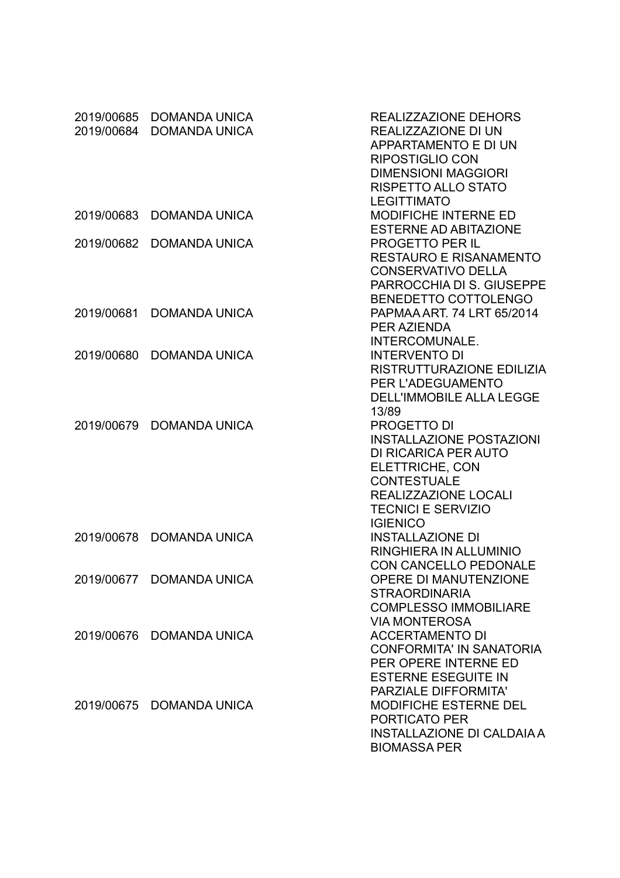| 2019/00685<br>2019/00684 | <b>DOMANDA UNICA</b><br><b>DOMANDA UNICA</b> | REALIZZAZIONE DEHORS<br>REALIZZAZIONE DI UN<br>APPARTAMENTO E DI UN<br><b>RIPOSTIGLIO CON</b><br><b>DIMENSIONI MAGGIORI</b><br><b>RISPETTO ALLO STATO</b><br><b>LEGITTIMATO</b>                |
|--------------------------|----------------------------------------------|------------------------------------------------------------------------------------------------------------------------------------------------------------------------------------------------|
| 2019/00683               | <b>DOMANDA UNICA</b>                         | <b>MODIFICHE INTERNE ED</b><br><b>ESTERNE AD ABITAZIONE</b>                                                                                                                                    |
| 2019/00682               | <b>DOMANDA UNICA</b>                         | <b>PROGETTO PER IL</b><br><b>RESTAURO E RISANAMENTO</b><br><b>CONSERVATIVO DELLA</b><br>PARROCCHIA DI S. GIUSEPPE<br><b>BENEDETTO COTTOLENGO</b>                                               |
| 2019/00681               | <b>DOMANDA UNICA</b>                         | PAPMAA ART, 74 LRT 65/2014<br>PER AZIENDA<br>INTERCOMUNALE.                                                                                                                                    |
| 2019/00680               | <b>DOMANDA UNICA</b>                         | <b>INTERVENTO DI</b><br>RISTRUTTURAZIONE EDILIZIA<br>PER L'ADEGUAMENTO<br><b>DELL'IMMOBILE ALLA LEGGE</b><br>13/89                                                                             |
| 2019/00679               | <b>DOMANDA UNICA</b>                         | <b>PROGETTO DI</b><br><b>INSTALLAZIONE POSTAZIONI</b><br>DI RICARICA PER AUTO<br>ELETTRICHE, CON<br><b>CONTESTUALE</b><br>REALIZZAZIONE LOCALI<br><b>TECNICI E SERVIZIO</b><br><b>IGIENICO</b> |
| 2019/00678               | <b>DOMANDA UNICA</b>                         | <b>INSTALLAZIONE DI</b><br>RINGHIERA IN ALLUMINIO<br><b>CON CANCELLO PEDONALE</b>                                                                                                              |
|                          | 2019/00677 DOMANDA UNICA                     | <b>OPERE DI MANUTENZIONE</b><br><b>STRAORDINARIA</b><br><b>COMPLESSO IMMOBILIARE</b><br><b>VIA MONTEROSA</b>                                                                                   |
|                          | 2019/00676 DOMANDA UNICA                     | <b>ACCERTAMENTO DI</b><br><b>CONFORMITA' IN SANATORIA</b><br>PER OPERE INTERNE ED<br><b>ESTERNE ESEGUITE IN</b><br>PARZIALE DIFFORMITA'                                                        |
|                          | 2019/00675 DOMANDA UNICA                     | <b>MODIFICHE ESTERNE DEL</b><br>PORTICATO PER<br><b>INSTALLAZIONE DI CALDAIA A</b><br><b>BIOMASSA PER</b>                                                                                      |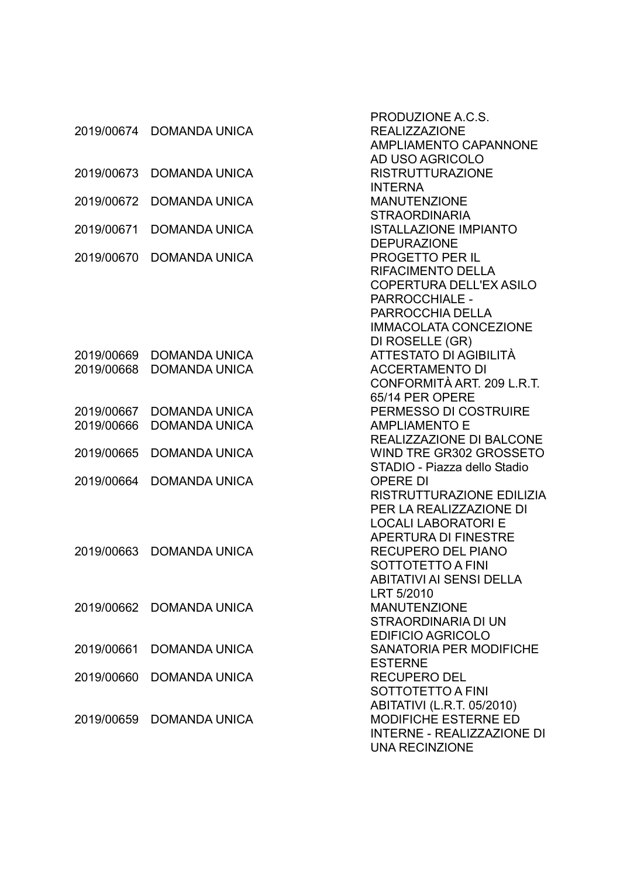|            |                      | PRODUZIONE A.C.S.                 |
|------------|----------------------|-----------------------------------|
| 2019/00674 | <b>DOMANDA UNICA</b> | <b>REALIZZAZIONE</b>              |
|            |                      | <b>AMPLIAMENTO CAPANNONE</b>      |
|            |                      | AD USO AGRICOLO                   |
| 2019/00673 | <b>DOMANDA UNICA</b> | <b>RISTRUTTURAZIONE</b>           |
|            |                      | <b>INTERNA</b>                    |
| 2019/00672 | <b>DOMANDA UNICA</b> | <b>MANUTENZIONE</b>               |
|            |                      | <b>STRAORDINARIA</b>              |
| 2019/00671 | <b>DOMANDA UNICA</b> | <b>ISTALLAZIONE IMPIANTO</b>      |
|            |                      | <b>DEPURAZIONE</b>                |
| 2019/00670 | <b>DOMANDA UNICA</b> | <b>PROGETTO PER IL</b>            |
|            |                      | RIFACIMENTO DELLA                 |
|            |                      | <b>COPERTURA DELL'EX ASILO</b>    |
|            |                      | PARROCCHIALE -                    |
|            |                      | PARROCCHIA DELLA                  |
|            |                      | <b>IMMACOLATA CONCEZIONE</b>      |
|            |                      | DI ROSELLE (GR)                   |
| 2019/00669 | <b>DOMANDA UNICA</b> | ATTESTATO DI AGIBILITÀ            |
| 2019/00668 | <b>DOMANDA UNICA</b> | <b>ACCERTAMENTO DI</b>            |
|            |                      | CONFORMITÀ ART. 209 L.R.T.        |
|            |                      | 65/14 PER OPERE                   |
| 2019/00667 | <b>DOMANDA UNICA</b> | PERMESSO DI COSTRUIRE             |
| 2019/00666 | <b>DOMANDA UNICA</b> | <b>AMPLIAMENTO E</b>              |
|            |                      | <b>REALIZZAZIONE DI BALCONE</b>   |
| 2019/00665 | <b>DOMANDA UNICA</b> | WIND TRE GR302 GROSSETO           |
|            |                      | STADIO - Piazza dello Stadio      |
| 2019/00664 | <b>DOMANDA UNICA</b> | <b>OPERE DI</b>                   |
|            |                      | RISTRUTTURAZIONE EDILIZIA         |
|            |                      | PER LA REALIZZAZIONE DI           |
|            |                      | <b>LOCALI LABORATORI E</b>        |
|            |                      | <b>APERTURA DI FINESTRE</b>       |
| 2019/00663 | <b>DOMANDA UNICA</b> | <b>RECUPERO DEL PIANO</b>         |
|            |                      | SOTTOTETTO A FINI                 |
|            |                      | ABITATIVI AI SENSI DELLA          |
|            |                      | LRT 5/2010                        |
| 2019/00662 | <b>DOMANDA UNICA</b> | <b>MANUTENZIONE</b>               |
|            |                      | STRAORDINARIA DI UN               |
|            |                      | <b>EDIFICIO AGRICOLO</b>          |
| 2019/00661 | <b>DOMANDA UNICA</b> | <b>SANATORIA PER MODIFICHE</b>    |
|            |                      | <b>ESTERNE</b>                    |
| 2019/00660 | <b>DOMANDA UNICA</b> | <b>RECUPERO DEL</b>               |
|            |                      | SOTTOTETTO A FINI                 |
|            |                      | ABITATIVI (L.R.T. 05/2010)        |
| 2019/00659 | <b>DOMANDA UNICA</b> | MODIFICHE ESTERNE ED              |
|            |                      | <b>INTERNE - REALIZZAZIONE DI</b> |
|            |                      | <b>UNA RECINZIONE</b>             |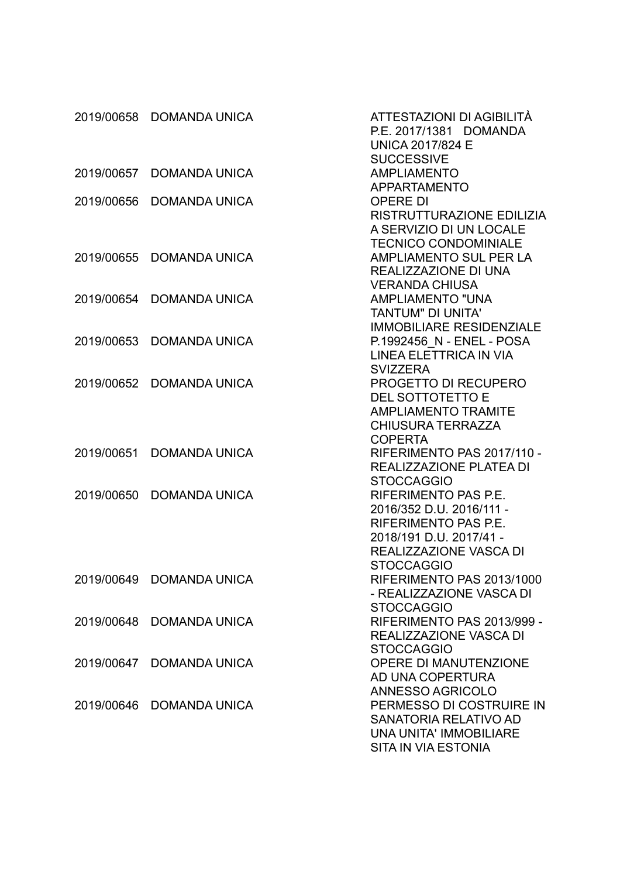|            | 2019/00658 DOMANDA UNICA | ATTESTAZIONI DI AGIBILITÀ<br>P.E. 2017/1381 DOMANDA |
|------------|--------------------------|-----------------------------------------------------|
|            |                          | <b>UNICA 2017/824 E</b><br><b>SUCCESSIVE</b>        |
| 2019/00657 | <b>DOMANDA UNICA</b>     | <b>AMPLIAMENTO</b>                                  |
|            |                          | <b>APPARTAMENTO</b>                                 |
| 2019/00656 | <b>DOMANDA UNICA</b>     | <b>OPERE DI</b>                                     |
|            |                          | RISTRUTTURAZIONE EDILIZIA                           |
|            |                          | A SERVIZIO DI UN LOCALE                             |
|            |                          | <b>TECNICO CONDOMINIALE</b>                         |
| 2019/00655 | <b>DOMANDA UNICA</b>     | <b>AMPLIAMENTO SUL PER LA</b>                       |
|            |                          | REALIZZAZIONE DI UNA                                |
|            |                          | <b>VERANDA CHIUSA</b>                               |
| 2019/00654 | <b>DOMANDA UNICA</b>     | <b>AMPLIAMENTO "UNA</b>                             |
|            |                          | <b>TANTUM" DI UNITA'</b>                            |
|            |                          | <b>IMMOBILIARE RESIDENZIALE</b>                     |
| 2019/00653 | <b>DOMANDA UNICA</b>     | P.1992456 N - ENEL - POSA                           |
|            |                          | LINEA ELETTRICA IN VIA                              |
|            |                          | <b>SVIZZERA</b>                                     |
| 2019/00652 | <b>DOMANDA UNICA</b>     | <b>PROGETTO DI RECUPERO</b>                         |
|            |                          | <b>DEL SOTTOTETTO E</b>                             |
|            |                          | <b>AMPLIAMENTO TRAMITE</b>                          |
|            |                          | <b>CHIUSURA TERRAZZA</b>                            |
|            |                          | <b>COPERTA</b>                                      |
| 2019/00651 | <b>DOMANDA UNICA</b>     | RIFERIMENTO PAS 2017/110 -                          |
|            |                          | REALIZZAZIONE PLATEA DI<br><b>STOCCAGGIO</b>        |
| 2019/00650 | <b>DOMANDA UNICA</b>     | <b>RIFERIMENTO PAS P.E.</b>                         |
|            |                          | 2016/352 D.U. 2016/111 -                            |
|            |                          | RIFERIMENTO PAS P.E.                                |
|            |                          | 2018/191 D.U. 2017/41 -                             |
|            |                          | <b>REALIZZAZIONE VASCA DI</b>                       |
|            |                          | <b>STOCCAGGIO</b>                                   |
|            | 2019/00649 DOMANDA UNICA | RIFERIMENTO PAS 2013/1000                           |
|            |                          | - REALIZZAZIONE VASCA DI                            |
|            |                          | <b>STOCCAGGIO</b>                                   |
| 2019/00648 | <b>DOMANDA UNICA</b>     | RIFERIMENTO PAS 2013/999 -                          |
|            |                          | REALIZZAZIONE VASCA DI                              |
|            |                          | <b>STOCCAGGIO</b>                                   |
|            | 2019/00647 DOMANDA UNICA | <b>OPERE DI MANUTENZIONE</b>                        |
|            |                          | AD UNA COPERTURA                                    |
|            |                          | ANNESSO AGRICOLO                                    |
| 2019/00646 | <b>DOMANDA UNICA</b>     | PERMESSO DI COSTRUIRE IN                            |
|            |                          | <b>SANATORIA RELATIVO AD</b>                        |
|            |                          | <b>UNA UNITA' IMMOBILIARE</b>                       |
|            |                          | <b>SITA IN VIA ESTONIA</b>                          |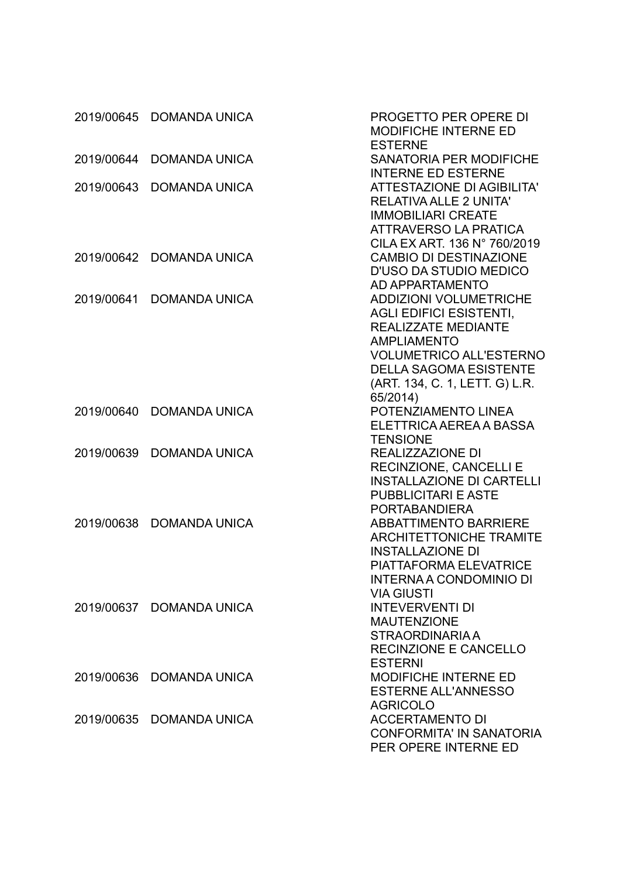| 2019/00645 | <b>DOMANDA UNICA</b>     | PROGETTO PER OPERE DI<br><b>MODIFICHE INTERNE ED</b><br><b>ESTERNE</b>                                                                                                                                                               |
|------------|--------------------------|--------------------------------------------------------------------------------------------------------------------------------------------------------------------------------------------------------------------------------------|
| 2019/00644 | <b>DOMANDA UNICA</b>     | <b>SANATORIA PER MODIFICHE</b><br><b>INTERNE ED ESTERNE</b>                                                                                                                                                                          |
| 2019/00643 | <b>DOMANDA UNICA</b>     | <b>ATTESTAZIONE DI AGIBILITA'</b><br><b>RELATIVA ALLE 2 UNITA'</b><br><b>IMMOBILIARI CREATE</b><br><b>ATTRAVERSO LA PRATICA</b><br>CILA EX ART. 136 N° 760/2019                                                                      |
| 2019/00642 | <b>DOMANDA UNICA</b>     | <b>CAMBIO DI DESTINAZIONE</b><br><b>D'USO DA STUDIO MEDICO</b><br>AD APPARTAMENTO                                                                                                                                                    |
| 2019/00641 | <b>DOMANDA UNICA</b>     | <b>ADDIZIONI VOLUMETRICHE</b><br><b>AGLI EDIFICI ESISTENTI,</b><br><b>REALIZZATE MEDIANTE</b><br><b>AMPLIAMENTO</b><br><b>VOLUMETRICO ALL'ESTERNO</b><br><b>DELLA SAGOMA ESISTENTE</b><br>(ART. 134, C. 1, LETT. G) L.R.<br>65/2014) |
| 2019/00640 | <b>DOMANDA UNICA</b>     | POTENZIAMENTO LINEA<br>ELETTRICA AEREA A BASSA<br><b>TENSIONE</b>                                                                                                                                                                    |
| 2019/00639 | <b>DOMANDA UNICA</b>     | <b>REALIZZAZIONE DI</b><br><b>RECINZIONE, CANCELLI E</b><br><b>INSTALLAZIONE DI CARTELLI</b><br><b>PUBBLICITARI E ASTE</b><br><b>PORTABANDIERA</b>                                                                                   |
| 2019/00638 | <b>DOMANDA UNICA</b>     | <b>ABBATTIMENTO BARRIERE</b><br><b>ARCHITETTONICHE TRAMITE</b><br><b>INSTALLAZIONE DI</b><br><b>PIATTAFORMA ELEVATRICE</b><br>INTERNA A CONDOMINIO DI<br><b>VIA GIUSTI</b>                                                           |
|            | 2019/00637 DOMANDA UNICA | <b>INTEVERVENTI DI</b><br><b>MAUTENZIONE</b><br><b>STRAORDINARIA A</b><br><b>RECINZIONE E CANCELLO</b><br><b>ESTERNI</b>                                                                                                             |
| 2019/00636 | <b>DOMANDA UNICA</b>     | <b>MODIFICHE INTERNE ED</b><br><b>ESTERNE ALL'ANNESSO</b><br><b>AGRICOLO</b>                                                                                                                                                         |
| 2019/00635 | DOMANDA UNICA            | <b>ACCERTAMENTO DI</b><br><b>CONFORMITA' IN SANATORIA</b><br>PER OPERE INTERNE ED                                                                                                                                                    |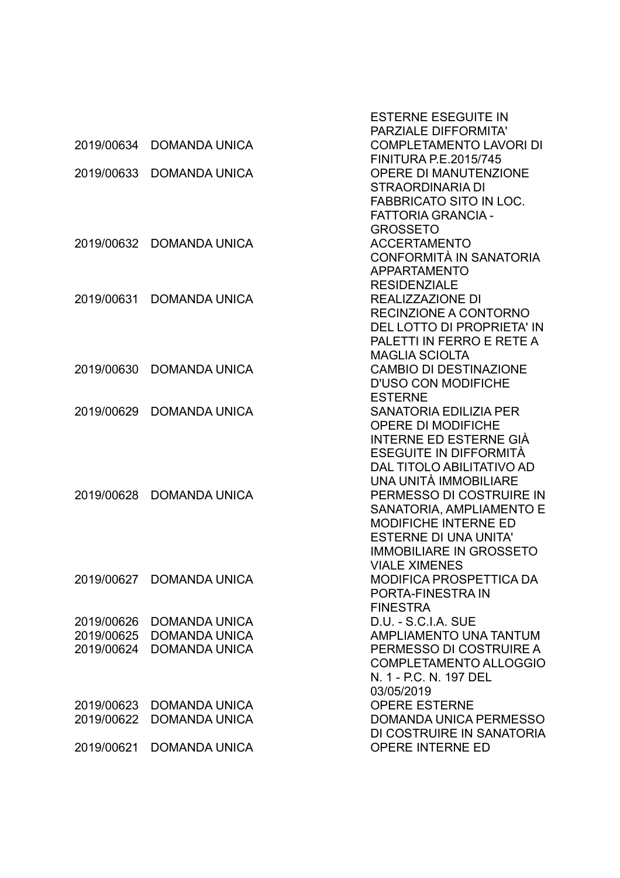|                          |                          | <b>ESTERNE ESEGUITE IN</b><br><b>PARZIALE DIFFORMITA'</b> |
|--------------------------|--------------------------|-----------------------------------------------------------|
| 2019/00634               | <b>DOMANDA UNICA</b>     | <b>COMPLETAMENTO LAVORI DI</b>                            |
|                          |                          | <b>FINITURA P.E.2015/745</b>                              |
| 2019/00633               | <b>DOMANDA UNICA</b>     | OPERE DI MANUTENZIONE                                     |
|                          |                          | <b>STRAORDINARIA DI</b>                                   |
|                          |                          | <b>FABBRICATO SITO IN LOC.</b>                            |
|                          |                          | <b>FATTORIA GRANCIA -</b>                                 |
|                          |                          | <b>GROSSETO</b>                                           |
| 2019/00632               | <b>DOMANDA UNICA</b>     | <b>ACCERTAMENTO</b>                                       |
|                          |                          | <b>CONFORMITÀ IN SANATORIA</b>                            |
|                          |                          | <b>APPARTAMENTO</b>                                       |
|                          |                          | <b>RESIDENZIALE</b>                                       |
| 2019/00631               | <b>DOMANDA UNICA</b>     | REALIZZAZIONE DI                                          |
|                          |                          | RECINZIONE A CONTORNO                                     |
|                          |                          | DEL LOTTO DI PROPRIETA' IN                                |
|                          |                          | PALETTI IN FERRO E RETE A                                 |
|                          |                          | <b>MAGLIA SCIOLTA</b>                                     |
| 2019/00630               | <b>DOMANDA UNICA</b>     | <b>CAMBIO DI DESTINAZIONE</b>                             |
|                          |                          | <b>D'USO CON MODIFICHE</b>                                |
|                          |                          | <b>ESTERNE</b>                                            |
| 2019/00629               | <b>DOMANDA UNICA</b>     | <b>SANATORIA EDILIZIA PER</b>                             |
|                          |                          | <b>OPERE DI MODIFICHE</b>                                 |
|                          |                          | INTERNE ED ESTERNE GIÀ                                    |
|                          |                          | ESEGUITE IN DIFFORMITÀ                                    |
|                          |                          | DAL TITOLO ABILITATIVO AD                                 |
|                          |                          | UNA UNITÀ IMMOBILIARE                                     |
| 2019/00628               | <b>DOMANDA UNICA</b>     | PERMESSO DI COSTRUIRE IN                                  |
|                          |                          | SANATORIA, AMPLIAMENTO E                                  |
|                          |                          | <b>MODIFICHE INTERNE ED</b>                               |
|                          |                          | <b>ESTERNE DI UNA UNITA'</b>                              |
|                          |                          | <b>IMMOBILIARE IN GROSSETO</b>                            |
|                          |                          | <b>VIALE XIMENES</b>                                      |
|                          | 2019/00627 DOMANDA UNICA | MODIFICA PROSPETTICA DA                                   |
|                          |                          | PORTA-FINESTRA IN                                         |
|                          |                          | <b>FINESTRA</b>                                           |
| 2019/00626               | <b>DOMANDA UNICA</b>     | D.U. - S.C.I.A. SUE                                       |
| 2019/00625<br>2019/00624 | <b>DOMANDA UNICA</b>     | <b>AMPLIAMENTO UNA TANTUM</b><br>PERMESSO DI COSTRUIRE A  |
|                          | <b>DOMANDA UNICA</b>     | <b>COMPLETAMENTO ALLOGGIO</b>                             |
|                          |                          | N. 1 - P.C. N. 197 DEL                                    |
|                          |                          | 03/05/2019                                                |
| 2019/00623               | <b>DOMANDA UNICA</b>     | <b>OPERE ESTERNE</b>                                      |
| 2019/00622               | <b>DOMANDA UNICA</b>     | <b>DOMANDA UNICA PERMESSO</b>                             |
|                          |                          | DI COSTRUIRE IN SANATORIA                                 |
| 2019/00621               | <b>DOMANDA UNICA</b>     | OPERE INTERNE ED                                          |
|                          |                          |                                                           |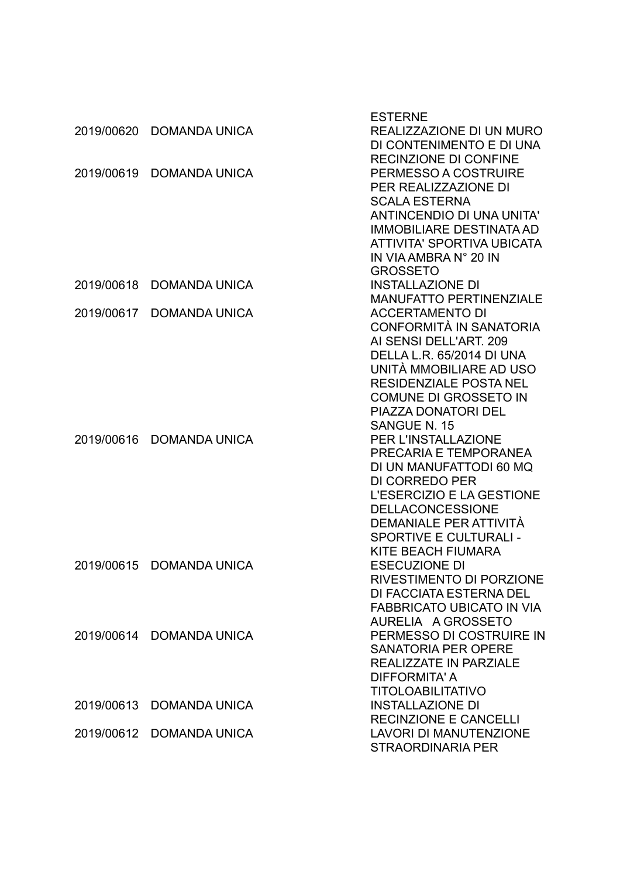|            |                          | <b>ESTERNE</b>                                            |
|------------|--------------------------|-----------------------------------------------------------|
|            | 2019/00620 DOMANDA UNICA | REALIZZAZIONE DI UN MURO                                  |
|            |                          | DI CONTENIMENTO E DI UNA                                  |
|            |                          | <b>RECINZIONE DI CONFINE</b>                              |
| 2019/00619 | <b>DOMANDA UNICA</b>     | PERMESSO A COSTRUIRE                                      |
|            |                          | PER REALIZZAZIONE DI                                      |
|            |                          | <b>SCALA ESTERNA</b>                                      |
|            |                          | <b>ANTINCENDIO DI UNA UNITA'</b>                          |
|            |                          | <b>IMMOBILIARE DESTINATA AD</b>                           |
|            |                          | <b>ATTIVITA' SPORTIVA UBICATA</b>                         |
|            |                          | IN VIA AMBRA N° 20 IN                                     |
|            |                          | <b>GROSSETO</b>                                           |
| 2019/00618 | <b>DOMANDA UNICA</b>     | <b>INSTALLAZIONE DI</b>                                   |
|            |                          | <b>MANUFATTO PERTINENZIALE</b>                            |
| 2019/00617 | <b>DOMANDA UNICA</b>     | <b>ACCERTAMENTO DI</b>                                    |
|            |                          | CONFORMITÀ IN SANATORIA                                   |
|            |                          | AI SENSI DELL'ART. 209                                    |
|            |                          | DELLA L.R. 65/2014 DI UNA                                 |
|            |                          | UNITÀ MMOBILIARE AD USO<br><b>RESIDENZIALE POSTA NEL</b>  |
|            |                          |                                                           |
|            |                          | <b>COMUNE DI GROSSETO IN</b><br>PIAZZA DONATORI DEL       |
|            |                          | <b>SANGUE N. 15</b>                                       |
| 2019/00616 | <b>DOMANDA UNICA</b>     | <b>PER L'INSTALLAZIONE</b>                                |
|            |                          | PRECARIA E TEMPORANEA                                     |
|            |                          | DI UN MANUFATTODI 60 MQ                                   |
|            |                          | <b>DI CORREDO PER</b>                                     |
|            |                          | L'ESERCIZIO E LA GESTIONE                                 |
|            |                          | <b>DELLACONCESSIONE</b>                                   |
|            |                          | DEMANIALE PER ATTIVITÀ                                    |
|            |                          | <b>SPORTIVE E CULTURALI -</b>                             |
|            |                          | KITE BEACH FIUMARA                                        |
|            | 2019/00615 DOMANDA UNICA | <b>ESECUZIONE DI</b>                                      |
|            |                          | RIVESTIMENTO DI PORZIONE                                  |
|            |                          | DI FACCIATA ESTERNA DEL                                   |
|            |                          | <b>FABBRICATO UBICATO IN VIA</b>                          |
|            |                          | AURELIA A GROSSETO                                        |
|            | 2019/00614 DOMANDA UNICA | PERMESSO DI COSTRUIRE IN                                  |
|            |                          | <b>SANATORIA PER OPERE</b>                                |
|            |                          | REALIZZATE IN PARZIALE                                    |
|            |                          | DIFFORMITA' A                                             |
|            |                          | <b>TITOLOABILITATIVO</b>                                  |
| 2019/00613 | <b>DOMANDA UNICA</b>     | <b>INSTALLAZIONE DI</b>                                   |
|            |                          | <b>RECINZIONE E CANCELLI</b>                              |
| 2019/00612 | <b>DOMANDA UNICA</b>     | <b>LAVORI DI MANUTENZIONE</b><br><b>STRAORDINARIA PER</b> |
|            |                          |                                                           |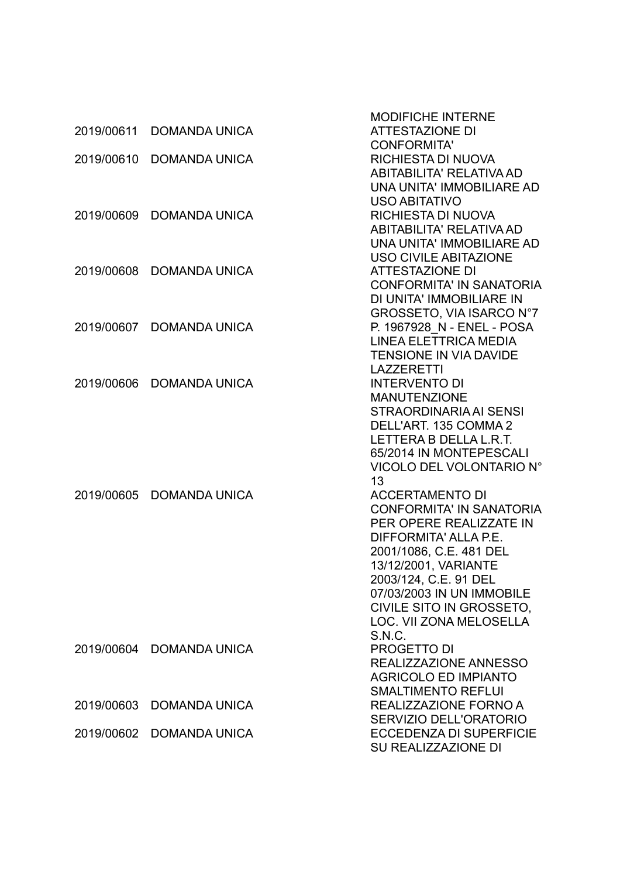|            |                      | <b>MODIFICHE INTERNE</b>        |
|------------|----------------------|---------------------------------|
| 2019/00611 | <b>DOMANDA UNICA</b> | <b>ATTESTAZIONE DI</b>          |
|            |                      | <b>CONFORMITA'</b>              |
| 2019/00610 | <b>DOMANDA UNICA</b> | RICHIESTA DI NUOVA              |
|            |                      | <b>ABITABILITA' RELATIVA AD</b> |
|            |                      | UNA UNITA' IMMOBILIARE AD       |
|            |                      | <b>USO ABITATIVO</b>            |
| 2019/00609 | <b>DOMANDA UNICA</b> | RICHIESTA DI NUOVA              |
|            |                      | <b>ABITABILITA' RELATIVA AD</b> |
|            |                      | UNA UNITA' IMMOBILIARE AD       |
|            |                      | <b>USO CIVILE ABITAZIONE</b>    |
| 2019/00608 | <b>DOMANDA UNICA</b> | <b>ATTESTAZIONE DI</b>          |
|            |                      | <b>CONFORMITA' IN SANATORIA</b> |
|            |                      | DI UNITA' IMMOBILIARE IN        |
|            |                      | GROSSETO, VIA ISARCO N°7        |
| 2019/00607 | <b>DOMANDA UNICA</b> | P. 1967928 N - ENEL - POSA      |
|            |                      | LINEA ELETTRICA MEDIA           |
|            |                      | TENSIONE IN VIA DAVIDE          |
|            |                      | <b>LAZZERETTI</b>               |
| 2019/00606 | <b>DOMANDA UNICA</b> | <b>INTERVENTO DI</b>            |
|            |                      | <b>MANUTENZIONE</b>             |
|            |                      | STRAORDINARIA AI SENSI          |
|            |                      | DELL'ART. 135 COMMA 2           |
|            |                      | LETTERA B DELLA L.R.T.          |
|            |                      | 65/2014 IN MONTEPESCALI         |
|            |                      | VICOLO DEL VOLONTARIO N°        |
|            |                      | 13                              |
| 2019/00605 | <b>DOMANDA UNICA</b> | <b>ACCERTAMENTO DI</b>          |
|            |                      | <b>CONFORMITA' IN SANATORIA</b> |
|            |                      | PER OPERE REALIZZATE IN         |
|            |                      | DIFFORMITA' ALLA P.E.           |
|            |                      | 2001/1086, C.E. 481 DEL         |
|            |                      | 13/12/2001, VARIANTE            |
|            |                      | 2003/124, C.E. 91 DEL           |
|            |                      | 07/03/2003 IN UN IMMOBILE       |
|            |                      | CIVILE SITO IN GROSSETO.        |
|            |                      | <b>LOC. VII ZONA MELOSELLA</b>  |
|            |                      | S.N.C.                          |
| 2019/00604 | <b>DOMANDA UNICA</b> | <b>PROGETTO DI</b>              |
|            |                      | REALIZZAZIONE ANNESSO           |
|            |                      | <b>AGRICOLO ED IMPIANTO</b>     |
|            |                      | <b>SMALTIMENTO REFLUI</b>       |
| 2019/00603 | <b>DOMANDA UNICA</b> | REALIZZAZIONE FORNO A           |
|            |                      | SERVIZIO DELL'ORATORIO          |
| 2019/00602 | <b>DOMANDA UNICA</b> | <b>ECCEDENZA DI SUPERFICIE</b>  |
|            |                      | SU REALIZZAZIONE DI             |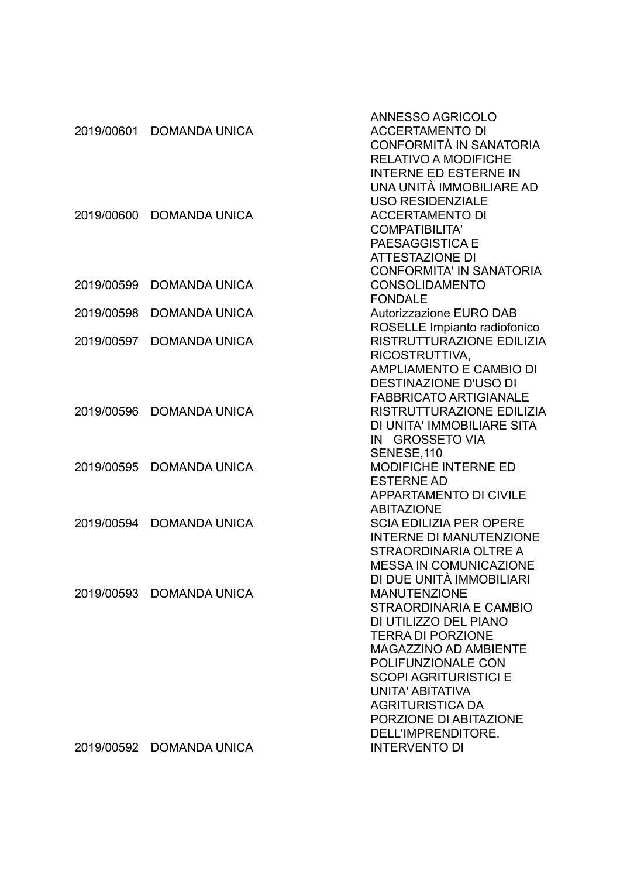|            |                          | ANNESSO AGRICOLO                |
|------------|--------------------------|---------------------------------|
| 2019/00601 | <b>DOMANDA UNICA</b>     | <b>ACCERTAMENTO DI</b>          |
|            |                          | CONFORMITÀ IN SANATORIA         |
|            |                          | <b>RELATIVO A MODIFICHE</b>     |
|            |                          | <b>INTERNE ED ESTERNE IN</b>    |
|            |                          | UNA UNITÀ IMMOBILIARE AD        |
|            |                          | <b>USO RESIDENZIALE</b>         |
| 2019/00600 | <b>DOMANDA UNICA</b>     | <b>ACCERTAMENTO DI</b>          |
|            |                          | <b>COMPATIBILITA'</b>           |
|            |                          | <b>PAESAGGISTICA E</b>          |
|            |                          | <b>ATTESTAZIONE DI</b>          |
|            |                          | <b>CONFORMITA' IN SANATORIA</b> |
| 2019/00599 | <b>DOMANDA UNICA</b>     | <b>CONSOLIDAMENTO</b>           |
|            |                          | <b>FONDALE</b>                  |
| 2019/00598 | <b>DOMANDA UNICA</b>     | Autorizzazione EURO DAB         |
|            |                          | ROSELLE Impianto radiofonico    |
| 2019/00597 | <b>DOMANDA UNICA</b>     | RISTRUTTURAZIONE EDILIZIA       |
|            |                          | RICOSTRUTTIVA,                  |
|            |                          | <b>AMPLIAMENTO E CAMBIO DI</b>  |
|            |                          | <b>DESTINAZIONE D'USO DI</b>    |
|            |                          | <b>FABBRICATO ARTIGIANALE</b>   |
| 2019/00596 | <b>DOMANDA UNICA</b>     | RISTRUTTURAZIONE EDILIZIA       |
|            |                          | DI UNITA' IMMOBILIARE SITA      |
|            |                          | IN GROSSETO VIA                 |
|            |                          | SENESE, 110                     |
| 2019/00595 | <b>DOMANDA UNICA</b>     | <b>MODIFICHE INTERNE ED</b>     |
|            |                          | <b>ESTERNE AD</b>               |
|            |                          | <b>APPARTAMENTO DI CIVILE</b>   |
|            |                          | <b>ABITAZIONE</b>               |
| 2019/00594 | <b>DOMANDA UNICA</b>     | <b>SCIA EDILIZIA PER OPERE</b>  |
|            |                          | <b>INTERNE DI MANUTENZIONE</b>  |
|            |                          | <b>STRAORDINARIA OLTRE A</b>    |
|            |                          | <b>MESSA IN COMUNICAZIONE</b>   |
|            |                          | DI DUE UNITÀ IMMOBILIARI        |
|            | 2019/00593 DOMANDA UNICA | <b>MANUTENZIONE</b>             |
|            |                          | STRAORDINARIA E CAMBIO          |
|            |                          | DI UTILIZZO DEL PIANO           |
|            |                          | <b>TERRA DI PORZIONE</b>        |
|            |                          | <b>MAGAZZINO AD AMBIENTE</b>    |
|            |                          | POLIFUNZIONALE CON              |
|            |                          | <b>SCOPI AGRITURISTICI E</b>    |
|            |                          | UNITA' ABITATIVA                |
|            |                          | <b>AGRITURISTICA DA</b>         |
|            |                          | PORZIONE DI ABITAZIONE          |
|            |                          | DELL'IMPRENDITORE.              |
| 2019/00592 | <b>DOMANDA UNICA</b>     | <b>INTERVENTO DI</b>            |
|            |                          |                                 |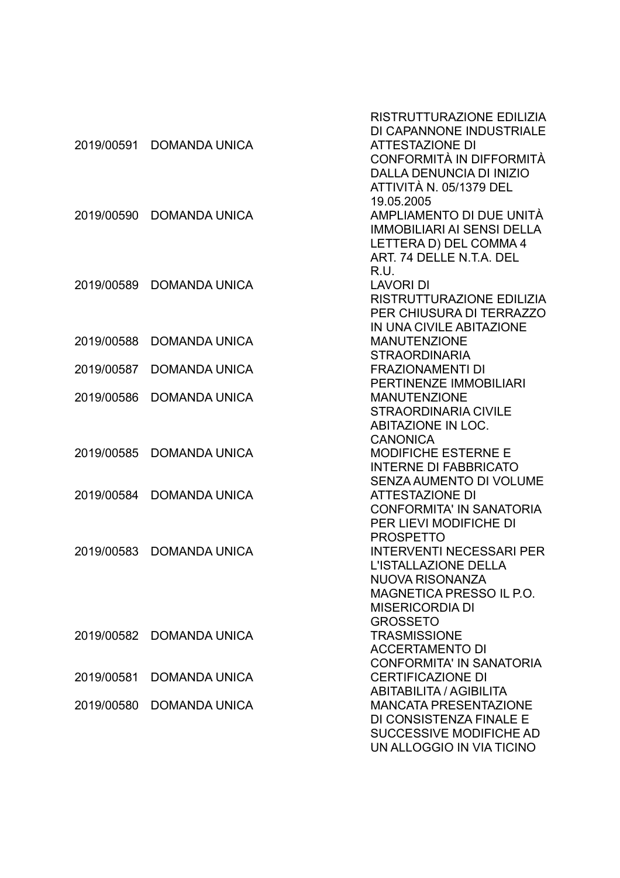| 2019/00591 | <b>DOMANDA UNICA</b> | RISTRUTTURAZIONE EDILIZIA<br>DI CAPANNONE INDUSTRIALE<br><b>ATTESTAZIONE DI</b>                                                                                   |
|------------|----------------------|-------------------------------------------------------------------------------------------------------------------------------------------------------------------|
|            |                      | CONFORMITÀ IN DIFFORMITÀ<br>DALLA DENUNCIA DI INIZIO<br>ATTIVITÀ N. 05/1379 DEL<br>19.05.2005                                                                     |
| 2019/00590 | <b>DOMANDA UNICA</b> | AMPLIAMENTO DI DUE UNITÀ<br><b>IMMOBILIARI AI SENSI DELLA</b><br>LETTERA D) DEL COMMA 4<br>ART 74 DELLE N.T.A. DEL<br>R.U.                                        |
| 2019/00589 | <b>DOMANDA UNICA</b> | <b>LAVORI DI</b><br>RISTRUTTURAZIONE EDILIZIA<br>PER CHIUSURA DI TERRAZZO<br>IN UNA CIVILE ABITAZIONE                                                             |
| 2019/00588 | <b>DOMANDA UNICA</b> | <b>MANUTENZIONE</b><br><b>STRAORDINARIA</b>                                                                                                                       |
| 2019/00587 | <b>DOMANDA UNICA</b> | <b>FRAZIONAMENTI DI</b><br>PERTINENZE IMMOBILIARI                                                                                                                 |
| 2019/00586 | <b>DOMANDA UNICA</b> | <b>MANUTENZIONE</b><br><b>STRAORDINARIA CIVILE</b><br>ABITAZIONE IN LOC.<br><b>CANONICA</b>                                                                       |
| 2019/00585 | <b>DOMANDA UNICA</b> | <b>MODIFICHE ESTERNE E</b><br><b>INTERNE DI FABBRICATO</b><br>SENZA AUMENTO DI VOLUME                                                                             |
| 2019/00584 | <b>DOMANDA UNICA</b> | <b>ATTESTAZIONE DI</b><br><b>CONFORMITA' IN SANATORIA</b><br>PER LIEVI MODIFICHE DI<br><b>PROSPETTO</b>                                                           |
| 2019/00583 | <b>DOMANDA UNICA</b> | <b>INTERVENTI NECESSARI PER</b><br>L'ISTALLAZIONE DELLA<br><b>NUOVA RISONANZA</b><br><b>MAGNETICA PRESSO IL P.O.</b><br><b>MISERICORDIA DI</b><br><b>GROSSETO</b> |
| 2019/00582 | <b>DOMANDA UNICA</b> | <b>TRASMISSIONE</b><br><b>ACCERTAMENTO DI</b><br><b>CONFORMITA' IN SANATORIA</b>                                                                                  |
| 2019/00581 | <b>DOMANDA UNICA</b> | <b>CERTIFICAZIONE DI</b><br><b>ABITABILITA / AGIBILITA</b>                                                                                                        |
| 2019/00580 | <b>DOMANDA UNICA</b> | <b>MANCATA PRESENTAZIONE</b><br>DI CONSISTENZA FINALE E<br>SUCCESSIVE MODIFICHE AD<br>UN ALLOGGIO IN VIA TICINO                                                   |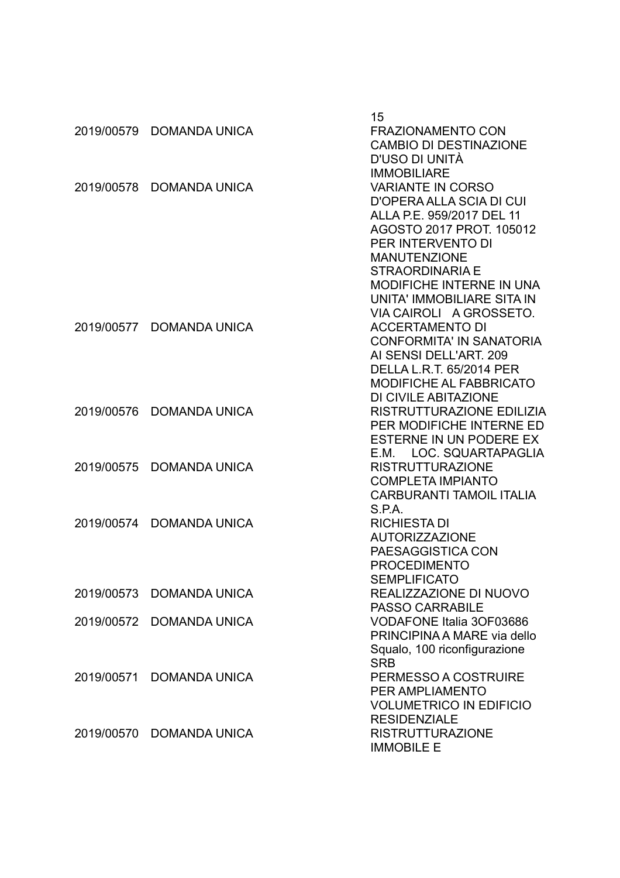|            |                          | 15                               |
|------------|--------------------------|----------------------------------|
|            | 2019/00579 DOMANDA UNICA | <b>FRAZIONAMENTO CON</b>         |
|            |                          | <b>CAMBIO DI DESTINAZIONE</b>    |
|            |                          | D'USO DI UNITÀ                   |
|            |                          | <b>IMMOBILIARE</b>               |
|            | 2019/00578 DOMANDA UNICA | <b>VARIANTE IN CORSO</b>         |
|            |                          | <b>D'OPERA ALLA SCIA DI CUI</b>  |
|            |                          | ALLA P.E. 959/2017 DEL 11        |
|            |                          | AGOSTO 2017 PROT. 105012         |
|            |                          | PER INTERVENTO DI                |
|            |                          | <b>MANUTENZIONE</b>              |
|            |                          | <b>STRAORDINARIA E</b>           |
|            |                          | <b>MODIFICHE INTERNE IN UNA</b>  |
|            |                          | UNITA' IMMOBILIARE SITA IN       |
|            |                          | VIA CAIROLI A GROSSETO.          |
|            | 2019/00577 DOMANDA UNICA | <b>ACCERTAMENTO DI</b>           |
|            |                          | <b>CONFORMITA' IN SANATORIA</b>  |
|            |                          | AI SENSI DELL'ART. 209           |
|            |                          | <b>DELLA L.R.T. 65/2014 PER</b>  |
|            |                          | <b>MODIFICHE AL FABBRICATO</b>   |
|            |                          | DI CIVILE ABITAZIONE             |
| 2019/00576 | DOMANDA UNICA            | <b>RISTRUTTURAZIONE EDILIZIA</b> |
|            |                          | PER MODIFICHE INTERNE ED         |
|            |                          | ESTERNE IN UN PODERE EX          |
|            |                          | E.M. LOC. SQUARTAPAGLIA          |
| 2019/00575 | <b>DOMANDA UNICA</b>     | <b>RISTRUTTURAZIONE</b>          |
|            |                          | <b>COMPLETA IMPIANTO</b>         |
|            |                          | <b>CARBURANTI TAMOIL ITALIA</b>  |
|            |                          | S.P.A.                           |
|            | 2019/00574 DOMANDA UNICA | <b>RICHIESTA DI</b>              |
|            |                          | <b>AUTORIZZAZIONE</b>            |
|            |                          | PAESAGGISTICA CON                |
|            |                          | <b>PROCEDIMENTO</b>              |
|            |                          | <b>SEMPLIFICATO</b>              |
|            | 2019/00573 DOMANDA UNICA | REALIZZAZIONE DI NUOVO           |
|            |                          | <b>PASSO CARRABILE</b>           |
|            | 2019/00572 DOMANDA UNICA | <b>VODAFONE Italia 3OF03686</b>  |
|            |                          | PRINCIPINA A MARE via dello      |
|            |                          | Squalo, 100 riconfigurazione     |
|            |                          | <b>SRB</b>                       |
|            | 2019/00571 DOMANDA UNICA | PERMESSO A COSTRUIRE             |
|            |                          | <b>PER AMPLIAMENTO</b>           |
|            |                          | <b>VOLUMETRICO IN EDIFICIO</b>   |
|            |                          | <b>RESIDENZIALE</b>              |
|            | 2019/00570 DOMANDA UNICA | <b>RISTRUTTURAZIONE</b>          |
|            |                          | <b>IMMOBILE E</b>                |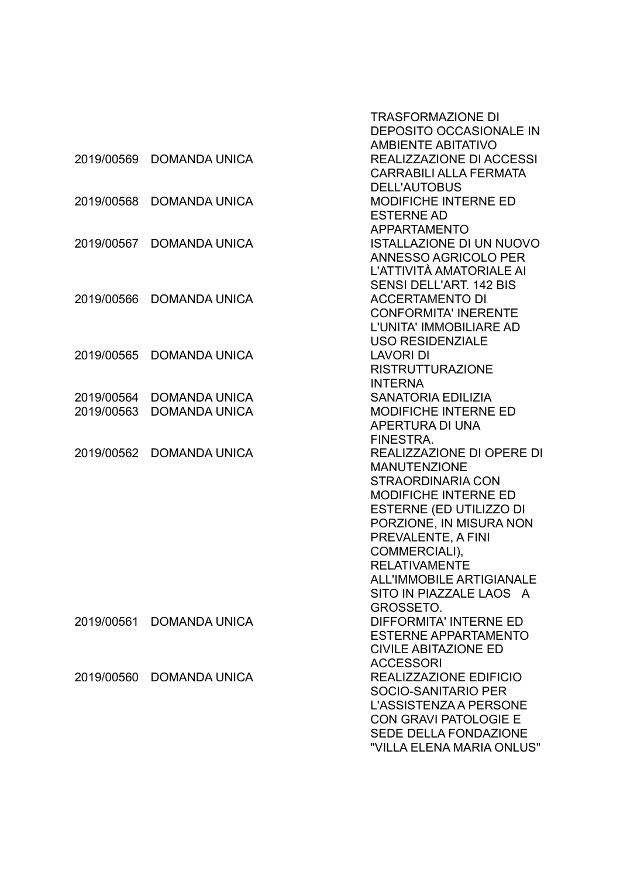|                          |                                              | <b>TRASFORMAZIONE DI</b><br><b>DEPOSITO OCCASIONALE IN</b> |
|--------------------------|----------------------------------------------|------------------------------------------------------------|
|                          |                                              | <b>AMBIENTE ABITATIVO</b>                                  |
| 2019/00569               | <b>DOMANDA UNICA</b>                         | <b>REALIZZAZIONE DI ACCESSI</b>                            |
|                          |                                              | <b>CARRABILI ALLA FERMATA</b>                              |
|                          |                                              | <b>DELL'AUTOBUS</b>                                        |
| 2019/00568               | <b>DOMANDA UNICA</b>                         | <b>MODIFICHE INTERNE ED</b>                                |
|                          |                                              | <b>ESTERNE AD</b>                                          |
|                          |                                              | <b>APPARTAMENTO</b>                                        |
| 2019/00567               | <b>DOMANDA UNICA</b>                         | <b>ISTALLAZIONE DI UN NUOVO</b>                            |
|                          |                                              | ANNESSO AGRICOLO PER                                       |
|                          |                                              | L'ATTIVITÀ AMATORIALE AI                                   |
|                          |                                              | <b>SENSI DELL'ART, 142 BIS</b>                             |
| 2019/00566               | <b>DOMANDA UNICA</b>                         | <b>ACCERTAMENTO DI</b>                                     |
|                          |                                              | <b>CONFORMITA' INERENTE</b>                                |
|                          |                                              | L'UNITA' IMMOBILIARE AD                                    |
|                          |                                              | <b>USO RESIDENZIALE</b>                                    |
| 2019/00565               | <b>DOMANDA UNICA</b>                         | <b>LAVORI DI</b>                                           |
|                          |                                              | <b>RISTRUTTURAZIONE</b>                                    |
|                          |                                              | <b>INTERNA</b>                                             |
| 2019/00564<br>2019/00563 | <b>DOMANDA UNICA</b><br><b>DOMANDA UNICA</b> | <b>SANATORIA EDILIZIA</b>                                  |
|                          |                                              | <b>MODIFICHE INTERNE ED</b><br>APERTURA DI UNA             |
|                          |                                              | FINESTRA.                                                  |
| 2019/00562               | <b>DOMANDA UNICA</b>                         | <b>REALIZZAZIONE DI OPERE DI</b>                           |
|                          |                                              | <b>MANUTENZIONE</b>                                        |
|                          |                                              | STRAORDINARIA CON                                          |
|                          |                                              | <b>MODIFICHE INTERNE ED</b>                                |
|                          |                                              | ESTERNE (ED UTILIZZO DI                                    |
|                          |                                              | PORZIONE, IN MISURA NON                                    |
|                          |                                              | PREVALENTE, A FINI                                         |
|                          |                                              | COMMERCIALI),                                              |
|                          |                                              | <b>RELATIVAMENTE</b>                                       |
|                          |                                              | <b>ALL'IMMOBILE ARTIGIANALE</b>                            |
|                          |                                              | SITO IN PIAZZALE LAOS A                                    |
|                          |                                              | <b>GROSSETO.</b>                                           |
| 2019/00561               | <b>DOMANDA UNICA</b>                         | <b>DIFFORMITA' INTERNE ED</b>                              |
|                          |                                              | <b>ESTERNE APPARTAMENTO</b>                                |
|                          |                                              | <b>CIVILE ABITAZIONE ED</b>                                |
|                          |                                              | <b>ACCESSORI</b>                                           |
| 2019/00560               | <b>DOMANDA UNICA</b>                         | REALIZZAZIONE EDIFICIO                                     |
|                          |                                              | <b>SOCIO-SANITARIO PER</b>                                 |
|                          |                                              | L'ASSISTENZA A PERSONE                                     |
|                          |                                              | <b>CON GRAVI PATOLOGIE E</b>                               |
|                          |                                              | <b>SEDE DELLA FONDAZIONE</b>                               |
|                          |                                              | "VILLA ELENA MARIA ONLUS"                                  |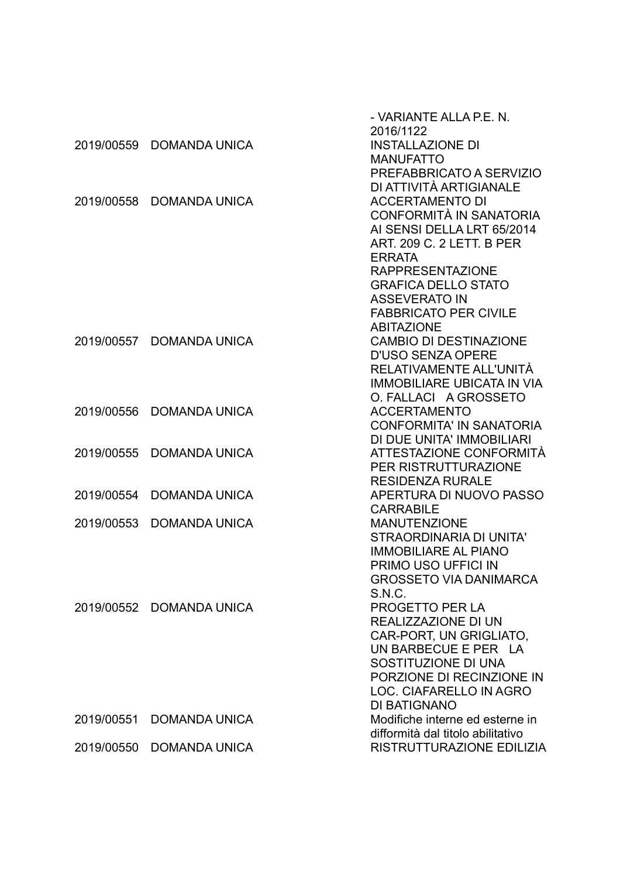|            |                      | - VARIANTE ALLA P.E. N.<br>2016/1122               |
|------------|----------------------|----------------------------------------------------|
| 2019/00559 | <b>DOMANDA UNICA</b> | <b>INSTALLAZIONE DI</b>                            |
|            |                      | <b>MANUFATTO</b>                                   |
|            |                      | PREFABBRICATO A SERVIZIO                           |
|            |                      | DI ATTIVITÀ ARTIGIANALE                            |
| 2019/00558 | <b>DOMANDA UNICA</b> | <b>ACCERTAMENTO DI</b>                             |
|            |                      | CONFORMITÀ IN SANATORIA                            |
|            |                      | AI SENSI DELLA LRT 65/2014                         |
|            |                      | <b>ART. 209 C. 2 LETT. B PER</b>                   |
|            |                      | <b>ERRATA</b>                                      |
|            |                      | <b>RAPPRESENTAZIONE</b>                            |
|            |                      | <b>GRAFICA DELLO STATO</b>                         |
|            |                      | <b>ASSEVERATO IN</b>                               |
|            |                      | <b>FABBRICATO PER CIVILE</b>                       |
|            |                      | <b>ABITAZIONE</b>                                  |
| 2019/00557 | <b>DOMANDA UNICA</b> | <b>CAMBIO DI DESTINAZIONE</b>                      |
|            |                      | <b>D'USO SENZA OPERE</b>                           |
|            |                      | RELATIVAMENTE ALL'UNITÀ                            |
|            |                      | <b>IMMOBILIARE UBICATA IN VIA</b>                  |
|            |                      | O. FALLACI A GROSSETO                              |
| 2019/00556 | <b>DOMANDA UNICA</b> | <b>ACCERTAMENTO</b>                                |
|            |                      | <b>CONFORMITA' IN SANATORIA</b>                    |
|            |                      | DI DUE UNITA' IMMOBILIARI                          |
| 2019/00555 | <b>DOMANDA UNICA</b> | ATTESTAZIONE CONFORMITÀ                            |
|            |                      | <b>PER RISTRUTTURAZIONE</b>                        |
| 2019/00554 | <b>DOMANDA UNICA</b> | <b>RESIDENZA RURALE</b><br>APERTURA DI NUOVO PASSO |
|            |                      | <b>CARRABILE</b>                                   |
| 2019/00553 | <b>DOMANDA UNICA</b> | <b>MANUTENZIONE</b>                                |
|            |                      | STRAORDINARIA DI UNITA'                            |
|            |                      | <b>IMMOBILIARE AL PIANO</b>                        |
|            |                      | PRIMO USO UFFICI IN                                |
|            |                      | <b>GROSSETO VIA DANIMARCA</b>                      |
|            |                      | S.N.C.                                             |
| 2019/00552 | <b>DOMANDA UNICA</b> | <b>PROGETTO PER LA</b>                             |
|            |                      | REALIZZAZIONE DI UN                                |
|            |                      | CAR-PORT, UN GRIGLIATO,                            |
|            |                      | UN BARBECUE E PER LA                               |
|            |                      | SOSTITUZIONE DI UNA                                |
|            |                      | PORZIONE DI RECINZIONE IN                          |
|            |                      | LOC. CIAFARELLO IN AGRO                            |
|            |                      | <b>DI BATIGNANO</b>                                |
| 2019/00551 | <b>DOMANDA UNICA</b> | Modifiche interne ed esterne in                    |
|            |                      | difformità dal titolo abilitativo                  |
| 2019/00550 | <b>DOMANDA UNICA</b> | RISTRUTTURAZIONE EDILIZIA                          |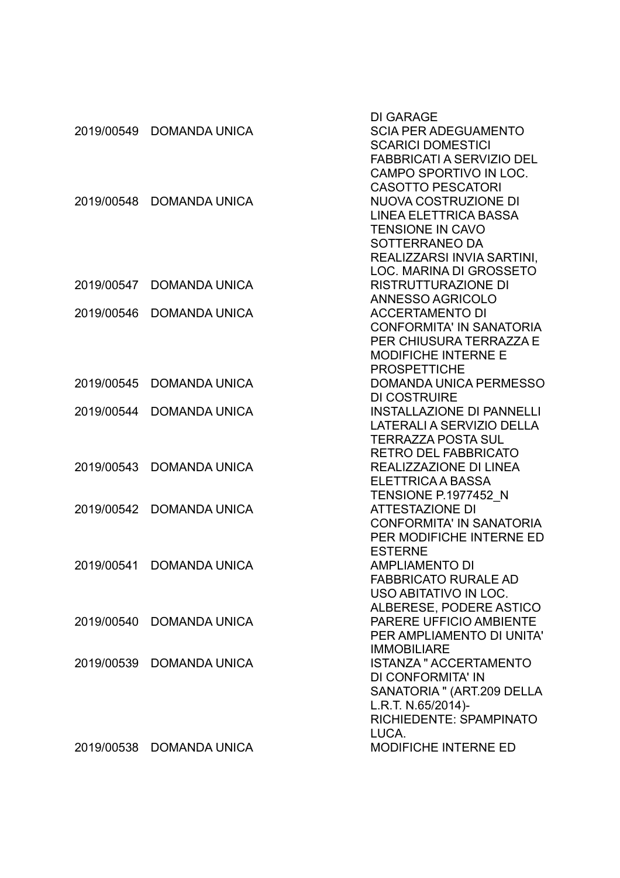| 2019/00549 | <b>DOMANDA UNICA</b>     | <b>DI GARAGE</b><br><b>SCIA PER ADEGUAMENTO</b><br><b>SCARICI DOMESTICI</b><br><b>FABBRICATI A SERVIZIO DEL</b><br>CAMPO SPORTIVO IN LOC.                        |
|------------|--------------------------|------------------------------------------------------------------------------------------------------------------------------------------------------------------|
| 2019/00548 | <b>DOMANDA UNICA</b>     | <b>CASOTTO PESCATORI</b><br>NUOVA COSTRUZIONE DI<br><b>LINEA ELETTRICA BASSA</b><br><b>TENSIONE IN CAVO</b><br>SOTTERRANEO DA<br>REALIZZARSI INVIA SARTINI,      |
| 2019/00547 | <b>DOMANDA UNICA</b>     | LOC. MARINA DI GROSSETO<br>RISTRUTTURAZIONE DI                                                                                                                   |
| 2019/00546 | <b>DOMANDA UNICA</b>     | <b>ANNESSO AGRICOLO</b><br><b>ACCERTAMENTO DI</b><br><b>CONFORMITA' IN SANATORIA</b><br>PER CHIUSURA TERRAZZA E<br><b>MODIFICHE INTERNE E</b>                    |
| 2019/00545 | <b>DOMANDA UNICA</b>     | <b>PROSPETTICHE</b><br><b>DOMANDA UNICA PERMESSO</b>                                                                                                             |
| 2019/00544 | <b>DOMANDA UNICA</b>     | <b>DI COSTRUIRE</b><br><b>INSTALLAZIONE DI PANNELLI</b><br>LATERALI A SERVIZIO DELLA<br>TERRAZZA POSTA SUL                                                       |
| 2019/00543 | <b>DOMANDA UNICA</b>     | <b>RETRO DEL FABBRICATO</b><br>REALIZZAZIONE DI LINEA<br>ELETTRICA A BASSA                                                                                       |
| 2019/00542 | <b>DOMANDA UNICA</b>     | <b>TENSIONE P.1977452 N</b><br><b>ATTESTAZIONE DI</b><br><b>CONFORMITA' IN SANATORIA</b><br>PER MODIFICHE INTERNE ED                                             |
| 2019/00541 | <b>DOMANDA UNICA</b>     | <b>ESTERNE</b><br><b>AMPLIAMENTO DI</b><br><b>FABBRICATO RURALE AD</b><br>USO ABITATIVO IN LOC.<br>ALBERESE, PODERE ASTICO                                       |
| 2019/00540 | <b>DOMANDA UNICA</b>     | PARERE UFFICIO AMBIENTE<br>PER AMPLIAMENTO DI UNITA'                                                                                                             |
| 2019/00539 | <b>DOMANDA UNICA</b>     | <b>IMMOBILIARE</b><br><b>ISTANZA " ACCERTAMENTO</b><br>DI CONFORMITA' IN<br>SANATORIA " (ART.209 DELLA<br>L.R.T. N.65/2014)-<br>RICHIEDENTE: SPAMPINATO<br>LUCA. |
|            | 2019/00538 DOMANDA UNICA | MODIFICHE INTERNE ED                                                                                                                                             |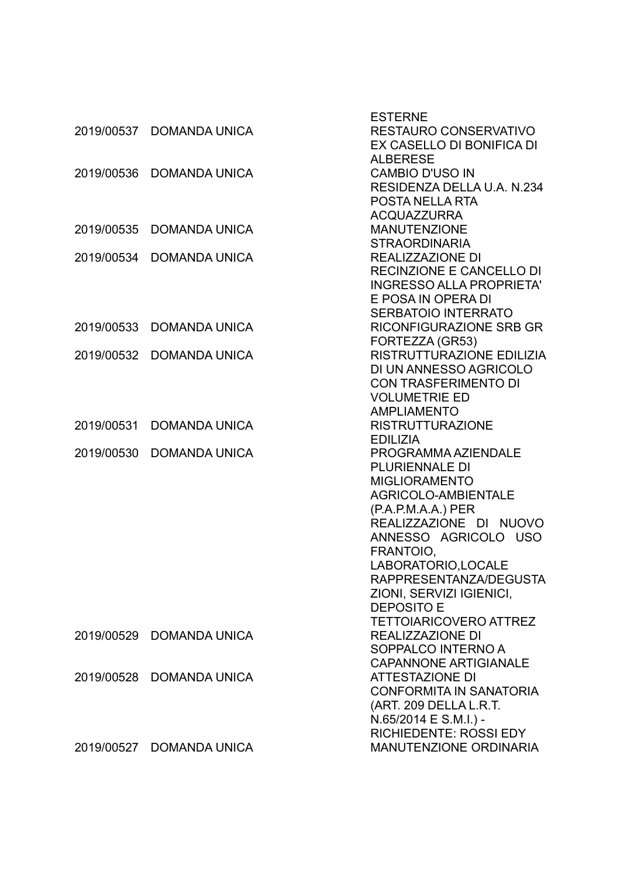| 2019/00537 | <b>DOMANDA UNICA</b>     | <b>ESTERNE</b><br><b>RESTAURO CONSERVATIVO</b><br>EX CASELLO DI BONIFICA DI                                                                                                                                                                                                                                           |
|------------|--------------------------|-----------------------------------------------------------------------------------------------------------------------------------------------------------------------------------------------------------------------------------------------------------------------------------------------------------------------|
| 2019/00536 | <b>DOMANDA UNICA</b>     | <b>ALBERESE</b><br><b>CAMBIO D'USO IN</b><br>RESIDENZA DELLA U.A. N.234<br><b>POSTA NELLA RTA</b>                                                                                                                                                                                                                     |
| 2019/00535 | <b>DOMANDA UNICA</b>     | <b>ACQUAZZURRA</b><br><b>MANUTENZIONE</b><br><b>STRAORDINARIA</b>                                                                                                                                                                                                                                                     |
| 2019/00534 | <b>DOMANDA UNICA</b>     | REALIZZAZIONE DI<br><b>RECINZIONE E CANCELLO DI</b><br><b>INGRESSO ALLA PROPRIETA'</b><br>E POSA IN OPERA DI                                                                                                                                                                                                          |
| 2019/00533 | <b>DOMANDA UNICA</b>     | <b>SERBATOIO INTERRATO</b><br><b>RICONFIGURAZIONE SRB GR</b><br>FORTEZZA (GR53)                                                                                                                                                                                                                                       |
| 2019/00532 | <b>DOMANDA UNICA</b>     | RISTRUTTURAZIONE EDILIZIA<br>DI UN ANNESSO AGRICOLO<br><b>CON TRASFERIMENTO DI</b><br><b>VOLUMETRIE ED</b><br><b>AMPLIAMENTO</b>                                                                                                                                                                                      |
| 2019/00531 | <b>DOMANDA UNICA</b>     | <b>RISTRUTTURAZIONE</b><br><b>EDILIZIA</b>                                                                                                                                                                                                                                                                            |
| 2019/00530 | <b>DOMANDA UNICA</b>     | PROGRAMMA AZIENDALE<br><b>PLURIENNALE DI</b><br><b>MIGLIORAMENTO</b><br>AGRICOLO-AMBIENTALE<br>$(P.A.P.M.A.A.)$ PER<br>REALIZZAZIONE DI NUOVO<br>ANNESSO AGRICOLO USO<br>FRANTOIO,<br>LABORATORIO, LOCALE<br>RAPPRESENTANZA/DEGUSTA<br>ZIONI, SERVIZI IGIENICI,<br><b>DEPOSITO E</b><br><b>TETTOIARICOVERO ATTREZ</b> |
| 2019/00529 | DOMANDA UNICA            | REALIZZAZIONE DI<br>SOPPALCO INTERNO A<br><b>CAPANNONE ARTIGIANALE</b>                                                                                                                                                                                                                                                |
| 2019/00528 | <b>DOMANDA UNICA</b>     | <b>ATTESTAZIONE DI</b><br><b>CONFORMITA IN SANATORIA</b><br>(ART. 209 DELLA L.R.T.<br>N.65/2014 E S.M.I.) -<br><b>RICHIEDENTE: ROSSI EDY</b>                                                                                                                                                                          |
|            | 2019/00527 DOMANDA UNICA | <b>MANUTENZIONE ORDINARIA</b>                                                                                                                                                                                                                                                                                         |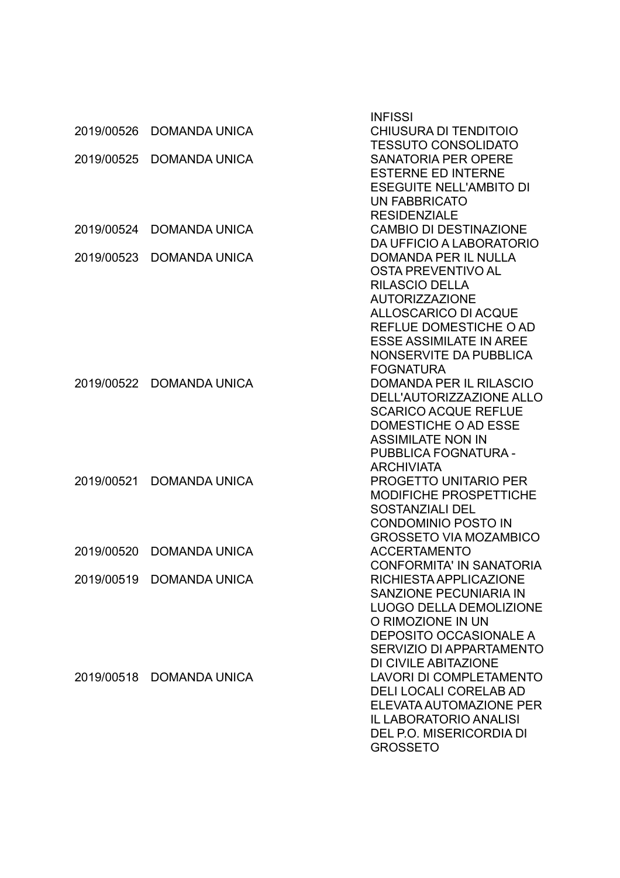| 2019/00526 | <b>DOMANDA UNICA</b>     | <b>INFISSI</b><br>CHIUSURA DI TENDITOIO               |
|------------|--------------------------|-------------------------------------------------------|
|            |                          | <b>TESSUTO CONSOLIDATO</b>                            |
| 2019/00525 | <b>DOMANDA UNICA</b>     | <b>SANATORIA PER OPERE</b>                            |
|            |                          | <b>ESTERNE ED INTERNE</b>                             |
|            |                          | <b>ESEGUITE NELL'AMBITO DI</b>                        |
|            |                          | <b>UN FABBRICATO</b>                                  |
|            |                          | <b>RESIDENZIALE</b>                                   |
| 2019/00524 | <b>DOMANDA UNICA</b>     | <b>CAMBIO DI DESTINAZIONE</b>                         |
|            |                          | DA UFFICIO A LABORATORIO                              |
| 2019/00523 | <b>DOMANDA UNICA</b>     | <b>DOMANDA PER IL NULLA</b>                           |
|            |                          | OSTA PREVENTIVO AL                                    |
|            |                          | <b>RILASCIO DELLA</b>                                 |
|            |                          | <b>AUTORIZZAZIONE</b>                                 |
|            |                          | <b>ALLOSCARICO DI ACQUE</b><br>REFLUE DOMESTICHE O AD |
|            |                          | <b>ESSE ASSIMILATE IN AREE</b>                        |
|            |                          | NONSERVITE DA PUBBLICA                                |
|            |                          | <b>FOGNATURA</b>                                      |
| 2019/00522 | <b>DOMANDA UNICA</b>     | <b>DOMANDA PER IL RILASCIO</b>                        |
|            |                          | DELL'AUTORIZZAZIONE ALLO                              |
|            |                          | <b>SCARICO ACQUE REFLUE</b>                           |
|            |                          | DOMESTICHE O AD ESSE                                  |
|            |                          | <b>ASSIMILATE NON IN</b>                              |
|            |                          | PUBBLICA FOGNATURA -                                  |
|            |                          | <b>ARCHIVIATA</b>                                     |
| 2019/00521 | <b>DOMANDA UNICA</b>     | <b>PROGETTO UNITARIO PER</b>                          |
|            |                          | <b>MODIFICHE PROSPETTICHE</b>                         |
|            |                          | <b>SOSTANZIALI DEL</b>                                |
|            |                          | <b>CONDOMINIO POSTO IN</b>                            |
|            |                          | <b>GROSSETO VIA MOZAMBICO</b>                         |
| 2019/00520 | <b>DOMANDA UNICA</b>     | <b>ACCERTAMENTO</b>                                   |
|            |                          | <b>CONFORMITA' IN SANATORIA</b>                       |
|            | 2019/00519 DOMANDA UNICA | RICHIESTA APPLICAZIONE                                |
|            |                          | <b>SANZIONE PECUNIARIA IN</b>                         |
|            |                          | <b>LUOGO DELLA DEMOLIZIONE</b>                        |
|            |                          | O RIMOZIONE IN UN<br><b>DEPOSITO OCCASIONALE A</b>    |
|            |                          | SERVIZIO DI APPARTAMENTO                              |
|            |                          | DI CIVILE ABITAZIONE                                  |
| 2019/00518 | <b>DOMANDA UNICA</b>     | <b>LAVORI DI COMPLETAMENTO</b>                        |
|            |                          | <b>DELI LOCALI CORELAB AD</b>                         |
|            |                          | ELEVATA AUTOMAZIONE PER                               |
|            |                          | <b>IL LABORATORIO ANALISI</b>                         |
|            |                          | DEL P.O. MISERICORDIA DI                              |
|            |                          | <b>GROSSETO</b>                                       |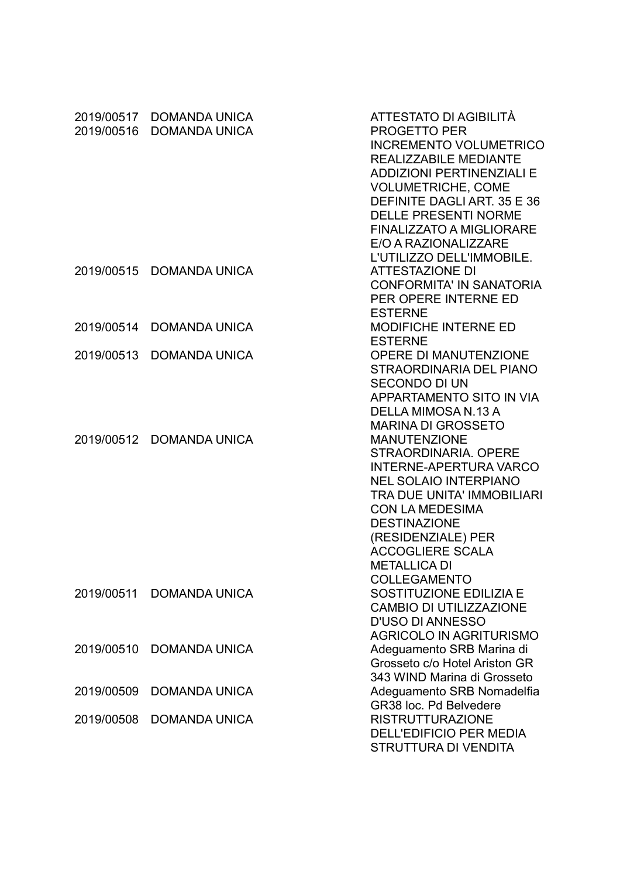| 2019/00516 | 2019/00517 DOMANDA UNICA<br><b>DOMANDA UNICA</b> | ATTESTATO DI AGIBILITÀ<br><b>PROGETTO PER</b><br><b>INCREMENTO VOLUMETRICO</b><br><b>REALIZZABILE MEDIANTE</b><br><b>ADDIZIONI PERTINENZIALI E</b><br><b>VOLUMETRICHE, COME</b><br>DEFINITE DAGLI ART. 35 E 36<br><b>DELLE PRESENTI NORME</b><br><b>FINALIZZATO A MIGLIORARE</b><br>E/O A RAZIONALIZZARE<br>L'UTILIZZO DELL'IMMOBILE. |
|------------|--------------------------------------------------|---------------------------------------------------------------------------------------------------------------------------------------------------------------------------------------------------------------------------------------------------------------------------------------------------------------------------------------|
| 2019/00515 | <b>DOMANDA UNICA</b>                             | <b>ATTESTAZIONE DI</b><br><b>CONFORMITA' IN SANATORIA</b><br>PER OPERE INTERNE ED<br><b>ESTERNE</b>                                                                                                                                                                                                                                   |
| 2019/00514 | <b>DOMANDA UNICA</b>                             | <b>MODIFICHE INTERNE ED</b><br><b>ESTERNE</b>                                                                                                                                                                                                                                                                                         |
| 2019/00513 | <b>DOMANDA UNICA</b>                             | <b>OPERE DI MANUTENZIONE</b><br>STRAORDINARIA DEL PIANO<br><b>SECONDO DI UN</b><br><b>APPARTAMENTO SITO IN VIA</b><br>DELLA MIMOSA N.13 A<br><b>MARINA DI GROSSETO</b>                                                                                                                                                                |
|            | 2019/00512 DOMANDA UNICA                         | <b>MANUTENZIONE</b><br>STRAORDINARIA, OPERE<br><b>INTERNE-APERTURA VARCO</b><br><b>NEL SOLAIO INTERPIANO</b><br><b>TRA DUE UNITA' IMMOBILIARI</b><br><b>CON LA MEDESIMA</b><br><b>DESTINAZIONE</b><br>(RESIDENZIALE) PER<br><b>ACCOGLIERE SCALA</b><br><b>METALLICA DI</b><br><b>COLLEGAMENTO</b>                                     |
| 2019/00511 | <b>DOMANDA UNICA</b>                             | <b>SOSTITUZIONE EDILIZIA E</b><br><b>CAMBIO DI UTILIZZAZIONE</b><br><b>D'USO DI ANNESSO</b><br><b>AGRICOLO IN AGRITURISMO</b>                                                                                                                                                                                                         |
| 2019/00510 | <b>DOMANDA UNICA</b>                             | Adeguamento SRB Marina di<br>Grosseto c/o Hotel Ariston GR<br>343 WIND Marina di Grosseto                                                                                                                                                                                                                                             |
| 2019/00509 | <b>DOMANDA UNICA</b>                             | Adeguamento SRB Nomadelfia<br>GR38 loc. Pd Belvedere                                                                                                                                                                                                                                                                                  |
| 2019/00508 | <b>DOMANDA UNICA</b>                             | <b>RISTRUTTURAZIONE</b><br><b>DELL'EDIFICIO PER MEDIA</b><br>STRUTTURA DI VENDITA                                                                                                                                                                                                                                                     |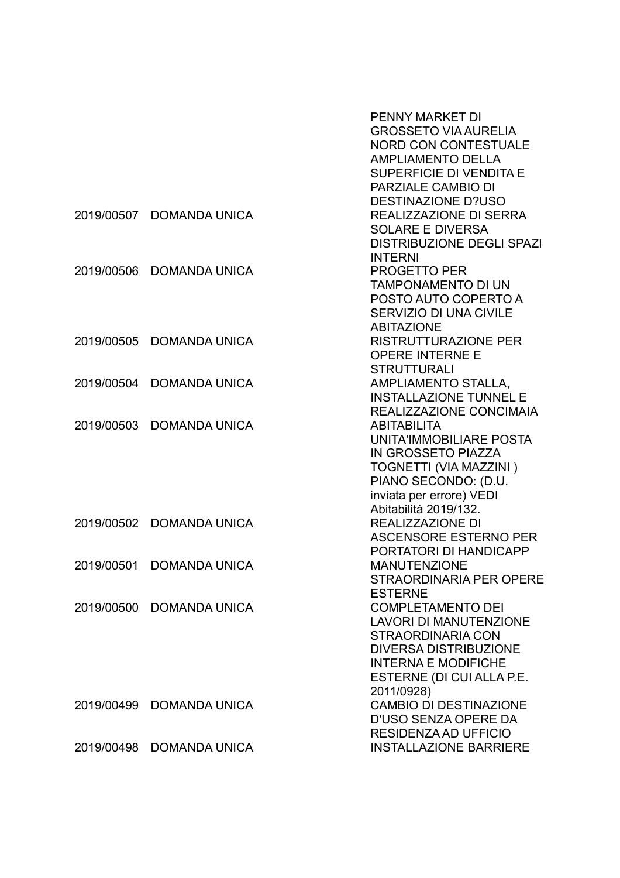|            |                      | <b>PENNY MARKET DI</b>           |
|------------|----------------------|----------------------------------|
|            |                      | <b>GROSSETO VIA AURELIA</b>      |
|            |                      | <b>NORD CON CONTESTUALE</b>      |
|            |                      | <b>AMPLIAMENTO DELLA</b>         |
|            |                      | SUPERFICIE DI VENDITA E          |
|            |                      | PARZIALE CAMBIO DI               |
|            |                      | <b>DESTINAZIONE D?USO</b>        |
| 2019/00507 | <b>DOMANDA UNICA</b> | REALIZZAZIONE DI SERRA           |
|            |                      | <b>SOLARE E DIVERSA</b>          |
|            |                      | <b>DISTRIBUZIONE DEGLI SPAZI</b> |
|            |                      | <b>INTERNI</b>                   |
| 2019/00506 | <b>DOMANDA UNICA</b> | <b>PROGETTO PER</b>              |
|            |                      | <b>TAMPONAMENTO DI UN</b>        |
|            |                      | POSTO AUTO COPERTO A             |
|            |                      | <b>SERVIZIO DI UNA CIVILE</b>    |
|            |                      | <b>ABITAZIONE</b>                |
| 2019/00505 | <b>DOMANDA UNICA</b> | <b>RISTRUTTURAZIONE PER</b>      |
|            |                      | <b>OPERE INTERNE E</b>           |
|            |                      | <b>STRUTTURALI</b>               |
| 2019/00504 | <b>DOMANDA UNICA</b> | AMPLIAMENTO STALLA,              |
|            |                      | <b>INSTALLAZIONE TUNNEL E</b>    |
|            |                      | REALIZZAZIONE CONCIMAIA          |
| 2019/00503 | <b>DOMANDA UNICA</b> | <b>ABITABILITA</b>               |
|            |                      | UNITA'IMMOBILIARE POSTA          |
|            |                      | IN GROSSETO PIAZZA               |
|            |                      | TOGNETTI (VIA MAZZINI)           |
|            |                      | PIANO SECONDO: (D.U.             |
|            |                      | inviata per errore) VEDI         |
|            |                      | Abitabilità 2019/132.            |
| 2019/00502 | <b>DOMANDA UNICA</b> | REALIZZAZIONE DI                 |
|            |                      | <b>ASCENSORE ESTERNO PER</b>     |
|            |                      | PORTATORI DI HANDICAPP           |
| 2019/00501 | <b>DOMANDA UNICA</b> | <b>MANUTENZIONE</b>              |
|            |                      | STRAORDINARIA PER OPERE          |
|            |                      | <b>ESTERNE</b>                   |
| 2019/00500 | <b>DOMANDA UNICA</b> | <b>COMPLETAMENTO DEI</b>         |
|            |                      | <b>LAVORI DI MANUTENZIONE</b>    |
|            |                      | <b>STRAORDINARIA CON</b>         |
|            |                      | <b>DIVERSA DISTRIBUZIONE</b>     |
|            |                      | <b>INTERNA E MODIFICHE</b>       |
|            |                      | ESTERNE (DI CUI ALLA P.E.        |
|            |                      | 2011/0928)                       |
| 2019/00499 | <b>DOMANDA UNICA</b> | <b>CAMBIO DI DESTINAZIONE</b>    |
|            |                      | D'USO SENZA OPERE DA             |
|            |                      | <b>RESIDENZA AD UFFICIO</b>      |
| 2019/00498 | <b>DOMANDA UNICA</b> | <b>INSTALLAZIONE BARRIERE</b>    |
|            |                      |                                  |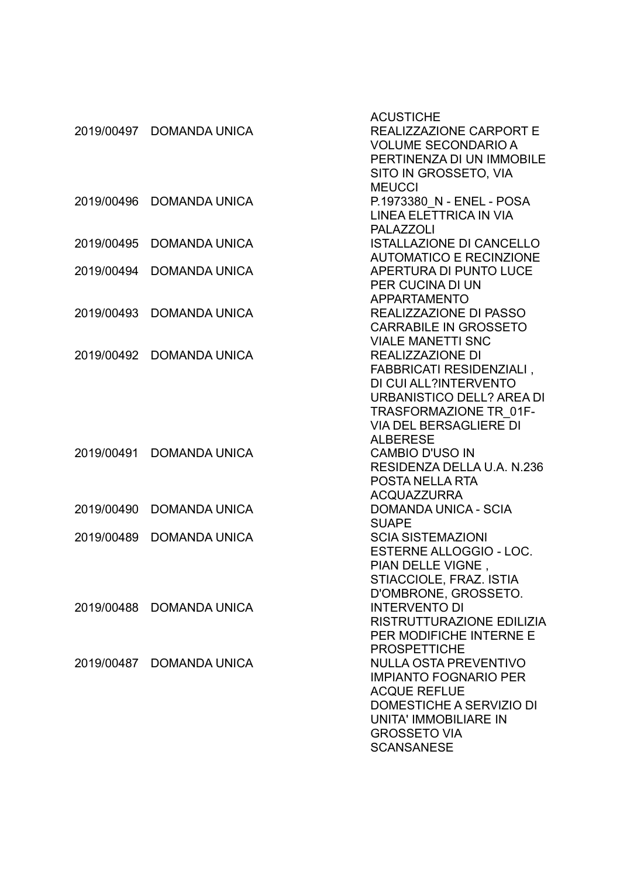| 2019/00497 | <b>DOMANDA UNICA</b> | <b>ACUSTICHE</b><br><b>REALIZZAZIONE CARPORT E</b><br><b>VOLUME SECONDARIO A</b><br>PERTINENZA DI UN IMMOBILE<br>SITO IN GROSSETO, VIA                                                      |
|------------|----------------------|---------------------------------------------------------------------------------------------------------------------------------------------------------------------------------------------|
| 2019/00496 | <b>DOMANDA UNICA</b> | <b>MEUCCI</b><br>P.1973380 N - ENEL - POSA<br>LINEA ELETTRICA IN VIA<br><b>PALAZZOLI</b>                                                                                                    |
| 2019/00495 | <b>DOMANDA UNICA</b> | <b>ISTALLAZIONE DI CANCELLO</b><br><b>AUTOMATICO E RECINZIONE</b>                                                                                                                           |
| 2019/00494 | <b>DOMANDA UNICA</b> | APERTURA DI PUNTO LUCE<br>PER CUCINA DI UN<br>APPARTAMENTO                                                                                                                                  |
| 2019/00493 | <b>DOMANDA UNICA</b> | <b>REALIZZAZIONE DI PASSO</b><br><b>CARRABILE IN GROSSETO</b><br><b>VIALE MANETTI SNC</b>                                                                                                   |
| 2019/00492 | <b>DOMANDA UNICA</b> | <b>REALIZZAZIONE DI</b><br>FABBRICATI RESIDENZIALI,<br>DI CUI ALL?INTERVENTO<br>URBANISTICO DELL? AREA DI<br>TRASFORMAZIONE TR 01F-<br><b>VIA DEL BERSAGLIERE DI</b><br><b>ALBERESE</b>     |
| 2019/00491 | <b>DOMANDA UNICA</b> | <b>CAMBIO D'USO IN</b><br>RESIDENZA DELLA U.A. N.236<br>POSTA NELLA RTA<br><b>ACQUAZZURRA</b>                                                                                               |
| 2019/00490 | <b>DOMANDA UNICA</b> | <b>DOMANDA UNICA - SCIA</b><br><b>SUAPE</b>                                                                                                                                                 |
| 2019/00489 | <b>DOMANDA UNICA</b> | <b>SCIA SISTEMAZIONI</b><br><b>ESTERNE ALLOGGIO - LOC.</b><br>PIAN DELLE VIGNE,<br>STIACCIOLE, FRAZ. ISTIA<br>D'OMBRONE, GROSSETO.                                                          |
| 2019/00488 | <b>DOMANDA UNICA</b> | <b>INTERVENTO DI</b><br>RISTRUTTURAZIONE EDILIZIA<br>PER MODIFICHE INTERNE E<br><b>PROSPETTICHE</b>                                                                                         |
| 2019/00487 | <b>DOMANDA UNICA</b> | <b>NULLA OSTA PREVENTIVO</b><br><b>IMPIANTO FOGNARIO PER</b><br><b>ACQUE REFLUE</b><br><b>DOMESTICHE A SERVIZIO DI</b><br>UNITA' IMMOBILIARE IN<br><b>GROSSETO VIA</b><br><b>SCANSANESE</b> |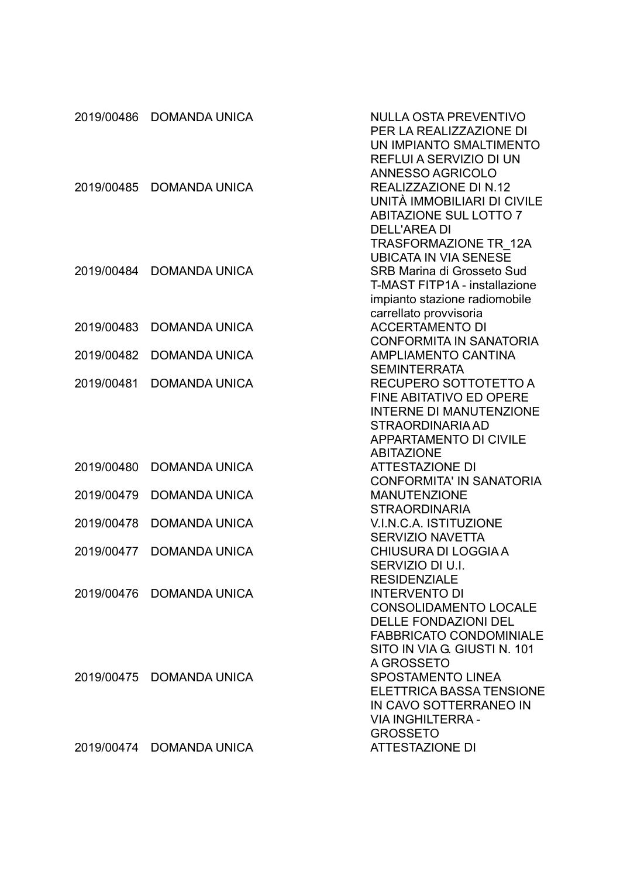| 2019/00486 | <b>DOMANDA UNICA</b>     | <b>NULLA OSTA PREVENTIVO</b><br>PER LA REALIZZAZIONE DI<br>UN IMPIANTO SMALTIMENTO<br><b>REFLUI A SERVIZIO DI UN</b>                                                                          |
|------------|--------------------------|-----------------------------------------------------------------------------------------------------------------------------------------------------------------------------------------------|
| 2019/00485 | <b>DOMANDA UNICA</b>     | ANNESSO AGRICOLO<br>REALIZZAZIONE DI N.12<br>UNITÀ IMMOBILIARI DI CIVILE<br><b>ABITAZIONE SUL LOTTO 7</b><br><b>DELL'AREA DI</b>                                                              |
| 2019/00484 | <b>DOMANDA UNICA</b>     | TRASFORMAZIONE TR 12A<br><b>UBICATA IN VIA SENESE</b><br><b>SRB Marina di Grosseto Sud</b><br><b>T-MAST FITP1A - installazione</b><br>impianto stazione radiomobile<br>carrellato provvisoria |
| 2019/00483 | <b>DOMANDA UNICA</b>     | <b>ACCERTAMENTO DI</b>                                                                                                                                                                        |
| 2019/00482 | <b>DOMANDA UNICA</b>     | <b>CONFORMITA IN SANATORIA</b><br><b>AMPLIAMENTO CANTINA</b><br><b>SEMINTERRATA</b>                                                                                                           |
| 2019/00481 | <b>DOMANDA UNICA</b>     | RECUPERO SOTTOTETTO A<br><b>FINE ABITATIVO ED OPERE</b><br><b>INTERNE DI MANUTENZIONE</b><br>STRAORDINARIA AD<br><b>APPARTAMENTO DI CIVILE</b>                                                |
| 2019/00480 | <b>DOMANDA UNICA</b>     | <b>ABITAZIONE</b><br><b>ATTESTAZIONE DI</b>                                                                                                                                                   |
| 2019/00479 | <b>DOMANDA UNICA</b>     | <b>CONFORMITA' IN SANATORIA</b><br><b>MANUTENZIONE</b><br><b>STRAORDINARIA</b>                                                                                                                |
| 2019/00478 | <b>DOMANDA UNICA</b>     | V.I.N.C.A. ISTITUZIONE<br><b>SERVIZIO NAVETTA</b>                                                                                                                                             |
| 2019/00477 | <b>DOMANDA UNICA</b>     | CHIUSURA DI LOGGIA A<br>SERVIZIO DI U.I.                                                                                                                                                      |
|            | 2019/00476 DOMANDA UNICA | <b>RESIDENZIALE</b><br><b>INTERVENTO DI</b><br><b>CONSOLIDAMENTO LOCALE</b><br><b>DELLE FONDAZIONI DEL</b><br><b>FABBRICATO CONDOMINIALE</b>                                                  |
|            | 2019/00475 DOMANDA UNICA | SITO IN VIA G. GIUSTI N. 101<br>A GROSSETO<br><b>SPOSTAMENTO LINEA</b><br><b>ELETTRICA BASSA TENSIONE</b><br>IN CAVO SOTTERRANEO IN<br><b>VIA INGHILTERRA -</b>                               |
|            | 2019/00474 DOMANDA UNICA | <b>GROSSETO</b><br><b>ATTESTAZIONE DI</b>                                                                                                                                                     |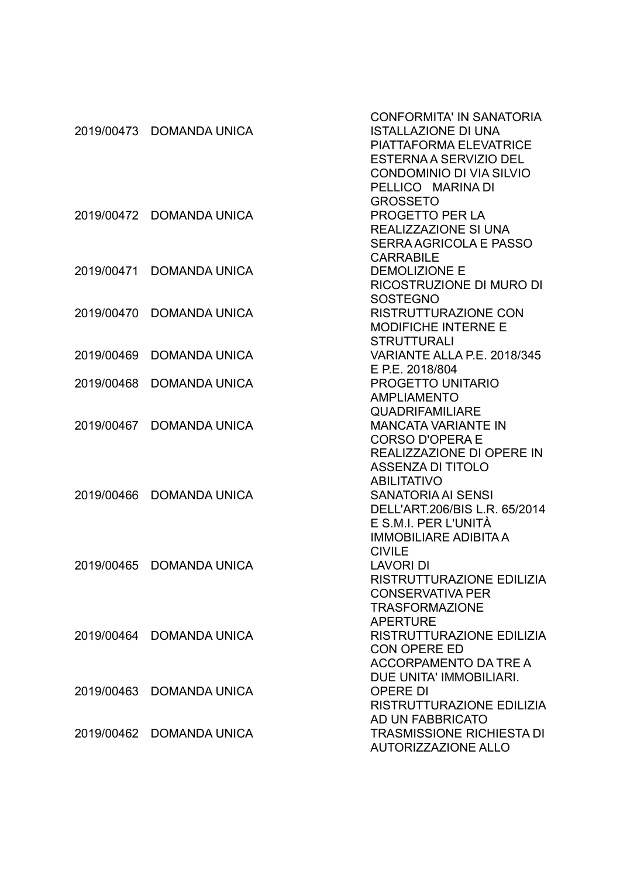|            |                          | <b>CONFORMITA' IN SANATORIA</b>  |
|------------|--------------------------|----------------------------------|
| 2019/00473 | <b>DOMANDA UNICA</b>     | <b>ISTALLAZIONE DI UNA</b>       |
|            |                          | PIATTAFORMA ELEVATRICE           |
|            |                          | <b>ESTERNA A SERVIZIO DEL</b>    |
|            |                          | <b>CONDOMINIO DI VIA SILVIO</b>  |
|            |                          | PELLICO MARINA DI                |
|            |                          | <b>GROSSETO</b>                  |
|            | 2019/00472 DOMANDA UNICA | PROGETTO PER LA                  |
|            |                          | <b>REALIZZAZIONE SI UNA</b>      |
|            |                          | <b>SERRA AGRICOLA E PASSO</b>    |
|            |                          | <b>CARRABILE</b>                 |
|            | 2019/00471 DOMANDA UNICA | <b>DEMOLIZIONE E</b>             |
|            |                          | RICOSTRUZIONE DI MURO DI         |
|            |                          | <b>SOSTEGNO</b>                  |
|            |                          | <b>RISTRUTTURAZIONE CON</b>      |
| 2019/00470 | <b>DOMANDA UNICA</b>     |                                  |
|            |                          | <b>MODIFICHE INTERNE E</b>       |
|            |                          | <b>STRUTTURALI</b>               |
| 2019/00469 | <b>DOMANDA UNICA</b>     | VARIANTE ALLA P.E. 2018/345      |
|            |                          | E P.E. 2018/804                  |
| 2019/00468 | <b>DOMANDA UNICA</b>     | PROGETTO UNITARIO                |
|            |                          | <b>AMPLIAMENTO</b>               |
|            |                          | <b>QUADRIFAMILIARE</b>           |
| 2019/00467 | <b>DOMANDA UNICA</b>     | <b>MANCATA VARIANTE IN</b>       |
|            |                          | <b>CORSO D'OPERA E</b>           |
|            |                          | REALIZZAZIONE DI OPERE IN        |
|            |                          | <b>ASSENZA DI TITOLO</b>         |
|            |                          | <b>ABILITATIVO</b>               |
| 2019/00466 | <b>DOMANDA UNICA</b>     | <b>SANATORIA AI SENSI</b>        |
|            |                          | DELL'ART.206/BIS L.R. 65/2014    |
|            |                          | E S.M.I. PER L'UNITÀ             |
|            |                          | <b>IMMOBILIARE ADIBITA A</b>     |
|            |                          | <b>CIVILE</b>                    |
| 2019/00465 | <b>DOMANDA UNICA</b>     | <b>LAVORI DI</b>                 |
|            |                          | RISTRUTTURAZIONE EDILIZIA        |
|            |                          | <b>CONSERVATIVA PER</b>          |
|            |                          | <b>TRASFORMAZIONE</b>            |
|            |                          | <b>APERTURE</b>                  |
| 2019/00464 | <b>DOMANDA UNICA</b>     | RISTRUTTURAZIONE EDILIZIA        |
|            |                          | <b>CON OPERE ED</b>              |
|            |                          | ACCORPAMENTO DA TRE A            |
|            |                          | DUE UNITA' IMMOBILIARI.          |
|            | 2019/00463 DOMANDA UNICA | <b>OPERE DI</b>                  |
|            |                          | RISTRUTTURAZIONE EDILIZIA        |
|            |                          | AD UN FABBRICATO                 |
|            | 2019/00462 DOMANDA UNICA | <b>TRASMISSIONE RICHIESTA DI</b> |
|            |                          | <b>AUTORIZZAZIONE ALLO</b>       |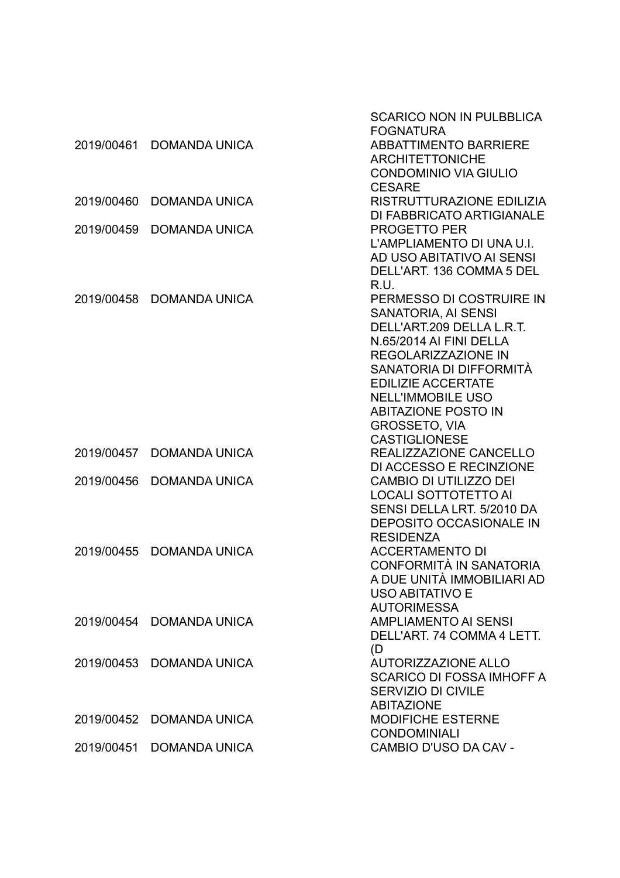|            |                          | SCARICO NON IN PULBBLICA         |
|------------|--------------------------|----------------------------------|
|            |                          | <b>FOGNATURA</b>                 |
| 2019/00461 | <b>DOMANDA UNICA</b>     | <b>ABBATTIMENTO BARRIERE</b>     |
|            |                          | <b>ARCHITETTONICHE</b>           |
|            |                          | <b>CONDOMINIO VIA GIULIO</b>     |
|            |                          | <b>CESARE</b>                    |
| 2019/00460 | <b>DOMANDA UNICA</b>     | RISTRUTTURAZIONE EDILIZIA        |
|            |                          | DI FABBRICATO ARTIGIANALE        |
| 2019/00459 | <b>DOMANDA UNICA</b>     | <b>PROGETTO PER</b>              |
|            |                          | L'AMPLIAMENTO DI UNA U.I.        |
|            |                          | AD USO ABITATIVO AI SENSI        |
|            |                          | DELL'ART. 136 COMMA 5 DEL        |
|            |                          | R.U.                             |
| 2019/00458 | <b>DOMANDA UNICA</b>     | PERMESSO DI COSTRUIRE IN         |
|            |                          | <b>SANATORIA, AI SENSI</b>       |
|            |                          | DELL'ART.209 DELLA L.R.T.        |
|            |                          | N.65/2014 AI FINI DELLA          |
|            |                          | <b>REGOLARIZZAZIONE IN</b>       |
|            |                          | SANATORIA DI DIFFORMITÀ          |
|            |                          | <b>EDILIZIE ACCERTATE</b>        |
|            |                          | <b>NELL'IMMOBILE USO</b>         |
|            |                          | <b>ABITAZIONE POSTO IN</b>       |
|            |                          | <b>GROSSETO, VIA</b>             |
|            |                          | <b>CASTIGLIONESE</b>             |
| 2019/00457 | <b>DOMANDA UNICA</b>     | REALIZZAZIONE CANCELLO           |
|            |                          | DI ACCESSO E RECINZIONE          |
| 2019/00456 | <b>DOMANDA UNICA</b>     | <b>CAMBIO DI UTILIZZO DEI</b>    |
|            |                          | <b>LOCALI SOTTOTETTO AI</b>      |
|            |                          | SENSI DELLA LRT. 5/2010 DA       |
|            |                          | <b>DEPOSITO OCCASIONALE IN</b>   |
|            |                          | <b>RESIDENZA</b>                 |
| 2019/00455 | <b>DOMANDA UNICA</b>     | <b>ACCERTAMENTO DI</b>           |
|            |                          | CONFORMITÀ IN SANATORIA          |
|            |                          | A DUE UNITÀ IMMOBILIARI AD       |
|            |                          | <b>USO ABITATIVO E</b>           |
|            |                          | <b>AUTORIMESSA</b>               |
|            | 2019/00454 DOMANDA UNICA | <b>AMPLIAMENTO AI SENSI</b>      |
|            |                          | DELL'ART. 74 COMMA 4 LETT.       |
|            |                          | (D)                              |
|            | 2019/00453 DOMANDA UNICA | <b>AUTORIZZAZIONE ALLO</b>       |
|            |                          | <b>SCARICO DI FOSSA IMHOFF A</b> |
|            |                          | SERVIZIO DI CIVILE               |
|            |                          | <b>ABITAZIONE</b>                |
| 2019/00452 | <b>DOMANDA UNICA</b>     | MODIFICHE ESTERNE                |
|            |                          | <b>CONDOMINIALI</b>              |
| 2019/00451 | <b>DOMANDA UNICA</b>     | CAMBIO D'USO DA CAV -            |
|            |                          |                                  |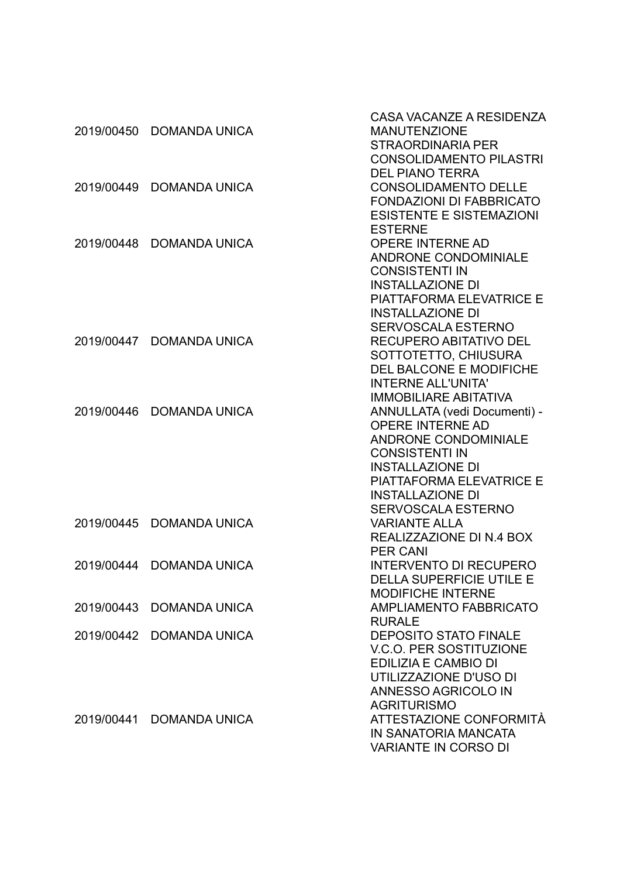|            |                          | CASA VACANZE A RESIDENZA        |
|------------|--------------------------|---------------------------------|
| 2019/00450 | <b>DOMANDA UNICA</b>     | <b>MANUTENZIONE</b>             |
|            |                          | <b>STRAORDINARIA PER</b>        |
|            |                          | <b>CONSOLIDAMENTO PILASTRI</b>  |
|            |                          | <b>DEL PIANO TERRA</b>          |
|            | 2019/00449 DOMANDA UNICA | <b>CONSOLIDAMENTO DELLE</b>     |
|            |                          | <b>FONDAZIONI DI FABBRICATO</b> |
|            |                          | <b>ESISTENTE E SISTEMAZIONI</b> |
|            |                          | <b>ESTERNE</b>                  |
| 2019/00448 | <b>DOMANDA UNICA</b>     | <b>OPERE INTERNE AD</b>         |
|            |                          | ANDRONE CONDOMINIALE            |
|            |                          | <b>CONSISTENTI IN</b>           |
|            |                          | <b>INSTALLAZIONE DI</b>         |
|            |                          | PIATTAFORMA ELEVATRICE E        |
|            |                          | <b>INSTALLAZIONE DI</b>         |
|            |                          | SERVOSCALA ESTERNO              |
|            | 2019/00447 DOMANDA UNICA | <b>RECUPERO ABITATIVO DEL</b>   |
|            |                          | SOTTOTETTO, CHIUSURA            |
|            |                          | DEL BALCONE E MODIFICHE         |
|            |                          | <b>INTERNE ALL'UNITA'</b>       |
|            |                          | <b>IMMOBILIARE ABITATIVA</b>    |
| 2019/00446 | <b>DOMANDA UNICA</b>     | ANNULLATA (vedi Documenti) -    |
|            |                          | <b>OPERE INTERNE AD</b>         |
|            |                          | <b>ANDRONE CONDOMINIALE</b>     |
|            |                          | <b>CONSISTENTI IN</b>           |
|            |                          | <b>INSTALLAZIONE DI</b>         |
|            |                          | <b>PIATTAFORMA ELEVATRICE E</b> |
|            |                          | <b>INSTALLAZIONE DI</b>         |
|            |                          | <b>SERVOSCALA ESTERNO</b>       |
|            | 2019/00445 DOMANDA UNICA | <b>VARIANTE ALLA</b>            |
|            |                          | REALIZZAZIONE DI N.4 BOX        |
|            |                          | <b>PER CANI</b>                 |
| 2019/00444 | <b>DOMANDA UNICA</b>     | <b>INTERVENTO DI RECUPERO</b>   |
|            |                          | <b>DELLA SUPERFICIE UTILE E</b> |
|            |                          | <b>MODIFICHE INTERNE</b>        |
| 2019/00443 | <b>DOMANDA UNICA</b>     | <b>AMPLIAMENTO FABBRICATO</b>   |
|            |                          | <b>RURALE</b>                   |
| 2019/00442 | <b>DOMANDA UNICA</b>     | <b>DEPOSITO STATO FINALE</b>    |
|            |                          | <b>V.C.O. PER SOSTITUZIONE</b>  |
|            |                          | EDILIZIA E CAMBIO DI            |
|            |                          | UTILIZZAZIONE D'USO DI          |
|            |                          | ANNESSO AGRICOLO IN             |
|            |                          | <b>AGRITURISMO</b>              |
| 2019/00441 | <b>DOMANDA UNICA</b>     | ATTESTAZIONE CONFORMITÀ         |
|            |                          | IN SANATORIA MANCATA            |
|            |                          | <b>VARIANTE IN CORSO DI</b>     |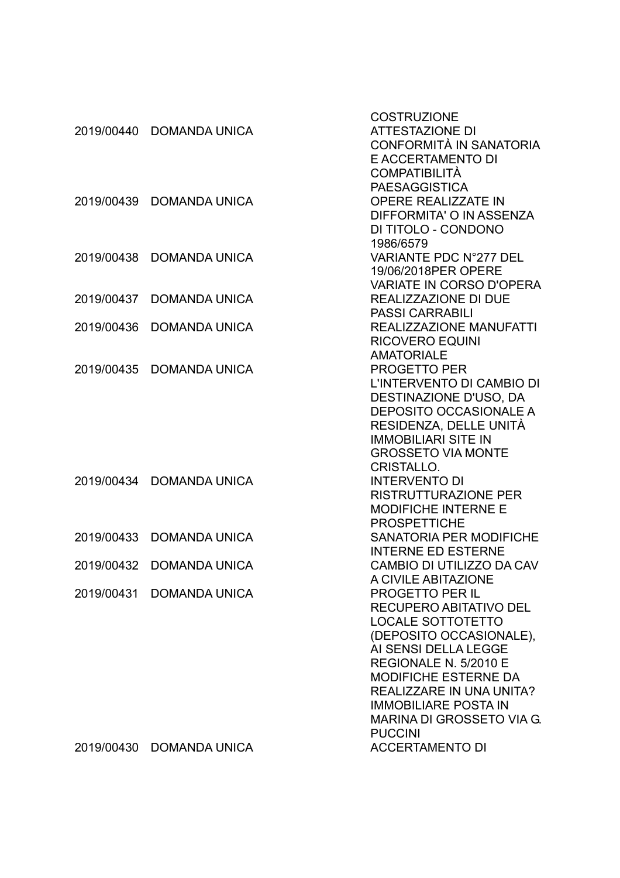|            |                          | <b>COSTRUZIONE</b>               |
|------------|--------------------------|----------------------------------|
| 2019/00440 | <b>DOMANDA UNICA</b>     | <b>ATTESTAZIONE DI</b>           |
|            |                          | <b>CONFORMITÀ IN SANATORIA</b>   |
|            |                          | <b>E ACCERTAMENTO DI</b>         |
|            |                          | <b>COMPATIBILITÀ</b>             |
|            |                          | <b>PAESAGGISTICA</b>             |
| 2019/00439 | <b>DOMANDA UNICA</b>     | <b>OPERE REALIZZATE IN</b>       |
|            |                          | DIFFORMITA' O IN ASSENZA         |
|            |                          | DI TITOLO - CONDONO              |
|            |                          | 1986/6579                        |
| 2019/00438 |                          | VARIANTE PDC N°277 DEL           |
|            | <b>DOMANDA UNICA</b>     |                                  |
|            |                          | 19/06/2018PER OPERE              |
|            |                          | <b>VARIATE IN CORSO D'OPERA</b>  |
| 2019/00437 | <b>DOMANDA UNICA</b>     | REALIZZAZIONE DI DUE             |
|            |                          | <b>PASSI CARRABILI</b>           |
| 2019/00436 | <b>DOMANDA UNICA</b>     | <b>REALIZZAZIONE MANUFATTI</b>   |
|            |                          | <b>RICOVERO EQUINI</b>           |
|            |                          | <b>AMATORIALE</b>                |
| 2019/00435 | <b>DOMANDA UNICA</b>     | <b>PROGETTO PER</b>              |
|            |                          | L'INTERVENTO DI CAMBIO DI        |
|            |                          | DESTINAZIONE D'USO, DA           |
|            |                          | <b>DEPOSITO OCCASIONALE A</b>    |
|            |                          | RESIDENZA, DELLE UNITÀ           |
|            |                          | <b>IMMOBILIARI SITE IN</b>       |
|            |                          | <b>GROSSETO VIA MONTE</b>        |
|            |                          | <b>CRISTALLO.</b>                |
| 2019/00434 | <b>DOMANDA UNICA</b>     | <b>INTERVENTO DI</b>             |
|            |                          | <b>RISTRUTTURAZIONE PER</b>      |
|            |                          | <b>MODIFICHE INTERNE E</b>       |
|            |                          | <b>PROSPETTICHE</b>              |
| 2019/00433 | <b>DOMANDA UNICA</b>     | <b>SANATORIA PER MODIFICHE</b>   |
|            |                          | <b>INTERNE ED ESTERNE</b>        |
| 2019/00432 | <b>DOMANDA UNICA</b>     | CAMBIO DI UTILIZZO DA CAV        |
|            |                          | A CIVILE ABITAZIONE              |
|            | 2019/00431 DOMANDA UNICA | <b>PROGETTO PER IL</b>           |
|            |                          | RECUPERO ABITATIVO DEL           |
|            |                          |                                  |
|            |                          | <b>LOCALE SOTTOTETTO</b>         |
|            |                          | (DEPOSITO OCCASIONALE),          |
|            |                          | AI SENSI DELLA LEGGE             |
|            |                          | REGIONALE N. 5/2010 E            |
|            |                          | <b>MODIFICHE ESTERNE DA</b>      |
|            |                          | REALIZZARE IN UNA UNITA?         |
|            |                          | <b>IMMOBILIARE POSTA IN</b>      |
|            |                          | <b>MARINA DI GROSSETO VIA G.</b> |
|            |                          | <b>PUCCINI</b>                   |
| 2019/00430 | <b>DOMANDA UNICA</b>     | <b>ACCERTAMENTO DI</b>           |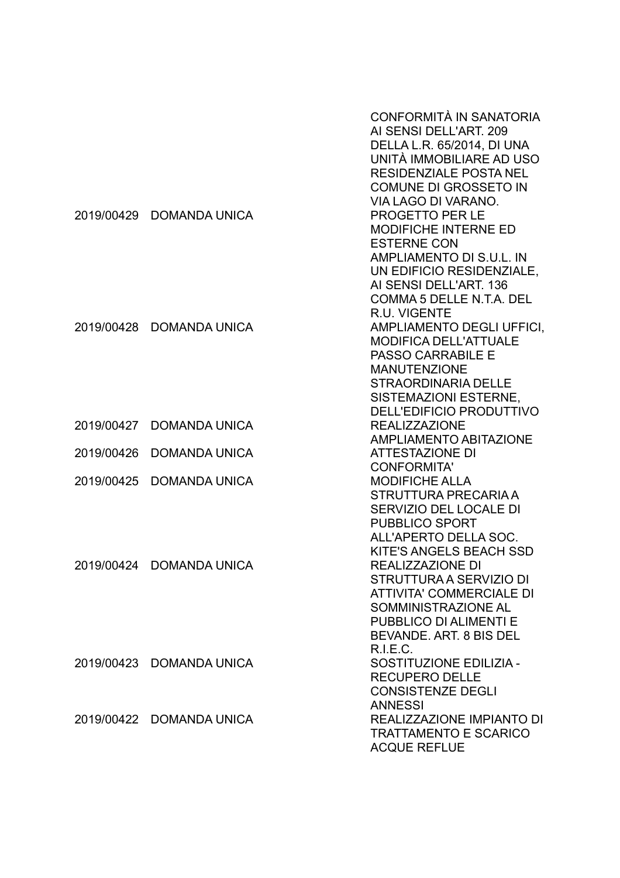|            |                          | CONFORMITÀ IN SANATORIA<br>AI SENSI DELL'ART. 209<br>DELLA L.R. 65/2014, DI UNA<br>UNITÀ IMMOBILIARE AD USO<br><b>RESIDENZIALE POSTA NEL</b><br>COMUNE DI GROSSETO IN<br>VIA LAGO DI VARANO.                  |
|------------|--------------------------|---------------------------------------------------------------------------------------------------------------------------------------------------------------------------------------------------------------|
|            | 2019/00429 DOMANDA UNICA | PROGETTO PER LE<br>MODIFICHE INTERNE ED<br><b>ESTERNE CON</b><br>AMPLIAMENTO DI S.U.L. IN<br>UN EDIFICIO RESIDENZIALE,<br>AI SENSI DELL'ART. 136<br>COMMA 5 DELLE N.T.A. DEL<br>R.U. VIGENTE                  |
|            | 2019/00428 DOMANDA UNICA | AMPLIAMENTO DEGLI UFFICI,<br><b>MODIFICA DELL'ATTUALE</b><br><b>PASSO CARRABILE E</b><br><b>MANUTENZIONE</b><br><b>STRAORDINARIA DELLE</b><br><b>SISTEMAZIONI ESTERNE,</b><br><b>DELL'EDIFICIO PRODUTTIVO</b> |
| 2019/00427 | <b>DOMANDA UNICA</b>     | <b>REALIZZAZIONE</b><br><b>AMPLIAMENTO ABITAZIONE</b>                                                                                                                                                         |
| 2019/00426 | <b>DOMANDA UNICA</b>     | <b>ATTESTAZIONE DI</b>                                                                                                                                                                                        |
| 2019/00425 | <b>DOMANDA UNICA</b>     | <b>CONFORMITA'</b><br><b>MODIFICHE ALLA</b><br>STRUTTURA PRECARIA A<br>SERVIZIO DEL LOCALE DI<br><b>PUBBLICO SPORT</b><br>ALL'APERTO DELLA SOC.                                                               |
|            | 2019/00424 DOMANDA UNICA | KITE'S ANGELS BEACH SSD<br><b>REALIZZAZIONE DI</b><br>STRUTTURA A SERVIZIO DI<br><b>ATTIVITA' COMMERCIALE DI</b><br>SOMMINISTRAZIONE AL<br>PUBBLICO DI ALIMENTI E<br>BEVANDE. ART. 8 BIS DEL<br>R.I.E.C.      |
|            | 2019/00423 DOMANDA UNICA | SOSTITUZIONE EDILIZIA -<br><b>RECUPERO DELLE</b><br><b>CONSISTENZE DEGLI</b><br><b>ANNESSI</b>                                                                                                                |
|            | 2019/00422 DOMANDA UNICA | REALIZZAZIONE IMPIANTO DI<br><b>TRATTAMENTO E SCARICO</b><br><b>ACQUE REFLUE</b>                                                                                                                              |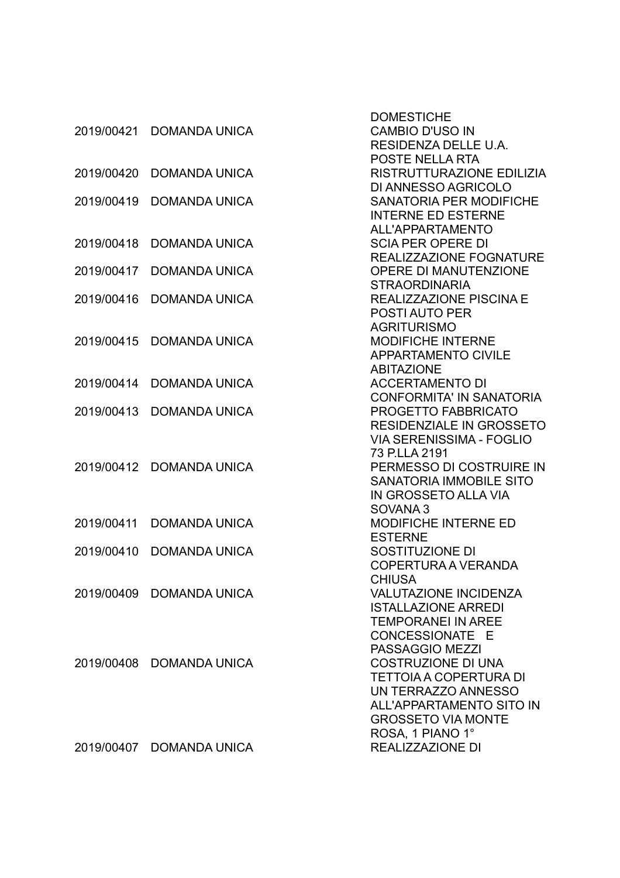|            |                          | <b>DOMESTICHE</b>               |
|------------|--------------------------|---------------------------------|
| 2019/00421 | <b>DOMANDA UNICA</b>     | <b>CAMBIO D'USO IN</b>          |
|            |                          | RESIDENZA DELLE U.A.            |
|            |                          | <b>POSTE NELLA RTA</b>          |
| 2019/00420 | <b>DOMANDA UNICA</b>     | RISTRUTTURAZIONE EDILIZIA       |
|            |                          | DI ANNESSO AGRICOLO             |
| 2019/00419 | <b>DOMANDA UNICA</b>     | <b>SANATORIA PER MODIFICHE</b>  |
|            |                          | <b>INTERNE ED ESTERNE</b>       |
|            |                          | ALL'APPARTAMENTO                |
| 2019/00418 | <b>DOMANDA UNICA</b>     | <b>SCIA PER OPERE DI</b>        |
|            |                          | REALIZZAZIONE FOGNATURE         |
| 2019/00417 | <b>DOMANDA UNICA</b>     | OPERE DI MANUTENZIONE           |
|            |                          | <b>STRAORDINARIA</b>            |
| 2019/00416 | <b>DOMANDA UNICA</b>     | <b>REALIZZAZIONE PISCINA E</b>  |
|            |                          | <b>POSTI AUTO PER</b>           |
|            |                          | <b>AGRITURISMO</b>              |
| 2019/00415 | <b>DOMANDA UNICA</b>     | <b>MODIFICHE INTERNE</b>        |
|            |                          | <b>APPARTAMENTO CIVILE</b>      |
|            |                          | <b>ABITAZIONE</b>               |
| 2019/00414 | <b>DOMANDA UNICA</b>     | <b>ACCERTAMENTO DI</b>          |
|            |                          | <b>CONFORMITA' IN SANATORIA</b> |
| 2019/00413 | <b>DOMANDA UNICA</b>     | PROGETTO FABBRICATO             |
|            |                          | <b>RESIDENZIALE IN GROSSETO</b> |
|            |                          | <b>VIA SERENISSIMA - FOGLIO</b> |
|            |                          | 73 P.LLA 2191                   |
| 2019/00412 | <b>DOMANDA UNICA</b>     | PERMESSO DI COSTRUIRE IN        |
|            |                          | <b>SANATORIA IMMOBILE SITO</b>  |
|            |                          | IN GROSSETO ALLA VIA            |
|            |                          | SOVANA <sub>3</sub>             |
| 2019/00411 | <b>DOMANDA UNICA</b>     | MODIFICHE INTERNE ED            |
|            |                          | <b>ESTERNE</b>                  |
| 2019/00410 | <b>DOMANDA UNICA</b>     | SOSTITUZIONE DI                 |
|            |                          | COPERTURA A VERANDA             |
|            |                          | <b>CHIUSA</b>                   |
|            | 2019/00409 DOMANDA UNICA | <b>VALUTAZIONE INCIDENZA</b>    |
|            |                          | <b>ISTALLAZIONE ARREDI</b>      |
|            |                          | <b>TEMPORANEI IN AREE</b>       |
|            |                          | CONCESSIONATE E                 |
|            |                          | PASSAGGIO MEZZI                 |
|            | 2019/00408 DOMANDA UNICA | <b>COSTRUZIONE DI UNA</b>       |
|            |                          | TETTOIA A COPERTURA DI          |
|            |                          | UN TERRAZZO ANNESSO             |
|            |                          | ALL'APPARTAMENTO SITO IN        |
|            |                          | <b>GROSSETO VIA MONTE</b>       |
|            |                          | ROSA, 1 PIANO 1°                |
|            | 2019/00407 DOMANDA UNICA | REALIZZAZIONE DI                |
|            |                          |                                 |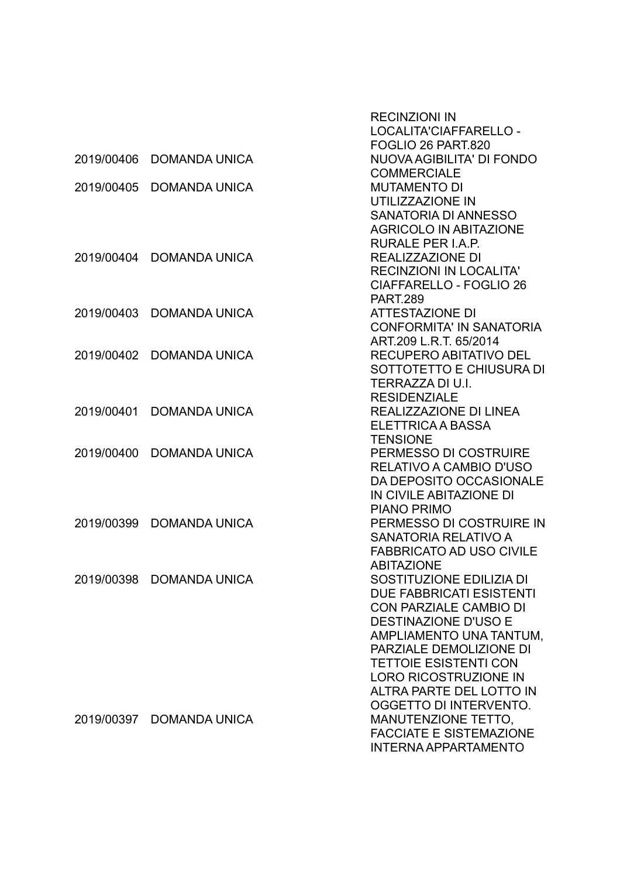|            |                          | <b>RECINZIONI IN</b>            |
|------------|--------------------------|---------------------------------|
|            |                          | LOCALITA'CIAFFARELLO -          |
|            |                          | FOGLIO 26 PART.820              |
| 2019/00406 | <b>DOMANDA UNICA</b>     | NUOVA AGIBILITA' DI FONDO       |
|            |                          | <b>COMMERCIALE</b>              |
| 2019/00405 | <b>DOMANDA UNICA</b>     | <b>MUTAMENTO DI</b>             |
|            |                          | UTILIZZAZIONE IN                |
|            |                          | <b>SANATORIA DI ANNESSO</b>     |
|            |                          | <b>AGRICOLO IN ABITAZIONE</b>   |
|            |                          | RURALE PER I.A.P.               |
| 2019/00404 | <b>DOMANDA UNICA</b>     | REALIZZAZIONE DI                |
|            |                          | <b>RECINZIONI IN LOCALITA'</b>  |
|            |                          | <b>CIAFFARELLO - FOGLIO 26</b>  |
|            |                          | <b>PART.289</b>                 |
| 2019/00403 | <b>DOMANDA UNICA</b>     | <b>ATTESTAZIONE DI</b>          |
|            |                          | <b>CONFORMITA' IN SANATORIA</b> |
|            |                          | ART.209 L.R.T. 65/2014          |
| 2019/00402 | <b>DOMANDA UNICA</b>     | <b>RECUPERO ABITATIVO DEL</b>   |
|            |                          | SOTTOTETTO E CHIUSURA DI        |
|            |                          | TERRAZZA DI U.I.                |
|            |                          | <b>RESIDENZIALE</b>             |
| 2019/00401 | <b>DOMANDA UNICA</b>     | REALIZZAZIONE DI LINEA          |
|            |                          | ELETTRICA A BASSA               |
|            |                          | <b>TENSIONE</b>                 |
| 2019/00400 | <b>DOMANDA UNICA</b>     | PERMESSO DI COSTRUIRE           |
|            |                          | RELATIVO A CAMBIO D'USO         |
|            |                          | DA DEPOSITO OCCASIONALE         |
|            |                          | IN CIVILE ABITAZIONE DI         |
|            |                          | <b>PIANO PRIMO</b>              |
| 2019/00399 | <b>DOMANDA UNICA</b>     | PERMESSO DI COSTRUIRE IN        |
|            |                          | SANATORIA RELATIVO A            |
|            |                          | <b>FABBRICATO AD USO CIVILE</b> |
|            |                          | <b>ABITAZIONE</b>               |
|            | 2019/00398 DOMANDA UNICA | SOSTITUZIONE EDILIZIA DI        |
|            |                          | <b>DUE FABBRICATI ESISTENTI</b> |
|            |                          | CON PARZIALE CAMBIO DI          |
|            |                          | <b>DESTINAZIONE D'USO E</b>     |
|            |                          | AMPLIAMENTO UNA TANTUM.         |
|            |                          | PARZIALE DEMOLIZIONE DI         |
|            |                          | <b>TETTOIE ESISTENTI CON</b>    |
|            |                          | <b>LORO RICOSTRUZIONE IN</b>    |
|            |                          | <b>ALTRA PARTE DEL LOTTO IN</b> |
|            |                          | OGGETTO DI INTERVENTO.          |
| 2019/00397 | <b>DOMANDA UNICA</b>     | <b>MANUTENZIONE TETTO,</b>      |
|            |                          | <b>FACCIATE E SISTEMAZIONE</b>  |
|            |                          | <b>INTERNA APPARTAMENTO</b>     |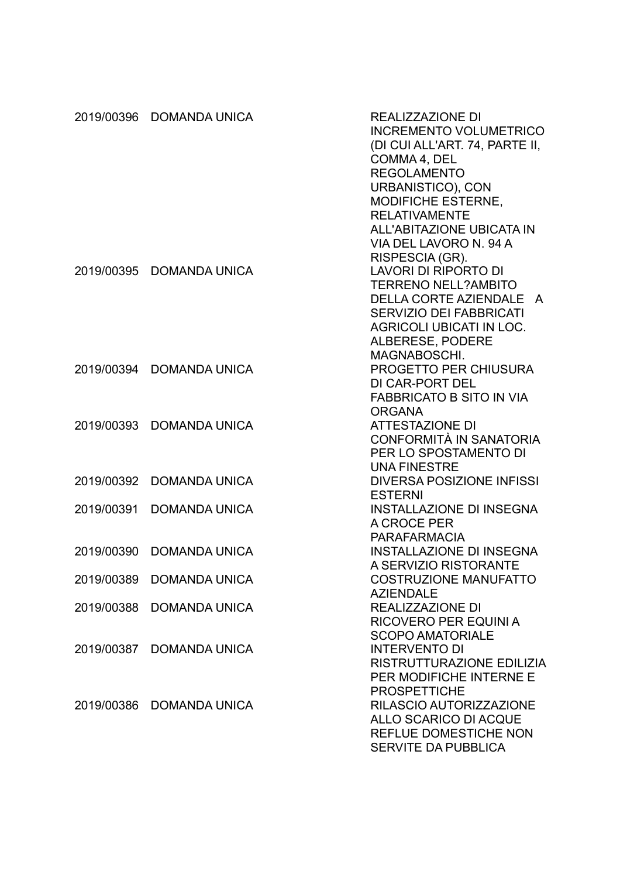|            | 2019/00396 DOMANDA UNICA | REALIZZAZIONE DI<br><b>INCREMENTO VOLUMETRICO</b><br>(DI CUI ALL'ART. 74, PARTE II,<br>COMMA 4, DEL<br><b>REGOLAMENTO</b><br>URBANISTICO), CON<br>MODIFICHE ESTERNE,<br><b>RELATIVAMENTE</b><br><b>ALL'ABITAZIONE UBICATA IN</b><br>VIA DEL LAVORO N. 94 A<br>RISPESCIA (GR). |
|------------|--------------------------|-------------------------------------------------------------------------------------------------------------------------------------------------------------------------------------------------------------------------------------------------------------------------------|
| 2019/00395 | <b>DOMANDA UNICA</b>     | <b>LAVORI DI RIPORTO DI</b><br><b>TERRENO NELL?AMBITO</b><br><b>DELLA CORTE AZIENDALE</b><br>A<br><b>SERVIZIO DEI FABBRICATI</b><br><b>AGRICOLI UBICATI IN LOC.</b><br>ALBERESE, PODERE<br>MAGNABOSCHI.                                                                       |
| 2019/00394 | <b>DOMANDA UNICA</b>     | <b>PROGETTO PER CHIUSURA</b><br><b>DI CAR-PORT DEL</b><br><b>FABBRICATO B SITO IN VIA</b><br><b>ORGANA</b>                                                                                                                                                                    |
| 2019/00393 | <b>DOMANDA UNICA</b>     | <b>ATTESTAZIONE DI</b><br>CONFORMITÀ IN SANATORIA<br>PER LO SPOSTAMENTO DI<br><b>UNA FINESTRE</b>                                                                                                                                                                             |
| 2019/00392 | <b>DOMANDA UNICA</b>     | <b>DIVERSA POSIZIONE INFISSI</b><br><b>ESTERNI</b>                                                                                                                                                                                                                            |
| 2019/00391 | <b>DOMANDA UNICA</b>     | <b>INSTALLAZIONE DI INSEGNA</b><br>A CROCE PER<br><b>PARAFARMACIA</b>                                                                                                                                                                                                         |
| 2019/00390 | <b>DOMANDA UNICA</b>     | <b>INSTALLAZIONE DI INSEGNA</b><br>A SERVIZIO RISTORANTE                                                                                                                                                                                                                      |
|            | 2019/00389 DOMANDA UNICA | <b>COSTRUZIONE MANUFATTO</b><br><b>AZIENDALE</b>                                                                                                                                                                                                                              |
|            | 2019/00388 DOMANDA UNICA | REALIZZAZIONE DI<br><b>RICOVERO PER EQUINI A</b><br><b>SCOPO AMATORIALE</b>                                                                                                                                                                                                   |
|            | 2019/00387 DOMANDA UNICA | <b>INTERVENTO DI</b><br>RISTRUTTURAZIONE EDILIZIA<br>PER MODIFICHE INTERNE E<br><b>PROSPETTICHE</b>                                                                                                                                                                           |
|            | 2019/00386 DOMANDA UNICA | RILASCIO AUTORIZZAZIONE<br><b>ALLO SCARICO DI ACQUE</b><br><b>REFLUE DOMESTICHE NON</b><br><b>SERVITE DA PUBBLICA</b>                                                                                                                                                         |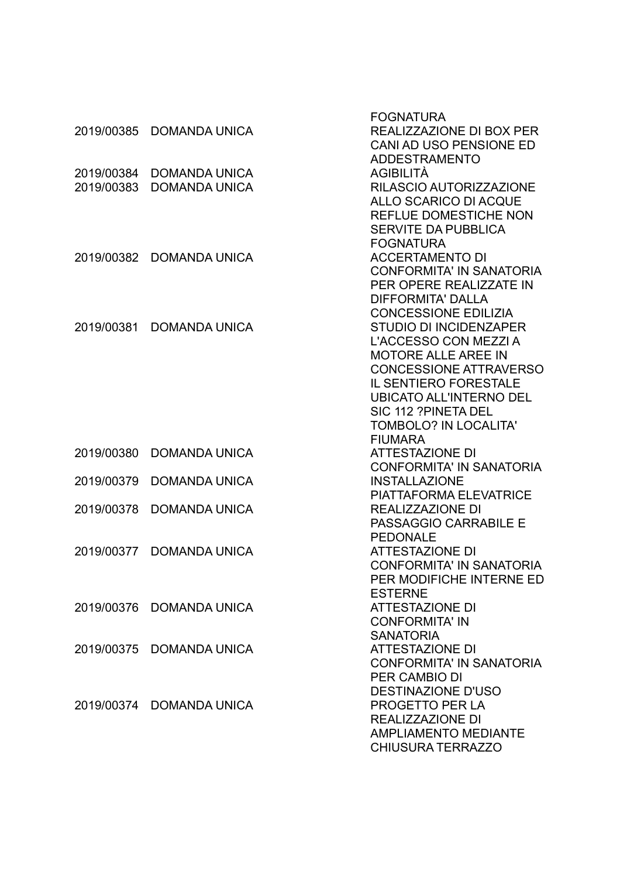|            |                          | <b>FOGNATURA</b>                |
|------------|--------------------------|---------------------------------|
| 2019/00385 | <b>DOMANDA UNICA</b>     | REALIZZAZIONE DI BOX PER        |
|            |                          | CANI AD USO PENSIONE ED         |
|            |                          | <b>ADDESTRAMENTO</b>            |
| 2019/00384 | <b>DOMANDA UNICA</b>     | AGIBILITÀ                       |
| 2019/00383 | <b>DOMANDA UNICA</b>     | RILASCIO AUTORIZZAZIONE         |
|            |                          | <b>ALLO SCARICO DI ACQUE</b>    |
|            |                          | <b>REFLUE DOMESTICHE NON</b>    |
|            |                          | <b>SERVITE DA PUBBLICA</b>      |
|            |                          | <b>FOGNATURA</b>                |
| 2019/00382 | <b>DOMANDA UNICA</b>     | <b>ACCERTAMENTO DI</b>          |
|            |                          | <b>CONFORMITA' IN SANATORIA</b> |
|            |                          | PER OPERE REALIZZATE IN         |
|            |                          | <b>DIFFORMITA' DALLA</b>        |
|            |                          | <b>CONCESSIONE EDILIZIA</b>     |
| 2019/00381 | <b>DOMANDA UNICA</b>     | <b>STUDIO DI INCIDENZAPER</b>   |
|            |                          | L'ACCESSO CON MEZZI A           |
|            |                          | <b>MOTORE ALLE AREE IN</b>      |
|            |                          | <b>CONCESSIONE ATTRAVERSO</b>   |
|            |                          | <b>IL SENTIERO FORESTALE</b>    |
|            |                          | <b>UBICATO ALL'INTERNO DEL</b>  |
|            |                          | SIC 112 ?PINETA DEL             |
|            |                          | <b>TOMBOLO? IN LOCALITA'</b>    |
|            |                          | <b>FIUMARA</b>                  |
| 2019/00380 | <b>DOMANDA UNICA</b>     | <b>ATTESTAZIONE DI</b>          |
|            |                          | <b>CONFORMITA' IN SANATORIA</b> |
| 2019/00379 | <b>DOMANDA UNICA</b>     | <b>INSTALLAZIONE</b>            |
|            |                          | <b>PIATTAFORMA ELEVATRICE</b>   |
| 2019/00378 | <b>DOMANDA UNICA</b>     | <b>REALIZZAZIONE DI</b>         |
|            |                          | PASSAGGIO CARRABILE E           |
|            |                          | <b>PEDONALE</b>                 |
| 2019/00377 | <b>DOMANDA UNICA</b>     | <b>ATTESTAZIONE DI</b>          |
|            |                          | <b>CONFORMITA' IN SANATORIA</b> |
|            |                          | PER MODIFICHE INTERNE ED        |
|            |                          | <b>ESTERNE</b>                  |
|            | 2019/00376 DOMANDA UNICA | <b>ATTESTAZIONE DI</b>          |
|            |                          | <b>CONFORMITA' IN</b>           |
|            |                          | <b>SANATORIA</b>                |
|            | 2019/00375 DOMANDA UNICA | <b>ATTESTAZIONE DI</b>          |
|            |                          | <b>CONFORMITA' IN SANATORIA</b> |
|            |                          | <b>PER CAMBIO DI</b>            |
|            |                          | <b>DESTINAZIONE D'USO</b>       |
|            | 2019/00374 DOMANDA UNICA | PROGETTO PER LA                 |
|            |                          | REALIZZAZIONE DI                |
|            |                          | <b>AMPLIAMENTO MEDIANTE</b>     |
|            |                          | <b>CHIUSURA TERRAZZO</b>        |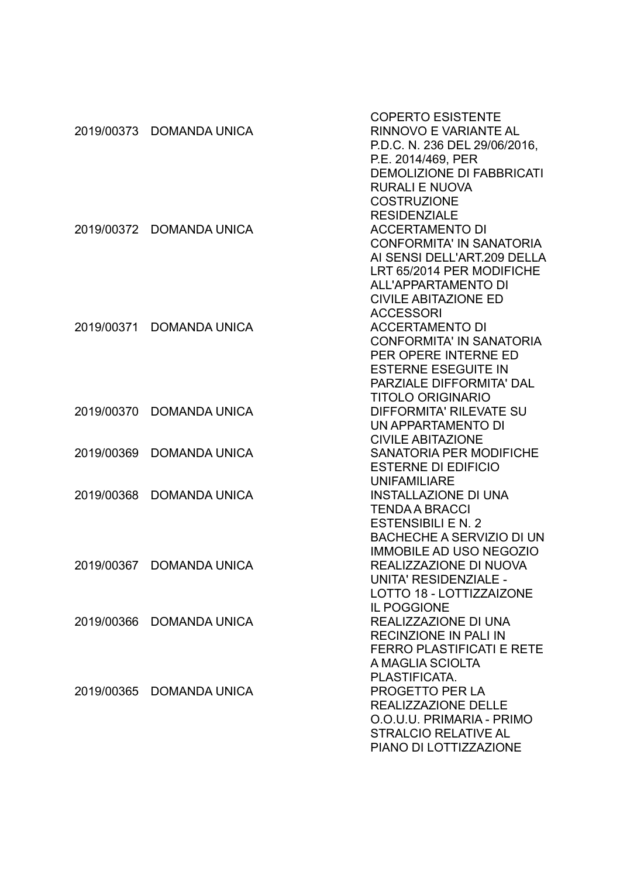|            |                          | <b>COPERTO ESISTENTE</b>         |
|------------|--------------------------|----------------------------------|
|            | 2019/00373 DOMANDA UNICA | RINNOVO E VARIANTE AL            |
|            |                          | P.D.C. N. 236 DEL 29/06/2016,    |
|            |                          | P.E. 2014/469, PER               |
|            |                          | <b>DEMOLIZIONE DI FABBRICATI</b> |
|            |                          | <b>RURALI E NUOVA</b>            |
|            |                          | <b>COSTRUZIONE</b>               |
|            |                          | <b>RESIDENZIALE</b>              |
| 2019/00372 | <b>DOMANDA UNICA</b>     | <b>ACCERTAMENTO DI</b>           |
|            |                          | <b>CONFORMITA' IN SANATORIA</b>  |
|            |                          | AI SENSI DELL'ART.209 DELLA      |
|            |                          | LRT 65/2014 PER MODIFICHE        |
|            |                          |                                  |
|            |                          | <b>ALL'APPARTAMENTO DI</b>       |
|            |                          | <b>CIVILE ABITAZIONE ED</b>      |
|            |                          | <b>ACCESSORI</b>                 |
| 2019/00371 | <b>DOMANDA UNICA</b>     | <b>ACCERTAMENTO DI</b>           |
|            |                          | <b>CONFORMITA' IN SANATORIA</b>  |
|            |                          | PER OPERE INTERNE ED             |
|            |                          | <b>ESTERNE ESEGUITE IN</b>       |
|            |                          | PARZIALE DIFFORMITA' DAL         |
|            |                          | <b>TITOLO ORIGINARIO</b>         |
| 2019/00370 | <b>DOMANDA UNICA</b>     | <b>DIFFORMITA' RILEVATE SU</b>   |
|            |                          | UN APPARTAMENTO DI               |
|            |                          | <b>CIVILE ABITAZIONE</b>         |
| 2019/00369 | <b>DOMANDA UNICA</b>     | <b>SANATORIA PER MODIFICHE</b>   |
|            |                          | <b>ESTERNE DI EDIFICIO</b>       |
|            |                          | <b>UNIFAMILIARE</b>              |
| 2019/00368 | <b>DOMANDA UNICA</b>     | <b>INSTALLAZIONE DI UNA</b>      |
|            |                          | <b>TENDA A BRACCI</b>            |
|            |                          | <b>ESTENSIBILI E N. 2</b>        |
|            |                          | <b>BACHECHE A SERVIZIO DI UN</b> |
|            |                          | <b>IMMOBILE AD USO NEGOZIO</b>   |
| 2019/00367 | <b>DOMANDA UNICA</b>     | REALIZZAZIONE DI NUOVA           |
|            |                          | UNITA' RESIDENZIALE -            |
|            |                          | LOTTO 18 - LOTTIZZAIZONE         |
|            |                          | <b>IL POGGIONE</b>               |
|            | 2019/00366 DOMANDA UNICA | REALIZZAZIONE DI UNA             |
|            |                          | <b>RECINZIONE IN PALI IN</b>     |
|            |                          | <b>FERRO PLASTIFICATI E RETE</b> |
|            |                          | A MAGLIA SCIOLTA                 |
|            |                          | PLASTIFICATA.                    |
|            | 2019/00365 DOMANDA UNICA | <b>PROGETTO PER LA</b>           |
|            |                          | REALIZZAZIONE DELLE              |
|            |                          | O.O.U.U. PRIMARIA - PRIMO        |
|            |                          | <b>STRALCIO RELATIVE AL</b>      |
|            |                          | PIANO DI LOTTIZZAZIONE           |
|            |                          |                                  |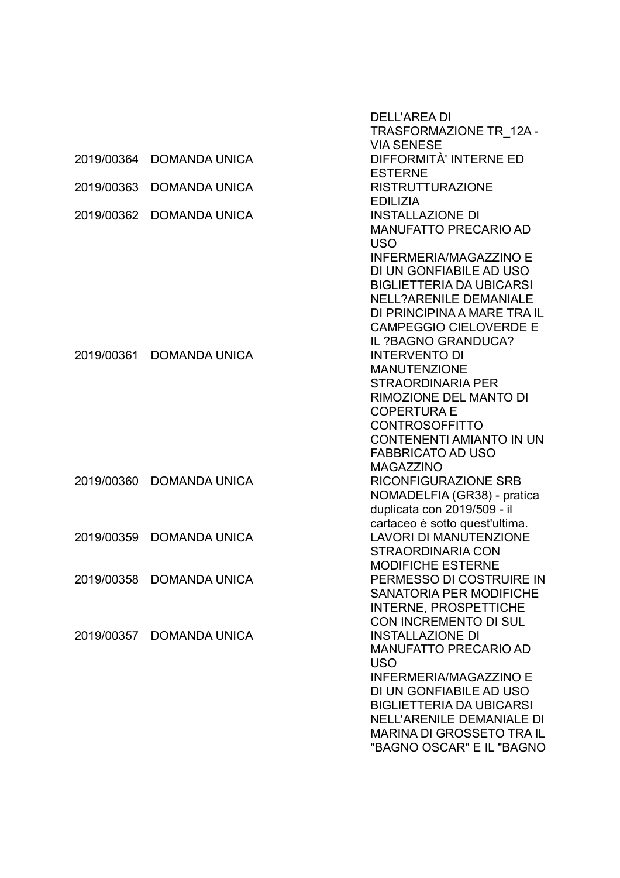|            |                          | <b>DELL'AREA DI</b>              |
|------------|--------------------------|----------------------------------|
|            |                          | TRASFORMAZIONE TR 12A-           |
|            |                          | <b>VIA SENESE</b>                |
| 2019/00364 | <b>DOMANDA UNICA</b>     | DIFFORMITÀ' INTERNE ED           |
|            |                          | <b>ESTERNE</b>                   |
| 2019/00363 | <b>DOMANDA UNICA</b>     | <b>RISTRUTTURAZIONE</b>          |
|            |                          | <b>EDILIZIA</b>                  |
| 2019/00362 | <b>DOMANDA UNICA</b>     | <b>INSTALLAZIONE DI</b>          |
|            |                          | <b>MANUFATTO PRECARIO AD</b>     |
|            |                          | <b>USO</b>                       |
|            |                          | <b>INFERMERIA/MAGAZZINO E</b>    |
|            |                          | DI UN GONFIABILE AD USO          |
|            |                          | <b>BIGLIETTERIA DA UBICARSI</b>  |
|            |                          | <b>NELL?ARENILE DEMANIALE</b>    |
|            |                          | DI PRINCIPINA A MARE TRA IL      |
|            |                          | <b>CAMPEGGIO CIELOVERDE E</b>    |
|            |                          | IL ?BAGNO GRANDUCA?              |
| 2019/00361 | <b>DOMANDA UNICA</b>     | <b>INTERVENTO DI</b>             |
|            |                          | <b>MANUTENZIONE</b>              |
|            |                          | <b>STRAORDINARIA PER</b>         |
|            |                          | RIMOZIONE DEL MANTO DI           |
|            |                          | <b>COPERTURA E</b>               |
|            |                          | <b>CONTROSOFFITTO</b>            |
|            |                          | <b>CONTENENTI AMIANTO IN UN</b>  |
|            |                          | <b>FABBRICATO AD USO</b>         |
|            |                          | <b>MAGAZZINO</b>                 |
| 2019/00360 | <b>DOMANDA UNICA</b>     | <b>RICONFIGURAZIONE SRB</b>      |
|            |                          | NOMADELFIA (GR38) - pratica      |
|            |                          | duplicata con 2019/509 - il      |
|            |                          | cartaceo è sotto quest'ultima.   |
| 2019/00359 | <b>DOMANDA UNICA</b>     | <b>LAVORI DI MANUTENZIONE</b>    |
|            |                          | <b>STRAORDINARIA CON</b>         |
|            |                          | <b>MODIFICHE ESTERNE</b>         |
|            | 2019/00358 DOMANDA UNICA | PERMESSO DI COSTRUIRE IN         |
|            |                          | SANATORIA PER MODIFICHE          |
|            |                          | <b>INTERNE, PROSPETTICHE</b>     |
|            |                          | CON INCREMENTO DI SUL            |
|            | 2019/00357 DOMANDA UNICA | <b>INSTALLAZIONE DI</b>          |
|            |                          | <b>MANUFATTO PRECARIO AD</b>     |
|            |                          | <b>USO</b>                       |
|            |                          | <b>INFERMERIA/MAGAZZINO E</b>    |
|            |                          | DI UN GONFIABILE AD USO          |
|            |                          | <b>BIGLIETTERIA DA UBICARSI</b>  |
|            |                          | <b>NELL'ARENILE DEMANIALE DI</b> |
|            |                          | <b>MARINA DI GROSSETO TRA IL</b> |
|            |                          | "BAGNO OSCAR" E IL "BAGNO        |
|            |                          |                                  |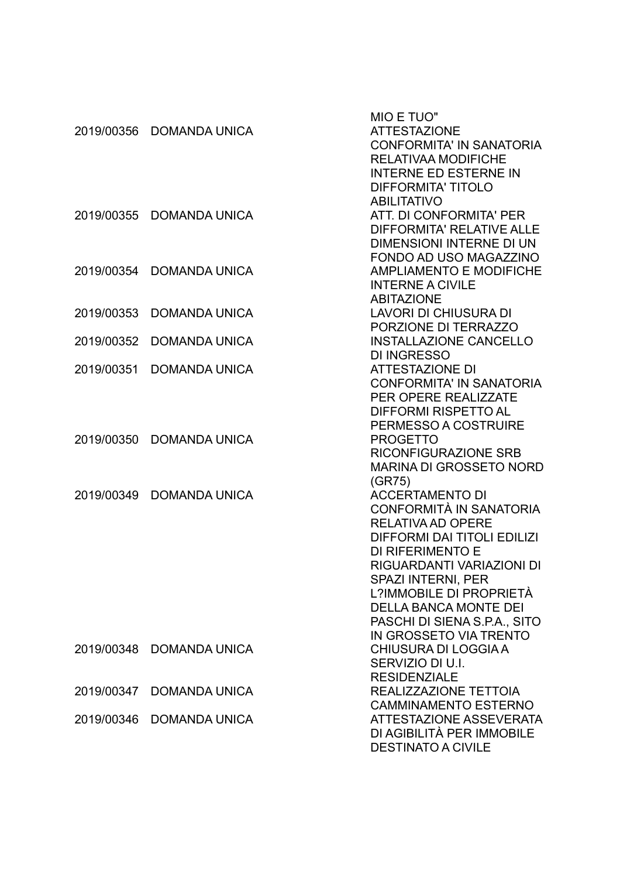| 2019/00356 | <b>DOMANDA UNICA</b>     | MIO E TUO"<br><b>ATTESTAZIONE</b><br><b>CONFORMITA' IN SANATORIA</b><br><b>RELATIVAA MODIFICHE</b><br><b>INTERNE ED ESTERNE IN</b><br><b>DIFFORMITA' TITOLO</b>                                                                                                                                                           |
|------------|--------------------------|---------------------------------------------------------------------------------------------------------------------------------------------------------------------------------------------------------------------------------------------------------------------------------------------------------------------------|
| 2019/00355 | <b>DOMANDA UNICA</b>     | <b>ABILITATIVO</b><br>ATT. DI CONFORMITA' PER<br>DIFFORMITA' RELATIVE ALLE<br>DIMENSIONI INTERNE DI UN                                                                                                                                                                                                                    |
| 2019/00354 | <b>DOMANDA UNICA</b>     | FONDO AD USO MAGAZZINO<br><b>AMPLIAMENTO E MODIFICHE</b><br><b>INTERNE A CIVILE</b><br><b>ABITAZIONE</b>                                                                                                                                                                                                                  |
| 2019/00353 | <b>DOMANDA UNICA</b>     | <b>LAVORI DI CHIUSURA DI</b><br>PORZIONE DI TERRAZZO                                                                                                                                                                                                                                                                      |
| 2019/00352 | <b>DOMANDA UNICA</b>     | <b>INSTALLAZIONE CANCELLO</b><br><b>DI INGRESSO</b>                                                                                                                                                                                                                                                                       |
| 2019/00351 | <b>DOMANDA UNICA</b>     | <b>ATTESTAZIONE DI</b><br><b>CONFORMITA' IN SANATORIA</b><br>PER OPERE REALIZZATE<br><b>DIFFORMI RISPETTO AL</b>                                                                                                                                                                                                          |
| 2019/00350 | <b>DOMANDA UNICA</b>     | PERMESSO A COSTRUIRE<br><b>PROGETTO</b><br><b>RICONFIGURAZIONE SRB</b><br><b>MARINA DI GROSSETO NORD</b>                                                                                                                                                                                                                  |
| 2019/00349 | <b>DOMANDA UNICA</b>     | (GR75)<br><b>ACCERTAMENTO DI</b><br>CONFORMITÀ IN SANATORIA<br><b>RELATIVA AD OPERE</b><br><b>DIFFORMI DAI TITOLI EDILIZI</b><br>DI RIFERIMENTO E<br>RIGUARDANTI VARIAZIONI DI<br>SPAZI INTERNI, PER<br>L?IMMOBILE DI PROPRIETÀ<br><b>DELLA BANCA MONTE DEI</b><br>PASCHI DI SIENA S.P.A., SITO<br>IN GROSSETO VIA TRENTO |
|            | 2019/00348 DOMANDA UNICA | <b>CHIUSURA DI LOGGIA A</b><br>SERVIZIO DI U.I.<br><b>RESIDENZIALE</b>                                                                                                                                                                                                                                                    |
| 2019/00347 | <b>DOMANDA UNICA</b>     | REALIZZAZIONE TETTOIA<br><b>CAMMINAMENTO ESTERNO</b>                                                                                                                                                                                                                                                                      |
|            | 2019/00346 DOMANDA UNICA | <b>ATTESTAZIONE ASSEVERATA</b><br>DI AGIBILITÀ PER IMMOBILE<br><b>DESTINATO A CIVILE</b>                                                                                                                                                                                                                                  |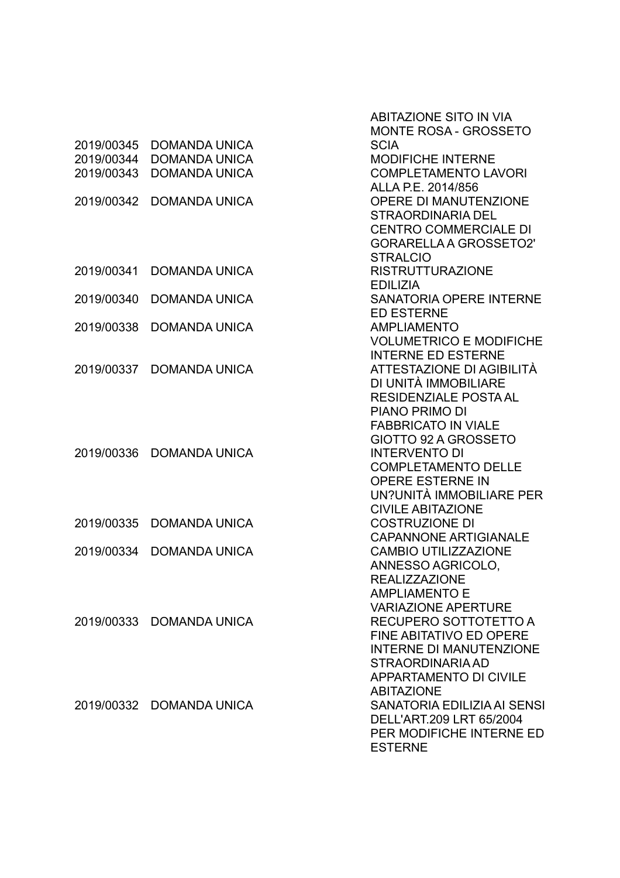|            |                      | <b>ABITAZIONE SITO IN VIA</b>  |
|------------|----------------------|--------------------------------|
|            |                      | <b>MONTE ROSA - GROSSETO</b>   |
| 2019/00345 | <b>DOMANDA UNICA</b> | <b>SCIA</b>                    |
| 2019/00344 | <b>DOMANDA UNICA</b> | <b>MODIFICHE INTERNE</b>       |
| 2019/00343 | <b>DOMANDA UNICA</b> | <b>COMPLETAMENTO LAVORI</b>    |
|            |                      | ALLA P.E. 2014/856             |
| 2019/00342 | <b>DOMANDA UNICA</b> | <b>OPERE DI MANUTENZIONE</b>   |
|            |                      | <b>STRAORDINARIA DEL</b>       |
|            |                      | <b>CENTRO COMMERCIALE DI</b>   |
|            |                      | <b>GORARELLA A GROSSETO2'</b>  |
|            |                      | <b>STRALCIO</b>                |
| 2019/00341 | <b>DOMANDA UNICA</b> | <b>RISTRUTTURAZIONE</b>        |
|            |                      | <b>EDILIZIA</b>                |
| 2019/00340 | <b>DOMANDA UNICA</b> | <b>SANATORIA OPERE INTERNE</b> |
|            |                      | <b>ED ESTERNE</b>              |
| 2019/00338 | <b>DOMANDA UNICA</b> | <b>AMPLIAMENTO</b>             |
|            |                      | <b>VOLUMETRICO E MODIFICHE</b> |
|            |                      | <b>INTERNE ED ESTERNE</b>      |
| 2019/00337 | <b>DOMANDA UNICA</b> | ATTESTAZIONE DI AGIBILITÀ      |
|            |                      | DI UNITÀ IMMOBILIARE           |
|            |                      | <b>RESIDENZIALE POSTA AL</b>   |
|            |                      | PIANO PRIMO DI                 |
|            |                      | <b>FABBRICATO IN VIALE</b>     |
|            |                      | GIOTTO 92 A GROSSETO           |
| 2019/00336 | <b>DOMANDA UNICA</b> | <b>INTERVENTO DI</b>           |
|            |                      | <b>COMPLETAMENTO DELLE</b>     |
|            |                      | <b>OPERE ESTERNE IN</b>        |
|            |                      | UN?UNITÀ IMMOBILIARE PER       |
|            |                      | <b>CIVILE ABITAZIONE</b>       |
| 2019/00335 | <b>DOMANDA UNICA</b> | <b>COSTRUZIONE DI</b>          |
|            |                      | <b>CAPANNONE ARTIGIANALE</b>   |
| 2019/00334 | <b>DOMANDA UNICA</b> | <b>CAMBIO UTILIZZAZIONE</b>    |
|            |                      | ANNESSO AGRICOLO,              |
|            |                      | <b>REALIZZAZIONE</b>           |
|            |                      | <b>AMPLIAMENTO E</b>           |
|            |                      | <b>VARIAZIONE APERTURE</b>     |
| 2019/00333 | <b>DOMANDA UNICA</b> | RECUPERO SOTTOTETTO A          |
|            |                      | <b>FINE ABITATIVO ED OPERE</b> |
|            |                      | <b>INTERNE DI MANUTENZIONE</b> |
|            |                      | STRAORDINARIA AD               |
|            |                      | <b>APPARTAMENTO DI CIVILE</b>  |
|            |                      | <b>ABITAZIONE</b>              |
| 2019/00332 | <b>DOMANDA UNICA</b> | SANATORIA EDILIZIA AI SENSI    |
|            |                      | DELL'ART.209 LRT 65/2004       |
|            |                      | PER MODIFICHE INTERNE ED       |
|            |                      | <b>ESTERNE</b>                 |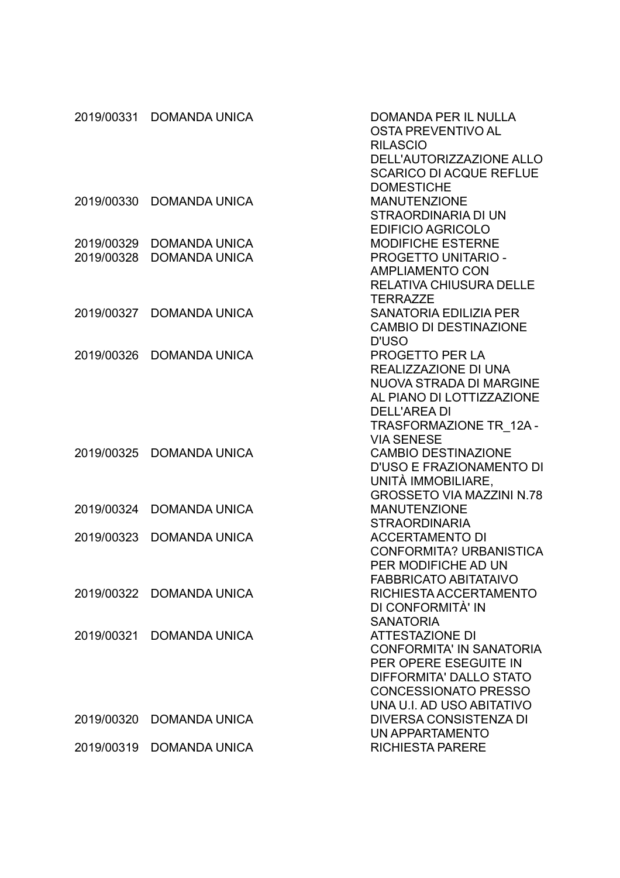| 2019/00331 | <b>DOMANDA UNICA</b>     | DOMANDA PER IL NULLA<br><b>OSTA PREVENTIVO AL</b><br><b>RILASCIO</b> |
|------------|--------------------------|----------------------------------------------------------------------|
|            |                          | DELL'AUTORIZZAZIONE ALLO                                             |
|            |                          | <b>SCARICO DI ACQUE REFLUE</b>                                       |
|            |                          | <b>DOMESTICHE</b>                                                    |
| 2019/00330 | <b>DOMANDA UNICA</b>     | <b>MANUTENZIONE</b>                                                  |
|            |                          | STRAORDINARIA DI UN                                                  |
|            |                          | <b>EDIFICIO AGRICOLO</b>                                             |
| 2019/00329 | <b>DOMANDA UNICA</b>     | <b>MODIFICHE ESTERNE</b>                                             |
| 2019/00328 | <b>DOMANDA UNICA</b>     | PROGETTO UNITARIO -                                                  |
|            |                          | <b>AMPLIAMENTO CON</b>                                               |
|            |                          | <b>RELATIVA CHIUSURA DELLE</b>                                       |
|            |                          | <b>TERRAZZE</b>                                                      |
| 2019/00327 | <b>DOMANDA UNICA</b>     | <b>SANATORIA EDILIZIA PER</b>                                        |
|            |                          | <b>CAMBIO DI DESTINAZIONE</b>                                        |
|            |                          | <b>D'USO</b>                                                         |
| 2019/00326 | <b>DOMANDA UNICA</b>     | PROGETTO PER LA                                                      |
|            |                          | REALIZZAZIONE DI UNA                                                 |
|            |                          | <b>NUOVA STRADA DI MARGINE</b>                                       |
|            |                          | AL PIANO DI LOTTIZZAZIONE                                            |
|            |                          | <b>DELL'AREA DI</b>                                                  |
|            |                          | TRASFORMAZIONE TR 12A-                                               |
|            |                          | <b>VIA SENESE</b>                                                    |
| 2019/00325 | <b>DOMANDA UNICA</b>     | <b>CAMBIO DESTINAZIONE</b>                                           |
|            |                          | D'USO E FRAZIONAMENTO DI                                             |
|            |                          | UNITÀ IMMOBILIARE,                                                   |
|            |                          | <b>GROSSETO VIA MAZZINI N.78</b>                                     |
| 2019/00324 | <b>DOMANDA UNICA</b>     | <b>MANUTENZIONE</b>                                                  |
|            |                          | <b>STRAORDINARIA</b>                                                 |
| 2019/00323 | <b>DOMANDA UNICA</b>     | <b>ACCERTAMENTO DI</b>                                               |
|            |                          | CONFORMITA? URBANISTICA                                              |
|            |                          | PER MODIFICHE AD UN                                                  |
|            |                          | <b>FABBRICATO ABITATAIVO</b>                                         |
|            | 2019/00322 DOMANDA UNICA | RICHIESTA ACCERTAMENTO                                               |
|            |                          | DI CONFORMITÀ' IN                                                    |
|            |                          | <b>SANATORIA</b>                                                     |
| 2019/00321 | <b>DOMANDA UNICA</b>     | <b>ATTESTAZIONE DI</b><br><b>CONFORMITA' IN SANATORIA</b>            |
|            |                          | PER OPERE ESEGUITE IN                                                |
|            |                          | DIFFORMITA' DALLO STATO                                              |
|            |                          | <b>CONCESSIONATO PRESSO</b>                                          |
|            |                          | UNA U.I. AD USO ABITATIVO                                            |
| 2019/00320 | <b>DOMANDA UNICA</b>     | DIVERSA CONSISTENZA DI                                               |
|            |                          | UN APPARTAMENTO                                                      |
| 2019/00319 | <b>DOMANDA UNICA</b>     | <b>RICHIESTA PARERE</b>                                              |
|            |                          |                                                                      |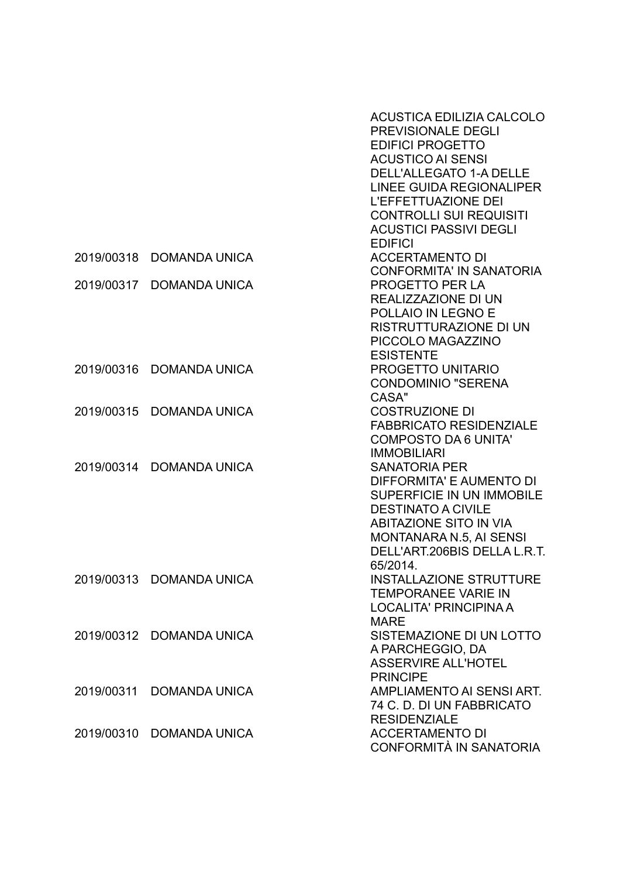|            |                          | ACUSTICA EDILIZIA CALCOLO<br>PREVISIONALE DEGLI<br><b>EDIFICI PROGETTO</b> |
|------------|--------------------------|----------------------------------------------------------------------------|
|            |                          | <b>ACUSTICO AI SENSI</b>                                                   |
|            |                          | <b>DELL'ALLEGATO 1-A DELLE</b>                                             |
|            |                          | <b>LINEE GUIDA REGIONALIPER</b>                                            |
|            |                          | <b>L'EFFETTUAZIONE DEI</b>                                                 |
|            |                          | <b>CONTROLLI SUI REQUISITI</b>                                             |
|            |                          | <b>ACUSTICI PASSIVI DEGLI</b>                                              |
|            |                          | <b>EDIFICI</b>                                                             |
|            | 2019/00318 DOMANDA UNICA | <b>ACCERTAMENTO DI</b>                                                     |
|            |                          | <b>CONFORMITA' IN SANATORIA</b>                                            |
| 2019/00317 | <b>DOMANDA UNICA</b>     | <b>PROGETTO PER LA</b>                                                     |
|            |                          | REALIZZAZIONE DI UN                                                        |
|            |                          | POLLAIO IN LEGNO E                                                         |
|            |                          | <b>RISTRUTTURAZIONE DI UN</b>                                              |
|            |                          | PICCOLO MAGAZZINO                                                          |
|            |                          | <b>ESISTENTE</b>                                                           |
|            | 2019/00316 DOMANDA UNICA | PROGETTO UNITARIO                                                          |
|            |                          | <b>CONDOMINIO "SERENA</b>                                                  |
|            |                          | CASA"                                                                      |
| 2019/00315 | <b>DOMANDA UNICA</b>     | <b>COSTRUZIONE DI</b>                                                      |
|            |                          | <b>FABBRICATO RESIDENZIALE</b>                                             |
|            |                          | <b>COMPOSTO DA 6 UNITA'</b>                                                |
|            |                          | <b>IMMOBILIARI</b>                                                         |
| 2019/00314 | <b>DOMANDA UNICA</b>     | <b>SANATORIA PER</b>                                                       |
|            |                          | DIFFORMITA' E AUMENTO DI                                                   |
|            |                          | SUPERFICIE IN UN IMMOBILE                                                  |
|            |                          | <b>DESTINATO A CIVILE</b>                                                  |
|            |                          | <b>ABITAZIONE SITO IN VIA</b>                                              |
|            |                          | MONTANARA N.5, AI SENSI                                                    |
|            |                          | DELL'ART.206BIS DELLA L.R.T.                                               |
|            |                          | 65/2014.                                                                   |
|            | 2019/00313 DOMANDA UNICA | <b>INSTALLAZIONE STRUTTURE</b>                                             |
|            |                          | <b>TEMPORANEE VARIE IN</b>                                                 |
|            |                          | <b>LOCALITA' PRINCIPINA A</b>                                              |
|            |                          | <b>MARE</b>                                                                |
|            | 2019/00312 DOMANDA UNICA | SISTEMAZIONE DI UN LOTTO                                                   |
|            |                          | A PARCHEGGIO, DA                                                           |
|            |                          | <b>ASSERVIRE ALL'HOTEL</b>                                                 |
|            |                          | <b>PRINCIPE</b>                                                            |
| 2019/00311 | <b>DOMANDA UNICA</b>     | AMPLIAMENTO AI SENSI ART.<br>74 C. D. DI UN FABBRICATO                     |
|            |                          | <b>RESIDENZIALE</b>                                                        |
|            | 2019/00310 DOMANDA UNICA | <b>ACCERTAMENTO DI</b>                                                     |
|            |                          | CONFORMITÀ IN SANATORIA                                                    |
|            |                          |                                                                            |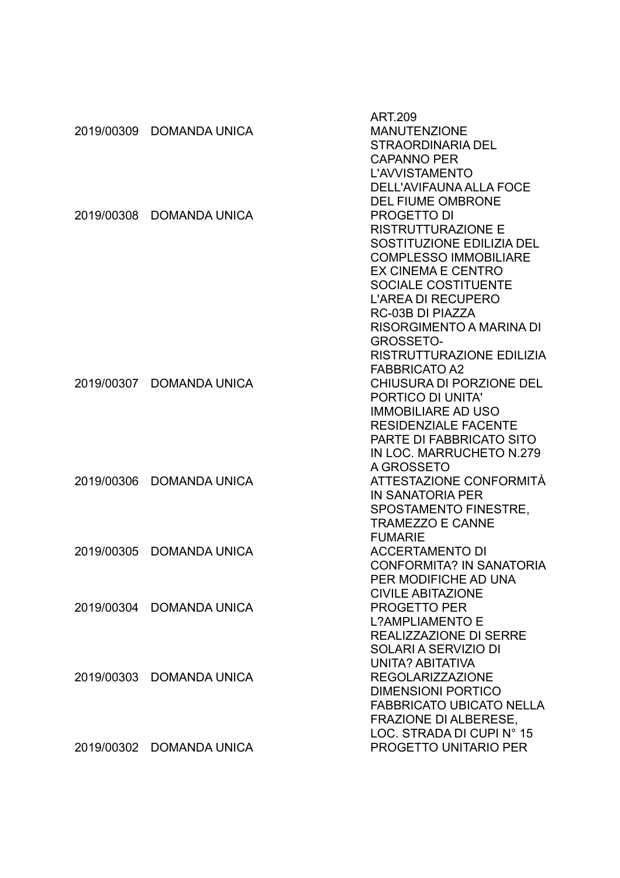|            |                          | <b>ART.209</b>                  |
|------------|--------------------------|---------------------------------|
| 2019/00309 | <b>DOMANDA UNICA</b>     | <b>MANUTENZIONE</b>             |
|            |                          | <b>STRAORDINARIA DEL</b>        |
|            |                          | <b>CAPANNO PER</b>              |
|            |                          | L'AVVISTAMENTO                  |
|            |                          | DELL'AVIFAUNA ALLA FOCE         |
|            |                          | <b>DEL FIUME OMBRONE</b>        |
| 2019/00308 | <b>DOMANDA UNICA</b>     | <b>PROGETTO DI</b>              |
|            |                          | <b>RISTRUTTURAZIONE E</b>       |
|            |                          | SOSTITUZIONE EDILIZIA DEL       |
|            |                          | <b>COMPLESSO IMMOBILIARE</b>    |
|            |                          | EX CINEMA E CENTRO              |
|            |                          | <b>SOCIALE COSTITUENTE</b>      |
|            |                          | <b>L'AREA DI RECUPERO</b>       |
|            |                          | RC-03B DI PIAZZA                |
|            |                          | RISORGIMENTO A MARINA DI        |
|            |                          | <b>GROSSETO-</b>                |
|            |                          | RISTRUTTURAZIONE EDILIZIA       |
|            |                          | <b>FABBRICATO A2</b>            |
| 2019/00307 | <b>DOMANDA UNICA</b>     | CHIUSURA DI PORZIONE DEL        |
|            |                          | PORTICO DI UNITA'               |
|            |                          | <b>IMMOBILIARE AD USO</b>       |
|            |                          | <b>RESIDENZIALE FACENTE</b>     |
|            |                          | PARTE DI FABBRICATO SITO        |
|            |                          | IN LOC. MARRUCHETO N.279        |
|            |                          | A GROSSETO                      |
| 2019/00306 | <b>DOMANDA UNICA</b>     | ATTESTAZIONE CONFORMITÀ         |
|            |                          | <b>IN SANATORIA PER</b>         |
|            |                          | SPOSTAMENTO FINESTRE,           |
|            |                          | <b>TRAMEZZO E CANNE</b>         |
|            |                          | <b>FUMARIE</b>                  |
| 2019/00305 | <b>DOMANDA UNICA</b>     | <b>ACCERTAMENTO DI</b>          |
|            |                          | <b>CONFORMITA? IN SANATORIA</b> |
|            |                          | PER MODIFICHE AD UNA            |
|            |                          | <b>CIVILE ABITAZIONE</b>        |
|            | 2019/00304 DOMANDA UNICA | <b>PROGETTO PER</b>             |
|            |                          | <b>L?AMPLIAMENTO E</b>          |
|            |                          | <b>REALIZZAZIONE DI SERRE</b>   |
|            |                          | SOLARI A SERVIZIO DI            |
|            |                          | UNITA? ABITATIVA                |
|            | 2019/00303 DOMANDA UNICA | <b>REGOLARIZZAZIONE</b>         |
|            |                          | <b>DIMENSIONI PORTICO</b>       |
|            |                          | <b>FABBRICATO UBICATO NELLA</b> |
|            |                          | <b>FRAZIONE DI ALBERESE,</b>    |
|            |                          | LOC. STRADA DI CUPI N° 15       |
|            | 2019/00302 DOMANDA UNICA | PROGETTO UNITARIO PER           |
|            |                          |                                 |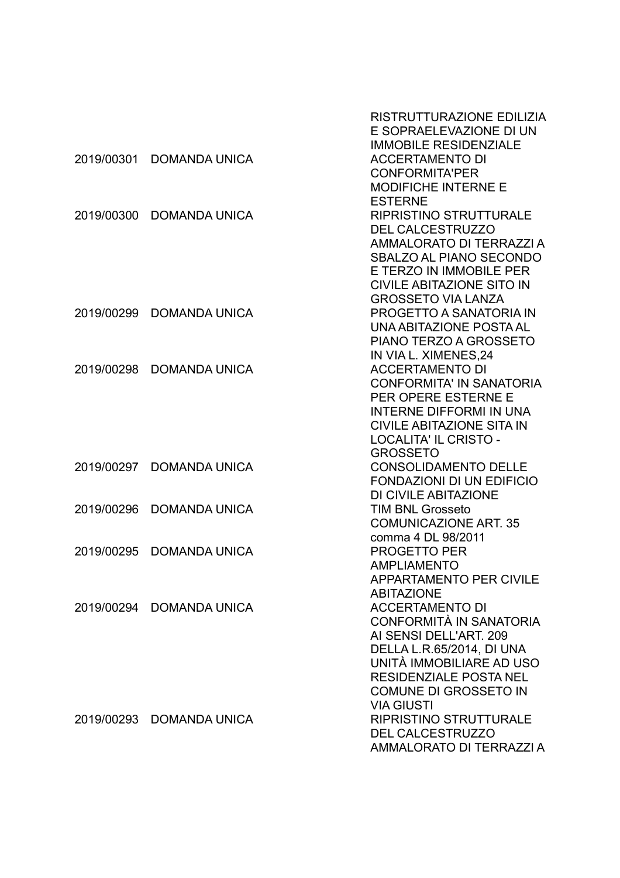|            |                          | RISTRUTTURAZIONE EDILIZIA        |
|------------|--------------------------|----------------------------------|
|            |                          | E SOPRAELEVAZIONE DI UN          |
|            |                          | <b>IMMOBILE RESIDENZIALE</b>     |
| 2019/00301 | <b>DOMANDA UNICA</b>     | <b>ACCERTAMENTO DI</b>           |
|            |                          | <b>CONFORMITA'PER</b>            |
|            |                          | <b>MODIFICHE INTERNE E</b>       |
|            |                          | <b>ESTERNE</b>                   |
| 2019/00300 | <b>DOMANDA UNICA</b>     | <b>RIPRISTINO STRUTTURALE</b>    |
|            |                          | <b>DEL CALCESTRUZZO</b>          |
|            |                          | AMMALORATO DI TERRAZZI A         |
|            |                          | SBALZO AL PIANO SECONDO          |
|            |                          | E TERZO IN IMMOBILE PER          |
|            |                          | <b>CIVILE ABITAZIONE SITO IN</b> |
|            |                          | <b>GROSSETO VIA LANZA</b>        |
| 2019/00299 | <b>DOMANDA UNICA</b>     | PROGETTO A SANATORIA IN          |
|            |                          | UNA ABITAZIONE POSTA AL          |
|            |                          | PIANO TERZO A GROSSETO           |
|            |                          | IN VIA L. XIMENES, 24            |
| 2019/00298 | <b>DOMANDA UNICA</b>     | <b>ACCERTAMENTO DI</b>           |
|            |                          | <b>CONFORMITA' IN SANATORIA</b>  |
|            |                          | PER OPERE ESTERNE E              |
|            |                          | <b>INTERNE DIFFORMI IN UNA</b>   |
|            |                          | <b>CIVILE ABITAZIONE SITA IN</b> |
|            |                          | <b>LOCALITA' IL CRISTO -</b>     |
|            |                          | <b>GROSSETO</b>                  |
| 2019/00297 | <b>DOMANDA UNICA</b>     | <b>CONSOLIDAMENTO DELLE</b>      |
|            |                          | <b>FONDAZIONI DI UN EDIFICIO</b> |
|            |                          | DI CIVILE ABITAZIONE             |
| 2019/00296 | <b>DOMANDA UNICA</b>     | <b>TIM BNL Grosseto</b>          |
|            |                          | <b>COMUNICAZIONE ART. 35</b>     |
|            |                          | comma 4 DL 98/2011               |
| 2019/00295 | <b>DOMANDA UNICA</b>     | <b>PROGETTO PER</b>              |
|            |                          | <b>AMPLIAMENTO</b>               |
|            |                          | <b>APPARTAMENTO PER CIVILE</b>   |
|            |                          | <b>ABITAZIONE</b>                |
|            | 2019/00294 DOMANDA UNICA | <b>ACCERTAMENTO DI</b>           |
|            |                          | CONFORMITÀ IN SANATORIA          |
|            |                          | AI SENSI DELL'ART. 209           |
|            |                          | DELLA L.R.65/2014, DI UNA        |
|            |                          | UNITÀ IMMOBILIARE AD USO         |
|            |                          | <b>RESIDENZIALE POSTA NEL</b>    |
|            |                          | <b>COMUNE DI GROSSETO IN</b>     |
|            |                          | <b>VIA GIUSTI</b>                |
|            | 2019/00293 DOMANDA UNICA | <b>RIPRISTINO STRUTTURALE</b>    |
|            |                          | <b>DEL CALCESTRUZZO</b>          |
|            |                          | AMMALORATO DI TERRAZZI A         |
|            |                          |                                  |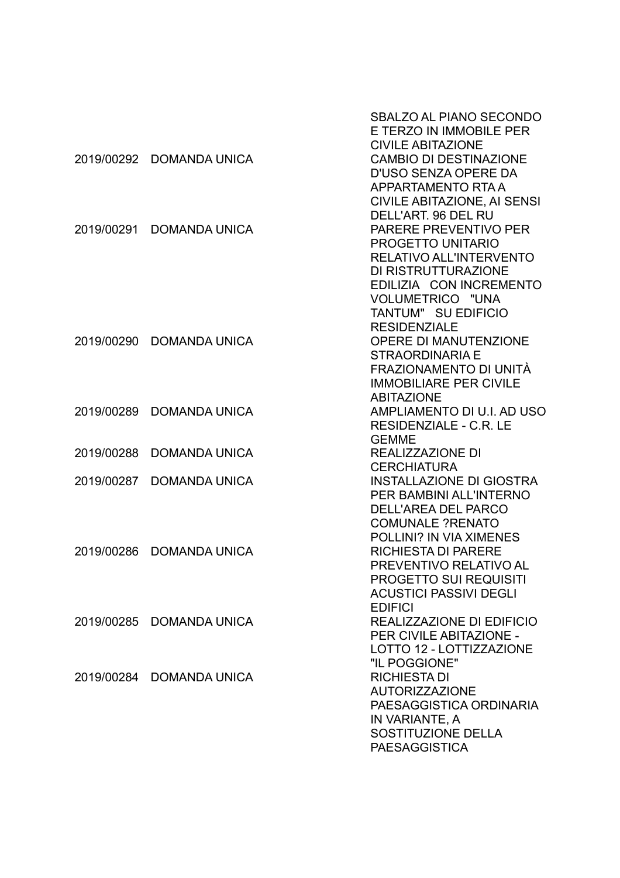|            |                          | SBALZO AL PIANO SECONDO<br>E TERZO IN IMMOBILE PER        |
|------------|--------------------------|-----------------------------------------------------------|
| 2019/00292 | <b>DOMANDA UNICA</b>     | <b>CIVILE ABITAZIONE</b><br><b>CAMBIO DI DESTINAZIONE</b> |
|            |                          | D'USO SENZA OPERE DA                                      |
|            |                          | APPARTAMENTO RTA A                                        |
|            |                          | <b>CIVILE ABITAZIONE, AI SENSI</b>                        |
|            |                          | DELL'ART. 96 DEL RU                                       |
| 2019/00291 | <b>DOMANDA UNICA</b>     | PARERE PREVENTIVO PER                                     |
|            |                          | <b>PROGETTO UNITARIO</b>                                  |
|            |                          | <b>RELATIVO ALL'INTERVENTO</b>                            |
|            |                          | DI RISTRUTTURAZIONE                                       |
|            |                          | EDILIZIA CON INCREMENTO                                   |
|            |                          | VOLUMETRICO "UNA                                          |
|            |                          | TANTUM" SU EDIFICIO                                       |
|            |                          | <b>RESIDENZIALE</b>                                       |
| 2019/00290 | <b>DOMANDA UNICA</b>     | <b>OPERE DI MANUTENZIONE</b>                              |
|            |                          | <b>STRAORDINARIA E</b>                                    |
|            |                          | FRAZIONAMENTO DI UNITÀ                                    |
|            |                          | <b>IMMOBILIARE PER CIVILE</b>                             |
|            |                          | <b>ABITAZIONE</b>                                         |
| 2019/00289 | <b>DOMANDA UNICA</b>     | AMPLIAMENTO DI U.I. AD USO                                |
|            |                          | RESIDENZIALE - C.R. LE                                    |
|            |                          | <b>GEMME</b>                                              |
| 2019/00288 | <b>DOMANDA UNICA</b>     | <b>REALIZZAZIONE DI</b>                                   |
|            |                          | <b>CERCHIATURA</b>                                        |
| 2019/00287 | <b>DOMANDA UNICA</b>     | <b>INSTALLAZIONE DI GIOSTRA</b>                           |
|            |                          | PER BAMBINI ALL'INTERNO                                   |
|            |                          | <b>DELL'AREA DEL PARCO</b>                                |
|            |                          | <b>COMUNALE ?RENATO</b>                                   |
|            |                          | <b>POLLINI? IN VIA XIMENES</b>                            |
| 2019/00286 | <b>DOMANDA UNICA</b>     | <b>RICHIESTA DI PARERE</b>                                |
|            |                          | PREVENTIVO RELATIVO AL                                    |
|            |                          | <b>PROGETTO SUI REQUISITI</b>                             |
|            |                          | <b>ACUSTICI PASSIVI DEGLI</b>                             |
|            |                          | <b>EDIFICI</b>                                            |
| 2019/00285 | <b>DOMANDA UNICA</b>     | REALIZZAZIONE DI EDIFICIO                                 |
|            |                          | PER CIVILE ABITAZIONE -                                   |
|            |                          | LOTTO 12 - LOTTIZZAZIONE<br>"IL POGGIONE"                 |
|            | 2019/00284 DOMANDA UNICA | <b>RICHIESTA DI</b>                                       |
|            |                          | <b>AUTORIZZAZIONE</b>                                     |
|            |                          | PAESAGGISTICA ORDINARIA                                   |
|            |                          | IN VARIANTE, A                                            |
|            |                          | SOSTITUZIONE DELLA                                        |
|            |                          | <b>PAESAGGISTICA</b>                                      |
|            |                          |                                                           |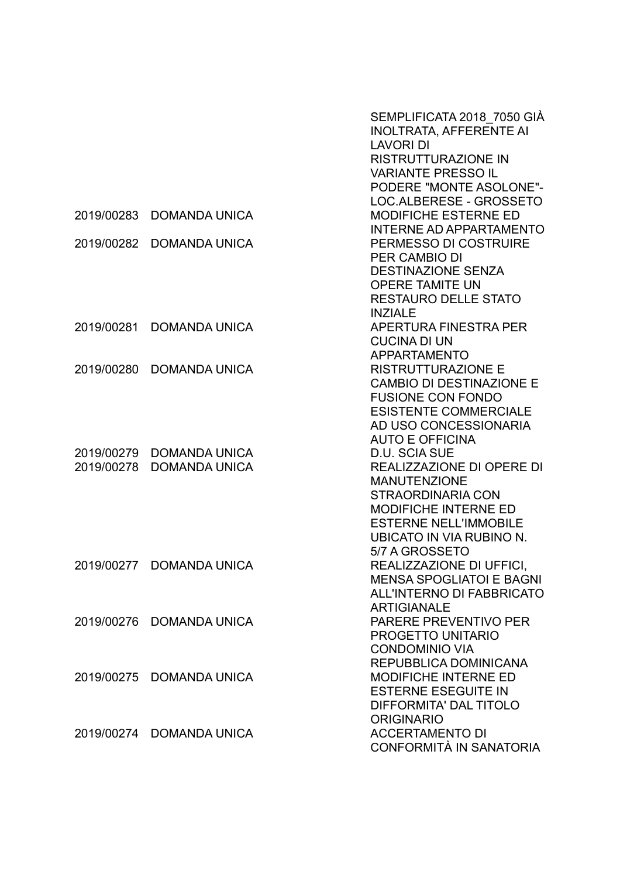|            |                          | SEMPLIFICATA 2018 7050 GIA<br><b>INOLTRATA, AFFERENTE AI</b><br><b>LAVORI DI</b><br><b>RISTRUTTURAZIONE IN</b><br><b>VARIANTE PRESSO IL</b> |
|------------|--------------------------|---------------------------------------------------------------------------------------------------------------------------------------------|
|            |                          | PODERE "MONTE ASOLONE"-                                                                                                                     |
|            |                          | LOC.ALBERESE - GROSSETO                                                                                                                     |
| 2019/00283 | <b>DOMANDA UNICA</b>     | <b>MODIFICHE ESTERNE ED</b>                                                                                                                 |
|            |                          | <b>INTERNE AD APPARTAMENTO</b>                                                                                                              |
| 2019/00282 | <b>DOMANDA UNICA</b>     | PERMESSO DI COSTRUIRE                                                                                                                       |
|            |                          | PER CAMBIO DI                                                                                                                               |
|            |                          | <b>DESTINAZIONE SENZA</b><br><b>OPERE TAMITE UN</b>                                                                                         |
|            |                          | <b>RESTAURO DELLE STATO</b>                                                                                                                 |
|            |                          | <b>INZIALE</b>                                                                                                                              |
| 2019/00281 | <b>DOMANDA UNICA</b>     | APERTURA FINESTRA PER                                                                                                                       |
|            |                          | <b>CUCINA DI UN</b>                                                                                                                         |
|            |                          | <b>APPARTAMENTO</b>                                                                                                                         |
| 2019/00280 | <b>DOMANDA UNICA</b>     | <b>RISTRUTTURAZIONE E</b>                                                                                                                   |
|            |                          | <b>CAMBIO DI DESTINAZIONE E</b>                                                                                                             |
|            |                          | <b>FUSIONE CON FONDO</b>                                                                                                                    |
|            |                          | <b>ESISTENTE COMMERCIALE</b>                                                                                                                |
|            |                          | AD USO CONCESSIONARIA<br><b>AUTO E OFFICINA</b>                                                                                             |
| 2019/00279 | <b>DOMANDA UNICA</b>     | D.U. SCIA SUE                                                                                                                               |
| 2019/00278 | <b>DOMANDA UNICA</b>     | REALIZZAZIONE DI OPERE DI                                                                                                                   |
|            |                          | <b>MANUTENZIONE</b>                                                                                                                         |
|            |                          | <b>STRAORDINARIA CON</b>                                                                                                                    |
|            |                          | <b>MODIFICHE INTERNE ED</b>                                                                                                                 |
|            |                          | <b>ESTERNE NELL'IMMOBILE</b>                                                                                                                |
|            |                          | UBICATO IN VIA RUBINO N.                                                                                                                    |
|            |                          | 5/7 A GROSSETO                                                                                                                              |
| 2019/00277 | <b>DOMANDA UNICA</b>     | REALIZZAZIONE DI UFFICI,<br><b>MENSA SPOGLIATOI E BAGNI</b>                                                                                 |
|            |                          | <b>ALL'INTERNO DI FABBRICATO</b>                                                                                                            |
|            |                          | <b>ARTIGIANALE</b>                                                                                                                          |
| 2019/00276 | <b>DOMANDA UNICA</b>     | PARERE PREVENTIVO PER                                                                                                                       |
|            |                          | PROGETTO UNITARIO                                                                                                                           |
|            |                          | <b>CONDOMINIO VIA</b>                                                                                                                       |
|            |                          | REPUBBLICA DOMINICANA                                                                                                                       |
| 2019/00275 | <b>DOMANDA UNICA</b>     | <b>MODIFICHE INTERNE ED</b>                                                                                                                 |
|            |                          | <b>ESTERNE ESEGUITE IN</b>                                                                                                                  |
|            |                          | DIFFORMITA' DAL TITOLO                                                                                                                      |
|            |                          | <b>ORIGINARIO</b>                                                                                                                           |
|            | 2019/00274 DOMANDA UNICA | <b>ACCERTAMENTO DI</b><br>CONFORMITÀ IN SANATORIA                                                                                           |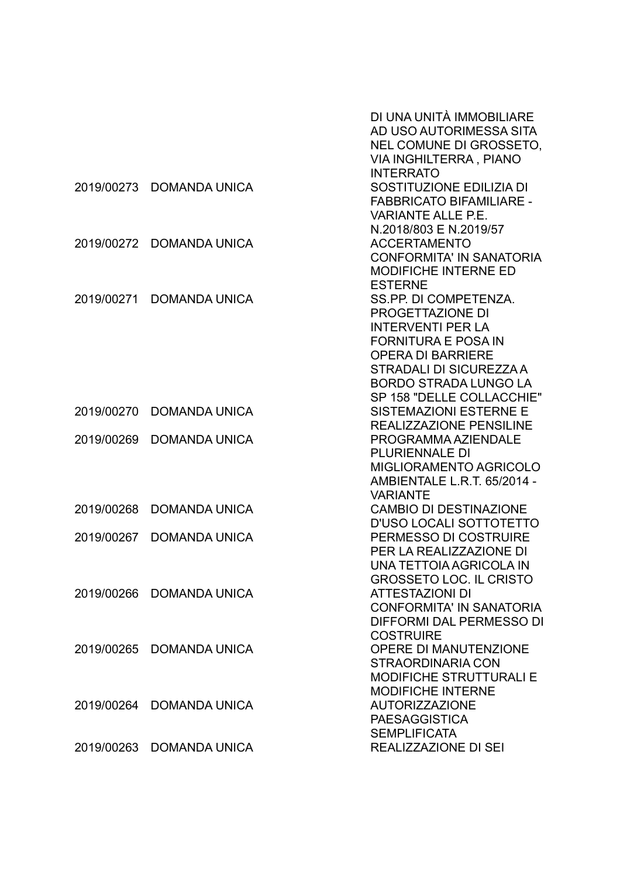|            |                          | DI UNA UNITÀ IMMOBILIARE<br>AD USO AUTORIMESSA SITA<br>NEL COMUNE DI GROSSETO,<br>VIA INGHILTERRA, PIANO<br><b>INTERRATO</b>                                                                                            |
|------------|--------------------------|-------------------------------------------------------------------------------------------------------------------------------------------------------------------------------------------------------------------------|
|            | 2019/00273 DOMANDA UNICA | SOSTITUZIONE EDILIZIA DI<br><b>FABBRICATO BIFAMILIARE -</b><br><b>VARIANTE ALLE P.E.</b><br>N.2018/803 E N.2019/57                                                                                                      |
| 2019/00272 | <b>DOMANDA UNICA</b>     | <b>ACCERTAMENTO</b><br><b>CONFORMITA' IN SANATORIA</b><br><b>MODIFICHE INTERNE ED</b><br><b>ESTERNE</b>                                                                                                                 |
| 2019/00271 | <b>DOMANDA UNICA</b>     | SS.PP. DI COMPETENZA.<br>PROGETTAZIONE DI<br><b>INTERVENTI PER LA</b><br><b>FORNITURA E POSA IN</b><br><b>OPERA DI BARRIERE</b><br>STRADALI DI SICUREZZA A<br><b>BORDO STRADA LUNGO LA</b><br>SP 158 "DELLE COLLACCHIE" |
| 2019/00270 | <b>DOMANDA UNICA</b>     | <b>SISTEMAZIONI ESTERNE E</b><br><b>REALIZZAZIONE PENSILINE</b>                                                                                                                                                         |
| 2019/00269 | <b>DOMANDA UNICA</b>     | PROGRAMMA AZIENDALE<br><b>PLURIENNALE DI</b><br><b>MIGLIORAMENTO AGRICOLO</b><br>AMBIENTALE L.R.T. 65/2014 -<br><b>VARIANTE</b>                                                                                         |
| 2019/00268 | <b>DOMANDA UNICA</b>     | <b>CAMBIO DI DESTINAZIONE</b><br>D'USO LOCALI SOTTOTETTO                                                                                                                                                                |
| 2019/00267 | <b>DOMANDA UNICA</b>     | PERMESSO DI COSTRUIRE<br>PER LA REALIZZAZIONE DI<br>UNA TETTOIA AGRICOLA IN<br><b>GROSSETO LOC. IL CRISTO</b>                                                                                                           |
|            | 2019/00266 DOMANDA UNICA | <b>ATTESTAZIONI DI</b><br><b>CONFORMITA' IN SANATORIA</b><br>DIFFORMI DAL PERMESSO DI<br><b>COSTRUIRE</b>                                                                                                               |
| 2019/00265 | <b>DOMANDA UNICA</b>     | <b>OPERE DI MANUTENZIONE</b><br><b>STRAORDINARIA CON</b><br><b>MODIFICHE STRUTTURALI E</b><br><b>MODIFICHE INTERNE</b>                                                                                                  |
| 2019/00264 | <b>DOMANDA UNICA</b>     | <b>AUTORIZZAZIONE</b><br><b>PAESAGGISTICA</b><br><b>SEMPLIFICATA</b>                                                                                                                                                    |
| 2019/00263 | <b>DOMANDA UNICA</b>     | <b>REALIZZAZIONE DI SEI</b>                                                                                                                                                                                             |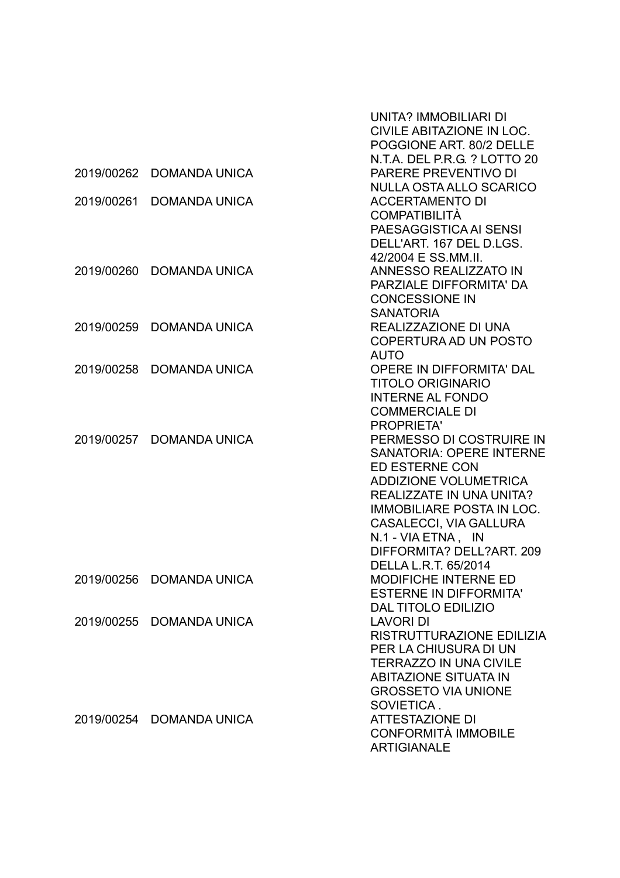|            |                          | UNITA? IMMOBILIARI DI<br>CIVILE ABITAZIONE IN LOC.<br>POGGIONE ART. 80/2 DELLE<br>N.T.A. DEL P.R.G. ? LOTTO 20                                                                                                                                                                                                 |
|------------|--------------------------|----------------------------------------------------------------------------------------------------------------------------------------------------------------------------------------------------------------------------------------------------------------------------------------------------------------|
| 2019/00262 | <b>DOMANDA UNICA</b>     | PARERE PREVENTIVO DI<br>NULLA OSTA ALLO SCARICO                                                                                                                                                                                                                                                                |
| 2019/00261 | <b>DOMANDA UNICA</b>     | <b>ACCERTAMENTO DI</b><br><b>COMPATIBILITÀ</b><br>PAESAGGISTICA AI SENSI                                                                                                                                                                                                                                       |
|            |                          | DELL'ART. 167 DEL D.LGS.<br>42/2004 E SS.MM.II.                                                                                                                                                                                                                                                                |
| 2019/00260 | <b>DOMANDA UNICA</b>     | ANNESSO REALIZZATO IN<br>PARZIALE DIFFORMITA' DA<br><b>CONCESSIONE IN</b><br><b>SANATORIA</b>                                                                                                                                                                                                                  |
| 2019/00259 | DOMANDA UNICA            | REALIZZAZIONE DI UNA<br>COPERTURA AD UN POSTO<br><b>AUTO</b>                                                                                                                                                                                                                                                   |
| 2019/00258 | <b>DOMANDA UNICA</b>     | <b>OPERE IN DIFFORMITA' DAL</b><br><b>TITOLO ORIGINARIO</b><br><b>INTERNE AL FONDO</b><br><b>COMMERCIALE DI</b><br><b>PROPRIETA'</b>                                                                                                                                                                           |
| 2019/00257 | <b>DOMANDA UNICA</b>     | PERMESSO DI COSTRUIRE IN<br><b>SANATORIA: OPERE INTERNE</b><br><b>ED ESTERNE CON</b><br><b>ADDIZIONE VOLUMETRICA</b><br><b>REALIZZATE IN UNA UNITA?</b><br><b>IMMOBILIARE POSTA IN LOC.</b><br><b>CASALECCI, VIA GALLURA</b><br>N.1 - VIA ETNA, IN<br>DIFFORMITA? DELL?ART. 209<br><b>DELLA L.R.T. 65/2014</b> |
|            | 2019/00256 DOMANDA UNICA | <b>MODIFICHE INTERNE ED</b><br><b>ESTERNE IN DIFFORMITA'</b><br><b>DAL TITOLO EDILIZIO</b>                                                                                                                                                                                                                     |
| 2019/00255 | <b>DOMANDA UNICA</b>     | <b>LAVORI DI</b><br>RISTRUTTURAZIONE EDILIZIA<br>PER LA CHIUSURA DI UN<br><b>TERRAZZO IN UNA CIVILE</b><br><b>ABITAZIONE SITUATA IN</b><br><b>GROSSETO VIA UNIONE</b><br>SOVIETICA.                                                                                                                            |
|            | 2019/00254 DOMANDA UNICA | <b>ATTESTAZIONE DI</b><br>CONFORMITÀ IMMOBILE<br><b>ARTIGIANALE</b>                                                                                                                                                                                                                                            |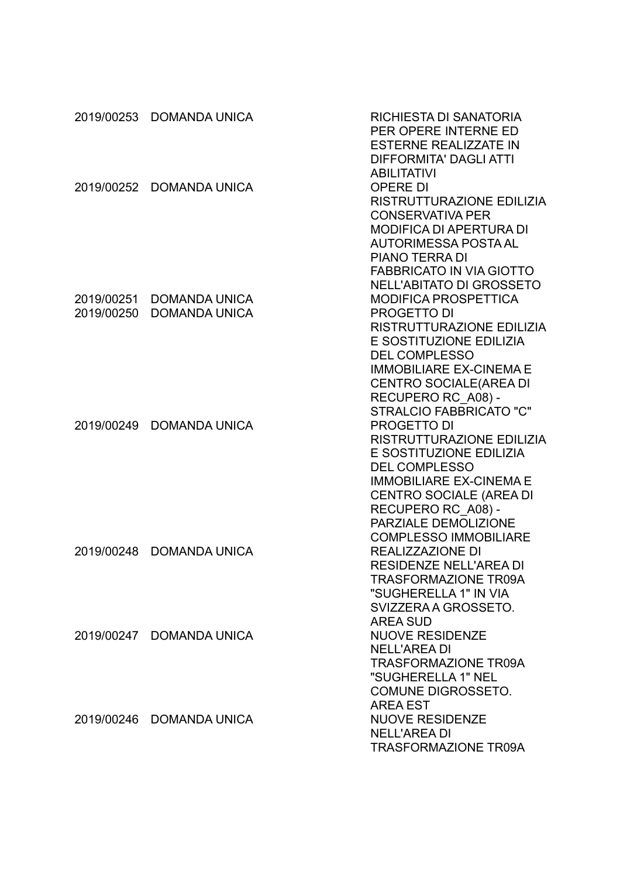|            | 2019/00253 DOMANDA UNICA | RICHIESTA DI SANATORIA<br>PER OPERE INTERNE ED<br><b>ESTERNE REALIZZATE IN</b> |
|------------|--------------------------|--------------------------------------------------------------------------------|
|            |                          | <b>DIFFORMITA' DAGLI ATTI</b>                                                  |
|            |                          | <b>ABILITATIVI</b>                                                             |
| 2019/00252 | <b>DOMANDA UNICA</b>     | <b>OPERE DI</b>                                                                |
|            |                          | RISTRUTTURAZIONE EDILIZIA                                                      |
|            |                          | <b>CONSERVATIVA PER</b><br><b>MODIFICA DI APERTURA DI</b>                      |
|            |                          | <b>AUTORIMESSA POSTA AL</b>                                                    |
|            |                          | <b>PIANO TERRA DI</b>                                                          |
|            |                          | <b>FABBRICATO IN VIA GIOTTO</b>                                                |
|            |                          | <b>NELL'ABITATO DI GROSSETO</b>                                                |
| 2019/00251 | <b>DOMANDA UNICA</b>     | <b>MODIFICA PROSPETTICA</b>                                                    |
| 2019/00250 | <b>DOMANDA UNICA</b>     | <b>PROGETTO DI</b>                                                             |
|            |                          | RISTRUTTURAZIONE EDILIZIA                                                      |
|            |                          | E SOSTITUZIONE EDILIZIA                                                        |
|            |                          | <b>DEL COMPLESSO</b>                                                           |
|            |                          | <b>IMMOBILIARE EX-CINEMA E</b>                                                 |
|            |                          | CENTRO SOCIALE(AREA DI<br>RECUPERO RC_A08) -                                   |
|            |                          | <b>STRALCIO FABBRICATO "C"</b>                                                 |
| 2019/00249 | <b>DOMANDA UNICA</b>     | PROGETTO DI                                                                    |
|            |                          | RISTRUTTURAZIONE EDILIZIA                                                      |
|            |                          | E SOSTITUZIONE EDILIZIA                                                        |
|            |                          | <b>DEL COMPLESSO</b>                                                           |
|            |                          | <b>IMMOBILIARE EX-CINEMA E</b>                                                 |
|            |                          | CENTRO SOCIALE (AREA DI                                                        |
|            |                          | RECUPERO RC A08) -                                                             |
|            |                          | PARZIALE DEMOLIZIONE<br><b>COMPLESSO IMMOBILIARE</b>                           |
|            | 2019/00248 DOMANDA UNICA | <b>REALIZZAZIONE DI</b>                                                        |
|            |                          | <b>RESIDENZE NELL'AREA DI</b>                                                  |
|            |                          | TRASFORMAZIONE TR09A                                                           |
|            |                          | "SUGHERELLA 1" IN VIA                                                          |
|            |                          | SVIZZERA A GROSSETO.                                                           |
|            |                          | <b>AREA SUD</b>                                                                |
|            | 2019/00247 DOMANDA UNICA | <b>NUOVE RESIDENZE</b>                                                         |
|            |                          | <b>NELL'AREA DI</b>                                                            |
|            |                          | <b>TRASFORMAZIONE TR09A</b>                                                    |
|            |                          | "SUGHERELLA 1" NEL<br><b>COMUNE DIGROSSETO.</b>                                |
|            |                          | <b>AREA EST</b>                                                                |
|            | 2019/00246 DOMANDA UNICA | <b>NUOVE RESIDENZE</b>                                                         |
|            |                          | <b>NELL'AREA DI</b>                                                            |
|            |                          | <b>TRASFORMAZIONE TR09A</b>                                                    |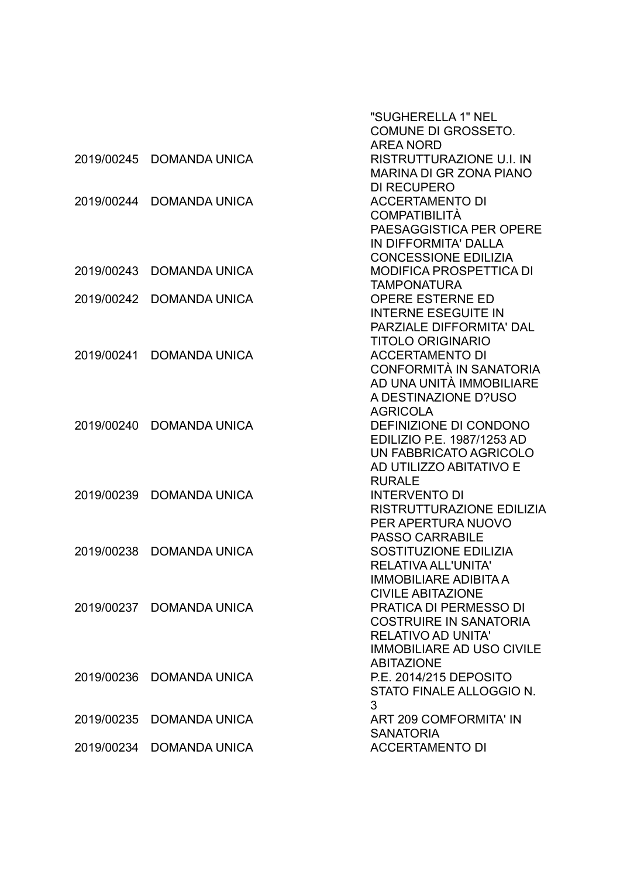|            |                          | "SUGHERELLA 1" NEL                                       |
|------------|--------------------------|----------------------------------------------------------|
|            |                          | <b>COMUNE DI GROSSETO.</b>                               |
|            |                          | <b>AREA NORD</b>                                         |
| 2019/00245 | <b>DOMANDA UNICA</b>     | RISTRUTTURAZIONE U.I. IN                                 |
|            |                          | <b>MARINA DI GR ZONA PIANO</b>                           |
|            |                          | <b>DI RECUPERO</b>                                       |
| 2019/00244 | <b>DOMANDA UNICA</b>     | <b>ACCERTAMENTO DI</b>                                   |
|            |                          | <b>COMPATIBILITÀ</b>                                     |
|            |                          | PAESAGGISTICA PER OPERE                                  |
|            |                          | IN DIFFORMITA' DALLA                                     |
|            |                          | <b>CONCESSIONE EDILIZIA</b>                              |
| 2019/00243 | <b>DOMANDA UNICA</b>     | <b>MODIFICA PROSPETTICA DI</b>                           |
|            |                          | <b>TAMPONATURA</b>                                       |
| 2019/00242 | <b>DOMANDA UNICA</b>     | <b>OPERE ESTERNE ED</b>                                  |
|            |                          | <b>INTERNE ESEGUITE IN</b>                               |
|            |                          | PARZIALE DIFFORMITA' DAL                                 |
|            |                          | <b>TITOLO ORIGINARIO</b>                                 |
| 2019/00241 | <b>DOMANDA UNICA</b>     | <b>ACCERTAMENTO DI</b><br><b>CONFORMITÀ IN SANATORIA</b> |
|            |                          | AD UNA UNITÀ IMMOBILIARE                                 |
|            |                          | A DESTINAZIONE D?USO                                     |
|            |                          | <b>AGRICOLA</b>                                          |
| 2019/00240 | <b>DOMANDA UNICA</b>     | DEFINIZIONE DI CONDONO                                   |
|            |                          | EDILIZIO P.E. 1987/1253 AD                               |
|            |                          | UN FABBRICATO AGRICOLO                                   |
|            |                          | AD UTILIZZO ABITATIVO E                                  |
|            |                          | <b>RURALE</b>                                            |
| 2019/00239 | <b>DOMANDA UNICA</b>     | <b>INTERVENTO DI</b>                                     |
|            |                          | RISTRUTTURAZIONE EDILIZIA                                |
|            |                          | PER APERTURA NUOVO                                       |
|            |                          | <b>PASSO CARRABILE</b>                                   |
| 2019/00238 | <b>DOMANDA UNICA</b>     | SOSTITUZIONE EDILIZIA                                    |
|            |                          | <b>RELATIVA ALL'UNITA'</b>                               |
|            |                          | IMMOBILIARE ADIBITA A                                    |
|            |                          | <b>CIVILE ABITAZIONE</b>                                 |
|            | 2019/00237 DOMANDA UNICA | PRATICA DI PERMESSO DI                                   |
|            |                          | <b>COSTRUIRE IN SANATORIA</b>                            |
|            |                          | <b>RELATIVO AD UNITA'</b>                                |
|            |                          | <b>IMMOBILIARE AD USO CIVILE</b>                         |
|            |                          | <b>ABITAZIONE</b>                                        |
| 2019/00236 | <b>DOMANDA UNICA</b>     | P.E. 2014/215 DEPOSITO                                   |
|            |                          | STATO FINALE ALLOGGIO N.                                 |
|            |                          | 3                                                        |
| 2019/00235 | <b>DOMANDA UNICA</b>     | <b>ART 209 COMFORMITA' IN</b>                            |
|            |                          | <b>SANATORIA</b>                                         |
| 2019/00234 | <b>DOMANDA UNICA</b>     | <b>ACCERTAMENTO DI</b>                                   |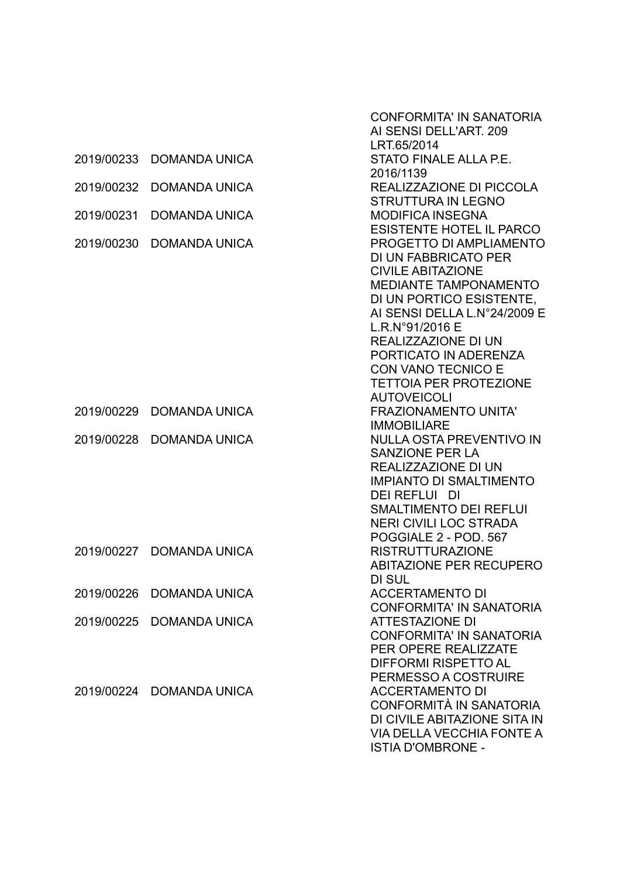|            |                          | <b>CONFORMITA' IN SANATORIA</b>                           |
|------------|--------------------------|-----------------------------------------------------------|
|            |                          | AI SENSI DELL'ART. 209                                    |
|            |                          | LRT.65/2014                                               |
| 2019/00233 | <b>DOMANDA UNICA</b>     | STATO FINALE ALLA P.E.                                    |
|            |                          | 2016/1139                                                 |
| 2019/00232 | <b>DOMANDA UNICA</b>     | REALIZZAZIONE DI PICCOLA                                  |
|            |                          | <b>STRUTTURA IN LEGNO</b>                                 |
| 2019/00231 | <b>DOMANDA UNICA</b>     | <b>MODIFICA INSEGNA</b>                                   |
|            |                          | <b>ESISTENTE HOTEL IL PARCO</b>                           |
| 2019/00230 | <b>DOMANDA UNICA</b>     | PROGETTO DI AMPLIAMENTO                                   |
|            |                          | DI UN FABBRICATO PER                                      |
|            |                          | <b>CIVILE ABITAZIONE</b>                                  |
|            |                          | <b>MEDIANTE TAMPONAMENTO</b>                              |
|            |                          | DI UN PORTICO ESISTENTE,                                  |
|            |                          | AI SENSI DELLA L.N°24/2009 E                              |
|            |                          | L.R.N°91/2016 E                                           |
|            |                          | REALIZZAZIONE DI UN                                       |
|            |                          | PORTICATO IN ADERENZA                                     |
|            |                          | CON VANO TECNICO E                                        |
|            |                          | <b>TETTOIA PER PROTEZIONE</b>                             |
|            |                          | <b>AUTOVEICOLI</b>                                        |
| 2019/00229 | <b>DOMANDA UNICA</b>     | <b>FRAZIONAMENTO UNITA'</b>                               |
|            |                          | <b>IMMOBILIARE</b>                                        |
| 2019/00228 | <b>DOMANDA UNICA</b>     | <b>NULLA OSTA PREVENTIVO IN</b>                           |
|            |                          | <b>SANZIONE PER LA</b>                                    |
|            |                          | <b>REALIZZAZIONE DI UN</b>                                |
|            |                          | <b>IMPIANTO DI SMALTIMENTO</b>                            |
|            |                          | <b>DEI REFLUI DI</b>                                      |
|            |                          | <b>SMALTIMENTO DEI REFLUI</b>                             |
|            |                          | <b>NERI CIVILI LOC STRADA</b>                             |
|            |                          | POGGIALE 2 - POD. 567                                     |
| 2019/00227 | <b>DOMANDA UNICA</b>     | <b>RISTRUTTURAZIONE</b>                                   |
|            |                          | <b>ABITAZIONE PER RECUPERO</b>                            |
|            |                          | DI SUL                                                    |
|            |                          |                                                           |
| 2019/00226 | <b>DOMANDA UNICA</b>     | <b>ACCERTAMENTO DI</b><br><b>CONFORMITA' IN SANATORIA</b> |
|            |                          |                                                           |
| 2019/00225 | <b>DOMANDA UNICA</b>     | <b>ATTESTAZIONE DI</b>                                    |
|            |                          | <b>CONFORMITA' IN SANATORIA</b>                           |
|            |                          | <b>PER OPERE REALIZZATE</b>                               |
|            |                          | DIFFORMI RISPETTO AL                                      |
|            |                          | PERMESSO A COSTRUIRE                                      |
|            | 2019/00224 DOMANDA UNICA | <b>ACCERTAMENTO DI</b>                                    |
|            |                          | CONFORMITÀ IN SANATORIA                                   |
|            |                          | DI CIVILE ABITAZIONE SITA IN                              |
|            |                          | VIA DELLA VECCHIA FONTE A                                 |
|            |                          | <b>ISTIA D'OMBRONE -</b>                                  |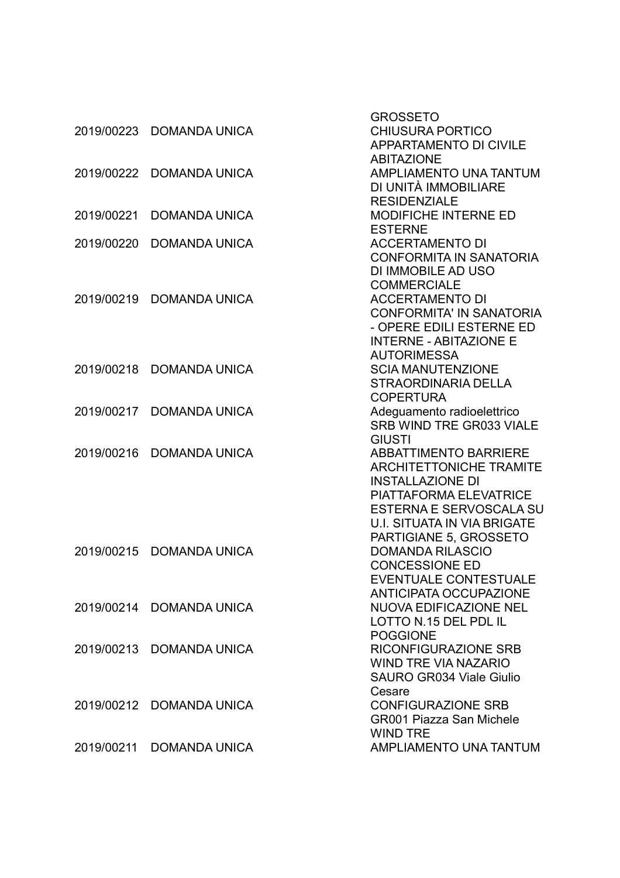|            |                          | <b>GROSSETO</b>                                               |
|------------|--------------------------|---------------------------------------------------------------|
| 2019/00223 | <b>DOMANDA UNICA</b>     | <b>CHIUSURA PORTICO</b>                                       |
|            |                          | <b>APPARTAMENTO DI CIVILE</b>                                 |
|            |                          | <b>ABITAZIONE</b>                                             |
| 2019/00222 | <b>DOMANDA UNICA</b>     | AMPLIAMENTO UNA TANTUM                                        |
|            |                          | DI UNITÀ IMMOBILIARE                                          |
|            |                          | <b>RESIDENZIALE</b>                                           |
| 2019/00221 | <b>DOMANDA UNICA</b>     | <b>MODIFICHE INTERNE ED</b>                                   |
|            |                          | <b>ESTERNE</b>                                                |
| 2019/00220 | <b>DOMANDA UNICA</b>     | <b>ACCERTAMENTO DI</b>                                        |
|            |                          | <b>CONFORMITA IN SANATORIA</b>                                |
|            |                          | DI IMMOBILE AD USO                                            |
|            |                          | <b>COMMERCIALE</b>                                            |
|            | 2019/00219 DOMANDA UNICA | <b>ACCERTAMENTO DI</b>                                        |
|            |                          | <b>CONFORMITA' IN SANATORIA</b>                               |
|            |                          | - OPERE EDILI ESTERNE ED                                      |
|            |                          | <b>INTERNE - ABITAZIONE E</b>                                 |
|            |                          | <b>AUTORIMESSA</b>                                            |
| 2019/00218 | <b>DOMANDA UNICA</b>     | <b>SCIA MANUTENZIONE</b>                                      |
|            |                          | <b>STRAORDINARIA DELLA</b>                                    |
|            |                          | <b>COPERTURA</b>                                              |
| 2019/00217 | <b>DOMANDA UNICA</b>     | Adeguamento radioelettrico                                    |
|            |                          | SRB WIND TRE GR033 VIALE                                      |
|            |                          | <b>GIUSTI</b>                                                 |
| 2019/00216 | <b>DOMANDA UNICA</b>     | <b>ABBATTIMENTO BARRIERE</b>                                  |
|            |                          | <b>ARCHITETTONICHE TRAMITE</b>                                |
|            |                          | <b>INSTALLAZIONE DI</b>                                       |
|            |                          | <b>PIATTAFORMA ELEVATRICE</b>                                 |
|            |                          | ESTERNA E SERVOSCALA SU                                       |
|            |                          |                                                               |
|            |                          | <b>U.I. SITUATA IN VIA BRIGATE</b>                            |
|            |                          | PARTIGIANE 5, GROSSETO                                        |
| 2019/00215 | <b>DOMANDA UNICA</b>     | <b>DOMANDA RILASCIO</b>                                       |
|            |                          | <b>CONCESSIONE ED</b>                                         |
|            |                          | <b>EVENTUALE CONTESTUALE</b><br><b>ANTICIPATA OCCUPAZIONE</b> |
|            |                          |                                                               |
|            | 2019/00214 DOMANDA UNICA | <b>NUOVA EDIFICAZIONE NEL</b>                                 |
|            |                          | LOTTO N.15 DEL PDL IL                                         |
|            |                          | <b>POGGIONE</b>                                               |
| 2019/00213 | <b>DOMANDA UNICA</b>     | <b>RICONFIGURAZIONE SRB</b>                                   |
|            |                          | <b>WIND TRE VIA NAZARIO</b>                                   |
|            |                          | <b>SAURO GR034 Viale Giulio</b>                               |
|            |                          | Cesare                                                        |
|            | 2019/00212 DOMANDA UNICA | <b>CONFIGURAZIONE SRB</b>                                     |
|            |                          | <b>GR001 Piazza San Michele</b>                               |
|            |                          | <b>WIND TRE</b>                                               |
|            | 2019/00211 DOMANDA UNICA | AMPLIAMENTO UNA TANTUM                                        |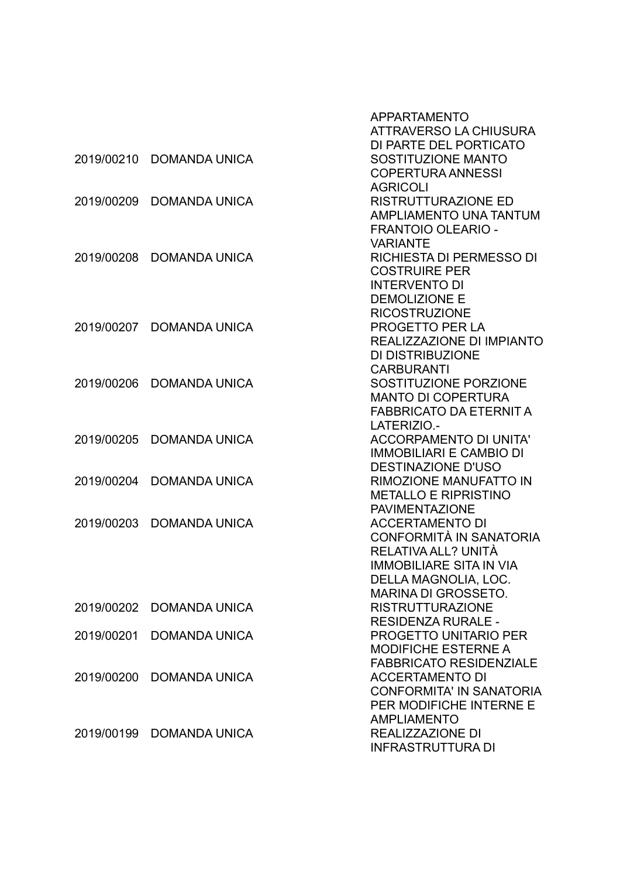|            |                      | APPARTAMENTO<br>ATTRAVERSO LA CHIUSURA<br>DI PARTE DEL PORTICATO                                                                   |
|------------|----------------------|------------------------------------------------------------------------------------------------------------------------------------|
| 2019/00210 | <b>DOMANDA UNICA</b> | SOSTITUZIONE MANTO<br><b>COPERTURA ANNESSI</b><br><b>AGRICOLI</b>                                                                  |
| 2019/00209 | <b>DOMANDA UNICA</b> | <b>RISTRUTTURAZIONE ED</b><br><b>AMPLIAMENTO UNA TANTUM</b><br><b>FRANTOIO OLEARIO -</b>                                           |
| 2019/00208 | <b>DOMANDA UNICA</b> | <b>VARIANTE</b><br>RICHIESTA DI PERMESSO DI<br><b>COSTRUIRE PER</b>                                                                |
| 2019/00207 | <b>DOMANDA UNICA</b> | <b>INTERVENTO DI</b><br><b>DEMOLIZIONE E</b><br><b>RICOSTRUZIONE</b><br>PROGETTO PER LA                                            |
|            |                      | REALIZZAZIONE DI IMPIANTO<br>DI DISTRIBUZIONE<br><b>CARBURANTI</b>                                                                 |
| 2019/00206 | <b>DOMANDA UNICA</b> | SOSTITUZIONE PORZIONE<br><b>MANTO DI COPERTURA</b><br><b>FABBRICATO DA ETERNIT A</b>                                               |
| 2019/00205 | <b>DOMANDA UNICA</b> | LATERIZIO.-<br><b>ACCORPAMENTO DI UNITA'</b><br><b>IMMOBILIARI E CAMBIO DI</b><br><b>DESTINAZIONE D'USO</b>                        |
| 2019/00204 | <b>DOMANDA UNICA</b> | <b>RIMOZIONE MANUFATTO IN</b><br><b>METALLO E RIPRISTINO</b><br><b>PAVIMENTAZIONE</b>                                              |
| 2019/00203 | <b>DOMANDA UNICA</b> | <b>ACCERTAMENTO DI</b><br>CONFORMITÀ IN SANATORIA<br>RELATIVA ALL? UNITÀ<br><b>IMMOBILIARE SITA IN VIA</b><br>DELLA MAGNOLIA, LOC. |
| 2019/00202 | <b>DOMANDA UNICA</b> | <b>MARINA DI GROSSETO.</b><br><b>RISTRUTTURAZIONE</b><br><b>RESIDENZA RURALE -</b>                                                 |
| 2019/00201 | <b>DOMANDA UNICA</b> | <b>PROGETTO UNITARIO PER</b><br><b>MODIFICHE ESTERNE A</b>                                                                         |
| 2019/00200 | <b>DOMANDA UNICA</b> | <b>FABBRICATO RESIDENZIALE</b><br><b>ACCERTAMENTO DI</b><br><b>CONFORMITA' IN SANATORIA</b><br>PER MODIFICHE INTERNE E             |
| 2019/00199 | <b>DOMANDA UNICA</b> | <b>AMPLIAMENTO</b><br><b>REALIZZAZIONE DI</b><br><b>INFRASTRUTTURA DI</b>                                                          |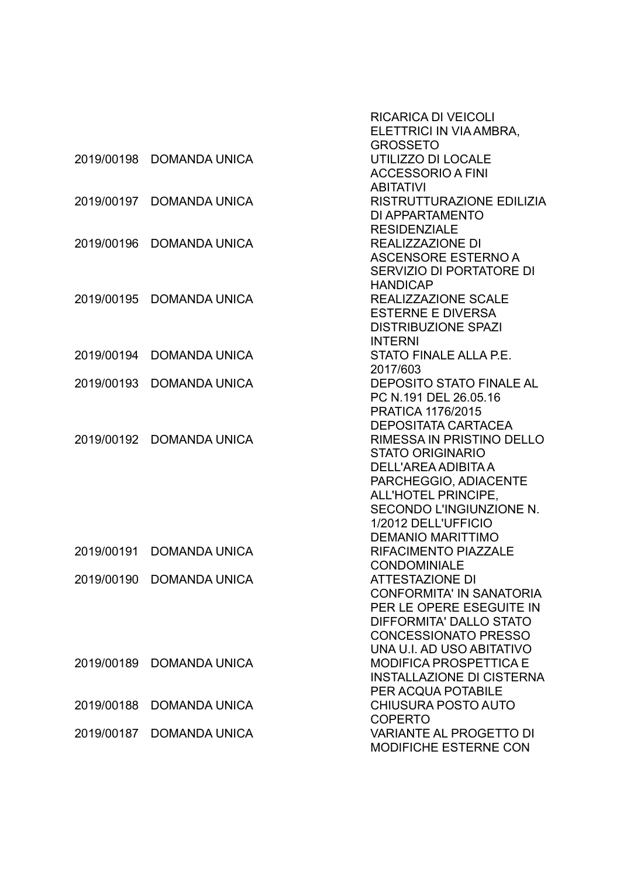|            |                          | <b>RICARICA DI VEICOLI</b><br>ELETTRICI IN VIA AMBRA,      |
|------------|--------------------------|------------------------------------------------------------|
|            |                          | <b>GROSSETO</b>                                            |
| 2019/00198 | <b>DOMANDA UNICA</b>     | UTILIZZO DI LOCALE                                         |
|            |                          | <b>ACCESSORIO A FINI</b>                                   |
|            |                          | <b>ABITATIVI</b>                                           |
| 2019/00197 | <b>DOMANDA UNICA</b>     | RISTRUTTURAZIONE EDILIZIA                                  |
|            |                          | DI APPARTAMENTO                                            |
|            |                          | <b>RESIDENZIALE</b>                                        |
| 2019/00196 | <b>DOMANDA UNICA</b>     | <b>REALIZZAZIONE DI</b>                                    |
|            |                          | ASCENSORE ESTERNO A                                        |
|            |                          | SERVIZIO DI PORTATORE DI                                   |
|            |                          | <b>HANDICAP</b>                                            |
| 2019/00195 | <b>DOMANDA UNICA</b>     | REALIZZAZIONE SCALE                                        |
|            |                          | <b>ESTERNE E DIVERSA</b>                                   |
|            |                          | <b>DISTRIBUZIONE SPAZI</b>                                 |
|            |                          | <b>INTERNI</b>                                             |
| 2019/00194 | <b>DOMANDA UNICA</b>     | STATO FINALE ALLA P.E.                                     |
|            |                          | 2017/603                                                   |
| 2019/00193 | <b>DOMANDA UNICA</b>     | <b>DEPOSITO STATO FINALE AL</b>                            |
|            |                          | PC N.191 DEL 26.05.16                                      |
|            |                          | <b>PRATICA 1176/2015</b>                                   |
|            |                          | <b>DEPOSITATA CARTACEA</b>                                 |
| 2019/00192 | <b>DOMANDA UNICA</b>     | RIMESSA IN PRISTINO DELLO                                  |
|            |                          | <b>STATO ORIGINARIO</b>                                    |
|            |                          | DELL'AREA ADIBITA A                                        |
|            |                          | PARCHEGGIO, ADIACENTE                                      |
|            |                          | ALL'HOTEL PRINCIPE,                                        |
|            |                          | SECONDO L'INGIUNZIONE N.                                   |
|            |                          | 1/2012 DELL'UFFICIO                                        |
|            |                          | <b>DEMANIO MARITTIMO</b>                                   |
| 2019/00191 | <b>DOMANDA UNICA</b>     | <b>RIFACIMENTO PIAZZALE</b>                                |
|            |                          | <b>CONDOMINIALE</b>                                        |
|            | 2019/00190 DOMANDA UNICA | ATTESTAZIONE DI                                            |
|            |                          | <b>CONFORMITA' IN SANATORIA</b>                            |
|            |                          | PER LE OPERE ESEGUITE IN                                   |
|            |                          | DIFFORMITA' DALLO STATO                                    |
|            |                          | <b>CONCESSIONATO PRESSO</b>                                |
| 2019/00189 | <b>DOMANDA UNICA</b>     | UNA U.I. AD USO ABITATIVO<br><b>MODIFICA PROSPETTICA E</b> |
|            |                          | <b>INSTALLAZIONE DI CISTERNA</b>                           |
|            |                          | PER ACQUA POTABILE                                         |
| 2019/00188 | <b>DOMANDA UNICA</b>     | <b>CHIUSURA POSTO AUTO</b>                                 |
|            |                          | <b>COPERTO</b>                                             |
| 2019/00187 | <b>DOMANDA UNICA</b>     | VARIANTE AL PROGETTO DI                                    |
|            |                          | <b>MODIFICHE ESTERNE CON</b>                               |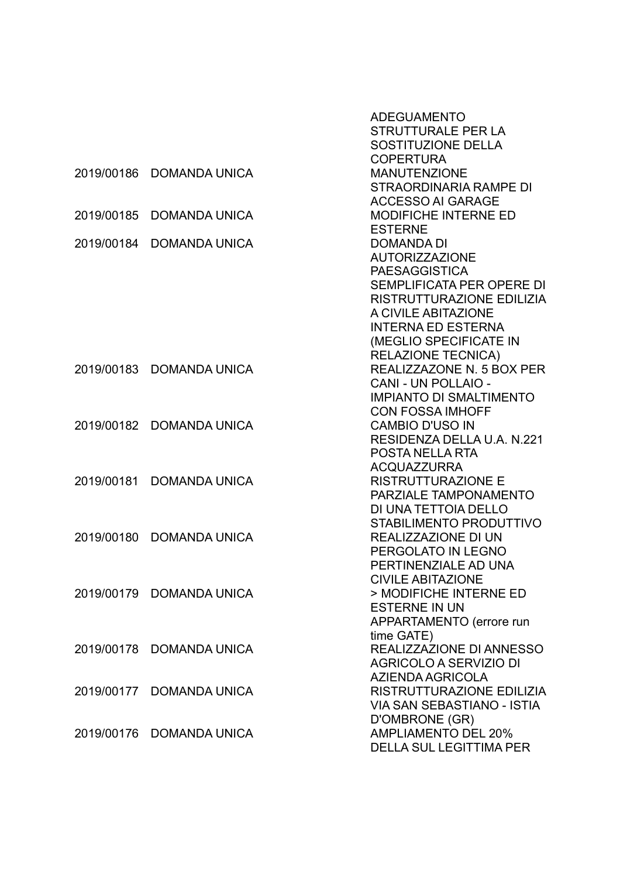|            |                          | <b>ADEGUAMENTO</b>                |
|------------|--------------------------|-----------------------------------|
|            |                          | <b>STRUTTURALE PER LA</b>         |
|            |                          | <b>SOSTITUZIONE DELLA</b>         |
|            |                          | <b>COPERTURA</b>                  |
| 2019/00186 | <b>DOMANDA UNICA</b>     | <b>MANUTENZIONE</b>               |
|            |                          | <b>STRAORDINARIA RAMPE DI</b>     |
|            |                          | <b>ACCESSO AI GARAGE</b>          |
| 2019/00185 | <b>DOMANDA UNICA</b>     | <b>MODIFICHE INTERNE ED</b>       |
|            |                          | <b>ESTERNE</b>                    |
| 2019/00184 | <b>DOMANDA UNICA</b>     | <b>DOMANDA DI</b>                 |
|            |                          | <b>AUTORIZZAZIONE</b>             |
|            |                          | <b>PAESAGGISTICA</b>              |
|            |                          | SEMPLIFICATA PER OPERE DI         |
|            |                          | RISTRUTTURAZIONE EDILIZIA         |
|            |                          | A CIVILE ABITAZIONE               |
|            |                          | <b>INTERNA ED ESTERNA</b>         |
|            |                          | (MEGLIO SPECIFICATE IN            |
|            |                          | <b>RELAZIONE TECNICA)</b>         |
| 2019/00183 | <b>DOMANDA UNICA</b>     | REALIZZAZONE N. 5 BOX PER         |
|            |                          | CANI - UN POLLAIO -               |
|            |                          | <b>IMPIANTO DI SMALTIMENTO</b>    |
|            |                          | <b>CON FOSSA IMHOFF</b>           |
| 2019/00182 | <b>DOMANDA UNICA</b>     | <b>CAMBIO D'USO IN</b>            |
|            |                          | RESIDENZA DELLA U.A. N.221        |
|            |                          | POSTA NELLA RTA                   |
|            |                          | <b>ACQUAZZURRA</b>                |
| 2019/00181 | <b>DOMANDA UNICA</b>     | <b>RISTRUTTURAZIONE E</b>         |
|            |                          | PARZIALE TAMPONAMENTO             |
|            |                          | DI UNA TETTOIA DELLO              |
|            |                          | STABILIMENTO PRODUTTIVO           |
| 2019/00180 | <b>DOMANDA UNICA</b>     | REALIZZAZIONE DI UN               |
|            |                          | PERGOLATO IN LEGNO                |
|            |                          | PERTINENZIALE AD UNA              |
|            |                          | <b>CIVILE ABITAZIONE</b>          |
|            | 2019/00179 DOMANDA UNICA | > MODIFICHE INTERNE ED            |
|            |                          | <b>ESTERNE IN UN</b>              |
|            |                          | APPARTAMENTO (errore run          |
|            |                          | time GATE)                        |
|            | 2019/00178 DOMANDA UNICA | REALIZZAZIONE DI ANNESSO          |
|            |                          | <b>AGRICOLO A SERVIZIO DI</b>     |
|            |                          | AZIENDA AGRICOLA                  |
|            | 2019/00177 DOMANDA UNICA | RISTRUTTURAZIONE EDILIZIA         |
|            |                          | <b>VIA SAN SEBASTIANO - ISTIA</b> |
|            |                          | D'OMBRONE (GR)                    |
|            | 2019/00176 DOMANDA UNICA | <b>AMPLIAMENTO DEL 20%</b>        |
|            |                          | <b>DELLA SUL LEGITTIMA PER</b>    |
|            |                          |                                   |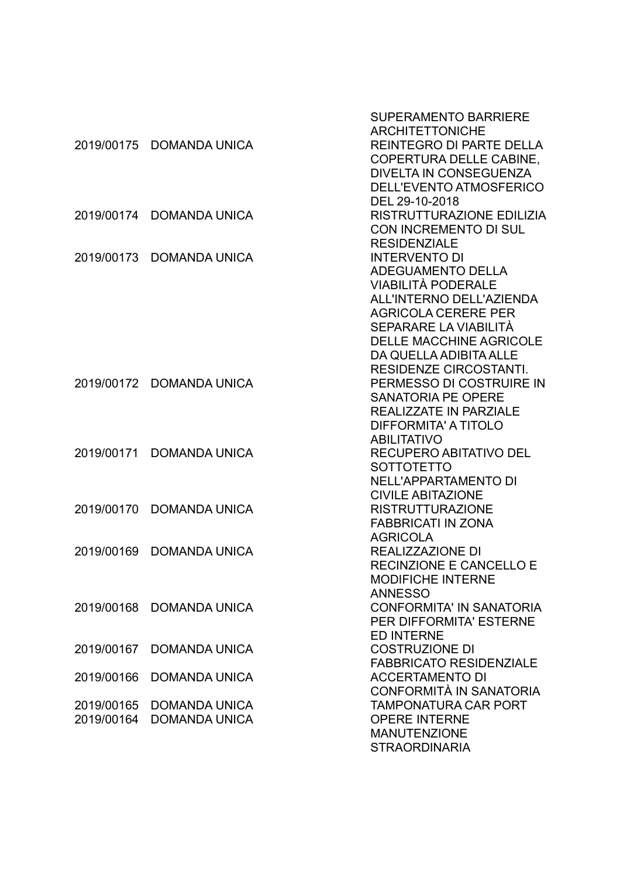| <b>REINTEGRO DI PARTE DELLA</b><br>2019/00175 DOMANDA UNICA<br>COPERTURA DELLE CABINE,<br>DIVELTA IN CONSEGUENZA<br>DELL'EVENTO ATMOSFERICO<br>DEL 29-10-2018<br>RISTRUTTURAZIONE EDILIZIA<br>2019/00174<br><b>DOMANDA UNICA</b><br><b>CON INCREMENTO DI SUL</b><br><b>RESIDENZIALE</b><br><b>INTERVENTO DI</b><br>2019/00173<br><b>DOMANDA UNICA</b><br><b>ADEGUAMENTO DELLA</b><br>VIABILITÀ PODERALE<br><b>ALL'INTERNO DELL'AZIENDA</b><br><b>AGRICOLA CERERE PER</b> |
|--------------------------------------------------------------------------------------------------------------------------------------------------------------------------------------------------------------------------------------------------------------------------------------------------------------------------------------------------------------------------------------------------------------------------------------------------------------------------|
|                                                                                                                                                                                                                                                                                                                                                                                                                                                                          |
|                                                                                                                                                                                                                                                                                                                                                                                                                                                                          |
|                                                                                                                                                                                                                                                                                                                                                                                                                                                                          |
|                                                                                                                                                                                                                                                                                                                                                                                                                                                                          |
|                                                                                                                                                                                                                                                                                                                                                                                                                                                                          |
|                                                                                                                                                                                                                                                                                                                                                                                                                                                                          |
|                                                                                                                                                                                                                                                                                                                                                                                                                                                                          |
|                                                                                                                                                                                                                                                                                                                                                                                                                                                                          |
|                                                                                                                                                                                                                                                                                                                                                                                                                                                                          |
|                                                                                                                                                                                                                                                                                                                                                                                                                                                                          |
|                                                                                                                                                                                                                                                                                                                                                                                                                                                                          |
|                                                                                                                                                                                                                                                                                                                                                                                                                                                                          |
|                                                                                                                                                                                                                                                                                                                                                                                                                                                                          |
| SEPARARE LA VIABILITÀ                                                                                                                                                                                                                                                                                                                                                                                                                                                    |
| <b>DELLE MACCHINE AGRICOLE</b>                                                                                                                                                                                                                                                                                                                                                                                                                                           |
| DA QUELLA ADIBITA ALLE                                                                                                                                                                                                                                                                                                                                                                                                                                                   |
| <b>RESIDENZE CIRCOSTANTI.</b>                                                                                                                                                                                                                                                                                                                                                                                                                                            |
| 2019/00172 DOMANDA UNICA<br>PERMESSO DI COSTRUIRE IN                                                                                                                                                                                                                                                                                                                                                                                                                     |
| <b>SANATORIA PE OPERE</b>                                                                                                                                                                                                                                                                                                                                                                                                                                                |
| <b>REALIZZATE IN PARZIALE</b>                                                                                                                                                                                                                                                                                                                                                                                                                                            |
| DIFFORMITA' A TITOLO                                                                                                                                                                                                                                                                                                                                                                                                                                                     |
| <b>ABILITATIVO</b>                                                                                                                                                                                                                                                                                                                                                                                                                                                       |
| RECUPERO ABITATIVO DEL<br>2019/00171<br><b>DOMANDA UNICA</b>                                                                                                                                                                                                                                                                                                                                                                                                             |
| <b>SOTTOTETTO</b>                                                                                                                                                                                                                                                                                                                                                                                                                                                        |
| <b>NELL'APPARTAMENTO DI</b>                                                                                                                                                                                                                                                                                                                                                                                                                                              |
| <b>CIVILE ABITAZIONE</b>                                                                                                                                                                                                                                                                                                                                                                                                                                                 |
| 2019/00170<br><b>DOMANDA UNICA</b><br><b>RISTRUTTURAZIONE</b>                                                                                                                                                                                                                                                                                                                                                                                                            |
| <b>FABBRICATI IN ZONA</b><br><b>AGRICOLA</b>                                                                                                                                                                                                                                                                                                                                                                                                                             |
| 2019/00169<br><b>REALIZZAZIONE DI</b><br><b>DOMANDA UNICA</b>                                                                                                                                                                                                                                                                                                                                                                                                            |
| <b>RECINZIONE E CANCELLO E</b>                                                                                                                                                                                                                                                                                                                                                                                                                                           |
| <b>MODIFICHE INTERNE</b>                                                                                                                                                                                                                                                                                                                                                                                                                                                 |
| <b>ANNESSO</b>                                                                                                                                                                                                                                                                                                                                                                                                                                                           |
| <b>CONFORMITA' IN SANATORIA</b><br>2019/00168<br><b>DOMANDA UNICA</b>                                                                                                                                                                                                                                                                                                                                                                                                    |
| <b>PER DIFFORMITA' ESTERNE</b>                                                                                                                                                                                                                                                                                                                                                                                                                                           |
| <b>ED INTERNE</b>                                                                                                                                                                                                                                                                                                                                                                                                                                                        |
| <b>COSTRUZIONE DI</b><br>2019/00167<br><b>DOMANDA UNICA</b>                                                                                                                                                                                                                                                                                                                                                                                                              |
| <b>FABBRICATO RESIDENZIALE</b>                                                                                                                                                                                                                                                                                                                                                                                                                                           |
| <b>ACCERTAMENTO DI</b><br>2019/00166<br><b>DOMANDA UNICA</b>                                                                                                                                                                                                                                                                                                                                                                                                             |
| CONFORMITÀ IN SANATORIA                                                                                                                                                                                                                                                                                                                                                                                                                                                  |
| <b>TAMPONATURA CAR PORT</b><br>2019/00165<br><b>DOMANDA UNICA</b>                                                                                                                                                                                                                                                                                                                                                                                                        |
| 2019/00164<br><b>DOMANDA UNICA</b><br><b>OPERE INTERNE</b>                                                                                                                                                                                                                                                                                                                                                                                                               |
| <b>MANUTENZIONE</b>                                                                                                                                                                                                                                                                                                                                                                                                                                                      |
| <b>STRAORDINARIA</b>                                                                                                                                                                                                                                                                                                                                                                                                                                                     |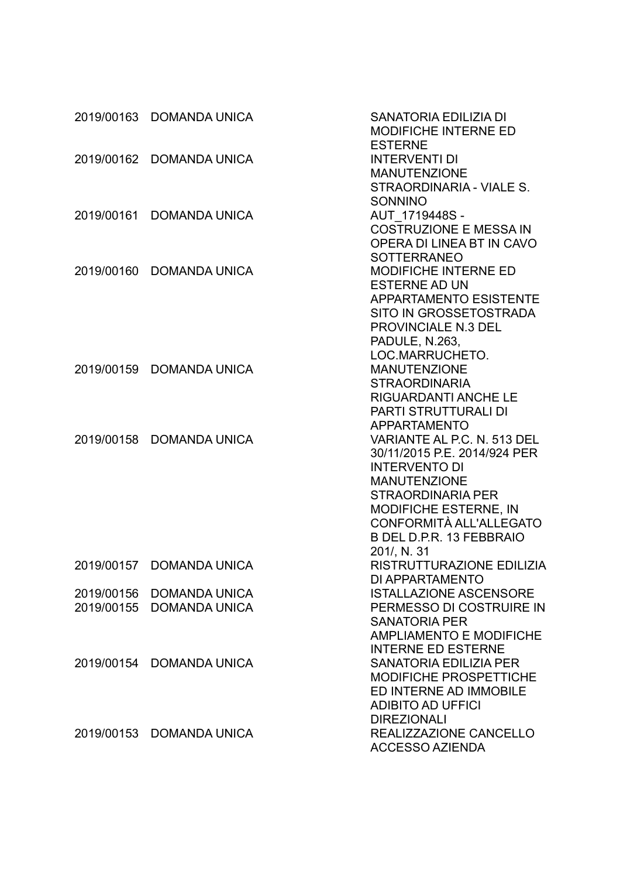|            | 2019/00163 DOMANDA UNICA | <b>SANATORIA EDILIZIA DI</b><br><b>MODIFICHE INTERNE ED</b>                               |
|------------|--------------------------|-------------------------------------------------------------------------------------------|
| 2019/00162 | <b>DOMANDA UNICA</b>     | <b>ESTERNE</b><br><b>INTERVENTI DI</b><br><b>MANUTENZIONE</b><br>STRAORDINARIA - VIALE S. |
| 2019/00161 | <b>DOMANDA UNICA</b>     | <b>SONNINO</b><br>AUT 1719448S -                                                          |
|            |                          | <b>COSTRUZIONE E MESSAIN</b><br>OPERA DI LINEA BT IN CAVO                                 |
| 2019/00160 | <b>DOMANDA UNICA</b>     | <b>SOTTERRANEO</b><br><b>MODIFICHE INTERNE ED</b><br><b>ESTERNE AD UN</b>                 |
|            |                          | <b>APPARTAMENTO ESISTENTE</b><br>SITO IN GROSSETOSTRADA<br><b>PROVINCIALE N.3 DEL</b>     |
|            |                          | PADULE, N.263,                                                                            |
|            |                          | LOC.MARRUCHETO.                                                                           |
| 2019/00159 | <b>DOMANDA UNICA</b>     | <b>MANUTENZIONE</b>                                                                       |
|            |                          | <b>STRAORDINARIA</b>                                                                      |
|            |                          | <b>RIGUARDANTI ANCHE LE</b>                                                               |
|            |                          | <b>PARTI STRUTTURALI DI</b>                                                               |
|            |                          | <b>APPARTAMENTO</b>                                                                       |
| 2019/00158 | <b>DOMANDA UNICA</b>     | VARIANTE AL P.C. N. 513 DEL                                                               |
|            |                          | 30/11/2015 P.E. 2014/924 PER                                                              |
|            |                          | <b>INTERVENTO DI</b><br><b>MANUTENZIONE</b>                                               |
|            |                          | <b>STRAORDINARIA PER</b>                                                                  |
|            |                          | <b>MODIFICHE ESTERNE, IN</b>                                                              |
|            |                          | CONFORMITÀ ALL'ALLEGATO                                                                   |
|            |                          | B DEL D.P.R. 13 FEBBRAIO                                                                  |
|            | 2019/00157 DOMANDA UNICA | 201/, N. 31<br>RISTRUTTURAZIONE EDILIZIA                                                  |
|            |                          | <b>DI APPARTAMENTO</b>                                                                    |
| 2019/00156 | <b>DOMANDA UNICA</b>     | <b>ISTALLAZIONE ASCENSORE</b>                                                             |
| 2019/00155 | <b>DOMANDA UNICA</b>     | PERMESSO DI COSTRUIRE IN                                                                  |
|            |                          | <b>SANATORIA PER</b>                                                                      |
|            |                          | <b>AMPLIAMENTO E MODIFICHE</b>                                                            |
|            |                          | <b>INTERNE ED ESTERNE</b>                                                                 |
|            | 2019/00154 DOMANDA UNICA | <b>SANATORIA EDILIZIA PER</b>                                                             |
|            |                          | <b>MODIFICHE PROSPETTICHE</b>                                                             |
|            |                          | ED INTERNE AD IMMOBILE                                                                    |
|            |                          | <b>ADIBITO AD UFFICI</b>                                                                  |
|            |                          | <b>DIREZIONALI</b>                                                                        |
| 2019/00153 | DOMANDA UNICA            | REALIZZAZIONE CANCELLO<br><b>ACCESSO AZIENDA</b>                                          |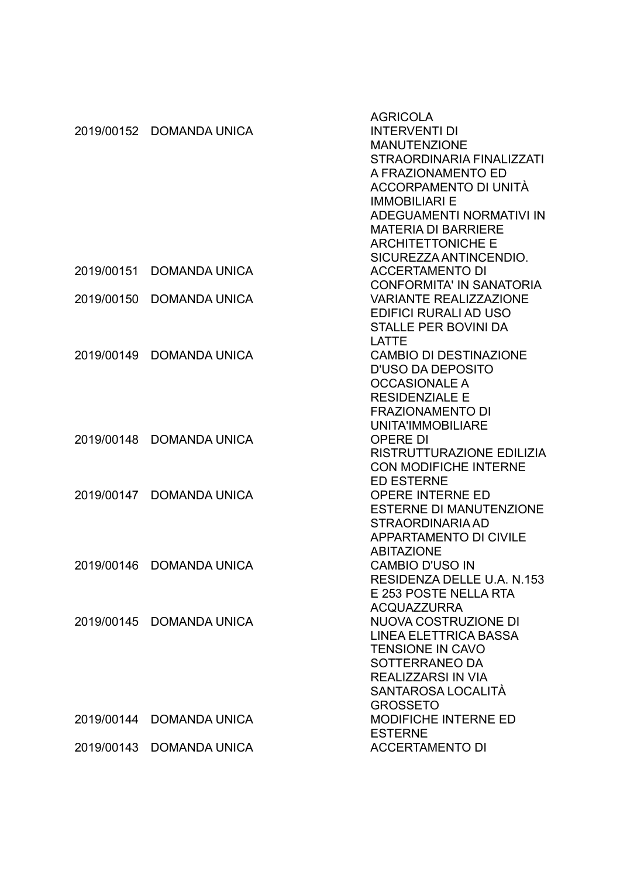|            |                          | <b>AGRICOLA</b>                 |
|------------|--------------------------|---------------------------------|
| 2019/00152 | <b>DOMANDA UNICA</b>     | <b>INTERVENTI DI</b>            |
|            |                          | <b>MANUTENZIONE</b>             |
|            |                          | STRAORDINARIA FINALIZZATI       |
|            |                          | A FRAZIONAMENTO ED              |
|            |                          | ACCORPAMENTO DI UNITÀ           |
|            |                          | <b>IMMOBILIARI E</b>            |
|            |                          | ADEGUAMENTI NORMATIVI IN        |
|            |                          | <b>MATERIA DI BARRIERE</b>      |
|            |                          | <b>ARCHITETTONICHE E</b>        |
|            |                          | SICUREZZA ANTINCENDIO.          |
| 2019/00151 | <b>DOMANDA UNICA</b>     | <b>ACCERTAMENTO DI</b>          |
|            |                          | <b>CONFORMITA' IN SANATORIA</b> |
| 2019/00150 | <b>DOMANDA UNICA</b>     | <b>VARIANTE REALIZZAZIONE</b>   |
|            |                          |                                 |
|            |                          | EDIFICI RURALI AD USO           |
|            |                          | <b>STALLE PER BOVINI DA</b>     |
|            |                          | LATTE                           |
| 2019/00149 | <b>DOMANDA UNICA</b>     | <b>CAMBIO DI DESTINAZIONE</b>   |
|            |                          | <b>D'USO DA DEPOSITO</b>        |
|            |                          | <b>OCCASIONALE A</b>            |
|            |                          | <b>RESIDENZIALE E</b>           |
|            |                          | <b>FRAZIONAMENTO DI</b>         |
|            |                          | UNITA'IMMOBILIARE               |
| 2019/00148 | <b>DOMANDA UNICA</b>     | <b>OPERE DI</b>                 |
|            |                          | RISTRUTTURAZIONE EDILIZIA       |
|            |                          | <b>CON MODIFICHE INTERNE</b>    |
|            |                          | <b>ED ESTERNE</b>               |
| 2019/00147 | <b>DOMANDA UNICA</b>     | OPERE INTERNE ED                |
|            |                          | <b>ESTERNE DI MANUTENZIONE</b>  |
|            |                          | <b>STRAORDINARIA AD</b>         |
|            |                          | <b>APPARTAMENTO DI CIVILE</b>   |
|            |                          | <b>ABITAZIONE</b>               |
| 2019/00146 | <b>DOMANDA UNICA</b>     | <b>CAMBIO D'USO IN</b>          |
|            |                          | RESIDENZA DELLE U.A. N.153      |
|            |                          | E 253 POSTE NELLA RTA           |
|            |                          | <b>ACQUAZZURRA</b>              |
|            | 2019/00145 DOMANDA UNICA | NUOVA COSTRUZIONE DI            |
|            |                          | <b>LINEA ELETTRICA BASSA</b>    |
|            |                          | <b>TENSIONE IN CAVO</b>         |
|            |                          | SOTTERRANEO DA                  |
|            |                          | REALIZZARSI IN VIA              |
|            |                          | SANTAROSA LOCALITÀ              |
|            |                          | <b>GROSSETO</b>                 |
|            | 2019/00144 DOMANDA UNICA | <b>MODIFICHE INTERNE ED</b>     |
|            |                          | <b>ESTERNE</b>                  |
|            | 2019/00143 DOMANDA UNICA | <b>ACCERTAMENTO DI</b>          |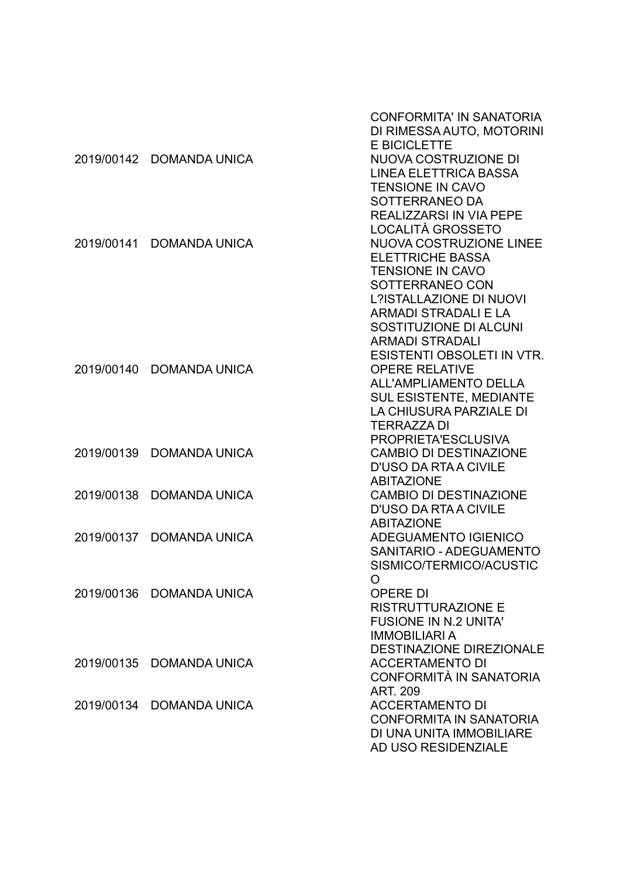|            |                          | <b>CONFORMITA' IN SANATORIA</b><br>DI RIMESSA AUTO, MOTORINI<br><b>E BICICLETTE</b> |
|------------|--------------------------|-------------------------------------------------------------------------------------|
|            | 2019/00142 DOMANDA UNICA | NUOVA COSTRUZIONE DI                                                                |
|            |                          | <b>LINEA ELETTRICA BASSA</b>                                                        |
|            |                          | <b>TENSIONE IN CAVO</b>                                                             |
|            |                          | SOTTERRANEO DA                                                                      |
|            |                          | <b>REALIZZARSI IN VIA PEPE</b>                                                      |
| 2019/00141 |                          | LOCALITÀ GROSSETO<br><b>NUOVA COSTRUZIONE LINEE</b>                                 |
|            | <b>DOMANDA UNICA</b>     | <b>ELETTRICHE BASSA</b>                                                             |
|            |                          | <b>TENSIONE IN CAVO</b>                                                             |
|            |                          | SOTTERRANEO CON                                                                     |
|            |                          | <b>L?ISTALLAZIONE DI NUOVI</b>                                                      |
|            |                          | <b>ARMADI STRADALI E LA</b>                                                         |
|            |                          | SOSTITUZIONE DI ALCUNI                                                              |
|            |                          | <b>ARMADI STRADALI</b>                                                              |
|            |                          | <b>ESISTENTI OBSOLETI IN VTR.</b>                                                   |
| 2019/00140 | <b>DOMANDA UNICA</b>     | <b>OPERE RELATIVE</b>                                                               |
|            |                          | <b>ALL'AMPLIAMENTO DELLA</b>                                                        |
|            |                          | <b>SUL ESISTENTE, MEDIANTE</b>                                                      |
|            |                          | LA CHIUSURA PARZIALE DI                                                             |
|            |                          | <b>TERRAZZA DI</b>                                                                  |
|            |                          | PROPRIETA'ESCLUSIVA                                                                 |
| 2019/00139 | <b>DOMANDA UNICA</b>     | <b>CAMBIO DI DESTINAZIONE</b>                                                       |
|            |                          | <b>D'USO DA RTA A CIVILE</b>                                                        |
|            |                          | <b>ABITAZIONE</b>                                                                   |
| 2019/00138 | <b>DOMANDA UNICA</b>     | <b>CAMBIO DI DESTINAZIONE</b>                                                       |
|            |                          | <b>D'USO DA RTA A CIVILE</b>                                                        |
|            |                          | <b>ABITAZIONE</b>                                                                   |
| 2019/00137 | <b>DOMANDA UNICA</b>     | ADEGUAMENTO IGIENICO                                                                |
|            |                          | SANITARIO - ADEGUAMENTO                                                             |
|            |                          | SISMICO/TERMICO/ACUSTIC<br>$\circ$                                                  |
|            | 2019/00136 DOMANDA UNICA | <b>OPERE DI</b>                                                                     |
|            |                          | <b>RISTRUTTURAZIONE E</b>                                                           |
|            |                          | <b>FUSIONE IN N.2 UNITA'</b>                                                        |
|            |                          | <b>IMMOBILIARIA</b>                                                                 |
|            |                          | <b>DESTINAZIONE DIREZIONALE</b>                                                     |
| 2019/00135 | <b>DOMANDA UNICA</b>     | <b>ACCERTAMENTO DI</b>                                                              |
|            |                          | CONFORMITÀ IN SANATORIA                                                             |
|            |                          | <b>ART. 209</b>                                                                     |
| 2019/00134 | <b>DOMANDA UNICA</b>     | <b>ACCERTAMENTO DI</b>                                                              |
|            |                          | <b>CONFORMITA IN SANATORIA</b>                                                      |
|            |                          | DI UNA UNITA IMMOBILIARE                                                            |
|            |                          | AD USO RESIDENZIALE                                                                 |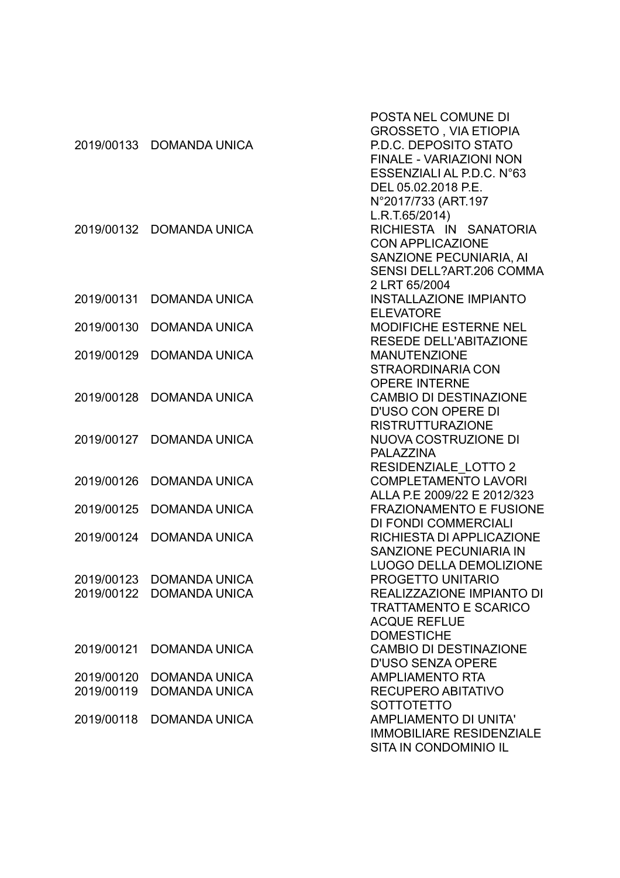| 2019/00133               | <b>DOMANDA UNICA</b>                             | POSTA NEL COMUNE DI<br><b>GROSSETO, VIA ETIOPIA</b><br><b>P.D.C. DEPOSITO STATO</b><br><b>FINALE - VARIAZIONI NON</b><br>ESSENZIALI AL P.D.C. N°63<br>DEL 05.02.2018 P.E. |
|--------------------------|--------------------------------------------------|---------------------------------------------------------------------------------------------------------------------------------------------------------------------------|
| 2019/00132               | <b>DOMANDA UNICA</b>                             | N°2017/733 (ART.197<br>L.R.T.65/2014)<br>RICHIESTA IN SANATORIA<br><b>CON APPLICAZIONE</b><br>SANZIONE PECUNIARIA, AI<br><b>SENSI DELL?ART.206 COMMA</b>                  |
| 2019/00131               | <b>DOMANDA UNICA</b>                             | 2 LRT 65/2004<br><b>INSTALLAZIONE IMPIANTO</b><br><b>ELEVATORE</b>                                                                                                        |
| 2019/00130               | <b>DOMANDA UNICA</b>                             | <b>MODIFICHE ESTERNE NEL</b><br><b>RESEDE DELL'ABITAZIONE</b>                                                                                                             |
| 2019/00129               | <b>DOMANDA UNICA</b>                             | <b>MANUTENZIONE</b><br><b>STRAORDINARIA CON</b>                                                                                                                           |
| 2019/00128               | <b>DOMANDA UNICA</b>                             | <b>OPERE INTERNE</b><br><b>CAMBIO DI DESTINAZIONE</b><br><b>D'USO CON OPERE DI</b>                                                                                        |
| 2019/00127               | <b>DOMANDA UNICA</b>                             | <b>RISTRUTTURAZIONE</b><br>NUOVA COSTRUZIONE DI<br><b>PALAZZINA</b><br><b>RESIDENZIALE LOTTO 2</b>                                                                        |
| 2019/00126               | <b>DOMANDA UNICA</b>                             | <b>COMPLETAMENTO LAVORI</b><br>ALLA P.E 2009/22 E 2012/323                                                                                                                |
| 2019/00125               | <b>DOMANDA UNICA</b>                             | <b>FRAZIONAMENTO E FUSIONE</b><br>DI FONDI COMMERCIALI                                                                                                                    |
| 2019/00124               | <b>DOMANDA UNICA</b>                             | RICHIESTA DI APPLICAZIONE<br><b>SANZIONE PECUNIARIA IN</b><br><b>LUOGO DELLA DEMOLIZIONE</b>                                                                              |
| 2019/00122               | 2019/00123 DOMANDA UNICA<br><b>DOMANDA UNICA</b> | PROGETTO UNITARIO<br><b>REALIZZAZIONE IMPIANTO DI</b><br><b>TRATTAMENTO E SCARICO</b><br><b>ACQUE REFLUE</b><br><b>DOMESTICHE</b>                                         |
| 2019/00121               | <b>DOMANDA UNICA</b>                             | <b>CAMBIO DI DESTINAZIONE</b><br><b>D'USO SENZA OPERE</b>                                                                                                                 |
| 2019/00120<br>2019/00119 | <b>DOMANDA UNICA</b><br><b>DOMANDA UNICA</b>     | <b>AMPLIAMENTO RTA</b><br><b>RECUPERO ABITATIVO</b><br><b>SOTTOTETTO</b>                                                                                                  |
| 2019/00118               | <b>DOMANDA UNICA</b>                             | <b>AMPLIAMENTO DI UNITA'</b><br><b>IMMOBILIARE RESIDENZIALE</b><br>SITA IN CONDOMINIO IL                                                                                  |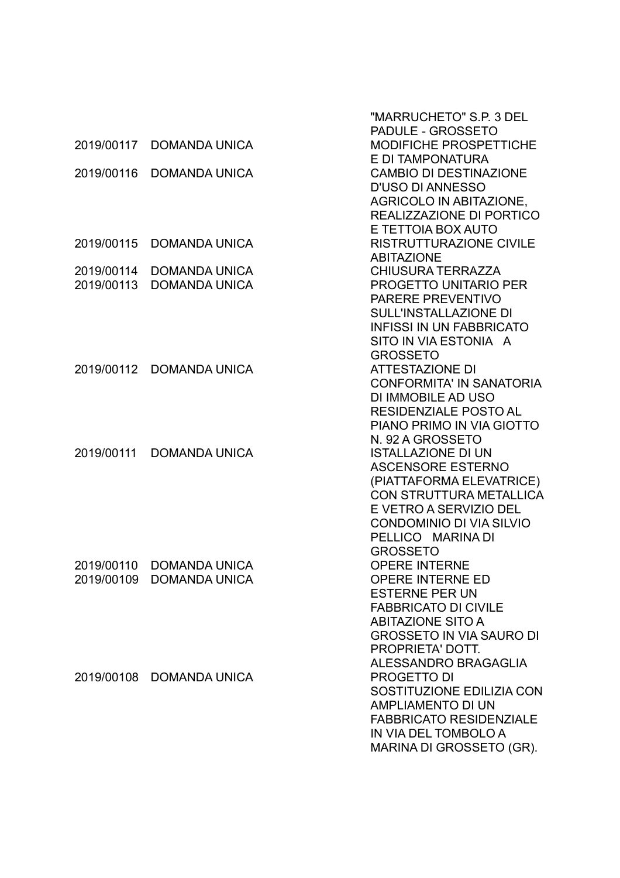|            |                          | "MARRUCHETO" S.P. 3 DEL                                    |
|------------|--------------------------|------------------------------------------------------------|
|            |                          | PADULE - GROSSETO                                          |
| 2019/00117 | <b>DOMANDA UNICA</b>     | <b>MODIFICHE PROSPETTICHE</b>                              |
|            |                          | E DI TAMPONATURA                                           |
| 2019/00116 | <b>DOMANDA UNICA</b>     | <b>CAMBIO DI DESTINAZIONE</b>                              |
|            |                          | <b>D'USO DI ANNESSO</b>                                    |
|            |                          | <b>AGRICOLO IN ABITAZIONE,</b>                             |
|            |                          | REALIZZAZIONE DI PORTICO                                   |
| 2019/00115 | <b>DOMANDA UNICA</b>     | E TETTOIA BOX AUTO<br><b>RISTRUTTURAZIONE CIVILE</b>       |
|            |                          | <b>ABITAZIONE</b>                                          |
| 2019/00114 | <b>DOMANDA UNICA</b>     | <b>CHIUSURA TERRAZZA</b>                                   |
| 2019/00113 | <b>DOMANDA UNICA</b>     | <b>PROGETTO UNITARIO PER</b>                               |
|            |                          | PARERE PREVENTIVO                                          |
|            |                          | <b>SULL'INSTALLAZIONE DI</b>                               |
|            |                          | <b>INFISSI IN UN FABBRICATO</b>                            |
|            |                          | SITO IN VIA ESTONIA A                                      |
|            |                          | <b>GROSSETO</b>                                            |
|            | 2019/00112 DOMANDA UNICA | <b>ATTESTAZIONE DI</b>                                     |
|            |                          | <b>CONFORMITA' IN SANATORIA</b>                            |
|            |                          | DI IMMOBILE AD USO                                         |
|            |                          | <b>RESIDENZIALE POSTO AL</b>                               |
|            |                          | PIANO PRIMO IN VIA GIOTTO                                  |
|            |                          | N. 92 A GROSSETO                                           |
| 2019/00111 | <b>DOMANDA UNICA</b>     | <b>ISTALLAZIONE DI UN</b>                                  |
|            |                          | <b>ASCENSORE ESTERNO</b>                                   |
|            |                          | (PIATTAFORMA ELEVATRICE)<br><b>CON STRUTTURA METALLICA</b> |
|            |                          | E VETRO A SERVIZIO DEL                                     |
|            |                          | <b>CONDOMINIO DI VIA SILVIO</b>                            |
|            |                          | PELLICO MARINA DI                                          |
|            |                          | <b>GROSSETO</b>                                            |
|            | 2019/00110 DOMANDA UNICA | <b>OPERE INTERNE</b>                                       |
|            | 2019/00109 DOMANDA UNICA | OPERE INTERNE ED                                           |
|            |                          | <b>ESTERNE PER UN</b>                                      |
|            |                          | <b>FABBRICATO DI CIVILE</b>                                |
|            |                          | <b>ABITAZIONE SITO A</b>                                   |
|            |                          | <b>GROSSETO IN VIA SAURO DI</b>                            |
|            |                          | PROPRIETA' DOTT.                                           |
|            |                          | ALESSANDRO BRAGAGLIA                                       |
|            | 2019/00108 DOMANDA UNICA | PROGETTO DI                                                |
|            |                          | SOSTITUZIONE EDILIZIA CON<br><b>AMPLIAMENTO DI UN</b>      |
|            |                          | <b>FABBRICATO RESIDENZIALE</b>                             |
|            |                          | IN VIA DEL TOMBOLO A                                       |
|            |                          | MARINA DI GROSSETO (GR).                                   |
|            |                          |                                                            |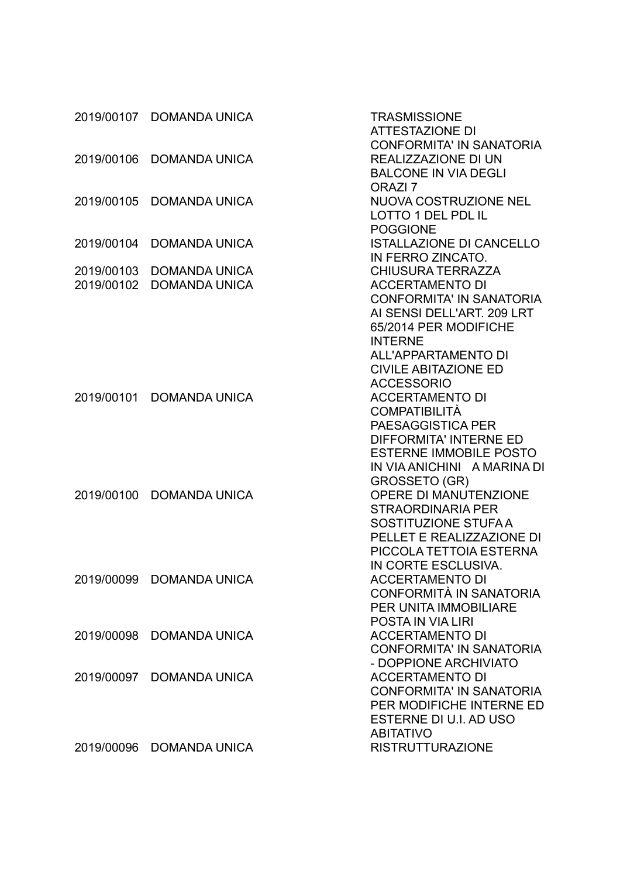|                          | 2019/00107 DOMANDA UNICA                     | <b>TRASMISSIONE</b><br><b>ATTESTAZIONE DI</b>                                                                                                                                                |
|--------------------------|----------------------------------------------|----------------------------------------------------------------------------------------------------------------------------------------------------------------------------------------------|
| 2019/00106               | <b>DOMANDA UNICA</b>                         | <b>CONFORMITA' IN SANATORIA</b><br>REALIZZAZIONE DI UN<br><b>BALCONE IN VIA DEGLI</b><br>ORAZI <sub>7</sub>                                                                                  |
| 2019/00105               | <b>DOMANDA UNICA</b>                         | NUOVA COSTRUZIONE NEL<br><b>LOTTO 1 DEL PDL IL</b><br><b>POGGIONE</b>                                                                                                                        |
| 2019/00104               | <b>DOMANDA UNICA</b>                         | <b>ISTALLAZIONE DI CANCELLO</b><br>IN FERRO ZINCATO.                                                                                                                                         |
| 2019/00103<br>2019/00102 | <b>DOMANDA UNICA</b><br><b>DOMANDA UNICA</b> | <b>CHIUSURA TERRAZZA</b><br><b>ACCERTAMENTO DI</b><br><b>CONFORMITA' IN SANATORIA</b><br>AI SENSI DELL'ART. 209 LRT<br>65/2014 PER MODIFICHE<br><b>INTERNE</b><br><b>ALL'APPARTAMENTO DI</b> |
|                          |                                              | <b>CIVILE ABITAZIONE ED</b><br><b>ACCESSORIO</b>                                                                                                                                             |
| 2019/00101               | <b>DOMANDA UNICA</b>                         | <b>ACCERTAMENTO DI</b><br><b>COMPATIBILITÀ</b><br><b>PAESAGGISTICA PER</b>                                                                                                                   |
|                          |                                              | <b>DIFFORMITA' INTERNE ED</b><br><b>ESTERNE IMMOBILE POSTO</b><br>IN VIA ANICHINI A MARINA DI                                                                                                |
| 2019/00100               | <b>DOMANDA UNICA</b>                         | GROSSETO (GR)<br>OPERE DI MANUTENZIONE<br><b>STRAORDINARIA PER</b><br>SOSTITUZIONE STUFA A<br>PELLET E REALIZZAZIONE DI<br>PICCOLA TETTOIA ESTERNA                                           |
|                          | 2019/00099 DOMANDA UNICA                     | IN CORTE ESCLUSIVA.<br><b>ACCERTAMENTO DI</b><br>CONFORMITÀ IN SANATORIA<br><b>PER UNITA IMMOBILIARE</b>                                                                                     |
| 2019/00098               | <b>DOMANDA UNICA</b>                         | POSTA IN VIA LIRI<br><b>ACCERTAMENTO DI</b><br><b>CONFORMITA' IN SANATORIA</b>                                                                                                               |
| 2019/00097               | <b>DOMANDA UNICA</b>                         | - DOPPIONE ARCHIVIATO<br><b>ACCERTAMENTO DI</b><br><b>CONFORMITA' IN SANATORIA</b><br>PER MODIFICHE INTERNE ED<br>ESTERNE DI U.I. AD USO                                                     |
| 2019/00096               | <b>DOMANDA UNICA</b>                         | <b>ABITATIVO</b><br><b>RISTRUTTURAZIONE</b>                                                                                                                                                  |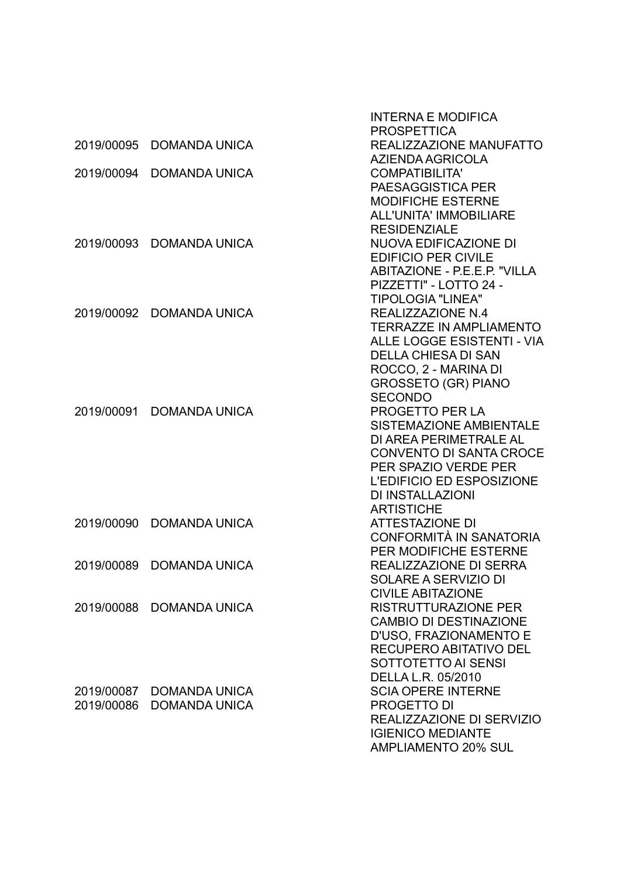|            |                      | <b>INTERNA E MODIFICA</b>           |
|------------|----------------------|-------------------------------------|
|            |                      | <b>PROSPETTICA</b>                  |
| 2019/00095 | <b>DOMANDA UNICA</b> | REALIZZAZIONE MANUFATTO             |
|            |                      | AZIENDA AGRICOLA                    |
| 2019/00094 | <b>DOMANDA UNICA</b> | <b>COMPATIBILITA'</b>               |
|            |                      | PAESAGGISTICA PER                   |
|            |                      | <b>MODIFICHE ESTERNE</b>            |
|            |                      | <b>ALL'UNITA' IMMOBILIARE</b>       |
|            |                      | <b>RESIDENZIALE</b>                 |
| 2019/00093 | <b>DOMANDA UNICA</b> | NUOVA EDIFICAZIONE DI               |
|            |                      | <b>EDIFICIO PER CIVILE</b>          |
|            |                      | <b>ABITAZIONE - P.E.E.P. "VILLA</b> |
|            |                      | PIZZETTI" - LOTTO 24 -              |
|            |                      | <b>TIPOLOGIA "LINEA"</b>            |
| 2019/00092 | <b>DOMANDA UNICA</b> | <b>REALIZZAZIONE N.4</b>            |
|            |                      | <b>TERRAZZE IN AMPLIAMENTO</b>      |
|            |                      | ALLE LOGGE ESISTENTI - VIA          |
|            |                      | <b>DELLA CHIESA DI SAN</b>          |
|            |                      | ROCCO, 2 - MARINA DI                |
|            |                      | <b>GROSSETO (GR) PIANO</b>          |
|            |                      | <b>SECONDO</b>                      |
| 2019/00091 | <b>DOMANDA UNICA</b> | PROGETTO PER LA                     |
|            |                      | <b>SISTEMAZIONE AMBIENTALE</b>      |
|            |                      | DI AREA PERIMETRALE AL              |
|            |                      | <b>CONVENTO DI SANTA CROCE</b>      |
|            |                      | PER SPAZIO VERDE PER                |
|            |                      | L'EDIFICIO ED ESPOSIZIONE           |
|            |                      | <b>DI INSTALLAZIONI</b>             |
|            |                      | <b>ARTISTICHE</b>                   |
| 2019/00090 | <b>DOMANDA UNICA</b> | <b>ATTESTAZIONE DI</b>              |
|            |                      | CONFORMITÀ IN SANATORIA             |
|            |                      | PER MODIFICHE ESTERNE               |
| 2019/00089 | <b>DOMANDA UNICA</b> | <b>REALIZZAZIONE DI SERRA</b>       |
|            |                      | SOLARE A SERVIZIO DI                |
|            |                      | <b>CIVILE ABITAZIONE</b>            |
| 2019/00088 | <b>DOMANDA UNICA</b> | <b>RISTRUTTURAZIONE PER</b>         |
|            |                      | <b>CAMBIO DI DESTINAZIONE</b>       |
|            |                      | D'USO, FRAZIONAMENTO E              |
|            |                      | RECUPERO ABITATIVO DEL              |
|            |                      | SOTTOTETTO AI SENSI                 |
|            |                      | DELLA L.R. 05/2010                  |
| 2019/00087 | <b>DOMANDA UNICA</b> | <b>SCIA OPERE INTERNE</b>           |
| 2019/00086 | <b>DOMANDA UNICA</b> | <b>PROGETTO DI</b>                  |
|            |                      | REALIZZAZIONE DI SERVIZIO           |
|            |                      | <b>IGIENICO MEDIANTE</b>            |
|            |                      | <b>AMPLIAMENTO 20% SUL</b>          |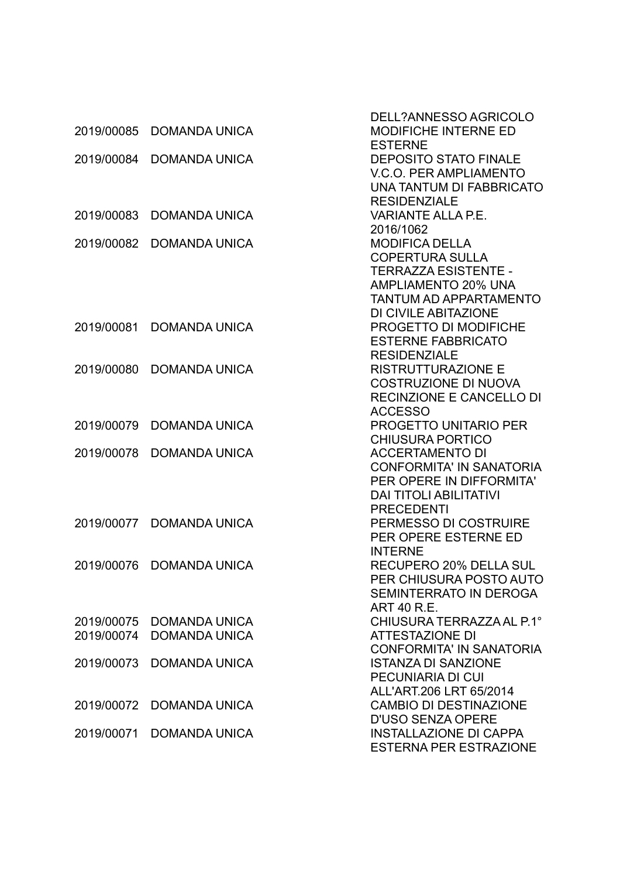| 2019/00085 | <b>DOMANDA UNICA</b> | DELL?ANNESSO AGRICOLO<br><b>MODIFICHE INTERNE ED</b> |
|------------|----------------------|------------------------------------------------------|
| 2019/00084 | <b>DOMANDA UNICA</b> | <b>ESTERNE</b><br><b>DEPOSITO STATO FINALE</b>       |
|            |                      | <b>V.C.O. PER AMPLIAMENTO</b>                        |
|            |                      | UNA TANTUM DI FABBRICATO                             |
|            |                      | <b>RESIDENZIALE</b>                                  |
| 2019/00083 | <b>DOMANDA UNICA</b> | <b>VARIANTE ALLA P.E.</b>                            |
|            |                      | 2016/1062                                            |
| 2019/00082 | <b>DOMANDA UNICA</b> | <b>MODIFICA DELLA</b>                                |
|            |                      | <b>COPERTURA SULLA</b>                               |
|            |                      | <b>TERRAZZA ESISTENTE -</b>                          |
|            |                      | <b>AMPLIAMENTO 20% UNA</b>                           |
|            |                      | <b>TANTUM AD APPARTAMENTO</b>                        |
|            |                      | DI CIVILE ABITAZIONE                                 |
| 2019/00081 | <b>DOMANDA UNICA</b> | PROGETTO DI MODIFICHE                                |
|            |                      | <b>ESTERNE FABBRICATO</b>                            |
|            |                      | <b>RESIDENZIALE</b>                                  |
| 2019/00080 | <b>DOMANDA UNICA</b> | <b>RISTRUTTURAZIONE E</b>                            |
|            |                      | <b>COSTRUZIONE DI NUOVA</b>                          |
|            |                      | <b>RECINZIONE E CANCELLO DI</b>                      |
|            |                      | <b>ACCESSO</b>                                       |
| 2019/00079 | <b>DOMANDA UNICA</b> | <b>PROGETTO UNITARIO PER</b>                         |
|            |                      | <b>CHIUSURA PORTICO</b>                              |
| 2019/00078 | <b>DOMANDA UNICA</b> | <b>ACCERTAMENTO DI</b>                               |
|            |                      | <b>CONFORMITA' IN SANATORIA</b>                      |
|            |                      | PER OPERE IN DIFFORMITA'                             |
|            |                      | <b>DAI TITOLI ABILITATIVI</b>                        |
|            |                      | <b>PRECEDENTI</b>                                    |
| 2019/00077 | <b>DOMANDA UNICA</b> | PERMESSO DI COSTRUIRE                                |
|            |                      | PER OPERE ESTERNE ED                                 |
| 2019/00076 | <b>DOMANDA UNICA</b> | <b>INTERNE</b><br><b>RECUPERO 20% DELLA SUL</b>      |
|            |                      | PER CHIUSURA POSTO AUTO                              |
|            |                      | SEMINTERRATO IN DEROGA                               |
|            |                      | <b>ART 40 R.E.</b>                                   |
| 2019/00075 | <b>DOMANDA UNICA</b> | CHIUSURA TERRAZZA AL P.1°                            |
| 2019/00074 | <b>DOMANDA UNICA</b> | <b>ATTESTAZIONE DI</b>                               |
|            |                      | <b>CONFORMITA' IN SANATORIA</b>                      |
| 2019/00073 | <b>DOMANDA UNICA</b> | <b>ISTANZA DI SANZIONE</b>                           |
|            |                      | PECUNIARIA DI CUI                                    |
|            |                      | ALL'ART.206 LRT 65/2014                              |
| 2019/00072 | <b>DOMANDA UNICA</b> | <b>CAMBIO DI DESTINAZIONE</b>                        |
|            |                      | <b>D'USO SENZA OPERE</b>                             |
| 2019/00071 | <b>DOMANDA UNICA</b> | <b>INSTALLAZIONE DI CAPPA</b>                        |
|            |                      | <b>ESTERNA PER ESTRAZIONE</b>                        |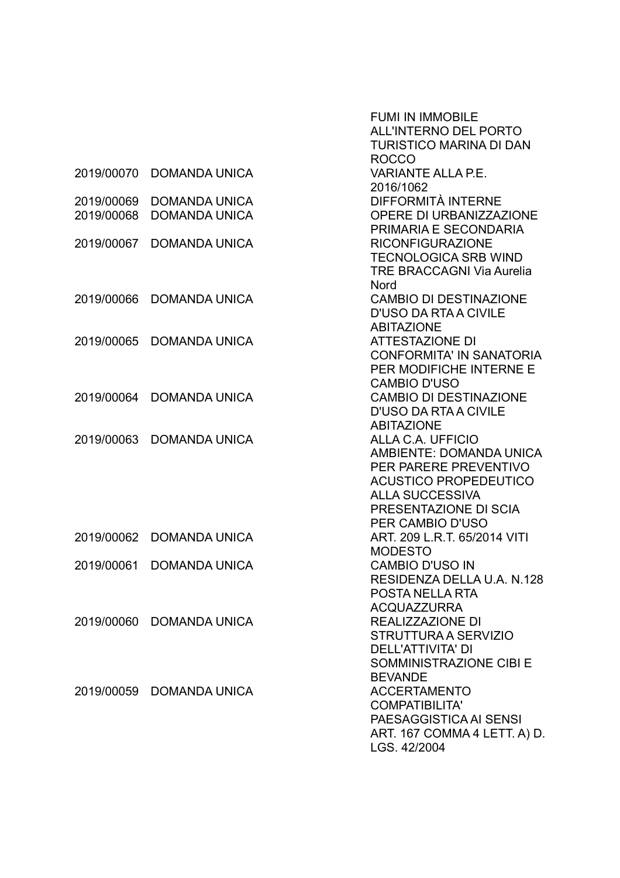|            |                          | <b>FUMI IN IMMOBILE</b>          |
|------------|--------------------------|----------------------------------|
|            |                          | <b>ALL'INTERNO DEL PORTO</b>     |
|            |                          | <b>TURISTICO MARINA DI DAN</b>   |
|            |                          | <b>ROCCO</b>                     |
| 2019/00070 | <b>DOMANDA UNICA</b>     | <b>VARIANTE ALLA P.E.</b>        |
|            |                          | 2016/1062                        |
| 2019/00069 | <b>DOMANDA UNICA</b>     | DIFFORMITÀ INTERNE               |
| 2019/00068 | <b>DOMANDA UNICA</b>     | <b>OPERE DI URBANIZZAZIONE</b>   |
|            |                          | PRIMARIA E SECONDARIA            |
| 2019/00067 | <b>DOMANDA UNICA</b>     | <b>RICONFIGURAZIONE</b>          |
|            |                          | <b>TECNOLOGICA SRB WIND</b>      |
|            |                          | <b>TRE BRACCAGNI Via Aurelia</b> |
|            |                          | Nord                             |
| 2019/00066 | <b>DOMANDA UNICA</b>     | <b>CAMBIO DI DESTINAZIONE</b>    |
|            |                          | <b>D'USO DA RTA A CIVILE</b>     |
|            |                          | <b>ABITAZIONE</b>                |
| 2019/00065 | <b>DOMANDA UNICA</b>     | <b>ATTESTAZIONE DI</b>           |
|            |                          | <b>CONFORMITA' IN SANATORIA</b>  |
|            |                          | PER MODIFICHE INTERNE E          |
|            |                          | <b>CAMBIO D'USO</b>              |
| 2019/00064 | <b>DOMANDA UNICA</b>     | <b>CAMBIO DI DESTINAZIONE</b>    |
|            |                          | <b>D'USO DA RTA A CIVILE</b>     |
|            |                          | <b>ABITAZIONE</b>                |
| 2019/00063 | <b>DOMANDA UNICA</b>     | ALLA C.A. UFFICIO                |
|            |                          | AMBIENTE: DOMANDA UNICA          |
|            |                          | PER PARERE PREVENTIVO            |
|            |                          | <b>ACUSTICO PROPEDEUTICO</b>     |
|            |                          | <b>ALLA SUCCESSIVA</b>           |
|            |                          | PRESENTAZIONE DI SCIA            |
|            |                          | PER CAMBIO D'USO                 |
| 2019/00062 | <b>DOMANDA UNICA</b>     | ART. 209 L.R.T. 65/2014 VITI     |
|            |                          | <b>MODESTO</b>                   |
| 2019/00061 | <b>DOMANDA UNICA</b>     | <b>CAMBIO D'USO IN</b>           |
|            |                          | RESIDENZA DELLA U.A. N.128       |
|            |                          | POSTA NELLA RTA                  |
|            |                          | <b>ACQUAZZURRA</b>               |
|            | 2019/00060 DOMANDA UNICA | REALIZZAZIONE DI                 |
|            |                          | STRUTTURA A SERVIZIO             |
|            |                          | <b>DELL'ATTIVITA' DI</b>         |
|            |                          | SOMMINISTRAZIONE CIBI E          |
|            |                          | <b>BEVANDE</b>                   |
|            | 2019/00059 DOMANDA UNICA | <b>ACCERTAMENTO</b>              |
|            |                          | <b>COMPATIBILITA'</b>            |
|            |                          | PAESAGGISTICA AI SENSI           |
|            |                          | ART. 167 COMMA 4 LETT. A) D.     |
|            |                          | LGS. 42/2004                     |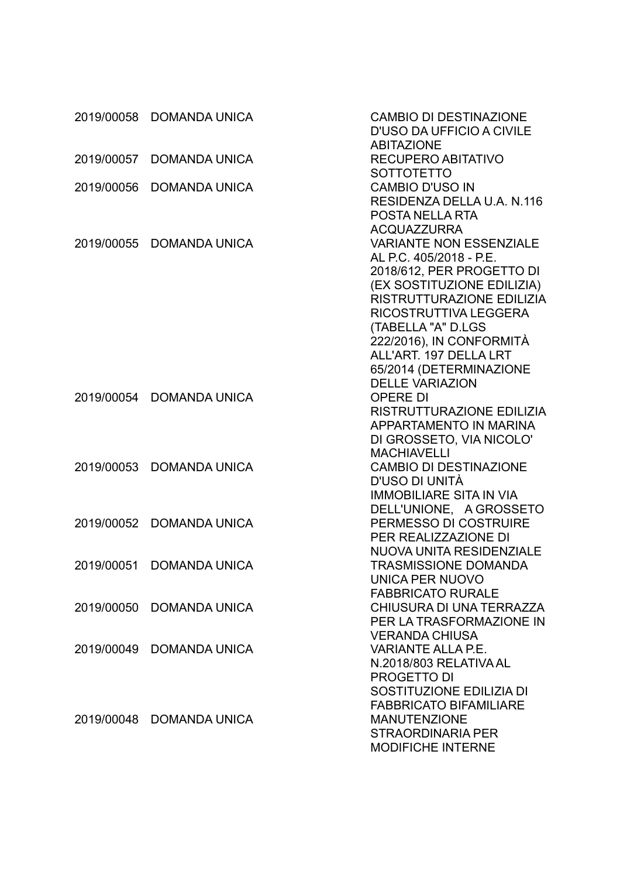|            | 2019/00058 DOMANDA UNICA | <b>CAMBIO DI DESTINAZIONE</b><br><b>D'USO DA UFFICIO A CIVILE</b>                                                                                                                                                                                                                 |
|------------|--------------------------|-----------------------------------------------------------------------------------------------------------------------------------------------------------------------------------------------------------------------------------------------------------------------------------|
| 2019/00057 | <b>DOMANDA UNICA</b>     | <b>ABITAZIONE</b><br>RECUPERO ABITATIVO<br><b>SOTTOTETTO</b>                                                                                                                                                                                                                      |
| 2019/00056 | <b>DOMANDA UNICA</b>     | <b>CAMBIO D'USO IN</b><br>RESIDENZA DELLA U.A. N.116<br>POSTA NELLA RTA<br><b>ACQUAZZURRA</b>                                                                                                                                                                                     |
| 2019/00055 | <b>DOMANDA UNICA</b>     | <b>VARIANTE NON ESSENZIALE</b><br>AL P.C. 405/2018 - P.E.<br>2018/612, PER PROGETTO DI<br>(EX SOSTITUZIONE EDILIZIA)<br>RISTRUTTURAZIONE EDILIZIA<br>RICOSTRUTTIVA LEGGERA<br>(TABELLA "A" D.LGS<br>222/2016), IN CONFORMITÀ<br>ALL'ART. 197 DELLA LRT<br>65/2014 (DETERMINAZIONE |
| 2019/00054 | <b>DOMANDA UNICA</b>     | <b>DELLE VARIAZION</b><br><b>OPERE DI</b><br>RISTRUTTURAZIONE EDILIZIA<br>APPARTAMENTO IN MARINA<br>DI GROSSETO, VIA NICOLO'<br><b>MACHIAVELLI</b>                                                                                                                                |
| 2019/00053 | <b>DOMANDA UNICA</b>     | <b>CAMBIO DI DESTINAZIONE</b><br>D'USO DI UNITÀ<br><b>IMMOBILIARE SITA IN VIA</b><br>DELL'UNIONE, A GROSSETO                                                                                                                                                                      |
| 2019/00052 | <b>DOMANDA UNICA</b>     | PERMESSO DI COSTRUIRE<br>PER REALIZZAZIONE DI<br><b>NUOVA UNITA RESIDENZIALE</b>                                                                                                                                                                                                  |
| 2019/00051 | <b>DOMANDA UNICA</b>     | <b>TRASMISSIONE DOMANDA</b><br><b>UNICA PER NUOVO</b>                                                                                                                                                                                                                             |
| 2019/00050 | <b>DOMANDA UNICA</b>     | <b>FABBRICATO RURALE</b><br>CHIUSURA DI UNA TERRAZZA<br>PER LA TRASFORMAZIONE IN                                                                                                                                                                                                  |
| 2019/00049 | <b>DOMANDA UNICA</b>     | <b>VERANDA CHIUSA</b><br><b>VARIANTE ALLA P.E.</b><br>N.2018/803 RELATIVA AL<br><b>PROGETTO DI</b><br>SOSTITUZIONE EDILIZIA DI                                                                                                                                                    |
| 2019/00048 | <b>DOMANDA UNICA</b>     | <b>FABBRICATO BIFAMILIARE</b><br><b>MANUTENZIONE</b><br><b>STRAORDINARIA PER</b><br><b>MODIFICHE INTERNE</b>                                                                                                                                                                      |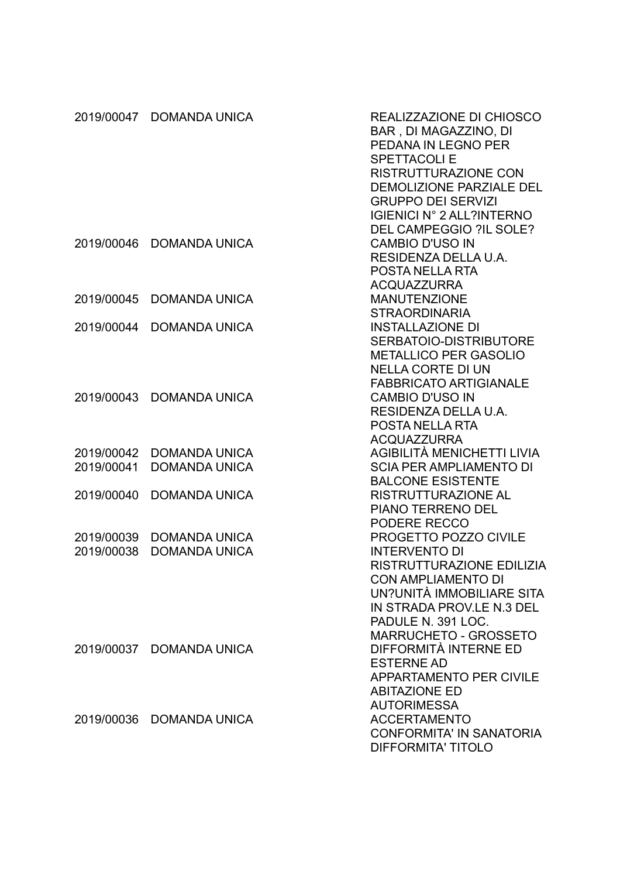|                          | 2019/00047 DOMANDA UNICA                     | REALIZZAZIONE DI CHIOSCO<br>BAR, DI MAGAZZINO, DI<br>PEDANA IN LEGNO PER<br><b>SPETTACOLIE</b><br><b>RISTRUTTURAZIONE CON</b><br>DEMOLIZIONE PARZIALE DEL<br><b>GRUPPO DEI SERVIZI</b><br><b>IGIENICI N° 2 ALL?INTERNO</b>     |
|--------------------------|----------------------------------------------|--------------------------------------------------------------------------------------------------------------------------------------------------------------------------------------------------------------------------------|
| 2019/00046               | <b>DOMANDA UNICA</b>                         | DEL CAMPEGGIO ?IL SOLE?<br><b>CAMBIO D'USO IN</b><br>RESIDENZA DELLA U.A.<br><b>POSTA NELLA RTA</b><br><b>ACQUAZZURRA</b>                                                                                                      |
| 2019/00045               | <b>DOMANDA UNICA</b>                         | <b>MANUTENZIONE</b><br><b>STRAORDINARIA</b>                                                                                                                                                                                    |
| 2019/00044               | <b>DOMANDA UNICA</b>                         | <b>INSTALLAZIONE DI</b><br>SERBATOIO-DISTRIBUTORE<br><b>METALLICO PER GASOLIO</b><br><b>NELLA CORTE DI UN</b><br><b>FABBRICATO ARTIGIANALE</b>                                                                                 |
| 2019/00043               | <b>DOMANDA UNICA</b>                         | <b>CAMBIO D'USO IN</b><br>RESIDENZA DELLA U.A.<br><b>POSTA NELLA RTA</b><br><b>ACQUAZZURRA</b>                                                                                                                                 |
| 2019/00042<br>2019/00041 | <b>DOMANDA UNICA</b><br><b>DOMANDA UNICA</b> | AGIBILITÀ MENICHETTI LIVIA<br><b>SCIA PER AMPLIAMENTO DI</b><br><b>BALCONE ESISTENTE</b>                                                                                                                                       |
| 2019/00040               | <b>DOMANDA UNICA</b>                         | <b>RISTRUTTURAZIONE AL</b><br><b>PIANO TERRENO DEL</b><br>PODERE RECCO                                                                                                                                                         |
| 2019/00039<br>2019/00038 | <b>DOMANDA UNICA</b><br><b>DOMANDA UNICA</b> | <b>PROGETTO POZZO CIVILE</b><br><b>INTERVENTO DI</b><br>RISTRUTTURAZIONE EDILIZIA<br><b>CON AMPLIAMENTO DI</b><br>UN?UNITÀ IMMOBILIARE SITA<br>IN STRADA PROV.LE N.3 DEL<br>PADULE N. 391 LOC.<br><b>MARRUCHETO - GROSSETO</b> |
|                          | 2019/00037 DOMANDA UNICA                     | DIFFORMITÀ INTERNE ED<br><b>ESTERNE AD</b><br><b>APPARTAMENTO PER CIVILE</b><br><b>ABITAZIONE ED</b><br><b>AUTORIMESSA</b>                                                                                                     |
| 2019/00036               | DOMANDA UNICA                                | <b>ACCERTAMENTO</b><br><b>CONFORMITA' IN SANATORIA</b><br><b>DIFFORMITA' TITOLO</b>                                                                                                                                            |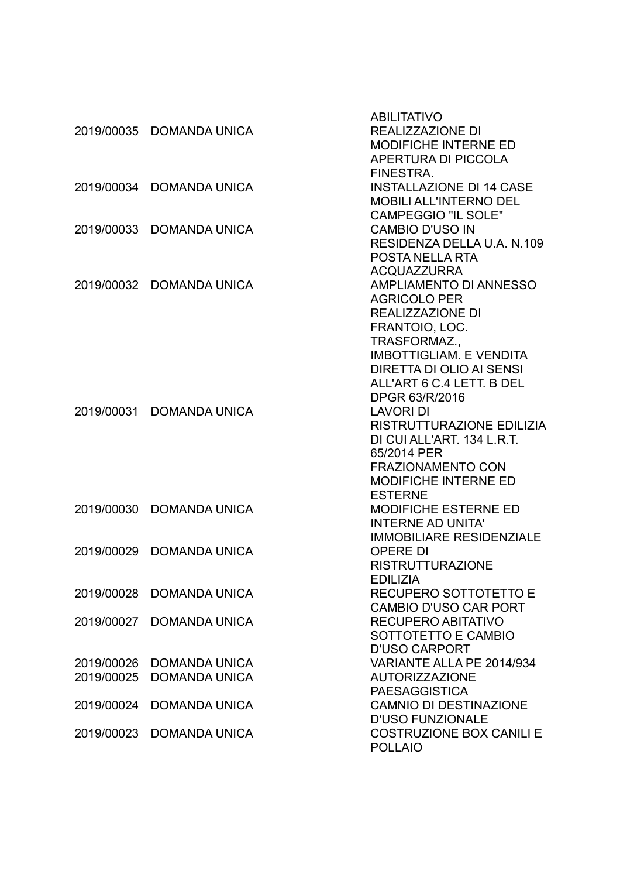|            |                          | <b>ABILITATIVO</b>              |
|------------|--------------------------|---------------------------------|
|            | 2019/00035 DOMANDA UNICA | REALIZZAZIONE DI                |
|            |                          | <b>MODIFICHE INTERNE ED</b>     |
|            |                          | APERTURA DI PICCOLA             |
|            |                          | FINESTRA.                       |
|            | 2019/00034 DOMANDA UNICA | <b>INSTALLAZIONE DI 14 CASE</b> |
|            |                          | <b>MOBILI ALL'INTERNO DEL</b>   |
|            |                          | <b>CAMPEGGIO "IL SOLE"</b>      |
| 2019/00033 | <b>DOMANDA UNICA</b>     | <b>CAMBIO D'USO IN</b>          |
|            |                          | RESIDENZA DELLA U.A. N.109      |
|            |                          | POSTA NELLA RTA                 |
|            |                          |                                 |
|            |                          | <b>ACQUAZZURRA</b>              |
|            | 2019/00032 DOMANDA UNICA | AMPLIAMENTO DI ANNESSO          |
|            |                          | <b>AGRICOLO PER</b>             |
|            |                          | REALIZZAZIONE DI                |
|            |                          | FRANTOIO, LOC.                  |
|            |                          | TRASFORMAZ.,                    |
|            |                          | <b>IMBOTTIGLIAM. E VENDITA</b>  |
|            |                          | DIRETTA DI OLIO AI SENSI        |
|            |                          | ALL'ART 6 C.4 LETT. B DEL       |
|            |                          | DPGR 63/R/2016                  |
|            | 2019/00031 DOMANDA UNICA | <b>LAVORI DI</b>                |
|            |                          | RISTRUTTURAZIONE EDILIZIA       |
|            |                          | DI CUI ALL'ART. 134 L.R.T.      |
|            |                          | 65/2014 PER                     |
|            |                          | <b>FRAZIONAMENTO CON</b>        |
|            |                          | MODIFICHE INTERNE ED            |
|            |                          | <b>ESTERNE</b>                  |
| 2019/00030 | <b>DOMANDA UNICA</b>     | <b>MODIFICHE ESTERNE ED</b>     |
|            |                          | <b>INTERNE AD UNITA'</b>        |
|            |                          | <b>IMMOBILIARE RESIDENZIALE</b> |
| 2019/00029 | <b>DOMANDA UNICA</b>     | <b>OPERE DI</b>                 |
|            |                          | <b>RISTRUTTURAZIONE</b>         |
|            |                          | <b>EDILIZIA</b>                 |
|            | 2019/00028 DOMANDA UNICA |                                 |
|            |                          | RECUPERO SOTTOTETTO E           |
|            |                          | <b>CAMBIO D'USO CAR PORT</b>    |
| 2019/00027 | <b>DOMANDA UNICA</b>     | RECUPERO ABITATIVO              |
|            |                          | SOTTOTETTO E CAMBIO             |
|            |                          | <b>D'USO CARPORT</b>            |
| 2019/00026 | <b>DOMANDA UNICA</b>     | VARIANTE ALLA PE 2014/934       |
| 2019/00025 | <b>DOMANDA UNICA</b>     | <b>AUTORIZZAZIONE</b>           |
|            |                          | <b>PAESAGGISTICA</b>            |
| 2019/00024 | <b>DOMANDA UNICA</b>     | <b>CAMNIO DI DESTINAZIONE</b>   |
|            |                          | <b>D'USO FUNZIONALE</b>         |
| 2019/00023 | <b>DOMANDA UNICA</b>     | <b>COSTRUZIONE BOX CANILI E</b> |
|            |                          | <b>POLLAIO</b>                  |
|            |                          |                                 |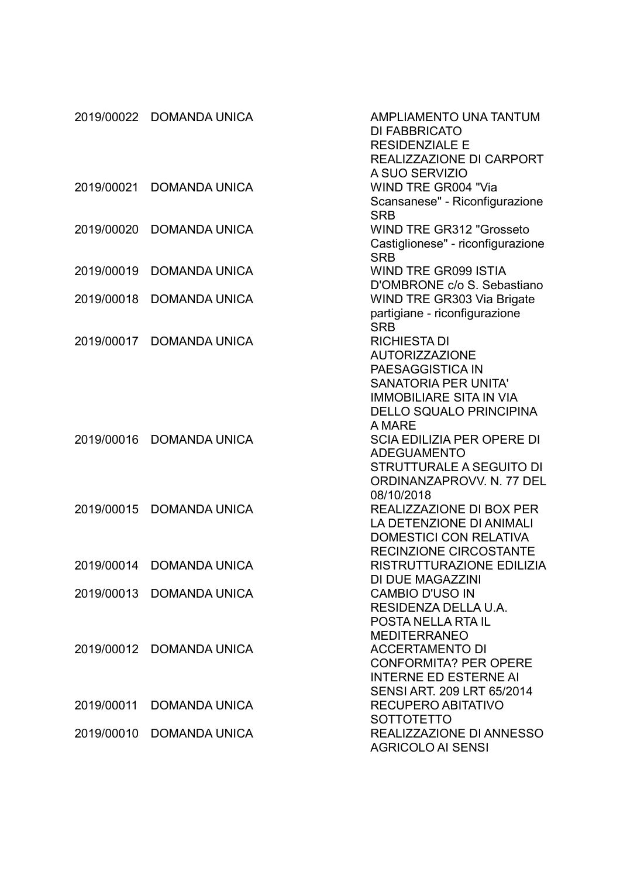|            | 2019/00022 DOMANDA UNICA | AMPLIAMENTO UNA TANTUM<br>DI FABBRICATO<br><b>RESIDENZIALE E</b><br>REALIZZAZIONE DI CARPORT                                                                                  |
|------------|--------------------------|-------------------------------------------------------------------------------------------------------------------------------------------------------------------------------|
| 2019/00021 | <b>DOMANDA UNICA</b>     | A SUO SERVIZIO<br><b>WIND TRE GR004 "Via</b><br>Scansanese" - Riconfigurazione<br><b>SRB</b>                                                                                  |
| 2019/00020 | <b>DOMANDA UNICA</b>     | <b>WIND TRE GR312 "Grosseto</b><br>Castiglionese" - riconfigurazione<br><b>SRB</b>                                                                                            |
| 2019/00019 | <b>DOMANDA UNICA</b>     | <b>WIND TRE GR099 ISTIA</b><br>D'OMBRONE c/o S. Sebastiano                                                                                                                    |
| 2019/00018 | <b>DOMANDA UNICA</b>     | WIND TRE GR303 Via Brigate<br>partigiane - riconfigurazione<br><b>SRB</b>                                                                                                     |
| 2019/00017 | <b>DOMANDA UNICA</b>     | <b>RICHIESTA DI</b><br><b>AUTORIZZAZIONE</b><br>PAESAGGISTICA IN<br><b>SANATORIA PER UNITA'</b><br><b>IMMOBILIARE SITA IN VIA</b><br><b>DELLO SQUALO PRINCIPINA</b><br>A MARE |
| 2019/00016 | <b>DOMANDA UNICA</b>     | <b>SCIA EDILIZIA PER OPERE DI</b><br><b>ADEGUAMENTO</b><br><b>STRUTTURALE A SEGUITO DI</b><br>ORDINANZAPROVV. N. 77 DEL<br>08/10/2018                                         |
| 2019/00015 | <b>DOMANDA UNICA</b>     | REALIZZAZIONE DI BOX PER<br>LA DETENZIONE DI ANIMALI<br><b>DOMESTICI CON RELATIVA</b><br>RECINZIONE CIRCOSTANTE                                                               |
| 2019/00014 | <b>DOMANDA UNICA</b>     | RISTRUTTURAZIONE EDILIZIA<br>DI DUE MAGAZZINI                                                                                                                                 |
|            | 2019/00013 DOMANDA UNICA | <b>CAMBIO D'USO IN</b><br>RESIDENZA DELLA U.A.<br>POSTA NELLA RTA IL<br><b>MEDITERRANEO</b>                                                                                   |
|            | 2019/00012 DOMANDA UNICA | <b>ACCERTAMENTO DI</b><br><b>CONFORMITA? PER OPERE</b><br><b>INTERNE ED ESTERNE AI</b><br>SENSI ART. 209 LRT 65/2014                                                          |
| 2019/00011 | <b>DOMANDA UNICA</b>     | RECUPERO ABITATIVO<br><b>SOTTOTETTO</b>                                                                                                                                       |
| 2019/00010 | <b>DOMANDA UNICA</b>     | REALIZZAZIONE DI ANNESSO<br><b>AGRICOLO AI SENSI</b>                                                                                                                          |